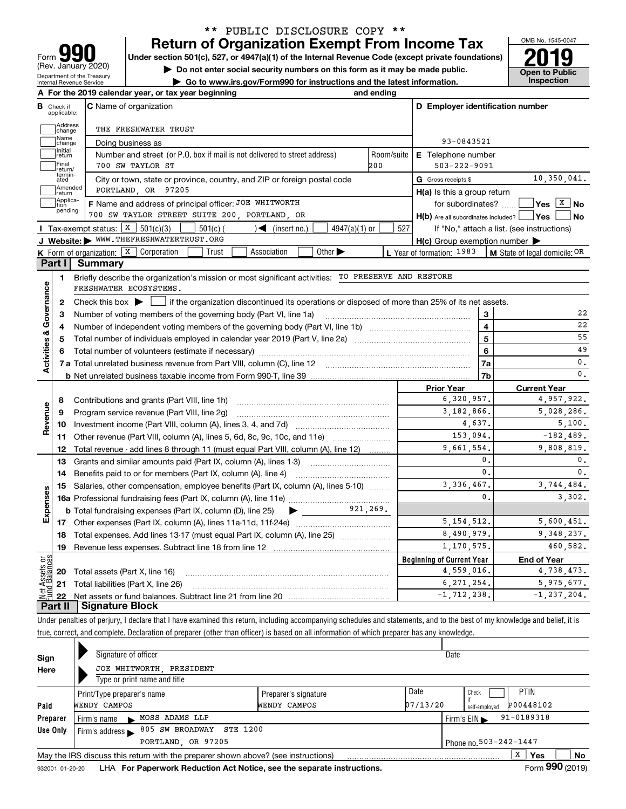| 91<br>Form                                                    |
|---------------------------------------------------------------|
| (Rev. January 2020)                                           |
| Department of the Treasury<br><b>Internal Revenue Service</b> |

## **Return of Organization Exempt From Income Tax** \*\* PUBLIC DISCLOSURE COPY \*\*

Under section 501(c), 527, or 4947(a)(1) of the Internal Revenue Code (except private foundations) **2019** 

**| Do not enter social security numbers on this form as it may be made public.**

**| Go to www.irs.gov/Form990 for instructions and the latest information. Inspection**



| В                       | Check if          | A For the 2019 calendar year, or tax year beginning<br><b>C</b> Name of organization                                                      | and ending        | D Employer identification number                    |                                            |
|-------------------------|-------------------|-------------------------------------------------------------------------------------------------------------------------------------------|-------------------|-----------------------------------------------------|--------------------------------------------|
|                         | applicable:       |                                                                                                                                           |                   |                                                     |                                            |
|                         | Address<br>change | THE FRESHWATER TRUST                                                                                                                      |                   |                                                     |                                            |
|                         | Name<br>change    | Doing business as                                                                                                                         |                   | 93-0843521                                          |                                            |
|                         | Initial<br>return | Number and street (or P.O. box if mail is not delivered to street address)                                                                | Room/suite        | E Telephone number                                  |                                            |
|                         | Final<br>return/  | 700 SW TAYLOR ST                                                                                                                          | 200               | $503 - 222 - 9091$                                  |                                            |
|                         | termin-<br>ated   | City or town, state or province, country, and ZIP or foreign postal code                                                                  |                   | G Gross receipts \$                                 | 10,350,041.                                |
|                         | Amended<br>return | PORTLAND OR 97205                                                                                                                         |                   | $H(a)$ is this a group return                       |                                            |
|                         | Applica-<br>tion  | F Name and address of principal officer: JOE WHITWORTH                                                                                    | for subordinates? | $ Yes  \times  No $                                 |                                            |
|                         | pending           | 700 SW TAYLOR STREET SUITE 200, PORTLAND, OR                                                                                              |                   | $H(b)$ Are all subordinates included? $\Box$        | No<br>∣Yes                                 |
|                         |                   | <b>I</b> Tax-exempt status: $\boxed{\text{X}}$ 501(c)(3) [<br>$501(c)$ (<br>$\sqrt{\frac{1}{1}}$ (insert no.)<br>$4947(a)(1)$ or          | 527               |                                                     | If "No," attach a list. (see instructions) |
|                         |                   | J Website: WWW.THEFRESHWATERTRUST.ORG                                                                                                     |                   | $H(c)$ Group exemption number $\blacktriangleright$ |                                            |
|                         |                   | <b>K</b> Form of organization: $\boxed{\textbf{x}}$ Corporation<br>Trust<br>Association<br>Other $\blacktriangleright$                    |                   | L Year of formation: $1983$                         | <b>M</b> State of legal domicile: OR       |
|                         | Part I            | <b>Summary</b>                                                                                                                            |                   |                                                     |                                            |
|                         | $\mathbf{1}$      | Briefly describe the organization's mission or most significant activities: TO PRESERVE AND RESTORE                                       |                   |                                                     |                                            |
|                         |                   | FRESHWATER ECOSYSTEMS.                                                                                                                    |                   |                                                     |                                            |
|                         | 2                 | Check this box $\blacktriangleright \Box$ if the organization discontinued its operations or disposed of more than 25% of its net assets. |                   |                                                     |                                            |
|                         | з                 | Number of voting members of the governing body (Part VI, line 1a)                                                                         |                   | 3                                                   | 22                                         |
|                         | 4                 |                                                                                                                                           |                   | 4                                                   | 22                                         |
|                         | 5                 |                                                                                                                                           |                   | 5                                                   | 55                                         |
|                         | 6                 |                                                                                                                                           | 6                 | 49                                                  |                                            |
| Activities & Governance |                   |                                                                                                                                           |                   | 7a                                                  | 0.                                         |
|                         |                   |                                                                                                                                           |                   | 7b                                                  | 0.                                         |
|                         |                   |                                                                                                                                           |                   | <b>Prior Year</b>                                   | <b>Current Year</b>                        |
|                         | 8                 | Contributions and grants (Part VIII, line 1h)                                                                                             |                   | 6,320,957.                                          | 4,957,922.                                 |
| Revenue                 | 9                 | Program service revenue (Part VIII, line 2g)                                                                                              |                   | 3,182,866.                                          | 5,028,286.                                 |
|                         | 10                |                                                                                                                                           |                   | 4,637.                                              | 5,100.                                     |
|                         | 11                | Other revenue (Part VIII, column (A), lines 5, 6d, 8c, 9c, 10c, and 11e)                                                                  |                   | 153,094.                                            | $-182,489.$                                |
|                         | 12                | Total revenue - add lines 8 through 11 (must equal Part VIII, column (A), line 12)                                                        |                   | 9,661,554.                                          | 9,808,819.                                 |
|                         | 13                | Grants and similar amounts paid (Part IX, column (A), lines 1-3)                                                                          |                   | $\mathbf{0}$                                        | 0.                                         |
|                         | 14                | Benefits paid to or for members (Part IX, column (A), line 4)                                                                             |                   | $\mathbf{0}$ .                                      | 0.                                         |
|                         | 15                | Salaries, other compensation, employee benefits (Part IX, column (A), lines 5-10)                                                         |                   | 3, 336, 467.                                        | 3,744,484.                                 |
|                         |                   |                                                                                                                                           |                   | $\mathbf{0}$ .                                      | 3.302.                                     |
| Expenses                |                   | 921,269.<br><b>b</b> Total fundraising expenses (Part IX, column (D), line 25)                                                            |                   |                                                     |                                            |
|                         |                   |                                                                                                                                           |                   | 5, 154, 512.                                        | 5,600,451.                                 |
|                         | 18                | Total expenses. Add lines 13-17 (must equal Part IX, column (A), line 25)                                                                 |                   | 8,490,979.                                          | 9, 348, 237.                               |
|                         | 19                |                                                                                                                                           |                   | 1,170,575.                                          | 460,582.                                   |
| កន្ល                    |                   |                                                                                                                                           |                   | <b>Beginning of Current Year</b>                    | <b>End of Year</b>                         |
|                         |                   | <b>20</b> Total assets (Part X, line 16)                                                                                                  |                   | 4,559,016.                                          | 4,738,473.                                 |
| sets                    | 21                | Total liabilities (Part X, line 26)                                                                                                       |                   | 6, 271, 254,                                        | 5,975,677.                                 |
|                         |                   |                                                                                                                                           |                   | $-1, 712, 238.$                                     | $-1, 237, 204.$                            |
|                         | 22                |                                                                                                                                           |                   |                                                     |                                            |

true, correct, and complete. Declaration of preparer (other than officer) is based on all information of which preparer has any knowledge.

| Sign     |                                      | Signature of officer                                                              |                      | Date     |                                                    |  |  |  |  |
|----------|--------------------------------------|-----------------------------------------------------------------------------------|----------------------|----------|----------------------------------------------------|--|--|--|--|
| Here     |                                      | JOE WHITWORTH, PRESIDENT                                                          |                      |          |                                                    |  |  |  |  |
|          |                                      | Type or print name and title                                                      |                      |          |                                                    |  |  |  |  |
|          |                                      | Print/Type preparer's name                                                        | Preparer's signature | Date     | <b>PTIN</b><br>Check                               |  |  |  |  |
| Paid     | WENDY CAMPOS                         |                                                                                   | WENDY CAMPOS         | 07/13/20 | P00448102<br>self-emploved                         |  |  |  |  |
| Preparer | Firm's name                          | MOSS ADAMS LLP<br>$\sim$                                                          |                      |          | $91 - 0189318$<br>Firm's $EIN \blacktriangleright$ |  |  |  |  |
| Use Only | Firm's address $\blacktriangleright$ | 805 SW BROADWAY<br>STE 1200                                                       |                      |          |                                                    |  |  |  |  |
|          |                                      | PORTLAND, OR 97205                                                                |                      |          | Phone no. 503-242-1447                             |  |  |  |  |
|          |                                      | May the IRS discuss this return with the preparer shown above? (see instructions) |                      |          | x<br>No<br>Yes                                     |  |  |  |  |
|          |                                      | $000 \approx 100$<br>-                                                            |                      |          |                                                    |  |  |  |  |

932001 01-20-20 LHA **For Paperwork Reduction Act Notice, see the separate instructions. Form 990 (2019)**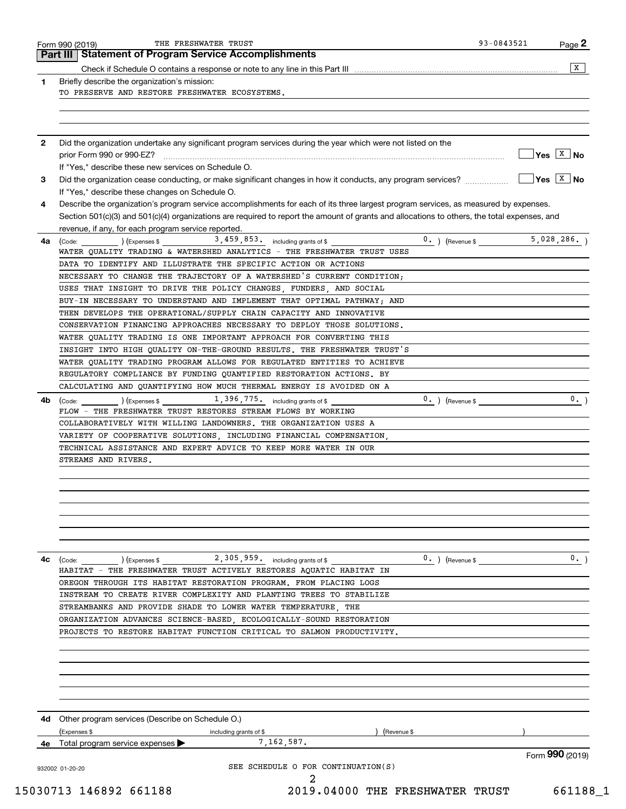|     | <b>Statement of Program Service Accomplishments</b><br>Part III I                                                                                                             |                                     |
|-----|-------------------------------------------------------------------------------------------------------------------------------------------------------------------------------|-------------------------------------|
|     | Check if Schedule O contains a response or note to any line in this Part III [1] [1] [1] [1] [1] Check if Schedule O contains a response or note to any line in this Part III | X                                   |
| 1   | Briefly describe the organization's mission:                                                                                                                                  |                                     |
|     | TO PRESERVE AND RESTORE FRESHWATER ECOSYSTEMS.                                                                                                                                |                                     |
|     |                                                                                                                                                                               |                                     |
|     |                                                                                                                                                                               |                                     |
| 2   | Did the organization undertake any significant program services during the year which were not listed on the                                                                  |                                     |
|     |                                                                                                                                                                               | $\sqrt{Y}$ es $\boxed{X}$ No        |
|     | If "Yes." describe these new services on Schedule O.                                                                                                                          |                                     |
| 3   | Did the organization cease conducting, or make significant changes in how it conducts, any program services?                                                                  | $\overline{Y}$ es $\overline{X}$ No |
|     | If "Yes," describe these changes on Schedule O.                                                                                                                               |                                     |
| 4   | Describe the organization's program service accomplishments for each of its three largest program services, as measured by expenses.                                          |                                     |
|     | Section 501(c)(3) and 501(c)(4) organizations are required to report the amount of grants and allocations to others, the total expenses, and                                  |                                     |
|     | revenue, if any, for each program service reported.                                                                                                                           |                                     |
| 4a  | 3, 459, 853. including grants of \$<br>$0.$ ) (Revenue \$<br>(Code: ) (Expenses \$                                                                                            | 5,028,286.                          |
|     | WATER QUALITY TRADING & WATERSHED ANALYTICS - THE FRESHWATER TRUST USES                                                                                                       |                                     |
|     | DATA TO IDENTIFY AND ILLUSTRATE THE SPECIFIC ACTION OR ACTIONS                                                                                                                |                                     |
|     | NECESSARY TO CHANGE THE TRAJECTORY OF A WATERSHED'S CURRENT CONDITION;                                                                                                        |                                     |
|     | USES THAT INSIGHT TO DRIVE THE POLICY CHANGES, FUNDERS, AND SOCIAL                                                                                                            |                                     |
|     | BUY-IN NECESSARY TO UNDERSTAND AND IMPLEMENT THAT OPTIMAL PATHWAY; AND                                                                                                        |                                     |
|     | THEN DEVELOPS THE OPERATIONAL/SUPPLY CHAIN CAPACITY AND INNOVATIVE                                                                                                            |                                     |
|     | CONSERVATION FINANCING APPROACHES NECESSARY TO DEPLOY THOSE SOLUTIONS.                                                                                                        |                                     |
|     | WATER QUALITY TRADING IS ONE IMPORTANT APPROACH FOR CONVERTING THIS                                                                                                           |                                     |
|     | INSIGHT INTO HIGH QUALITY ON-THE-GROUND RESULTS. THE FRESHWATER TRUST'S                                                                                                       |                                     |
|     | WATER QUALITY TRADING PROGRAM ALLOWS FOR REGULATED ENTITIES TO ACHIEVE                                                                                                        |                                     |
|     | REGULATORY COMPLIANCE BY FUNDING QUANTIFIED RESTORATION ACTIONS. BY                                                                                                           |                                     |
|     | CALCULATING AND QUANTIFYING HOW MUCH THERMAL ENERGY IS AVOIDED ON A                                                                                                           |                                     |
| 4b. | 1, 396, 775. including grants of \$<br>$0.$ ) (Revenue \$<br>(Code:<br>) (Expenses \$                                                                                         | 0.                                  |
|     | FLOW - THE FRESHWATER TRUST RESTORES STREAM FLOWS BY WORKING                                                                                                                  |                                     |
|     | COLLABORATIVELY WITH WILLING LANDOWNERS. THE ORGANIZATION USES A                                                                                                              |                                     |
|     | VARIETY OF COOPERATIVE SOLUTIONS, INCLUDING FINANCIAL COMPENSATION,                                                                                                           |                                     |
|     | TECHNICAL ASSISTANCE AND EXPERT ADVICE TO KEEP MORE WATER IN OUR                                                                                                              |                                     |
|     | STREAMS AND RIVERS.                                                                                                                                                           |                                     |
|     |                                                                                                                                                                               |                                     |
|     |                                                                                                                                                                               |                                     |
|     |                                                                                                                                                                               |                                     |
|     |                                                                                                                                                                               |                                     |
|     |                                                                                                                                                                               |                                     |
|     |                                                                                                                                                                               |                                     |
| 4c  | 2, 305, 959. including grants of \$<br>$0.$ ) (Revenue \$<br>$\left(\text{Code:}\right)$ $\left(\text{Expenses $}\right)$                                                     | 0.                                  |
|     | HABITAT - THE FRESHWATER TRUST ACTIVELY RESTORES AQUATIC HABITAT IN                                                                                                           |                                     |
|     | OREGON THROUGH ITS HABITAT RESTORATION PROGRAM. FROM PLACING LOGS                                                                                                             |                                     |
|     | INSTREAM TO CREATE RIVER COMPLEXITY AND PLANTING TREES TO STABILIZE                                                                                                           |                                     |
|     | STREAMBANKS AND PROVIDE SHADE TO LOWER WATER TEMPERATURE, THE                                                                                                                 |                                     |
|     | ORGANIZATION ADVANCES SCIENCE-BASED, ECOLOGICALLY-SOUND RESTORATION                                                                                                           |                                     |
|     | PROJECTS TO RESTORE HABITAT FUNCTION CRITICAL TO SALMON PRODUCTIVITY.                                                                                                         |                                     |
|     |                                                                                                                                                                               |                                     |
|     |                                                                                                                                                                               |                                     |
|     |                                                                                                                                                                               |                                     |
|     |                                                                                                                                                                               |                                     |
|     |                                                                                                                                                                               |                                     |
|     | 4d Other program services (Describe on Schedule O.)                                                                                                                           |                                     |
|     | (Expenses \$<br>Revenue \$<br>including grants of \$                                                                                                                          |                                     |
|     | 7,162,587.<br><b>4e</b> Total program service expenses $\blacktriangleright$                                                                                                  |                                     |
|     |                                                                                                                                                                               | Form 990 (2019)                     |
|     |                                                                                                                                                                               |                                     |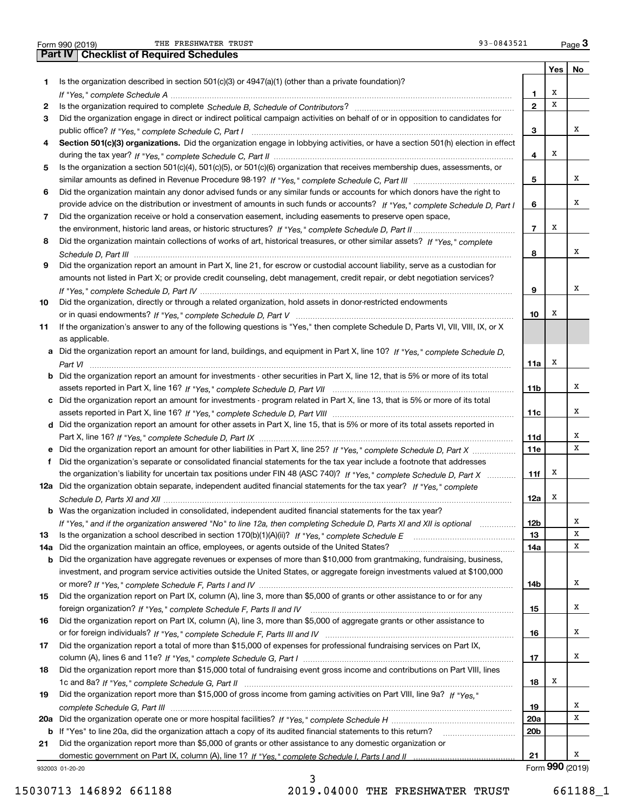| Form 990 (2019) |  |  |
|-----------------|--|--|

THE FRESHWATER TRUST **12000** CHERRY 13000 CHERRY 13000 CHERRY 13000 CHERRY 13000 CHERRY 13000 CHERRY 13000 CHERRY 13000 CHERRY 13000 CHERRY 13000 CHERRY 13000 CHERRY 13000 CHERRY 13000 CHERRY 13000 CHERRY 13000 CHERRY 1300

|     | 93-0843521<br>THE FRESHWATER TRUST<br>Form 990 (2019)                                                                                 |                |     | Page $3$ |
|-----|---------------------------------------------------------------------------------------------------------------------------------------|----------------|-----|----------|
|     | <b>Part IV   Checklist of Required Schedules</b>                                                                                      |                |     |          |
|     |                                                                                                                                       |                | Yes | No       |
| 1.  | Is the organization described in section $501(c)(3)$ or $4947(a)(1)$ (other than a private foundation)?                               |                |     |          |
|     |                                                                                                                                       | 1              | х   |          |
| 2   |                                                                                                                                       | $\mathbf{2}$   | X   |          |
| 3   | Did the organization engage in direct or indirect political campaign activities on behalf of or in opposition to candidates for       |                |     |          |
|     |                                                                                                                                       | 3              |     | х        |
| 4   | Section 501(c)(3) organizations. Did the organization engage in lobbying activities, or have a section 501(h) election in effect      |                |     |          |
|     |                                                                                                                                       | 4              | х   |          |
| 5   | Is the organization a section 501(c)(4), 501(c)(5), or 501(c)(6) organization that receives membership dues, assessments, or          |                |     |          |
|     |                                                                                                                                       | 5              |     | х        |
| 6   | Did the organization maintain any donor advised funds or any similar funds or accounts for which donors have the right to             |                |     |          |
|     | provide advice on the distribution or investment of amounts in such funds or accounts? If "Yes," complete Schedule D, Part I          | 6              |     | х        |
| 7   | Did the organization receive or hold a conservation easement, including easements to preserve open space,                             |                |     |          |
|     |                                                                                                                                       | $\overline{7}$ | х   |          |
| 8   | Did the organization maintain collections of works of art, historical treasures, or other similar assets? If "Yes," complete          |                |     |          |
|     |                                                                                                                                       | 8              |     | х        |
| 9   | Did the organization report an amount in Part X, line 21, for escrow or custodial account liability, serve as a custodian for         |                |     |          |
|     | amounts not listed in Part X; or provide credit counseling, debt management, credit repair, or debt negotiation services?             |                |     |          |
|     |                                                                                                                                       | 9              |     | х        |
| 10  | Did the organization, directly or through a related organization, hold assets in donor-restricted endowments                          |                |     |          |
|     |                                                                                                                                       | 10             | х   |          |
| 11  | If the organization's answer to any of the following questions is "Yes," then complete Schedule D, Parts VI, VII, VIII, IX, or X      |                |     |          |
|     | as applicable.                                                                                                                        |                |     |          |
|     |                                                                                                                                       |                |     |          |
|     | a Did the organization report an amount for land, buildings, and equipment in Part X, line 10? If "Yes," complete Schedule D.         | 11a            | х   |          |
|     | <b>b</b> Did the organization report an amount for investments - other securities in Part X, line 12, that is 5% or more of its total |                |     |          |
|     |                                                                                                                                       | 11b            |     | х        |
|     | c Did the organization report an amount for investments - program related in Part X, line 13, that is 5% or more of its total         |                |     |          |
|     |                                                                                                                                       | 11c            |     | х        |
|     | d Did the organization report an amount for other assets in Part X, line 15, that is 5% or more of its total assets reported in       |                |     |          |
|     |                                                                                                                                       |                |     | х        |
|     |                                                                                                                                       | 11d            |     | X        |
|     | e Did the organization report an amount for other liabilities in Part X, line 25? If "Yes," complete Schedule D, Part X               | 11e            |     |          |
| f   | Did the organization's separate or consolidated financial statements for the tax year include a footnote that addresses               |                | х   |          |
|     | the organization's liability for uncertain tax positions under FIN 48 (ASC 740)? If "Yes," complete Schedule D, Part X                | 11f            |     |          |
|     | 12a Did the organization obtain separate, independent audited financial statements for the tax year? If "Yes," complete               |                | x   |          |
|     |                                                                                                                                       | 12a            |     |          |
| b   | Was the organization included in consolidated, independent audited financial statements for the tax year?                             |                |     |          |
|     | If "Yes," and if the organization answered "No" to line 12a, then completing Schedule D, Parts XI and XII is optional manum           | 12b            |     | Х        |
| 13  |                                                                                                                                       | 13             |     | Х        |
| 14a | Did the organization maintain an office, employees, or agents outside of the United States?                                           | 14a            |     | Х        |
| b   | Did the organization have aggregate revenues or expenses of more than \$10,000 from grantmaking, fundraising, business,               |                |     |          |
|     | investment, and program service activities outside the United States, or aggregate foreign investments valued at \$100,000            |                |     |          |
|     |                                                                                                                                       | 14b            |     | х        |
| 15  | Did the organization report on Part IX, column (A), line 3, more than \$5,000 of grants or other assistance to or for any             |                |     |          |
|     |                                                                                                                                       | 15             |     | х        |
| 16  | Did the organization report on Part IX, column (A), line 3, more than \$5,000 of aggregate grants or other assistance to              |                |     |          |
|     |                                                                                                                                       | 16             |     | x        |
| 17  | Did the organization report a total of more than \$15,000 of expenses for professional fundraising services on Part IX,               |                |     |          |
|     |                                                                                                                                       | 17             |     | x        |
| 18  | Did the organization report more than \$15,000 total of fundraising event gross income and contributions on Part VIII, lines          |                |     |          |
|     |                                                                                                                                       | 18             | x   |          |
| 19  | Did the organization report more than \$15,000 of gross income from gaming activities on Part VIII, line 9a? If "Yes."                |                |     |          |
|     |                                                                                                                                       | 19             |     | x        |
|     |                                                                                                                                       | 20a            |     | х        |
|     | b If "Yes" to line 20a, did the organization attach a copy of its audited financial statements to this return?                        | 20b            |     |          |
| 21  | Did the organization report more than \$5,000 of grants or other assistance to any domestic organization or                           |                |     |          |
|     |                                                                                                                                       | 21             | റററ | х        |

932003 01-20-20

15030713 146892 661188 2019.04000 THE FRESHWATER TRUST 661188\_1

3

Form (2019) **990**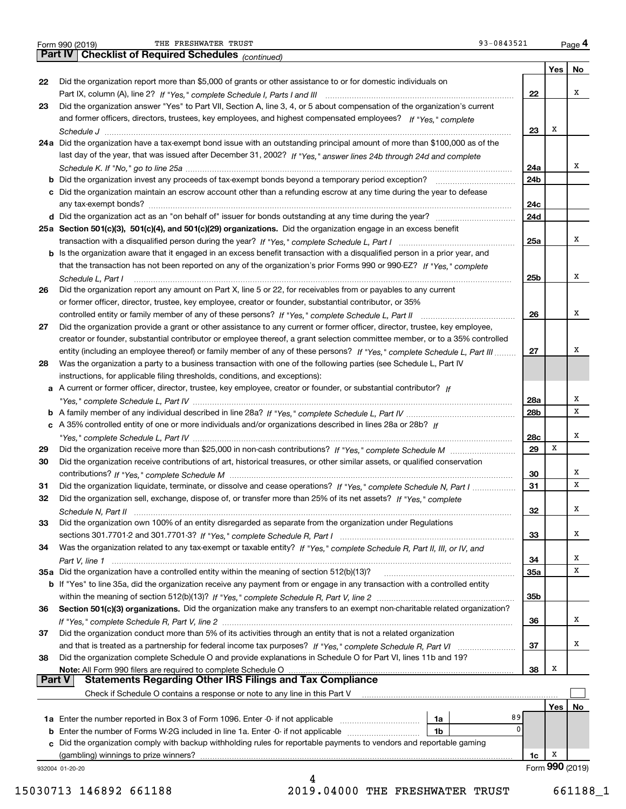| Form 990 (2019) |  |  |
|-----------------|--|--|
|                 |  |  |

Form 990 (2019) THE\_FRESHWATER\_TRUST 93-0843521 <sub>Page</sub> 4<br>**Part IV | Checklist of Required Schedules** <sub>(continued)</sub> 93-0843521 <sub>Page</sub> 4 THE FRESHWATER TRUST 33-0843521

| 22       | Did the organization report more than \$5,000 of grants or other assistance to or for domestic individuals on                                                 |            |     | No |
|----------|---------------------------------------------------------------------------------------------------------------------------------------------------------------|------------|-----|----|
|          |                                                                                                                                                               | 22         |     | х  |
| 23       | Did the organization answer "Yes" to Part VII, Section A, line 3, 4, or 5 about compensation of the organization's current                                    |            |     |    |
|          | and former officers, directors, trustees, key employees, and highest compensated employees? If "Yes." complete                                                |            |     |    |
|          |                                                                                                                                                               | 23         | x   |    |
|          | 24a Did the organization have a tax-exempt bond issue with an outstanding principal amount of more than \$100,000 as of the                                   |            |     |    |
|          | last day of the year, that was issued after December 31, 2002? If "Yes," answer lines 24b through 24d and complete                                            |            |     |    |
|          |                                                                                                                                                               | 24a        |     | Χ  |
|          |                                                                                                                                                               | 24b        |     |    |
|          | c Did the organization maintain an escrow account other than a refunding escrow at any time during the year to defease                                        |            |     |    |
|          |                                                                                                                                                               | 24c        |     |    |
|          |                                                                                                                                                               | 24d        |     |    |
|          | 25a Section 501(c)(3), 501(c)(4), and 501(c)(29) organizations. Did the organization engage in an excess benefit                                              |            |     |    |
|          |                                                                                                                                                               | <b>25a</b> |     | x  |
|          | b Is the organization aware that it engaged in an excess benefit transaction with a disqualified person in a prior year, and                                  |            |     |    |
|          | that the transaction has not been reported on any of the organization's prior Forms 990 or 990-EZ? If "Yes," complete                                         |            |     |    |
|          | Schedule L, Part I                                                                                                                                            | 25b        |     | Χ  |
| 26       | Did the organization report any amount on Part X, line 5 or 22, for receivables from or payables to any current                                               |            |     |    |
|          | or former officer, director, trustee, key employee, creator or founder, substantial contributor, or 35%                                                       |            |     |    |
|          |                                                                                                                                                               | 26         |     | х  |
| 27       | Did the organization provide a grant or other assistance to any current or former officer, director, trustee, key employee,                                   |            |     |    |
|          | creator or founder, substantial contributor or employee thereof, a grant selection committee member, or to a 35% controlled                                   |            |     |    |
|          | entity (including an employee thereof) or family member of any of these persons? If "Yes," complete Schedule L, Part III                                      | 27         |     | X  |
| 28       | Was the organization a party to a business transaction with one of the following parties (see Schedule L, Part IV                                             |            |     |    |
|          | instructions, for applicable filing thresholds, conditions, and exceptions):                                                                                  |            |     |    |
|          | a A current or former officer, director, trustee, key employee, creator or founder, or substantial contributor? If                                            |            |     |    |
|          |                                                                                                                                                               | 28a        |     | х  |
|          |                                                                                                                                                               | 28b        |     | x  |
|          | c A 35% controlled entity of one or more individuals and/or organizations described in lines 28a or 28b? If                                                   |            |     |    |
|          |                                                                                                                                                               | 28c        |     | Χ  |
| 29       |                                                                                                                                                               | 29         | x   |    |
| 30       | Did the organization receive contributions of art, historical treasures, or other similar assets, or qualified conservation                                   |            |     |    |
|          |                                                                                                                                                               | 30         |     | Х  |
| 31       | Did the organization liquidate, terminate, or dissolve and cease operations? If "Yes," complete Schedule N, Part I                                            | 31         |     | x  |
| 32       | Did the organization sell, exchange, dispose of, or transfer more than 25% of its net assets? If "Yes," complete                                              |            |     |    |
|          | Schedule N. Part II                                                                                                                                           | 32         |     | x  |
| 33       | Did the organization own 100% of an entity disregarded as separate from the organization under Regulations                                                    |            |     |    |
|          |                                                                                                                                                               | 33         |     | х  |
| 34       | Was the organization related to any tax-exempt or taxable entity? If "Yes," complete Schedule R, Part II, III, or IV, and                                     |            |     |    |
|          |                                                                                                                                                               | 34         |     | х  |
|          | 35a Did the organization have a controlled entity within the meaning of section 512(b)(13)?                                                                   | <b>35a</b> |     | x  |
|          | <b>b</b> If "Yes" to line 35a, did the organization receive any payment from or engage in any transaction with a controlled entity                            |            |     |    |
|          |                                                                                                                                                               | 35b        |     |    |
| 36       | Section 501(c)(3) organizations. Did the organization make any transfers to an exempt non-charitable related organization?                                    |            |     |    |
|          |                                                                                                                                                               | 36         |     | х  |
|          | Did the organization conduct more than 5% of its activities through an entity that is not a related organization                                              |            |     |    |
|          |                                                                                                                                                               | 37         |     | х  |
|          |                                                                                                                                                               |            |     |    |
| 37<br>38 |                                                                                                                                                               |            |     |    |
|          | Did the organization complete Schedule O and provide explanations in Schedule O for Part VI, lines 11b and 19?                                                |            | х   |    |
|          | Note: All Form 990 filers are required to complete Schedule O<br><b>Part V</b>                                                                                | 38         |     |    |
|          | <b>Statements Regarding Other IRS Filings and Tax Compliance</b><br>Check if Schedule O contains a response or note to any line in this Part V                |            |     |    |
|          |                                                                                                                                                               |            | Yes |    |
|          | 89                                                                                                                                                            |            |     |    |
|          | 1a<br>0<br>1 <sub>b</sub>                                                                                                                                     |            |     |    |
|          | <b>b</b> Enter the number of Forms W-2G included in line 1a. Enter -0- if not applicable <i>manumumumum</i>                                                   |            |     |    |
|          | c Did the organization comply with backup withholding rules for reportable payments to vendors and reportable gaming<br>(gambling) winnings to prize winners? | 1c.        | X   | No |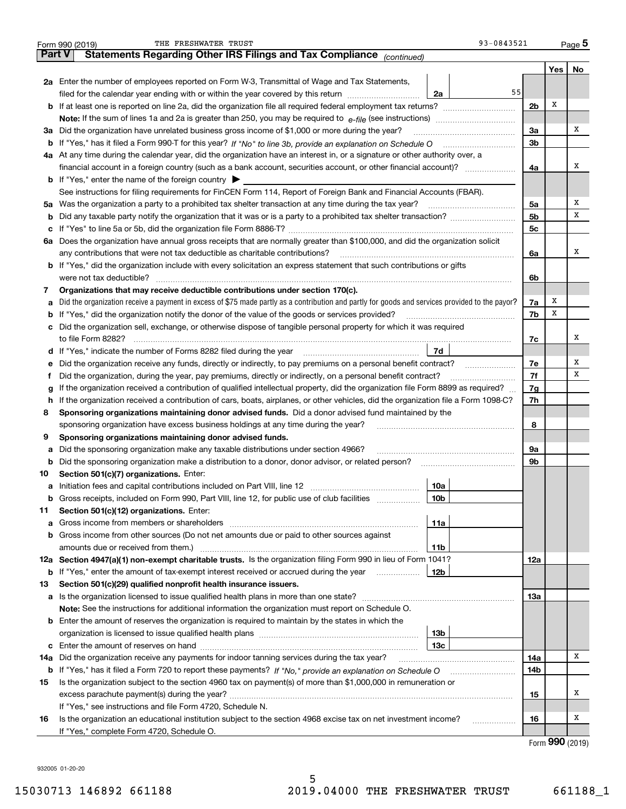|               | 93-0843521<br>THE FRESHWATER TRUST<br>Form 990 (2019)                                                                                           |                |       | $_{\text{Page}}$ 5 |  |
|---------------|-------------------------------------------------------------------------------------------------------------------------------------------------|----------------|-------|--------------------|--|
| <b>Part V</b> | Statements Regarding Other IRS Filings and Tax Compliance (continued)                                                                           |                |       |                    |  |
|               |                                                                                                                                                 |                | Yes   | No                 |  |
|               | 2a Enter the number of employees reported on Form W-3, Transmittal of Wage and Tax Statements,                                                  |                |       |                    |  |
|               | 55<br>filed for the calendar year ending with or within the year covered by this return<br>2a                                                   |                |       |                    |  |
|               |                                                                                                                                                 | 2 <sub>b</sub> | Х     |                    |  |
|               | <b>Note:</b> If the sum of lines 1a and 2a is greater than 250, you may be required to $e$ -file (see instructions) <i>manimummmmmm</i>         |                |       |                    |  |
|               | 3a Did the organization have unrelated business gross income of \$1,000 or more during the year?                                                | 3a             |       | х                  |  |
|               | b If "Yes," has it filed a Form 990-T for this year? If "No" to line 3b, provide an explanation on Schedule O                                   | 3 <sub>b</sub> |       |                    |  |
|               | 4a At any time during the calendar year, did the organization have an interest in, or a signature or other authority over, a                    |                |       |                    |  |
|               |                                                                                                                                                 | 4a             |       | х                  |  |
|               | <b>b</b> If "Yes," enter the name of the foreign country $\triangleright$                                                                       |                |       |                    |  |
|               | See instructions for filing requirements for FinCEN Form 114, Report of Foreign Bank and Financial Accounts (FBAR).                             |                |       |                    |  |
|               | 5a Was the organization a party to a prohibited tax shelter transaction at any time during the tax year?                                        | 5a             |       | х                  |  |
| b             |                                                                                                                                                 | 5 <sub>b</sub> |       | х                  |  |
| c             |                                                                                                                                                 | 5c             |       |                    |  |
| 6а            | Does the organization have annual gross receipts that are normally greater than \$100,000, and did the organization solicit                     |                |       |                    |  |
|               | any contributions that were not tax deductible as charitable contributions?                                                                     | 6a             |       | х                  |  |
|               | <b>b</b> If "Yes," did the organization include with every solicitation an express statement that such contributions or gifts                   |                |       |                    |  |
|               | were not tax deductible?                                                                                                                        | 6b             |       |                    |  |
| 7             | Organizations that may receive deductible contributions under section 170(c).                                                                   |                |       |                    |  |
| а             | Did the organization receive a payment in excess of \$75 made partly as a contribution and partly for goods and services provided to the payor? | 7a             | х     |                    |  |
| b             | If "Yes," did the organization notify the donor of the value of the goods or services provided?                                                 | 7b             | х     |                    |  |
|               | c Did the organization sell, exchange, or otherwise dispose of tangible personal property for which it was required                             |                |       |                    |  |
|               | to file Form 8282?                                                                                                                              | 7с             |       | х                  |  |
|               | 7d<br>d If "Yes," indicate the number of Forms 8282 filed during the year                                                                       |                |       |                    |  |
| е             | Did the organization receive any funds, directly or indirectly, to pay premiums on a personal benefit contract?                                 | 7e             |       | Х                  |  |
| Ť.            | Did the organization, during the year, pay premiums, directly or indirectly, on a personal benefit contract?                                    | 7f             |       | х                  |  |
| g             | If the organization received a contribution of qualified intellectual property, did the organization file Form 8899 as required?                | 7g             |       |                    |  |
| h.            | If the organization received a contribution of cars, boats, airplanes, or other vehicles, did the organization file a Form 1098-C?              |                |       |                    |  |
| 8             | Sponsoring organizations maintaining donor advised funds. Did a donor advised fund maintained by the                                            |                |       |                    |  |
|               | sponsoring organization have excess business holdings at any time during the year?                                                              | 8              |       |                    |  |
| 9             | Sponsoring organizations maintaining donor advised funds.                                                                                       |                |       |                    |  |
| а             | Did the sponsoring organization make any taxable distributions under section 4966?                                                              | 9а             |       |                    |  |
| b             | Did the sponsoring organization make a distribution to a donor, donor advisor, or related person?                                               | 9b             |       |                    |  |
| 10            | Section 501(c)(7) organizations. Enter:                                                                                                         |                |       |                    |  |
|               | 10a                                                                                                                                             |                |       |                    |  |
| b             | Gross receipts, included on Form 990, Part VIII, line 12, for public use of club facilities<br>10b                                              |                |       |                    |  |
| 11            | Section 501(c)(12) organizations. Enter:                                                                                                        |                |       |                    |  |
| а             | 11a                                                                                                                                             |                |       |                    |  |
| b             | Gross income from other sources (Do not net amounts due or paid to other sources against                                                        |                |       |                    |  |
|               | amounts due or received from them.)<br>11b                                                                                                      |                |       |                    |  |
|               | 12a Section 4947(a)(1) non-exempt charitable trusts. Is the organization filing Form 990 in lieu of Form 1041?                                  | 12a            |       |                    |  |
| b             | If "Yes," enter the amount of tax-exempt interest received or accrued during the year<br>12b                                                    |                |       |                    |  |
| 13            | Section 501(c)(29) qualified nonprofit health insurance issuers.                                                                                |                |       |                    |  |
|               |                                                                                                                                                 | 13а            |       |                    |  |
|               | <b>Note:</b> See the instructions for additional information the organization must report on Schedule O.                                        |                |       |                    |  |
|               | <b>b</b> Enter the amount of reserves the organization is required to maintain by the states in which the                                       |                |       |                    |  |
|               | 13b                                                                                                                                             |                |       |                    |  |
|               | 13с                                                                                                                                             |                |       |                    |  |
| 14a           | Did the organization receive any payments for indoor tanning services during the tax year?                                                      | 14a            |       | х                  |  |
| b             |                                                                                                                                                 | 14b            |       |                    |  |
| 15            | Is the organization subject to the section 4960 tax on payment(s) of more than \$1,000,000 in remuneration or                                   |                |       |                    |  |
|               |                                                                                                                                                 | 15             |       | х                  |  |
|               | If "Yes," see instructions and file Form 4720, Schedule N.                                                                                      |                |       |                    |  |
| 16            | Is the organization an educational institution subject to the section 4968 excise tax on net investment income?<br>.                            | 16             |       | х                  |  |
|               | If "Yes," complete Form 4720, Schedule O.                                                                                                       |                | റററ ക |                    |  |

5

| Form 990 (2019) |  |
|-----------------|--|
|-----------------|--|

932005 01-20-20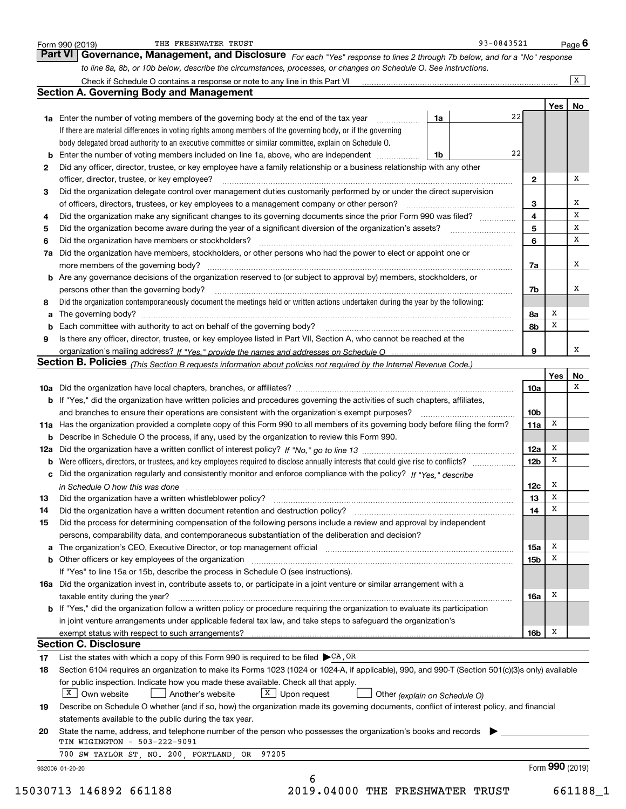|          | to line 8a, 8b, or 10b below, describe the circumstances, processes, or changes on Schedule O. See instructions.                                                        |                 |     |                |
|----------|-------------------------------------------------------------------------------------------------------------------------------------------------------------------------|-----------------|-----|----------------|
|          |                                                                                                                                                                         |                 |     | $\overline{X}$ |
|          | <b>Section A. Governing Body and Management</b>                                                                                                                         |                 |     |                |
|          | 22                                                                                                                                                                      |                 | Yes | No.            |
|          | 1a<br><b>1a</b> Enter the number of voting members of the governing body at the end of the tax year <i>manumum</i>                                                      |                 |     |                |
|          | If there are material differences in voting rights among members of the governing body, or if the governing                                                             |                 |     |                |
|          | body delegated broad authority to an executive committee or similar committee, explain on Schedule O.<br>22                                                             |                 |     |                |
|          | 1b                                                                                                                                                                      |                 |     |                |
| 2        | Did any officer, director, trustee, or key employee have a family relationship or a business relationship with any other                                                |                 |     | x              |
|          | officer, director, trustee, or key employee?                                                                                                                            | $\mathbf{2}$    |     |                |
| 3        | Did the organization delegate control over management duties customarily performed by or under the direct supervision                                                   |                 |     | x              |
|          |                                                                                                                                                                         | 3<br>4          |     | х              |
| 4        | Did the organization make any significant changes to its governing documents since the prior Form 990 was filed?                                                        | 5               |     | х              |
| 5        | Did the organization become aware during the year of a significant diversion of the organization's assets?                                                              | 6               |     | x              |
| 6        | 7a Did the organization have members, stockholders, or other persons who had the power to elect or appoint one or                                                       |                 |     |                |
|          |                                                                                                                                                                         |                 |     | x              |
|          | b Are any governance decisions of the organization reserved to (or subject to approval by) members, stockholders, or                                                    | 7a              |     |                |
|          | persons other than the governing body?                                                                                                                                  | 7b              |     | х              |
| 8        | Did the organization contemporaneously document the meetings held or written actions undertaken during the year by the following:                                       |                 |     |                |
|          |                                                                                                                                                                         | 8a              | х   |                |
| a        |                                                                                                                                                                         | 8b              | x   |                |
| 9        | Is there any officer, director, trustee, or key employee listed in Part VII, Section A, who cannot be reached at the                                                    |                 |     |                |
|          |                                                                                                                                                                         | 9               |     | x              |
|          | Section B. Policies (This Section B requests information about policies not required by the Internal Revenue Code.)                                                     |                 |     |                |
|          |                                                                                                                                                                         |                 | Yes | No             |
|          |                                                                                                                                                                         | 10a             |     | х              |
|          | b If "Yes," did the organization have written policies and procedures governing the activities of such chapters, affiliates,                                            |                 |     |                |
|          |                                                                                                                                                                         | 10 <sub>b</sub> |     |                |
|          | 11a Has the organization provided a complete copy of this Form 990 to all members of its governing body before filing the form?                                         | 11a             | х   |                |
|          | <b>b</b> Describe in Schedule O the process, if any, used by the organization to review this Form 990.                                                                  |                 |     |                |
|          |                                                                                                                                                                         | 12a             | х   |                |
|          | <b>b</b> Were officers, directors, or trustees, and key employees required to disclose annually interests that could give rise to conflicts?                            | 12 <sub>b</sub> | x   |                |
|          | c Did the organization regularly and consistently monitor and enforce compliance with the policy? If "Yes," describe                                                    |                 |     |                |
|          | in Schedule O how this was done manufactured and continuum control of the state of the state of the state of t                                                          | 12c             | x   |                |
| 13       | Did the organization have a written whistleblower policy?                                                                                                               | 13              | x   |                |
| 14       | Did the organization have a written document retention and destruction policy?                                                                                          | 14              | x   |                |
| 15       | Did the process for determining compensation of the following persons include a review and approval by independent                                                      |                 |     |                |
|          | persons, comparability data, and contemporaneous substantiation of the deliberation and decision?                                                                       |                 |     |                |
|          | a The organization's CEO, Executive Director, or top management official manufactured content of the organization's CEO, Executive Director, or top management official | 15a             | x   |                |
|          |                                                                                                                                                                         | 15b             | х   |                |
|          | If "Yes" to line 15a or 15b, describe the process in Schedule O (see instructions).                                                                                     |                 |     |                |
|          | 16a Did the organization invest in, contribute assets to, or participate in a joint venture or similar arrangement with a                                               |                 |     |                |
|          | taxable entity during the year?                                                                                                                                         | 16a             | x   |                |
|          | <b>b</b> If "Yes," did the organization follow a written policy or procedure requiring the organization to evaluate its participation                                   |                 |     |                |
|          |                                                                                                                                                                         |                 |     |                |
|          | in joint venture arrangements under applicable federal tax law, and take steps to safeguard the organization's                                                          |                 |     |                |
|          | exempt status with respect to such arrangements?                                                                                                                        | 16b             | x   |                |
|          | <b>Section C. Disclosure</b>                                                                                                                                            |                 |     |                |
|          | List the states with which a copy of this Form 990 is required to be filed $\blacktriangleright$ CA, OR                                                                 |                 |     |                |
| 17<br>18 | Section 6104 requires an organization to make its Forms 1023 (1024 or 1024-A, if applicable), 990, and 990-T (Section 501(c)(3)s only) available                        |                 |     |                |
|          | for public inspection. Indicate how you made these available. Check all that apply.                                                                                     |                 |     |                |
|          | $\overline{X}$ Own website<br>$X$ Upon request<br>Another's website<br>Other (explain on Schedule O)                                                                    |                 |     |                |
| 19       | Describe on Schedule O whether (and if so, how) the organization made its governing documents, conflict of interest policy, and financial                               |                 |     |                |
|          | statements available to the public during the tax year.                                                                                                                 |                 |     |                |
| 20       | State the name, address, and telephone number of the person who possesses the organization's books and records                                                          |                 |     |                |
|          | TIM WIGINGTON - 503-222-9091<br>700 SW TAYLOR ST, NO. 200, PORTLAND, OR<br>97205                                                                                        |                 |     |                |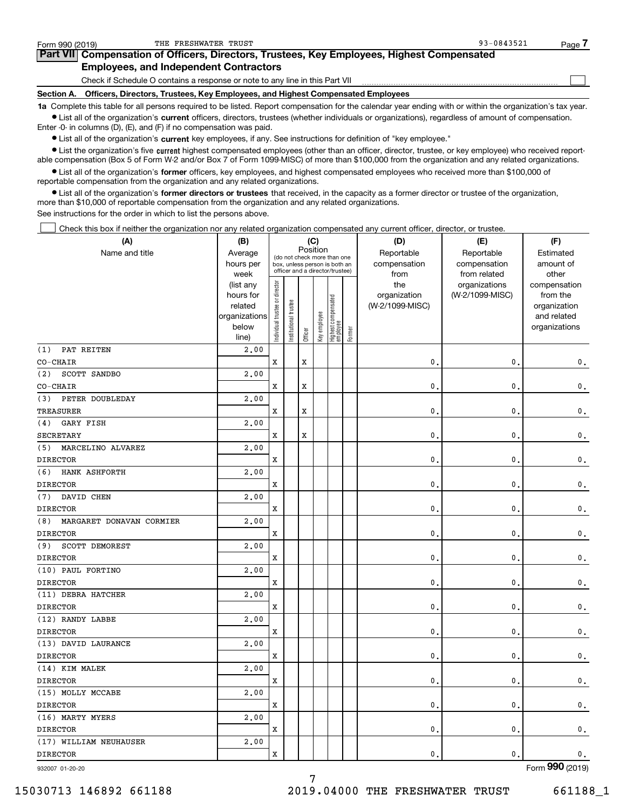| Form 990 (2019)   | THE FRESHWATER TRUST                                                                                                                                       | 93-0843521 | Page |
|-------------------|------------------------------------------------------------------------------------------------------------------------------------------------------------|------------|------|
|                   | Part VII Compensation of Officers, Directors, Trustees, Key Employees, Highest Compensated                                                                 |            |      |
|                   | <b>Employees, and Independent Contractors</b>                                                                                                              |            |      |
|                   | Check if Schedule O contains a response or note to any line in this Part VII                                                                               |            |      |
| <b>Section A.</b> | Officers, Directors, Trustees, Key Employees, and Highest Compensated Employees                                                                            |            |      |
|                   | 1a Complete this table for all persons required to be listed. Report compensation for the calendar year ending with or within the organization's tax year. |            |      |

**•** List all of the organization's current officers, directors, trustees (whether individuals or organizations), regardless of amount of compensation. Enter -0- in columns (D), (E), and (F) if no compensation was paid.

 $\bullet$  List all of the organization's  $\,$ current key employees, if any. See instructions for definition of "key employee."

**•** List the organization's five current highest compensated employees (other than an officer, director, trustee, or key employee) who received reportable compensation (Box 5 of Form W-2 and/or Box 7 of Form 1099-MISC) of more than \$100,000 from the organization and any related organizations.

**•** List all of the organization's former officers, key employees, and highest compensated employees who received more than \$100,000 of reportable compensation from the organization and any related organizations.

**former directors or trustees**  ¥ List all of the organization's that received, in the capacity as a former director or trustee of the organization, more than \$10,000 of reportable compensation from the organization and any related organizations.

See instructions for the order in which to list the persons above.

Check this box if neither the organization nor any related organization compensated any current officer, director, or trustee.  $\mathcal{L}^{\text{max}}$ 

| (A)                             | (B)                    |                                |                       |             | (C)          |                                                                  |        | (D)             | (E)                              | (F)                      |
|---------------------------------|------------------------|--------------------------------|-----------------------|-------------|--------------|------------------------------------------------------------------|--------|-----------------|----------------------------------|--------------------------|
| Name and title                  | Average                |                                |                       |             | Position     | (do not check more than one                                      |        | Reportable      | Reportable                       | Estimated                |
|                                 | hours per              |                                |                       |             |              | box, unless person is both an<br>officer and a director/trustee) |        | compensation    | compensation                     | amount of                |
|                                 | week                   |                                |                       |             |              |                                                                  |        | from<br>the     | from related                     | other                    |
|                                 | (list any<br>hours for |                                |                       |             |              |                                                                  |        | organization    | organizations<br>(W-2/1099-MISC) | compensation<br>from the |
|                                 | related                |                                |                       |             |              |                                                                  |        | (W-2/1099-MISC) |                                  | organization             |
|                                 | organizations          |                                |                       |             |              |                                                                  |        |                 |                                  | and related              |
|                                 | below                  | Individual trustee or director | Institutional trustee |             | Key employee | Highest compensated<br>employee                                  |        |                 |                                  | organizations            |
|                                 | line)                  |                                |                       | Officer     |              |                                                                  | Former |                 |                                  |                          |
| PAT REITEN<br>(1)               | 2,00                   |                                |                       |             |              |                                                                  |        |                 |                                  |                          |
| CO-CHAIR                        |                        | X                              |                       | X           |              |                                                                  |        | 0.              | $\mathbf{0}$                     | $\mathsf{0}\,.$          |
| (2)<br>SCOTT SANDBO             | 2.00                   |                                |                       |             |              |                                                                  |        |                 |                                  |                          |
| CO-CHAIR                        |                        | X                              |                       | X           |              |                                                                  |        | $\mathbf{0}$    | $\mathbf 0$                      | $\mathfrak o$ .          |
| PETER DOUBLEDAY<br>(3)          | 2,00                   |                                |                       |             |              |                                                                  |        |                 |                                  |                          |
| <b>TREASURER</b>                |                        | X                              |                       | X           |              |                                                                  |        | 0.              | $\mathbf 0$                      | 0.                       |
| GARY FISH<br>(4)                | 2,00                   |                                |                       |             |              |                                                                  |        |                 |                                  |                          |
| <b>SECRETARY</b>                |                        | X                              |                       | $\mathbf x$ |              |                                                                  |        | $\mathbf{0}$ .  | 0                                | $\mathbf 0$ .            |
| MARCELINO ALVAREZ<br>(5)        | 2,00                   |                                |                       |             |              |                                                                  |        |                 |                                  |                          |
| <b>DIRECTOR</b>                 |                        | X                              |                       |             |              |                                                                  |        | $\mathbf{0}$ .  | $\mathbf{0}$                     | $\mathbf 0$ .            |
| HANK ASHFORTH<br>(6)            | 2.00                   |                                |                       |             |              |                                                                  |        |                 |                                  |                          |
| <b>DIRECTOR</b>                 |                        | X                              |                       |             |              |                                                                  |        | $\mathbf{0}$    | $\mathbf 0$                      | $\mathbf 0$ .            |
| DAVID CHEN<br>(7)               | 2,00                   |                                |                       |             |              |                                                                  |        |                 |                                  |                          |
| <b>DIRECTOR</b>                 |                        | x                              |                       |             |              |                                                                  |        | $\mathbf{0}$ .  | $\pmb{0}$                        | $\mathbf 0$ .            |
| MARGARET DONAVAN CORMIER<br>(8) | 2,00                   |                                |                       |             |              |                                                                  |        |                 |                                  |                          |
| <b>DIRECTOR</b>                 |                        | X                              |                       |             |              |                                                                  |        | 0               | 0                                | $\mathsf{0}\,.$          |
| SCOTT DEMOREST<br>(9)           | 2,00                   |                                |                       |             |              |                                                                  |        |                 |                                  |                          |
| <b>DIRECTOR</b>                 |                        | X                              |                       |             |              |                                                                  |        | 0               | $\mathbf{0}$                     | 0.                       |
| (10) PAUL FORTINO               | 2,00                   |                                |                       |             |              |                                                                  |        |                 |                                  |                          |
| <b>DIRECTOR</b>                 |                        | X                              |                       |             |              |                                                                  |        | 0               | $\mathbf 0$                      | $\mathfrak o$ .          |
| (11) DEBRA HATCHER              | 2,00                   |                                |                       |             |              |                                                                  |        |                 |                                  |                          |
| <b>DIRECTOR</b>                 |                        | X                              |                       |             |              |                                                                  |        | 0               | $\mathbf 0$                      | $\mathbf 0$ .            |
| (12) RANDY LABBE                | 2.00                   |                                |                       |             |              |                                                                  |        |                 |                                  |                          |
| <b>DIRECTOR</b>                 |                        | X                              |                       |             |              |                                                                  |        | 0               | $\mathbf 0$                      | $\mathsf{0}\,.$          |
| (13) DAVID LAURANCE             | 2,00                   |                                |                       |             |              |                                                                  |        |                 |                                  |                          |
| <b>DIRECTOR</b>                 |                        | X                              |                       |             |              |                                                                  |        | 0               | 0                                | $\mathbf 0$ .            |
| (14) KIM MALEK                  | 2,00                   |                                |                       |             |              |                                                                  |        |                 |                                  |                          |
| <b>DIRECTOR</b>                 |                        | x                              |                       |             |              |                                                                  |        | $\mathbf 0$     | $\pmb{0}$                        | $\mathbf 0$ .            |
| (15) MOLLY MCCABE               | 2,00                   |                                |                       |             |              |                                                                  |        |                 |                                  |                          |
| <b>DIRECTOR</b>                 |                        | x                              |                       |             |              |                                                                  |        | $\mathbf{0}$    | 0                                | $\mathsf{0}\,.$          |
| (16) MARTY MYERS                | 2,00                   |                                |                       |             |              |                                                                  |        |                 |                                  |                          |
| <b>DIRECTOR</b>                 |                        | X                              |                       |             |              |                                                                  |        | $\mathbf{0}$    | $\mathbf 0$                      | $\mathbf 0$ .            |
| (17) WILLIAM NEUHAUSER          | 2,00                   |                                |                       |             |              |                                                                  |        |                 |                                  |                          |
| <b>DIRECTOR</b>                 |                        | X                              |                       |             |              |                                                                  |        | $\mathbf{0}$ .  | 0                                | $\mathbf{0}$ .           |
|                                 |                        |                                |                       |             |              |                                                                  |        |                 |                                  |                          |

7

932007 01-20-20

Form (2019) **990**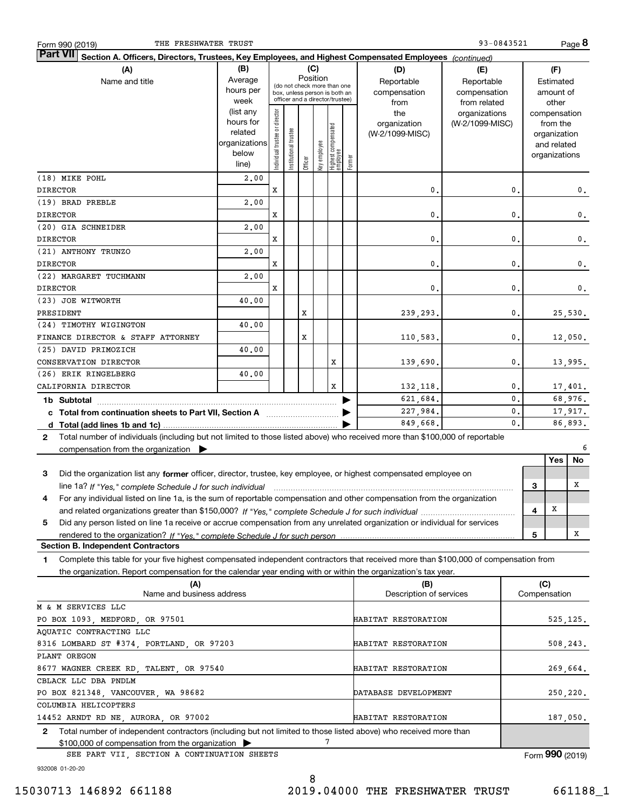| <b>Part VII</b><br>Section A. Officers, Directors, Trustees, Key Employees, and Highest Compensated Employees (continued)<br>(B)<br>(C)<br>(F)<br>(A)<br>(D)<br>(E)<br>Position<br>Average<br>Name and title<br>Reportable<br>Reportable<br>Estimated<br>(do not check more than one<br>hours per<br>compensation<br>compensation<br>amount of<br>box, unless person is both an<br>officer and a director/trustee)<br>week<br>from related<br>other<br>from<br>(list any<br>Individual trustee or director<br>the<br>organizations<br>compensation<br>hours for<br>organization<br>(W-2/1099-MISC)<br>from the<br>Highest compensated<br>employee<br>Institutional trustee<br>related<br>(W-2/1099-MISC)<br>organization<br>organizations<br>Key employee<br>and related<br>below<br>organizations<br>Former<br>Officer<br>line)<br>(18) MIKE POHL<br>2,00<br><b>DIRECTOR</b><br>x<br>0.<br>0.<br>$\mathbf 0$ .<br>(19) BRAD PREBLE<br>2,00<br><b>DIRECTOR</b><br>x<br>0.<br>0.<br>$\mathbf 0$ .<br>(20) GIA SCHNEIDER<br>2,00<br><b>DIRECTOR</b><br>x<br>0.<br>0.<br>$\mathbf 0$ .<br>(21) ANTHONY TRUNZO<br>2,00<br><b>DIRECTOR</b><br>x<br>0.<br>0.<br>$\mathbf 0$ .<br>(22) MARGARET TUCHMANN<br>2,00<br><b>DIRECTOR</b><br>x<br>0.<br>0.<br>$\mathbf 0$ .<br>(23) JOE WITWORTH<br>40.00<br>PRESIDENT<br>х<br>239,293.<br>0.<br>25,530.<br>(24) TIMOTHY WIGINGTON<br>40.00<br>х<br>$\mathbf{0}$ .<br>12,050.<br>FINANCE DIRECTOR & STAFF ATTORNEY<br>110,583.<br>(25) DAVID PRIMOZICH<br>40.00<br>CONSERVATION DIRECTOR<br>x<br>139,690.<br>0.<br>13,995.<br>(26) ERIK RINGELBERG<br>40.00<br>CALIFORNIA DIRECTOR<br>x<br>0.<br>132, 118.<br>17,401.<br>621,684.<br>0.<br>68,976.<br>1b Subtotal<br>0.<br>227,984.<br>17,917.<br>0.<br>849,668.<br>86,893.<br>Total number of individuals (including but not limited to those listed above) who received more than \$100,000 of reportable<br>$\mathbf{2}$ |
|----------------------------------------------------------------------------------------------------------------------------------------------------------------------------------------------------------------------------------------------------------------------------------------------------------------------------------------------------------------------------------------------------------------------------------------------------------------------------------------------------------------------------------------------------------------------------------------------------------------------------------------------------------------------------------------------------------------------------------------------------------------------------------------------------------------------------------------------------------------------------------------------------------------------------------------------------------------------------------------------------------------------------------------------------------------------------------------------------------------------------------------------------------------------------------------------------------------------------------------------------------------------------------------------------------------------------------------------------------------------------------------------------------------------------------------------------------------------------------------------------------------------------------------------------------------------------------------------------------------------------------------------------------------------------------------------------------------------------------------------------------------------------------------------------------------------------------------------------------------------------------------------------------------|
|                                                                                                                                                                                                                                                                                                                                                                                                                                                                                                                                                                                                                                                                                                                                                                                                                                                                                                                                                                                                                                                                                                                                                                                                                                                                                                                                                                                                                                                                                                                                                                                                                                                                                                                                                                                                                                                                                                                |
|                                                                                                                                                                                                                                                                                                                                                                                                                                                                                                                                                                                                                                                                                                                                                                                                                                                                                                                                                                                                                                                                                                                                                                                                                                                                                                                                                                                                                                                                                                                                                                                                                                                                                                                                                                                                                                                                                                                |
|                                                                                                                                                                                                                                                                                                                                                                                                                                                                                                                                                                                                                                                                                                                                                                                                                                                                                                                                                                                                                                                                                                                                                                                                                                                                                                                                                                                                                                                                                                                                                                                                                                                                                                                                                                                                                                                                                                                |
|                                                                                                                                                                                                                                                                                                                                                                                                                                                                                                                                                                                                                                                                                                                                                                                                                                                                                                                                                                                                                                                                                                                                                                                                                                                                                                                                                                                                                                                                                                                                                                                                                                                                                                                                                                                                                                                                                                                |
|                                                                                                                                                                                                                                                                                                                                                                                                                                                                                                                                                                                                                                                                                                                                                                                                                                                                                                                                                                                                                                                                                                                                                                                                                                                                                                                                                                                                                                                                                                                                                                                                                                                                                                                                                                                                                                                                                                                |
|                                                                                                                                                                                                                                                                                                                                                                                                                                                                                                                                                                                                                                                                                                                                                                                                                                                                                                                                                                                                                                                                                                                                                                                                                                                                                                                                                                                                                                                                                                                                                                                                                                                                                                                                                                                                                                                                                                                |
|                                                                                                                                                                                                                                                                                                                                                                                                                                                                                                                                                                                                                                                                                                                                                                                                                                                                                                                                                                                                                                                                                                                                                                                                                                                                                                                                                                                                                                                                                                                                                                                                                                                                                                                                                                                                                                                                                                                |
|                                                                                                                                                                                                                                                                                                                                                                                                                                                                                                                                                                                                                                                                                                                                                                                                                                                                                                                                                                                                                                                                                                                                                                                                                                                                                                                                                                                                                                                                                                                                                                                                                                                                                                                                                                                                                                                                                                                |
|                                                                                                                                                                                                                                                                                                                                                                                                                                                                                                                                                                                                                                                                                                                                                                                                                                                                                                                                                                                                                                                                                                                                                                                                                                                                                                                                                                                                                                                                                                                                                                                                                                                                                                                                                                                                                                                                                                                |
|                                                                                                                                                                                                                                                                                                                                                                                                                                                                                                                                                                                                                                                                                                                                                                                                                                                                                                                                                                                                                                                                                                                                                                                                                                                                                                                                                                                                                                                                                                                                                                                                                                                                                                                                                                                                                                                                                                                |
|                                                                                                                                                                                                                                                                                                                                                                                                                                                                                                                                                                                                                                                                                                                                                                                                                                                                                                                                                                                                                                                                                                                                                                                                                                                                                                                                                                                                                                                                                                                                                                                                                                                                                                                                                                                                                                                                                                                |
|                                                                                                                                                                                                                                                                                                                                                                                                                                                                                                                                                                                                                                                                                                                                                                                                                                                                                                                                                                                                                                                                                                                                                                                                                                                                                                                                                                                                                                                                                                                                                                                                                                                                                                                                                                                                                                                                                                                |
|                                                                                                                                                                                                                                                                                                                                                                                                                                                                                                                                                                                                                                                                                                                                                                                                                                                                                                                                                                                                                                                                                                                                                                                                                                                                                                                                                                                                                                                                                                                                                                                                                                                                                                                                                                                                                                                                                                                |
|                                                                                                                                                                                                                                                                                                                                                                                                                                                                                                                                                                                                                                                                                                                                                                                                                                                                                                                                                                                                                                                                                                                                                                                                                                                                                                                                                                                                                                                                                                                                                                                                                                                                                                                                                                                                                                                                                                                |
|                                                                                                                                                                                                                                                                                                                                                                                                                                                                                                                                                                                                                                                                                                                                                                                                                                                                                                                                                                                                                                                                                                                                                                                                                                                                                                                                                                                                                                                                                                                                                                                                                                                                                                                                                                                                                                                                                                                |
|                                                                                                                                                                                                                                                                                                                                                                                                                                                                                                                                                                                                                                                                                                                                                                                                                                                                                                                                                                                                                                                                                                                                                                                                                                                                                                                                                                                                                                                                                                                                                                                                                                                                                                                                                                                                                                                                                                                |
|                                                                                                                                                                                                                                                                                                                                                                                                                                                                                                                                                                                                                                                                                                                                                                                                                                                                                                                                                                                                                                                                                                                                                                                                                                                                                                                                                                                                                                                                                                                                                                                                                                                                                                                                                                                                                                                                                                                |
|                                                                                                                                                                                                                                                                                                                                                                                                                                                                                                                                                                                                                                                                                                                                                                                                                                                                                                                                                                                                                                                                                                                                                                                                                                                                                                                                                                                                                                                                                                                                                                                                                                                                                                                                                                                                                                                                                                                |
|                                                                                                                                                                                                                                                                                                                                                                                                                                                                                                                                                                                                                                                                                                                                                                                                                                                                                                                                                                                                                                                                                                                                                                                                                                                                                                                                                                                                                                                                                                                                                                                                                                                                                                                                                                                                                                                                                                                |
|                                                                                                                                                                                                                                                                                                                                                                                                                                                                                                                                                                                                                                                                                                                                                                                                                                                                                                                                                                                                                                                                                                                                                                                                                                                                                                                                                                                                                                                                                                                                                                                                                                                                                                                                                                                                                                                                                                                |
|                                                                                                                                                                                                                                                                                                                                                                                                                                                                                                                                                                                                                                                                                                                                                                                                                                                                                                                                                                                                                                                                                                                                                                                                                                                                                                                                                                                                                                                                                                                                                                                                                                                                                                                                                                                                                                                                                                                |
|                                                                                                                                                                                                                                                                                                                                                                                                                                                                                                                                                                                                                                                                                                                                                                                                                                                                                                                                                                                                                                                                                                                                                                                                                                                                                                                                                                                                                                                                                                                                                                                                                                                                                                                                                                                                                                                                                                                |
|                                                                                                                                                                                                                                                                                                                                                                                                                                                                                                                                                                                                                                                                                                                                                                                                                                                                                                                                                                                                                                                                                                                                                                                                                                                                                                                                                                                                                                                                                                                                                                                                                                                                                                                                                                                                                                                                                                                |
|                                                                                                                                                                                                                                                                                                                                                                                                                                                                                                                                                                                                                                                                                                                                                                                                                                                                                                                                                                                                                                                                                                                                                                                                                                                                                                                                                                                                                                                                                                                                                                                                                                                                                                                                                                                                                                                                                                                |
|                                                                                                                                                                                                                                                                                                                                                                                                                                                                                                                                                                                                                                                                                                                                                                                                                                                                                                                                                                                                                                                                                                                                                                                                                                                                                                                                                                                                                                                                                                                                                                                                                                                                                                                                                                                                                                                                                                                |
|                                                                                                                                                                                                                                                                                                                                                                                                                                                                                                                                                                                                                                                                                                                                                                                                                                                                                                                                                                                                                                                                                                                                                                                                                                                                                                                                                                                                                                                                                                                                                                                                                                                                                                                                                                                                                                                                                                                |
|                                                                                                                                                                                                                                                                                                                                                                                                                                                                                                                                                                                                                                                                                                                                                                                                                                                                                                                                                                                                                                                                                                                                                                                                                                                                                                                                                                                                                                                                                                                                                                                                                                                                                                                                                                                                                                                                                                                |
|                                                                                                                                                                                                                                                                                                                                                                                                                                                                                                                                                                                                                                                                                                                                                                                                                                                                                                                                                                                                                                                                                                                                                                                                                                                                                                                                                                                                                                                                                                                                                                                                                                                                                                                                                                                                                                                                                                                |
|                                                                                                                                                                                                                                                                                                                                                                                                                                                                                                                                                                                                                                                                                                                                                                                                                                                                                                                                                                                                                                                                                                                                                                                                                                                                                                                                                                                                                                                                                                                                                                                                                                                                                                                                                                                                                                                                                                                |
|                                                                                                                                                                                                                                                                                                                                                                                                                                                                                                                                                                                                                                                                                                                                                                                                                                                                                                                                                                                                                                                                                                                                                                                                                                                                                                                                                                                                                                                                                                                                                                                                                                                                                                                                                                                                                                                                                                                |
|                                                                                                                                                                                                                                                                                                                                                                                                                                                                                                                                                                                                                                                                                                                                                                                                                                                                                                                                                                                                                                                                                                                                                                                                                                                                                                                                                                                                                                                                                                                                                                                                                                                                                                                                                                                                                                                                                                                |
|                                                                                                                                                                                                                                                                                                                                                                                                                                                                                                                                                                                                                                                                                                                                                                                                                                                                                                                                                                                                                                                                                                                                                                                                                                                                                                                                                                                                                                                                                                                                                                                                                                                                                                                                                                                                                                                                                                                |
|                                                                                                                                                                                                                                                                                                                                                                                                                                                                                                                                                                                                                                                                                                                                                                                                                                                                                                                                                                                                                                                                                                                                                                                                                                                                                                                                                                                                                                                                                                                                                                                                                                                                                                                                                                                                                                                                                                                |
|                                                                                                                                                                                                                                                                                                                                                                                                                                                                                                                                                                                                                                                                                                                                                                                                                                                                                                                                                                                                                                                                                                                                                                                                                                                                                                                                                                                                                                                                                                                                                                                                                                                                                                                                                                                                                                                                                                                |
| 6<br>compensation from the organization $\blacktriangleright$                                                                                                                                                                                                                                                                                                                                                                                                                                                                                                                                                                                                                                                                                                                                                                                                                                                                                                                                                                                                                                                                                                                                                                                                                                                                                                                                                                                                                                                                                                                                                                                                                                                                                                                                                                                                                                                  |
| Yes<br>No                                                                                                                                                                                                                                                                                                                                                                                                                                                                                                                                                                                                                                                                                                                                                                                                                                                                                                                                                                                                                                                                                                                                                                                                                                                                                                                                                                                                                                                                                                                                                                                                                                                                                                                                                                                                                                                                                                      |
| 3<br>Did the organization list any former officer, director, trustee, key employee, or highest compensated employee on                                                                                                                                                                                                                                                                                                                                                                                                                                                                                                                                                                                                                                                                                                                                                                                                                                                                                                                                                                                                                                                                                                                                                                                                                                                                                                                                                                                                                                                                                                                                                                                                                                                                                                                                                                                         |
| х<br>з<br>line 1a? If "Yes," complete Schedule J for such individual material content content to the successive complete Schedule J for such individual                                                                                                                                                                                                                                                                                                                                                                                                                                                                                                                                                                                                                                                                                                                                                                                                                                                                                                                                                                                                                                                                                                                                                                                                                                                                                                                                                                                                                                                                                                                                                                                                                                                                                                                                                        |
| For any individual listed on line 1a, is the sum of reportable compensation and other compensation from the organization<br>4                                                                                                                                                                                                                                                                                                                                                                                                                                                                                                                                                                                                                                                                                                                                                                                                                                                                                                                                                                                                                                                                                                                                                                                                                                                                                                                                                                                                                                                                                                                                                                                                                                                                                                                                                                                  |
| х                                                                                                                                                                                                                                                                                                                                                                                                                                                                                                                                                                                                                                                                                                                                                                                                                                                                                                                                                                                                                                                                                                                                                                                                                                                                                                                                                                                                                                                                                                                                                                                                                                                                                                                                                                                                                                                                                                              |
| 4                                                                                                                                                                                                                                                                                                                                                                                                                                                                                                                                                                                                                                                                                                                                                                                                                                                                                                                                                                                                                                                                                                                                                                                                                                                                                                                                                                                                                                                                                                                                                                                                                                                                                                                                                                                                                                                                                                              |
| Did any person listed on line 1a receive or accrue compensation from any unrelated organization or individual for services<br>5                                                                                                                                                                                                                                                                                                                                                                                                                                                                                                                                                                                                                                                                                                                                                                                                                                                                                                                                                                                                                                                                                                                                                                                                                                                                                                                                                                                                                                                                                                                                                                                                                                                                                                                                                                                |
| Χ<br>5                                                                                                                                                                                                                                                                                                                                                                                                                                                                                                                                                                                                                                                                                                                                                                                                                                                                                                                                                                                                                                                                                                                                                                                                                                                                                                                                                                                                                                                                                                                                                                                                                                                                                                                                                                                                                                                                                                         |
| <b>Section B. Independent Contractors</b>                                                                                                                                                                                                                                                                                                                                                                                                                                                                                                                                                                                                                                                                                                                                                                                                                                                                                                                                                                                                                                                                                                                                                                                                                                                                                                                                                                                                                                                                                                                                                                                                                                                                                                                                                                                                                                                                      |
| Complete this table for your five highest compensated independent contractors that received more than \$100,000 of compensation from<br>1.                                                                                                                                                                                                                                                                                                                                                                                                                                                                                                                                                                                                                                                                                                                                                                                                                                                                                                                                                                                                                                                                                                                                                                                                                                                                                                                                                                                                                                                                                                                                                                                                                                                                                                                                                                     |
| the organization. Report compensation for the calendar year ending with or within the organization's tax year.                                                                                                                                                                                                                                                                                                                                                                                                                                                                                                                                                                                                                                                                                                                                                                                                                                                                                                                                                                                                                                                                                                                                                                                                                                                                                                                                                                                                                                                                                                                                                                                                                                                                                                                                                                                                 |
| (C)<br>(A)<br>(B)                                                                                                                                                                                                                                                                                                                                                                                                                                                                                                                                                                                                                                                                                                                                                                                                                                                                                                                                                                                                                                                                                                                                                                                                                                                                                                                                                                                                                                                                                                                                                                                                                                                                                                                                                                                                                                                                                              |
| Name and business address<br>Description of services<br>Compensation                                                                                                                                                                                                                                                                                                                                                                                                                                                                                                                                                                                                                                                                                                                                                                                                                                                                                                                                                                                                                                                                                                                                                                                                                                                                                                                                                                                                                                                                                                                                                                                                                                                                                                                                                                                                                                           |
| M & M SERVICES LLC                                                                                                                                                                                                                                                                                                                                                                                                                                                                                                                                                                                                                                                                                                                                                                                                                                                                                                                                                                                                                                                                                                                                                                                                                                                                                                                                                                                                                                                                                                                                                                                                                                                                                                                                                                                                                                                                                             |
| PO BOX 1093, MEDFORD, OR 97501<br>HABITAT RESTORATION<br>525, 125.                                                                                                                                                                                                                                                                                                                                                                                                                                                                                                                                                                                                                                                                                                                                                                                                                                                                                                                                                                                                                                                                                                                                                                                                                                                                                                                                                                                                                                                                                                                                                                                                                                                                                                                                                                                                                                             |
| AQUATIC CONTRACTING LLC                                                                                                                                                                                                                                                                                                                                                                                                                                                                                                                                                                                                                                                                                                                                                                                                                                                                                                                                                                                                                                                                                                                                                                                                                                                                                                                                                                                                                                                                                                                                                                                                                                                                                                                                                                                                                                                                                        |
| 8316 LOMBARD ST #374, PORTLAND, OR 97203<br>HABITAT RESTORATION<br>508,243.                                                                                                                                                                                                                                                                                                                                                                                                                                                                                                                                                                                                                                                                                                                                                                                                                                                                                                                                                                                                                                                                                                                                                                                                                                                                                                                                                                                                                                                                                                                                                                                                                                                                                                                                                                                                                                    |
| PLANT OREGON                                                                                                                                                                                                                                                                                                                                                                                                                                                                                                                                                                                                                                                                                                                                                                                                                                                                                                                                                                                                                                                                                                                                                                                                                                                                                                                                                                                                                                                                                                                                                                                                                                                                                                                                                                                                                                                                                                   |
| 8677 WAGNER CREEK RD, TALENT, OR 97540<br>HABITAT RESTORATION<br>269,664.                                                                                                                                                                                                                                                                                                                                                                                                                                                                                                                                                                                                                                                                                                                                                                                                                                                                                                                                                                                                                                                                                                                                                                                                                                                                                                                                                                                                                                                                                                                                                                                                                                                                                                                                                                                                                                      |
| CBLACK LLC DBA PNDLM                                                                                                                                                                                                                                                                                                                                                                                                                                                                                                                                                                                                                                                                                                                                                                                                                                                                                                                                                                                                                                                                                                                                                                                                                                                                                                                                                                                                                                                                                                                                                                                                                                                                                                                                                                                                                                                                                           |
| PO BOX 821348, VANCOUVER, WA 98682<br>DATABASE DEVELOPMENT<br>250,220.                                                                                                                                                                                                                                                                                                                                                                                                                                                                                                                                                                                                                                                                                                                                                                                                                                                                                                                                                                                                                                                                                                                                                                                                                                                                                                                                                                                                                                                                                                                                                                                                                                                                                                                                                                                                                                         |
| COLUMBIA HELICOPTERS                                                                                                                                                                                                                                                                                                                                                                                                                                                                                                                                                                                                                                                                                                                                                                                                                                                                                                                                                                                                                                                                                                                                                                                                                                                                                                                                                                                                                                                                                                                                                                                                                                                                                                                                                                                                                                                                                           |
| 14452 ARNDT RD NE, AURORA, OR 97002<br>HABITAT RESTORATION<br>187,050.                                                                                                                                                                                                                                                                                                                                                                                                                                                                                                                                                                                                                                                                                                                                                                                                                                                                                                                                                                                                                                                                                                                                                                                                                                                                                                                                                                                                                                                                                                                                                                                                                                                                                                                                                                                                                                         |
| Total number of independent contractors (including but not limited to those listed above) who received more than<br>2                                                                                                                                                                                                                                                                                                                                                                                                                                                                                                                                                                                                                                                                                                                                                                                                                                                                                                                                                                                                                                                                                                                                                                                                                                                                                                                                                                                                                                                                                                                                                                                                                                                                                                                                                                                          |
| 7<br>\$100,000 of compensation from the organization                                                                                                                                                                                                                                                                                                                                                                                                                                                                                                                                                                                                                                                                                                                                                                                                                                                                                                                                                                                                                                                                                                                                                                                                                                                                                                                                                                                                                                                                                                                                                                                                                                                                                                                                                                                                                                                           |
| Form 990 (2019)<br>SEE PART VII, SECTION A CONTINUATION SHEETS                                                                                                                                                                                                                                                                                                                                                                                                                                                                                                                                                                                                                                                                                                                                                                                                                                                                                                                                                                                                                                                                                                                                                                                                                                                                                                                                                                                                                                                                                                                                                                                                                                                                                                                                                                                                                                                 |

932008 01-20-20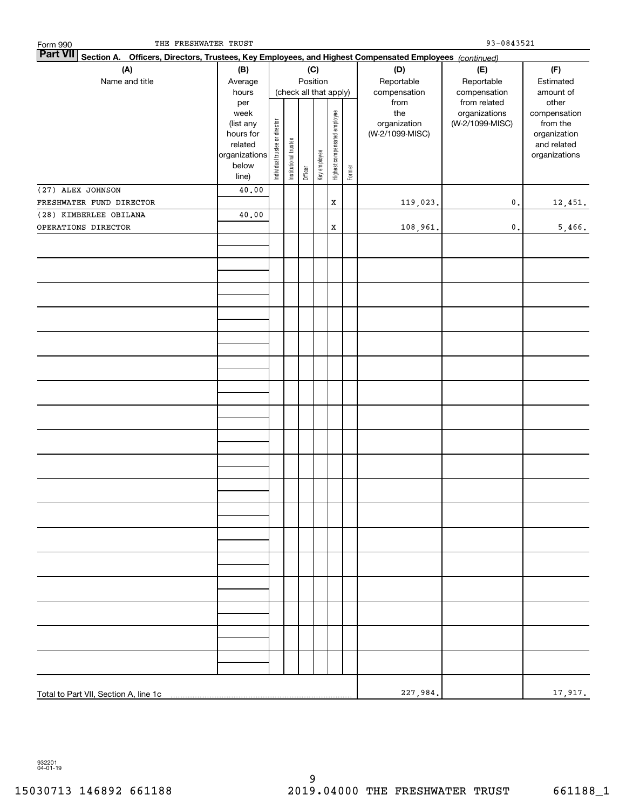| Officers, Directors, Trustees, Key Employees, and Highest Compensated Employees (continued)<br>Section A.<br>(A)<br>(C)<br>(D)<br>(F)<br>(B)<br>(E)<br>Position<br>Name and title<br>Reportable<br>Reportable<br>Estimated<br>Average<br>(check all that apply)<br>hours<br>compensation<br>compensation<br>amount of<br>from related<br>other<br>from<br>per<br>the<br>organizations<br>week<br>Highest compensated employee<br>compensation<br>Individual trustee or director<br>organization<br>(W-2/1099-MISC)<br>from the<br>(list any<br>(W-2/1099-MISC)<br>organization<br>hours for<br>Institutional trustee<br>related<br>and related<br>Key employee<br>organizations<br>organizations<br>below<br>Former<br>Officer<br>line)<br>(27) ALEX JOHNSON<br>40.00<br>FRESHWATER FUND DIRECTOR<br>$\mathbf X$<br>119,023.<br>$\mathfrak o$ .<br>12,451.<br>(28) KIMBERLEE OBILANA<br>40.00<br>OPERATIONS DIRECTOR<br>$\mathbf X$<br>108,961.<br>$\mathfrak o$ .<br>227,984. | THE FRESHWATER TRUST<br>Form 990 |  |  |  |  |  | $93 - 0843521$ |  |  |  |  |
|--------------------------------------------------------------------------------------------------------------------------------------------------------------------------------------------------------------------------------------------------------------------------------------------------------------------------------------------------------------------------------------------------------------------------------------------------------------------------------------------------------------------------------------------------------------------------------------------------------------------------------------------------------------------------------------------------------------------------------------------------------------------------------------------------------------------------------------------------------------------------------------------------------------------------------------------------------------------------------|----------------------------------|--|--|--|--|--|----------------|--|--|--|--|
|                                                                                                                                                                                                                                                                                                                                                                                                                                                                                                                                                                                                                                                                                                                                                                                                                                                                                                                                                                                | <b>Part VII</b>                  |  |  |  |  |  |                |  |  |  |  |
|                                                                                                                                                                                                                                                                                                                                                                                                                                                                                                                                                                                                                                                                                                                                                                                                                                                                                                                                                                                |                                  |  |  |  |  |  |                |  |  |  |  |
|                                                                                                                                                                                                                                                                                                                                                                                                                                                                                                                                                                                                                                                                                                                                                                                                                                                                                                                                                                                |                                  |  |  |  |  |  |                |  |  |  |  |
| 5,466.<br>17,917.                                                                                                                                                                                                                                                                                                                                                                                                                                                                                                                                                                                                                                                                                                                                                                                                                                                                                                                                                              |                                  |  |  |  |  |  |                |  |  |  |  |
|                                                                                                                                                                                                                                                                                                                                                                                                                                                                                                                                                                                                                                                                                                                                                                                                                                                                                                                                                                                |                                  |  |  |  |  |  |                |  |  |  |  |
|                                                                                                                                                                                                                                                                                                                                                                                                                                                                                                                                                                                                                                                                                                                                                                                                                                                                                                                                                                                |                                  |  |  |  |  |  |                |  |  |  |  |
|                                                                                                                                                                                                                                                                                                                                                                                                                                                                                                                                                                                                                                                                                                                                                                                                                                                                                                                                                                                |                                  |  |  |  |  |  |                |  |  |  |  |
|                                                                                                                                                                                                                                                                                                                                                                                                                                                                                                                                                                                                                                                                                                                                                                                                                                                                                                                                                                                |                                  |  |  |  |  |  |                |  |  |  |  |
|                                                                                                                                                                                                                                                                                                                                                                                                                                                                                                                                                                                                                                                                                                                                                                                                                                                                                                                                                                                |                                  |  |  |  |  |  |                |  |  |  |  |
|                                                                                                                                                                                                                                                                                                                                                                                                                                                                                                                                                                                                                                                                                                                                                                                                                                                                                                                                                                                |                                  |  |  |  |  |  |                |  |  |  |  |
|                                                                                                                                                                                                                                                                                                                                                                                                                                                                                                                                                                                                                                                                                                                                                                                                                                                                                                                                                                                |                                  |  |  |  |  |  |                |  |  |  |  |
|                                                                                                                                                                                                                                                                                                                                                                                                                                                                                                                                                                                                                                                                                                                                                                                                                                                                                                                                                                                |                                  |  |  |  |  |  |                |  |  |  |  |
|                                                                                                                                                                                                                                                                                                                                                                                                                                                                                                                                                                                                                                                                                                                                                                                                                                                                                                                                                                                |                                  |  |  |  |  |  |                |  |  |  |  |
|                                                                                                                                                                                                                                                                                                                                                                                                                                                                                                                                                                                                                                                                                                                                                                                                                                                                                                                                                                                |                                  |  |  |  |  |  |                |  |  |  |  |
|                                                                                                                                                                                                                                                                                                                                                                                                                                                                                                                                                                                                                                                                                                                                                                                                                                                                                                                                                                                |                                  |  |  |  |  |  |                |  |  |  |  |
|                                                                                                                                                                                                                                                                                                                                                                                                                                                                                                                                                                                                                                                                                                                                                                                                                                                                                                                                                                                |                                  |  |  |  |  |  |                |  |  |  |  |
|                                                                                                                                                                                                                                                                                                                                                                                                                                                                                                                                                                                                                                                                                                                                                                                                                                                                                                                                                                                |                                  |  |  |  |  |  |                |  |  |  |  |
|                                                                                                                                                                                                                                                                                                                                                                                                                                                                                                                                                                                                                                                                                                                                                                                                                                                                                                                                                                                |                                  |  |  |  |  |  |                |  |  |  |  |
|                                                                                                                                                                                                                                                                                                                                                                                                                                                                                                                                                                                                                                                                                                                                                                                                                                                                                                                                                                                |                                  |  |  |  |  |  |                |  |  |  |  |
|                                                                                                                                                                                                                                                                                                                                                                                                                                                                                                                                                                                                                                                                                                                                                                                                                                                                                                                                                                                |                                  |  |  |  |  |  |                |  |  |  |  |
|                                                                                                                                                                                                                                                                                                                                                                                                                                                                                                                                                                                                                                                                                                                                                                                                                                                                                                                                                                                |                                  |  |  |  |  |  |                |  |  |  |  |
|                                                                                                                                                                                                                                                                                                                                                                                                                                                                                                                                                                                                                                                                                                                                                                                                                                                                                                                                                                                |                                  |  |  |  |  |  |                |  |  |  |  |
|                                                                                                                                                                                                                                                                                                                                                                                                                                                                                                                                                                                                                                                                                                                                                                                                                                                                                                                                                                                |                                  |  |  |  |  |  |                |  |  |  |  |
|                                                                                                                                                                                                                                                                                                                                                                                                                                                                                                                                                                                                                                                                                                                                                                                                                                                                                                                                                                                |                                  |  |  |  |  |  |                |  |  |  |  |
|                                                                                                                                                                                                                                                                                                                                                                                                                                                                                                                                                                                                                                                                                                                                                                                                                                                                                                                                                                                |                                  |  |  |  |  |  |                |  |  |  |  |
|                                                                                                                                                                                                                                                                                                                                                                                                                                                                                                                                                                                                                                                                                                                                                                                                                                                                                                                                                                                |                                  |  |  |  |  |  |                |  |  |  |  |
|                                                                                                                                                                                                                                                                                                                                                                                                                                                                                                                                                                                                                                                                                                                                                                                                                                                                                                                                                                                |                                  |  |  |  |  |  |                |  |  |  |  |
|                                                                                                                                                                                                                                                                                                                                                                                                                                                                                                                                                                                                                                                                                                                                                                                                                                                                                                                                                                                |                                  |  |  |  |  |  |                |  |  |  |  |
|                                                                                                                                                                                                                                                                                                                                                                                                                                                                                                                                                                                                                                                                                                                                                                                                                                                                                                                                                                                |                                  |  |  |  |  |  |                |  |  |  |  |
|                                                                                                                                                                                                                                                                                                                                                                                                                                                                                                                                                                                                                                                                                                                                                                                                                                                                                                                                                                                |                                  |  |  |  |  |  |                |  |  |  |  |
|                                                                                                                                                                                                                                                                                                                                                                                                                                                                                                                                                                                                                                                                                                                                                                                                                                                                                                                                                                                |                                  |  |  |  |  |  |                |  |  |  |  |
|                                                                                                                                                                                                                                                                                                                                                                                                                                                                                                                                                                                                                                                                                                                                                                                                                                                                                                                                                                                |                                  |  |  |  |  |  |                |  |  |  |  |
|                                                                                                                                                                                                                                                                                                                                                                                                                                                                                                                                                                                                                                                                                                                                                                                                                                                                                                                                                                                |                                  |  |  |  |  |  |                |  |  |  |  |
|                                                                                                                                                                                                                                                                                                                                                                                                                                                                                                                                                                                                                                                                                                                                                                                                                                                                                                                                                                                |                                  |  |  |  |  |  |                |  |  |  |  |
|                                                                                                                                                                                                                                                                                                                                                                                                                                                                                                                                                                                                                                                                                                                                                                                                                                                                                                                                                                                |                                  |  |  |  |  |  |                |  |  |  |  |
|                                                                                                                                                                                                                                                                                                                                                                                                                                                                                                                                                                                                                                                                                                                                                                                                                                                                                                                                                                                |                                  |  |  |  |  |  |                |  |  |  |  |
|                                                                                                                                                                                                                                                                                                                                                                                                                                                                                                                                                                                                                                                                                                                                                                                                                                                                                                                                                                                |                                  |  |  |  |  |  |                |  |  |  |  |
|                                                                                                                                                                                                                                                                                                                                                                                                                                                                                                                                                                                                                                                                                                                                                                                                                                                                                                                                                                                |                                  |  |  |  |  |  |                |  |  |  |  |
|                                                                                                                                                                                                                                                                                                                                                                                                                                                                                                                                                                                                                                                                                                                                                                                                                                                                                                                                                                                |                                  |  |  |  |  |  |                |  |  |  |  |
|                                                                                                                                                                                                                                                                                                                                                                                                                                                                                                                                                                                                                                                                                                                                                                                                                                                                                                                                                                                |                                  |  |  |  |  |  |                |  |  |  |  |
|                                                                                                                                                                                                                                                                                                                                                                                                                                                                                                                                                                                                                                                                                                                                                                                                                                                                                                                                                                                |                                  |  |  |  |  |  |                |  |  |  |  |
|                                                                                                                                                                                                                                                                                                                                                                                                                                                                                                                                                                                                                                                                                                                                                                                                                                                                                                                                                                                |                                  |  |  |  |  |  |                |  |  |  |  |
|                                                                                                                                                                                                                                                                                                                                                                                                                                                                                                                                                                                                                                                                                                                                                                                                                                                                                                                                                                                |                                  |  |  |  |  |  |                |  |  |  |  |
|                                                                                                                                                                                                                                                                                                                                                                                                                                                                                                                                                                                                                                                                                                                                                                                                                                                                                                                                                                                |                                  |  |  |  |  |  |                |  |  |  |  |
|                                                                                                                                                                                                                                                                                                                                                                                                                                                                                                                                                                                                                                                                                                                                                                                                                                                                                                                                                                                |                                  |  |  |  |  |  |                |  |  |  |  |
|                                                                                                                                                                                                                                                                                                                                                                                                                                                                                                                                                                                                                                                                                                                                                                                                                                                                                                                                                                                |                                  |  |  |  |  |  |                |  |  |  |  |
|                                                                                                                                                                                                                                                                                                                                                                                                                                                                                                                                                                                                                                                                                                                                                                                                                                                                                                                                                                                |                                  |  |  |  |  |  |                |  |  |  |  |
|                                                                                                                                                                                                                                                                                                                                                                                                                                                                                                                                                                                                                                                                                                                                                                                                                                                                                                                                                                                |                                  |  |  |  |  |  |                |  |  |  |  |
|                                                                                                                                                                                                                                                                                                                                                                                                                                                                                                                                                                                                                                                                                                                                                                                                                                                                                                                                                                                |                                  |  |  |  |  |  |                |  |  |  |  |

932201 04-01-19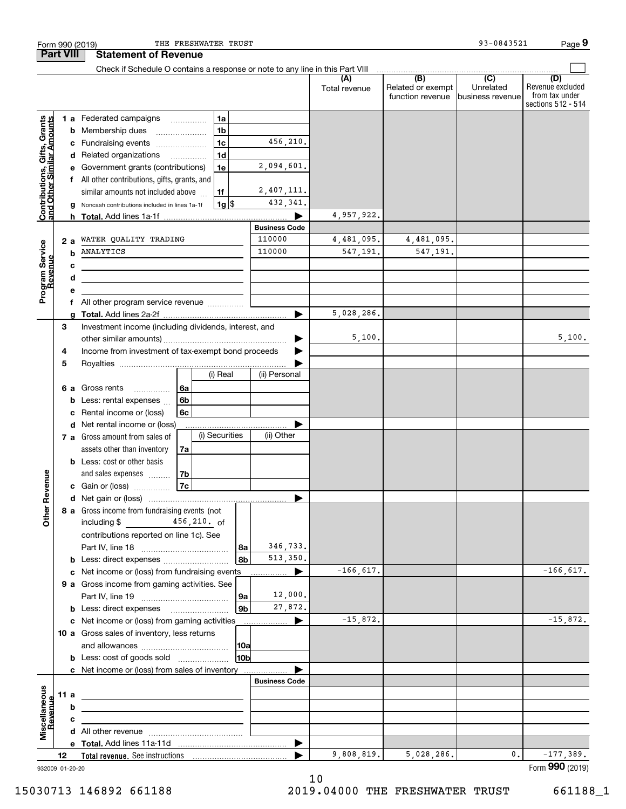| Form 990 (2019)                                           |      |        | THE FRESHWATER TRUST                                                                      |                        |                      |                      |                                              | 93-0843521                                        | Page 9                                                          |
|-----------------------------------------------------------|------|--------|-------------------------------------------------------------------------------------------|------------------------|----------------------|----------------------|----------------------------------------------|---------------------------------------------------|-----------------------------------------------------------------|
| <b>Part VIII</b>                                          |      |        | <b>Statement of Revenue</b>                                                               |                        |                      |                      |                                              |                                                   |                                                                 |
|                                                           |      |        | Check if Schedule O contains a response or note to any line in this Part VIII             |                        |                      |                      |                                              |                                                   |                                                                 |
|                                                           |      |        |                                                                                           |                        |                      | (A)<br>Total revenue | (B)<br>Related or exempt<br>function revenue | $\overline{(C)}$<br>Unrelated<br>business revenue | (D)<br>Revenue excluded<br>from tax under<br>sections 512 - 514 |
|                                                           |      |        | <b>1 a</b> Federated campaigns                                                            | 1a                     |                      |                      |                                              |                                                   |                                                                 |
|                                                           |      | b      | Membership dues<br>$\ldots \ldots \ldots \ldots \ldots$                                   | 1 <sub>b</sub>         |                      |                      |                                              |                                                   |                                                                 |
| Contributions, Gifts, Grants<br>and Other Similar Amounts |      |        | c Fundraising events                                                                      | 1 <sub>c</sub>         | 456,210.             |                      |                                              |                                                   |                                                                 |
|                                                           |      |        | d Related organizations                                                                   | 1 <sub>d</sub>         |                      |                      |                                              |                                                   |                                                                 |
|                                                           |      |        | e Government grants (contributions)                                                       | 1e                     | 2,094,601.           |                      |                                              |                                                   |                                                                 |
|                                                           |      |        | All other contributions, gifts, grants, and                                               |                        |                      |                      |                                              |                                                   |                                                                 |
|                                                           |      |        | similar amounts not included above                                                        | 1f                     | 2,407,111.           |                      |                                              |                                                   |                                                                 |
|                                                           |      | a      | Noncash contributions included in lines 1a-1f                                             | $1g$ \$                | 432,341.             | 4,957,922.           |                                              |                                                   |                                                                 |
|                                                           |      |        |                                                                                           |                        | <b>Business Code</b> |                      |                                              |                                                   |                                                                 |
|                                                           | 2 a  |        | WATER QUALITY TRADING                                                                     |                        | 110000               | 4,481,095.           | 4,481,095.                                   |                                                   |                                                                 |
| Program Service<br>Revenue                                |      | b      | ANALYTICS                                                                                 |                        | 110000               | 547,191.             | 547,191.                                     |                                                   |                                                                 |
|                                                           |      | c      | the control of the control of the control of the control of the control of the control of |                        |                      |                      |                                              |                                                   |                                                                 |
|                                                           |      | d      | the control of the control of the control of the control of the control of                |                        |                      |                      |                                              |                                                   |                                                                 |
|                                                           |      | е      |                                                                                           |                        |                      |                      |                                              |                                                   |                                                                 |
|                                                           |      |        | All other program service revenue                                                         |                        |                      |                      |                                              |                                                   |                                                                 |
|                                                           |      | a      |                                                                                           |                        |                      | 5,028,286.           |                                              |                                                   |                                                                 |
|                                                           | 3    |        | Investment income (including dividends, interest, and                                     |                        |                      |                      |                                              |                                                   |                                                                 |
|                                                           |      |        |                                                                                           |                        |                      | 5,100.               |                                              |                                                   | 5,100.                                                          |
|                                                           | 4    |        | Income from investment of tax-exempt bond proceeds                                        |                        |                      |                      |                                              |                                                   |                                                                 |
|                                                           | 5    |        |                                                                                           |                        |                      |                      |                                              |                                                   |                                                                 |
|                                                           |      |        |                                                                                           | (i) Real               | (ii) Personal        |                      |                                              |                                                   |                                                                 |
|                                                           | 6а   |        | Gross rents<br>6a<br>.<br>6 <sub>b</sub>                                                  |                        |                      |                      |                                              |                                                   |                                                                 |
|                                                           |      | b<br>c | Less: rental expenses<br>Rental income or (loss)<br>6с                                    |                        |                      |                      |                                              |                                                   |                                                                 |
|                                                           |      |        | d Net rental income or (loss)                                                             |                        |                      |                      |                                              |                                                   |                                                                 |
|                                                           |      |        | 7 a Gross amount from sales of                                                            | (i) Securities         | (ii) Other           |                      |                                              |                                                   |                                                                 |
|                                                           |      |        | assets other than inventory<br>7a                                                         |                        |                      |                      |                                              |                                                   |                                                                 |
|                                                           |      |        | <b>b</b> Less: cost or other basis                                                        |                        |                      |                      |                                              |                                                   |                                                                 |
|                                                           |      |        | and sales expenses<br>  7b                                                                |                        |                      |                      |                                              |                                                   |                                                                 |
| evenue                                                    |      |        | 7c<br>c Gain or (loss)                                                                    |                        |                      |                      |                                              |                                                   |                                                                 |
| œ                                                         |      |        |                                                                                           |                        |                      |                      |                                              |                                                   |                                                                 |
| Other                                                     |      |        | 8 a Gross income from fundraising events (not<br>including \$ 456, 210. of                |                        |                      |                      |                                              |                                                   |                                                                 |
|                                                           |      |        | contributions reported on line 1c). See                                                   |                        |                      |                      |                                              |                                                   |                                                                 |
|                                                           |      |        |                                                                                           | 8a                     | 346,733.             |                      |                                              |                                                   |                                                                 |
|                                                           |      |        | <b>b</b> Less: direct expenses <b>constants b</b>                                         | 8 <sub>b</sub>         | 513,350.             |                      |                                              |                                                   |                                                                 |
|                                                           |      |        | c Net income or (loss) from fundraising events                                            |                        |                      | $-166, 617.$         |                                              |                                                   | $-166,617.$                                                     |
|                                                           |      |        | 9 a Gross income from gaming activities. See                                              |                        |                      |                      |                                              |                                                   |                                                                 |
|                                                           |      |        |                                                                                           | 9a                     | 12,000.              |                      |                                              |                                                   |                                                                 |
|                                                           |      |        | <b>b</b> Less: direct expenses <b>manually</b>                                            | 9 <sub>b</sub>         | 27,872.              |                      |                                              |                                                   |                                                                 |
|                                                           |      |        | c Net income or (loss) from gaming activities                                             |                        | ▶<br>.               | $-15,872.$           |                                              |                                                   | $-15,872.$                                                      |
|                                                           |      |        | 10 a Gross sales of inventory, less returns                                               |                        |                      |                      |                                              |                                                   |                                                                 |
|                                                           |      |        | <b>b</b> Less: cost of goods sold                                                         | 10a<br>10 <sub>b</sub> |                      |                      |                                              |                                                   |                                                                 |
|                                                           |      |        | c Net income or (loss) from sales of inventory                                            |                        |                      |                      |                                              |                                                   |                                                                 |
|                                                           |      |        |                                                                                           |                        | <b>Business Code</b> |                      |                                              |                                                   |                                                                 |
|                                                           | 11 a |        | <u> 1989 - Johann Barbara, martxa alemaniar arg</u>                                       |                        |                      |                      |                                              |                                                   |                                                                 |
|                                                           |      | b      |                                                                                           |                        |                      |                      |                                              |                                                   |                                                                 |
| Revenue                                                   |      | с      | the control of the control of the control of the control of the control of                |                        |                      |                      |                                              |                                                   |                                                                 |
| Miscellaneous                                             |      |        |                                                                                           |                        |                      |                      |                                              |                                                   |                                                                 |
|                                                           |      |        |                                                                                           |                        | ▶                    |                      |                                              |                                                   |                                                                 |
|                                                           | 12   |        |                                                                                           |                        |                      | 9,808,819.           | 5,028,286.                                   | 0.                                                | $-177,389.$                                                     |
| 932009 01-20-20                                           |      |        |                                                                                           |                        |                      |                      |                                              |                                                   | Form 990 (2019)                                                 |

10

15030713 146892 661188 2019.04000 THE FRESHWATER TRUST 661188\_1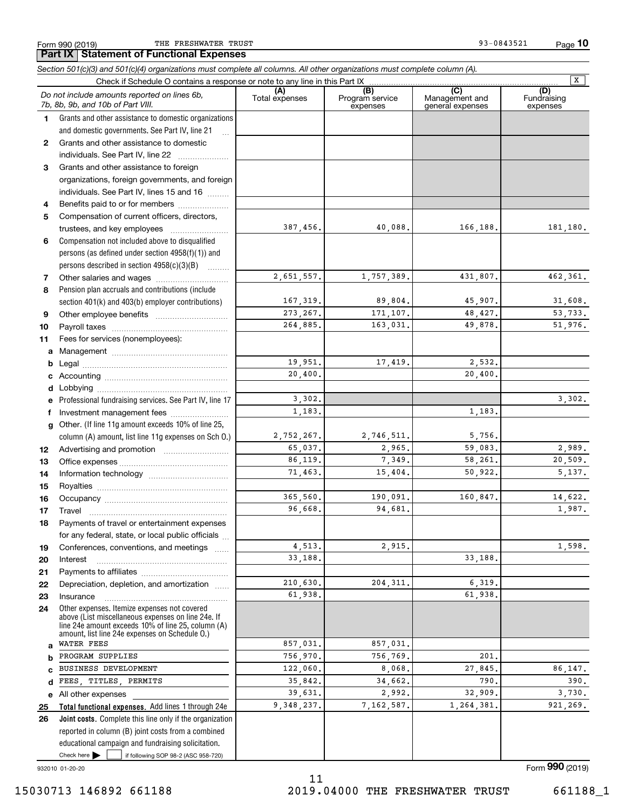*Section 501(c)(3) and 501(c)(4) organizations must complete all columns. All other organizations must complete column (A).*

**10**

Form 990 (2019) THE FRESHWATER TRUST 93-0843521 Page

|    |                                                                                                                                                                                                            |                       |                                    |                                           | x                              |
|----|------------------------------------------------------------------------------------------------------------------------------------------------------------------------------------------------------------|-----------------------|------------------------------------|-------------------------------------------|--------------------------------|
|    | Do not include amounts reported on lines 6b,<br>7b, 8b, 9b, and 10b of Part VIII.                                                                                                                          | (A)<br>Total expenses | (B)<br>Program service<br>expenses | (C)<br>Management and<br>general expenses | (D)<br>Fundraising<br>expenses |
| 1. | Grants and other assistance to domestic organizations                                                                                                                                                      |                       |                                    |                                           |                                |
|    | and domestic governments. See Part IV, line 21<br>$\ddotsc$                                                                                                                                                |                       |                                    |                                           |                                |
|    | 2 Grants and other assistance to domestic                                                                                                                                                                  |                       |                                    |                                           |                                |
|    | individuals. See Part IV, line 22                                                                                                                                                                          |                       |                                    |                                           |                                |
| 3  | Grants and other assistance to foreign                                                                                                                                                                     |                       |                                    |                                           |                                |
|    | organizations, foreign governments, and foreign                                                                                                                                                            |                       |                                    |                                           |                                |
|    | individuals. See Part IV, lines 15 and 16                                                                                                                                                                  |                       |                                    |                                           |                                |
| 4  | Benefits paid to or for members                                                                                                                                                                            |                       |                                    |                                           |                                |
| 5  | Compensation of current officers, directors,                                                                                                                                                               |                       |                                    |                                           |                                |
|    | trustees, and key employees                                                                                                                                                                                | 387,456.              | 40,088.                            | 166,188.                                  | 181,180.                       |
| 6  | Compensation not included above to disqualified                                                                                                                                                            |                       |                                    |                                           |                                |
|    | persons (as defined under section 4958(f)(1)) and                                                                                                                                                          |                       |                                    |                                           |                                |
|    | persons described in section 4958(c)(3)(B)                                                                                                                                                                 |                       |                                    |                                           |                                |
| 7  |                                                                                                                                                                                                            | 2,651,557.            | 1,757,389.                         | 431,807.                                  | 462,361.                       |
| 8  | Pension plan accruals and contributions (include                                                                                                                                                           |                       |                                    |                                           |                                |
|    | section 401(k) and 403(b) employer contributions)                                                                                                                                                          | 167, 319.             | 89,804.                            | 45,907.                                   | 31,608.                        |
| 9  |                                                                                                                                                                                                            | 273, 267.             | 171,107.                           | 48,427.                                   | 53,733.                        |
| 10 |                                                                                                                                                                                                            | 264,885.              | 163,031.                           | 49,878.                                   | 51,976.                        |
| 11 | Fees for services (nonemployees):                                                                                                                                                                          |                       |                                    |                                           |                                |
| a  |                                                                                                                                                                                                            |                       |                                    |                                           |                                |
| b  |                                                                                                                                                                                                            | 19,951.               | 17,419.                            | 2,532.                                    |                                |
| c  |                                                                                                                                                                                                            | 20,400.               |                                    | 20,400.                                   |                                |
| d  |                                                                                                                                                                                                            |                       |                                    |                                           |                                |
| е  | Professional fundraising services. See Part IV, line 17                                                                                                                                                    | 3,302.                |                                    |                                           | 3,302.                         |
| f  | Investment management fees                                                                                                                                                                                 | 1,183.                |                                    | 1,183.                                    |                                |
| g  | Other. (If line 11g amount exceeds 10% of line 25,                                                                                                                                                         |                       |                                    |                                           |                                |
|    | column (A) amount, list line 11g expenses on Sch O.)                                                                                                                                                       | 2,752,267.            | 2,746,511.                         | 5,756.                                    |                                |
| 12 |                                                                                                                                                                                                            | 65,037.               | 2,965.                             | 59,083.                                   | 2,989.                         |
| 13 |                                                                                                                                                                                                            | 86,119.               | 7,349.                             | 58,261.                                   | 20,509.                        |
| 14 |                                                                                                                                                                                                            | 71.463.               | 15,404.                            | 50,922.                                   | 5,137.                         |
| 15 |                                                                                                                                                                                                            |                       |                                    |                                           |                                |
| 16 |                                                                                                                                                                                                            | 365,560.              | 190,091.                           | 160,847.                                  | 14,622.                        |
| 17 | Travel                                                                                                                                                                                                     | 96,668.               | 94,681.                            |                                           | 1,987.                         |
| 18 | Payments of travel or entertainment expenses                                                                                                                                                               |                       |                                    |                                           |                                |
|    | for any federal, state, or local public officials                                                                                                                                                          |                       |                                    |                                           |                                |
| 19 | Conferences, conventions, and meetings                                                                                                                                                                     | 4,513.                | 2,915.                             |                                           | 1,598.                         |
| 20 | Interest                                                                                                                                                                                                   | 33,188.               |                                    | 33,188.                                   |                                |
| 21 |                                                                                                                                                                                                            |                       |                                    |                                           |                                |
| 22 | Depreciation, depletion, and amortization                                                                                                                                                                  | 210,630.              | 204, 311.                          | 6,319.                                    |                                |
| 23 | Insurance                                                                                                                                                                                                  | 61,938.               |                                    | 61,938.                                   |                                |
| 24 | Other expenses. Itemize expenses not covered<br>above (List miscellaneous expenses on line 24e. If<br>line 24e amount exceeds 10% of line 25, column (A)<br>amount, list line 24e expenses on Schedule O.) |                       |                                    |                                           |                                |
| a  | WATER FEES                                                                                                                                                                                                 | 857.031.              | 857,031.                           |                                           |                                |
| b  | PROGRAM SUPPLIES                                                                                                                                                                                           | 756,970.              | 756.769.                           | 201                                       |                                |
| C  | BUSINESS DEVELOPMENT                                                                                                                                                                                       | 122,060.              | 8,068.                             | 27,845.                                   | 86,147.                        |
| d  | FEES, TITLES, PERMITS                                                                                                                                                                                      | 35,842.               | 34,662.                            | 790.                                      | 390.                           |
|    | e All other expenses                                                                                                                                                                                       | 39,631.               | 2,992.                             | 32,909.                                   | 3,730.                         |
| 25 | Total functional expenses. Add lines 1 through 24e                                                                                                                                                         | 9,348,237.            | 7,162,587.                         | 1,264,381.                                | 921,269.                       |
| 26 | Joint costs. Complete this line only if the organization                                                                                                                                                   |                       |                                    |                                           |                                |
|    | reported in column (B) joint costs from a combined                                                                                                                                                         |                       |                                    |                                           |                                |
|    | educational campaign and fundraising solicitation.                                                                                                                                                         |                       |                                    |                                           |                                |
|    | Check here<br>if following SOP 98-2 (ASC 958-720)                                                                                                                                                          |                       |                                    |                                           |                                |
|    | 932010 01-20-20                                                                                                                                                                                            |                       |                                    |                                           | Form 990 (2019)                |

11 15030713 146892 661188 2019.04000 THE FRESHWATER TRUST 661188\_1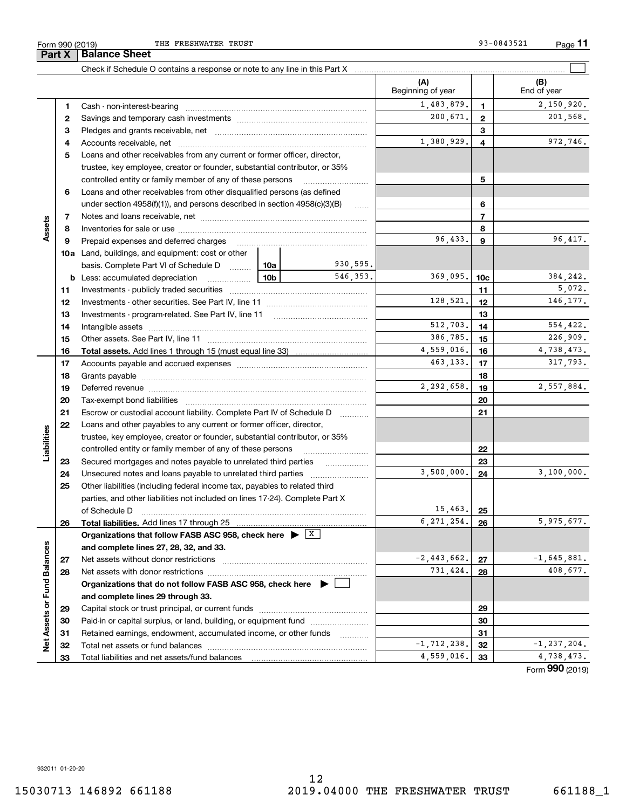**Part X Balance Sheet**

THE FRESHWATER TRUST **12000** CHERRY 13000 CHERRY 13000 CHERRY 13000 CHERRY 13000 CHERRY 13000 CHERRY 13000 CHERRY 13000 CHERRY 13000 CHERRY 13000 CHERRY 13000 CHERRY 13000 CHERRY 13000 CHERRY 13000 CHERRY 13000 CHERRY 1300

|                             |          | Check if Schedule O contains a response or note to any line in this Part X                                                           |            |                 |                           |              |                           |
|-----------------------------|----------|--------------------------------------------------------------------------------------------------------------------------------------|------------|-----------------|---------------------------|--------------|---------------------------|
|                             |          |                                                                                                                                      |            |                 | (A)<br>Beginning of year  |              | (B)<br>End of year        |
|                             | 1        |                                                                                                                                      |            |                 | 1,483,879.                | 1            | 2,150,920.                |
|                             | 2        |                                                                                                                                      |            |                 | 200,671.                  | $\mathbf{2}$ | 201,568.                  |
|                             | 3        |                                                                                                                                      |            |                 |                           | 3            |                           |
|                             | 4        |                                                                                                                                      |            |                 | 1,380,929.                | 4            | 972,746.                  |
|                             | 5        | Loans and other receivables from any current or former officer, director,                                                            |            |                 |                           |              |                           |
|                             |          | trustee, key employee, creator or founder, substantial contributor, or 35%                                                           |            |                 |                           |              |                           |
|                             |          | controlled entity or family member of any of these persons                                                                           |            |                 |                           | 5            |                           |
|                             | 6        | Loans and other receivables from other disqualified persons (as defined                                                              |            |                 |                           |              |                           |
|                             |          | under section $4958(f)(1)$ , and persons described in section $4958(c)(3)(B)$                                                        |            | $\ldots$        |                           | 6            |                           |
|                             | 7        |                                                                                                                                      |            | 7               |                           |              |                           |
| Assets                      | 8        |                                                                                                                                      |            | 8               |                           |              |                           |
|                             | 9        | Prepaid expenses and deferred charges                                                                                                | 96,433.    | 9               | 96,417.                   |              |                           |
|                             |          | <b>10a</b> Land, buildings, and equipment: cost or other                                                                             |            |                 |                           |              |                           |
|                             |          | basis. Complete Part VI of Schedule D  10a                                                                                           |            | 930,595.        |                           |              |                           |
|                             | b        | <u>10b</u><br>Less: accumulated depreciation                                                                                         | 369,095.   | 10 <sub>c</sub> | 384,242.                  |              |                           |
|                             | 11       |                                                                                                                                      |            |                 | 11                        | 5,072.       |                           |
|                             | 12       |                                                                                                                                      | 128,521.   | 12              | 146.177.                  |              |                           |
|                             | 13       |                                                                                                                                      |            | 13              |                           |              |                           |
|                             | 14       |                                                                                                                                      |            | 512,703.        | 14                        | 554,422.     |                           |
|                             | 15       |                                                                                                                                      |            |                 | 386,785.                  | 15           | 226,909.                  |
|                             | 16       |                                                                                                                                      |            |                 | 4,559,016.                | 16           | 4,738,473.                |
|                             | 17       |                                                                                                                                      |            |                 | 463,133.                  | 17           | 317,793.                  |
|                             | 18       |                                                                                                                                      |            | 18              |                           |              |                           |
|                             | 19       |                                                                                                                                      | 2,292,658. | 19              | 2,557,884.                |              |                           |
|                             | 20       |                                                                                                                                      |            | 20              |                           |              |                           |
|                             | 21       | Escrow or custodial account liability. Complete Part IV of Schedule D                                                                |            | 21              |                           |              |                           |
|                             | 22       | Loans and other payables to any current or former officer, director,                                                                 |            |                 |                           |              |                           |
|                             |          | trustee, key employee, creator or founder, substantial contributor, or 35%                                                           |            |                 |                           |              |                           |
| Liabilities                 |          | controlled entity or family member of any of these persons                                                                           |            |                 |                           | 22           |                           |
|                             | 23       |                                                                                                                                      |            |                 |                           | 23           |                           |
|                             | 24       |                                                                                                                                      |            |                 | 3,500,000.                | 24           | 3,100,000.                |
|                             | 25       | Other liabilities (including federal income tax, payables to related third                                                           |            |                 |                           |              |                           |
|                             |          | parties, and other liabilities not included on lines 17-24). Complete Part X                                                         |            |                 |                           |              |                           |
|                             |          | of Schedule D                                                                                                                        |            |                 | 15,463.                   | 25           |                           |
|                             | 26       | Total liabilities. Add lines 17 through 25                                                                                           |            |                 | 6, 271, 254.              | 26           | 5,975,677.                |
|                             |          | Organizations that follow FASB ASC 958, check here $\blacktriangleright \lfloor x \rfloor$                                           |            |                 |                           |              |                           |
|                             |          | and complete lines 27, 28, 32, and 33.                                                                                               |            |                 |                           |              |                           |
|                             | 27       | Net assets without donor restrictions                                                                                                |            |                 | $-2,443,662.$<br>731,424. | 27           | $-1,645,881.$<br>408,677. |
|                             | 28       | Net assets with donor restrictions                                                                                                   |            | 28              |                           |              |                           |
|                             |          | Organizations that do not follow FASB ASC 958, check here ▶ □                                                                        |            |                 |                           |              |                           |
|                             |          | and complete lines 29 through 33.                                                                                                    |            |                 |                           |              |                           |
|                             | 29       |                                                                                                                                      |            |                 |                           | 29           |                           |
| Net Assets or Fund Balances | 30       | Paid-in or capital surplus, or land, building, or equipment fund<br>Retained earnings, endowment, accumulated income, or other funds |            |                 |                           | 30<br>31     |                           |
|                             | 31<br>32 |                                                                                                                                      |            |                 | $-1, 712, 238.$           | 32           | $-1, 237, 204.$           |
|                             | 33       | Total liabilities and net assets/fund balances                                                                                       |            |                 | 4,559,016.                | 33           | 4,738,473.                |
|                             |          |                                                                                                                                      |            |                 |                           |              |                           |

Form (2019) **990**

932011 01-20-20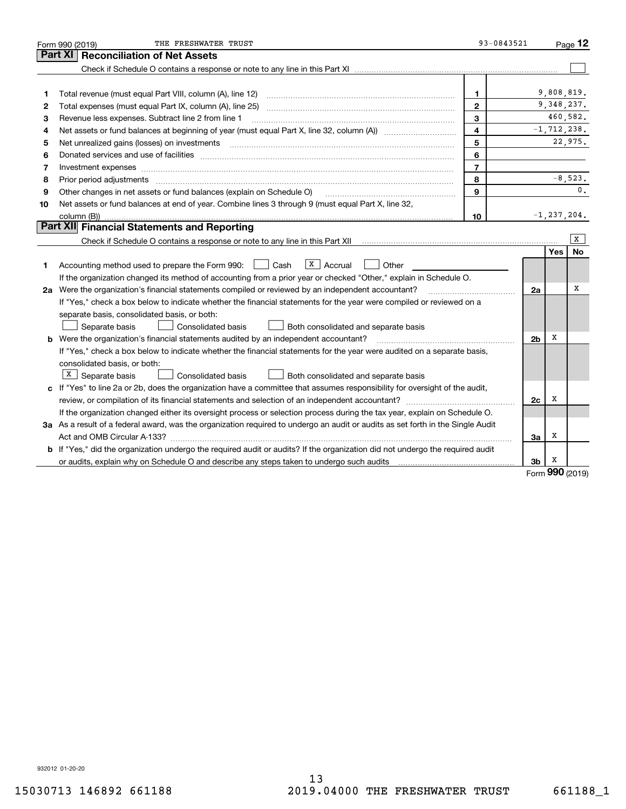|                                                                                                                      | THE FRESHWATER TRUST<br>Form 990 (2019)                                                                                                                                                                                             | 93-0843521     |    |                 | $P_{\text{aqe}}$ 12 |  |  |
|----------------------------------------------------------------------------------------------------------------------|-------------------------------------------------------------------------------------------------------------------------------------------------------------------------------------------------------------------------------------|----------------|----|-----------------|---------------------|--|--|
| Part XI<br><b>Reconciliation of Net Assets</b>                                                                       |                                                                                                                                                                                                                                     |                |    |                 |                     |  |  |
|                                                                                                                      |                                                                                                                                                                                                                                     |                |    |                 |                     |  |  |
|                                                                                                                      |                                                                                                                                                                                                                                     |                |    |                 |                     |  |  |
| 1                                                                                                                    |                                                                                                                                                                                                                                     | 1              |    | 9,808,819.      |                     |  |  |
| 2                                                                                                                    |                                                                                                                                                                                                                                     | $\mathbf{2}$   |    | 9, 348, 237.    |                     |  |  |
| 3                                                                                                                    | 3<br>Revenue less expenses. Subtract line 2 from line 1                                                                                                                                                                             |                |    |                 |                     |  |  |
| 4                                                                                                                    | $\overline{4}$                                                                                                                                                                                                                      |                |    |                 |                     |  |  |
| 5                                                                                                                    | 5<br>Net unrealized gains (losses) on investments [11] matter continuum matter of the state of the state of the state of the state of the state of the state of the state of the state of the state of the state of the state of th |                |    |                 |                     |  |  |
| 6                                                                                                                    | Donated services and use of facilities [111] Donated and the service of facilities [11] Donated services and use of facilities [11] Donated and the service of the service of the service of the service of the service of the      | 6              |    |                 |                     |  |  |
| 7                                                                                                                    | Investment expenses www.communication.com/www.communication.com/www.communication.com/www.communication.com/ww                                                                                                                      | $\overline{7}$ |    |                 |                     |  |  |
| 8                                                                                                                    | 8<br>Prior period adjustments www.communication.communication.com/news/communication.com/news/communication.com/new                                                                                                                 |                |    |                 |                     |  |  |
| 9                                                                                                                    | 9<br>Other changes in net assets or fund balances (explain on Schedule O)                                                                                                                                                           |                |    |                 |                     |  |  |
| 10                                                                                                                   | Net assets or fund balances at end of year. Combine lines 3 through 9 (must equal Part X, line 32,                                                                                                                                  |                |    |                 |                     |  |  |
|                                                                                                                      |                                                                                                                                                                                                                                     | 10             |    | $-1, 237, 204.$ |                     |  |  |
|                                                                                                                      | Part XII Financial Statements and Reporting                                                                                                                                                                                         |                |    |                 |                     |  |  |
|                                                                                                                      |                                                                                                                                                                                                                                     |                |    |                 | x                   |  |  |
|                                                                                                                      |                                                                                                                                                                                                                                     |                |    | Yes             | No                  |  |  |
| 1                                                                                                                    | $ X $ Accrual<br>Accounting method used to prepare the Form 990: <u>June</u> Cash<br>Other                                                                                                                                          |                |    |                 |                     |  |  |
|                                                                                                                      | If the organization changed its method of accounting from a prior year or checked "Other," explain in Schedule O.                                                                                                                   |                |    |                 |                     |  |  |
|                                                                                                                      | 2a Were the organization's financial statements compiled or reviewed by an independent accountant?                                                                                                                                  |                |    |                 |                     |  |  |
| If "Yes," check a box below to indicate whether the financial statements for the year were compiled or reviewed on a |                                                                                                                                                                                                                                     |                |    |                 |                     |  |  |
|                                                                                                                      | separate basis, consolidated basis, or both:                                                                                                                                                                                        |                |    |                 |                     |  |  |
|                                                                                                                      | Separate basis<br>Consolidated basis<br>Both consolidated and separate basis                                                                                                                                                        |                |    |                 |                     |  |  |
|                                                                                                                      | 2 <sub>b</sub><br><b>b</b> Were the organization's financial statements audited by an independent accountant?                                                                                                                       |                |    |                 |                     |  |  |
|                                                                                                                      | If "Yes," check a box below to indicate whether the financial statements for the year were audited on a separate basis,                                                                                                             |                |    |                 |                     |  |  |
|                                                                                                                      | consolidated basis, or both:                                                                                                                                                                                                        |                |    |                 |                     |  |  |
|                                                                                                                      | $X$ Separate basis<br>Consolidated basis<br>Both consolidated and separate basis                                                                                                                                                    |                |    |                 |                     |  |  |
|                                                                                                                      | c If "Yes" to line 2a or 2b, does the organization have a committee that assumes responsibility for oversight of the audit,                                                                                                         |                |    |                 |                     |  |  |
|                                                                                                                      | review, or compilation of its financial statements and selection of an independent accountant?                                                                                                                                      |                | 2c | х               |                     |  |  |
|                                                                                                                      | If the organization changed either its oversight process or selection process during the tax year, explain on Schedule O.                                                                                                           |                |    |                 |                     |  |  |
|                                                                                                                      | 3a As a result of a federal award, was the organization required to undergo an audit or audits as set forth in the Single Audit                                                                                                     |                |    |                 |                     |  |  |
|                                                                                                                      |                                                                                                                                                                                                                                     |                | За | х               |                     |  |  |
|                                                                                                                      | b If "Yes," did the organization undergo the required audit or audits? If the organization did not undergo the required audit                                                                                                       |                |    |                 |                     |  |  |
|                                                                                                                      | or audits, explain why on Schedule O and describe any steps taken to undergo such audits manufactured university                                                                                                                    |                | 3b | x<br>റററ        |                     |  |  |

Form (2019) **990**

932012 01-20-20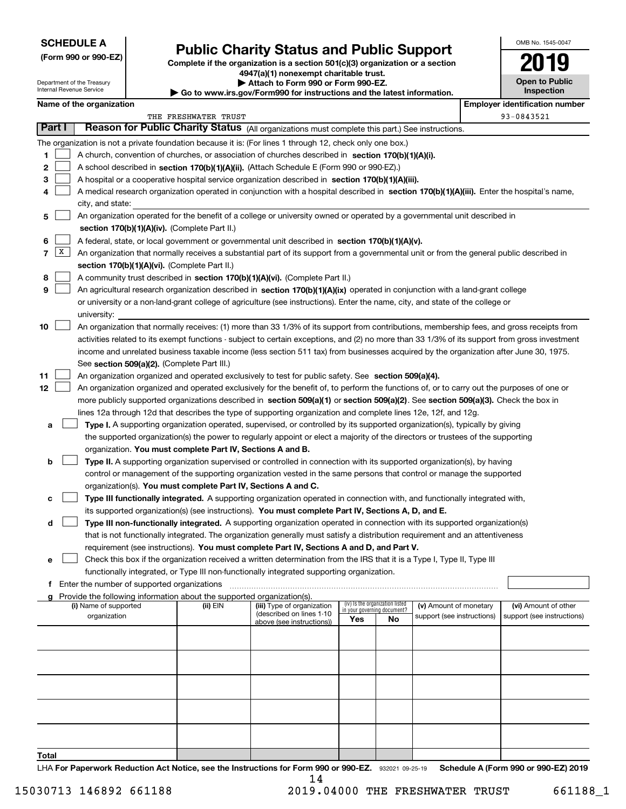## **SCHEDULE A**

Department of the Treasury Internal Revenue Service

**(Form 990 or 990-EZ)**

## **Public Charity Status and Public Support**

**Complete if the organization is a section 501(c)(3) organization or a section 4947(a)(1) nonexempt charitable trust. | Attach to Form 990 or Form 990-EZ. | Go to www.irs.gov/Form990 for instructions and the latest information.**

| OMB No. 1545-0047                   |
|-------------------------------------|
| 2019                                |
| <b>Open to Public</b><br>Inspection |

| Name of the organization |
|--------------------------|
|--------------------------|

|                   | Name of the organization                                                                                                                                                                                                 |                      |                                                       |     |                                                                |                            |  | <b>Employer identification number</b> |
|-------------------|--------------------------------------------------------------------------------------------------------------------------------------------------------------------------------------------------------------------------|----------------------|-------------------------------------------------------|-----|----------------------------------------------------------------|----------------------------|--|---------------------------------------|
|                   |                                                                                                                                                                                                                          | THE FRESHWATER TRUST |                                                       |     |                                                                |                            |  | 93-0843521                            |
| Part I            | Reason for Public Charity Status (All organizations must complete this part.) See instructions.                                                                                                                          |                      |                                                       |     |                                                                |                            |  |                                       |
|                   | The organization is not a private foundation because it is: (For lines 1 through 12, check only one box.)                                                                                                                |                      |                                                       |     |                                                                |                            |  |                                       |
| 1                 | A church, convention of churches, or association of churches described in section 170(b)(1)(A)(i).                                                                                                                       |                      |                                                       |     |                                                                |                            |  |                                       |
| 2                 | A school described in section 170(b)(1)(A)(ii). (Attach Schedule E (Form 990 or 990-EZ).)                                                                                                                                |                      |                                                       |     |                                                                |                            |  |                                       |
| 3                 | A hospital or a cooperative hospital service organization described in section 170(b)(1)(A)(iii).                                                                                                                        |                      |                                                       |     |                                                                |                            |  |                                       |
| 4                 | A medical research organization operated in conjunction with a hospital described in section 170(b)(1)(A)(iii). Enter the hospital's name,                                                                               |                      |                                                       |     |                                                                |                            |  |                                       |
|                   | city, and state:                                                                                                                                                                                                         |                      |                                                       |     |                                                                |                            |  |                                       |
| 5                 | An organization operated for the benefit of a college or university owned or operated by a governmental unit described in                                                                                                |                      |                                                       |     |                                                                |                            |  |                                       |
|                   | section 170(b)(1)(A)(iv). (Complete Part II.)                                                                                                                                                                            |                      |                                                       |     |                                                                |                            |  |                                       |
| 6                 | A federal, state, or local government or governmental unit described in section 170(b)(1)(A)(v).                                                                                                                         |                      |                                                       |     |                                                                |                            |  |                                       |
| $\mathbf{X}$<br>7 | An organization that normally receives a substantial part of its support from a governmental unit or from the general public described in                                                                                |                      |                                                       |     |                                                                |                            |  |                                       |
|                   | section 170(b)(1)(A)(vi). (Complete Part II.)                                                                                                                                                                            |                      |                                                       |     |                                                                |                            |  |                                       |
| 8                 | A community trust described in section 170(b)(1)(A)(vi). (Complete Part II.)                                                                                                                                             |                      |                                                       |     |                                                                |                            |  |                                       |
| 9                 | An agricultural research organization described in section 170(b)(1)(A)(ix) operated in conjunction with a land-grant college                                                                                            |                      |                                                       |     |                                                                |                            |  |                                       |
|                   | or university or a non-land-grant college of agriculture (see instructions). Enter the name, city, and state of the college or                                                                                           |                      |                                                       |     |                                                                |                            |  |                                       |
|                   | university:                                                                                                                                                                                                              |                      |                                                       |     |                                                                |                            |  |                                       |
| 10                | An organization that normally receives: (1) more than 33 1/3% of its support from contributions, membership fees, and gross receipts from                                                                                |                      |                                                       |     |                                                                |                            |  |                                       |
|                   | activities related to its exempt functions - subject to certain exceptions, and (2) no more than 33 1/3% of its support from gross investment                                                                            |                      |                                                       |     |                                                                |                            |  |                                       |
|                   | income and unrelated business taxable income (less section 511 tax) from businesses acquired by the organization after June 30, 1975.                                                                                    |                      |                                                       |     |                                                                |                            |  |                                       |
|                   | See section 509(a)(2). (Complete Part III.)                                                                                                                                                                              |                      |                                                       |     |                                                                |                            |  |                                       |
| 11                | An organization organized and operated exclusively to test for public safety. See section 509(a)(4).                                                                                                                     |                      |                                                       |     |                                                                |                            |  |                                       |
| 12                | An organization organized and operated exclusively for the benefit of, to perform the functions of, or to carry out the purposes of one or                                                                               |                      |                                                       |     |                                                                |                            |  |                                       |
|                   | more publicly supported organizations described in section 509(a)(1) or section 509(a)(2). See section 509(a)(3). Check the box in                                                                                       |                      |                                                       |     |                                                                |                            |  |                                       |
|                   | lines 12a through 12d that describes the type of supporting organization and complete lines 12e, 12f, and 12g.                                                                                                           |                      |                                                       |     |                                                                |                            |  |                                       |
| a                 | Type I. A supporting organization operated, supervised, or controlled by its supported organization(s), typically by giving                                                                                              |                      |                                                       |     |                                                                |                            |  |                                       |
|                   | the supported organization(s) the power to regularly appoint or elect a majority of the directors or trustees of the supporting                                                                                          |                      |                                                       |     |                                                                |                            |  |                                       |
|                   | organization. You must complete Part IV, Sections A and B.                                                                                                                                                               |                      |                                                       |     |                                                                |                            |  |                                       |
| b                 | Type II. A supporting organization supervised or controlled in connection with its supported organization(s), by having                                                                                                  |                      |                                                       |     |                                                                |                            |  |                                       |
|                   | control or management of the supporting organization vested in the same persons that control or manage the supported                                                                                                     |                      |                                                       |     |                                                                |                            |  |                                       |
|                   | organization(s). You must complete Part IV, Sections A and C.                                                                                                                                                            |                      |                                                       |     |                                                                |                            |  |                                       |
| с                 | Type III functionally integrated. A supporting organization operated in connection with, and functionally integrated with,                                                                                               |                      |                                                       |     |                                                                |                            |  |                                       |
|                   | its supported organization(s) (see instructions). You must complete Part IV, Sections A, D, and E.                                                                                                                       |                      |                                                       |     |                                                                |                            |  |                                       |
| d                 | Type III non-functionally integrated. A supporting organization operated in connection with its supported organization(s)                                                                                                |                      |                                                       |     |                                                                |                            |  |                                       |
|                   | that is not functionally integrated. The organization generally must satisfy a distribution requirement and an attentiveness<br>requirement (see instructions). You must complete Part IV, Sections A and D, and Part V. |                      |                                                       |     |                                                                |                            |  |                                       |
|                   | Check this box if the organization received a written determination from the IRS that it is a Type I, Type II, Type III                                                                                                  |                      |                                                       |     |                                                                |                            |  |                                       |
| е                 | functionally integrated, or Type III non-functionally integrated supporting organization.                                                                                                                                |                      |                                                       |     |                                                                |                            |  |                                       |
|                   | f Enter the number of supported organizations                                                                                                                                                                            |                      |                                                       |     |                                                                |                            |  |                                       |
| g                 | Provide the following information about the supported organization(s).                                                                                                                                                   |                      |                                                       |     |                                                                |                            |  |                                       |
|                   | (i) Name of supported                                                                                                                                                                                                    | (ii) EIN             | (iii) Type of organization                            |     | (iv) Is the organization listed<br>in your governing document? | (v) Amount of monetary     |  | (vi) Amount of other                  |
|                   | organization                                                                                                                                                                                                             |                      | (described on lines 1-10<br>above (see instructions)) | Yes | No                                                             | support (see instructions) |  | support (see instructions)            |
|                   |                                                                                                                                                                                                                          |                      |                                                       |     |                                                                |                            |  |                                       |
|                   |                                                                                                                                                                                                                          |                      |                                                       |     |                                                                |                            |  |                                       |
|                   |                                                                                                                                                                                                                          |                      |                                                       |     |                                                                |                            |  |                                       |
|                   |                                                                                                                                                                                                                          |                      |                                                       |     |                                                                |                            |  |                                       |
|                   |                                                                                                                                                                                                                          |                      |                                                       |     |                                                                |                            |  |                                       |
|                   |                                                                                                                                                                                                                          |                      |                                                       |     |                                                                |                            |  |                                       |
|                   |                                                                                                                                                                                                                          |                      |                                                       |     |                                                                |                            |  |                                       |
|                   |                                                                                                                                                                                                                          |                      |                                                       |     |                                                                |                            |  |                                       |
|                   |                                                                                                                                                                                                                          |                      |                                                       |     |                                                                |                            |  |                                       |
|                   |                                                                                                                                                                                                                          |                      |                                                       |     |                                                                |                            |  |                                       |
| Total             |                                                                                                                                                                                                                          |                      |                                                       |     |                                                                |                            |  |                                       |

LHA For Paperwork Reduction Act Notice, see the Instructions for Form 990 or 990-EZ. 932021 09-25-19 Schedule A (Form 990 or 990-EZ) 2019 14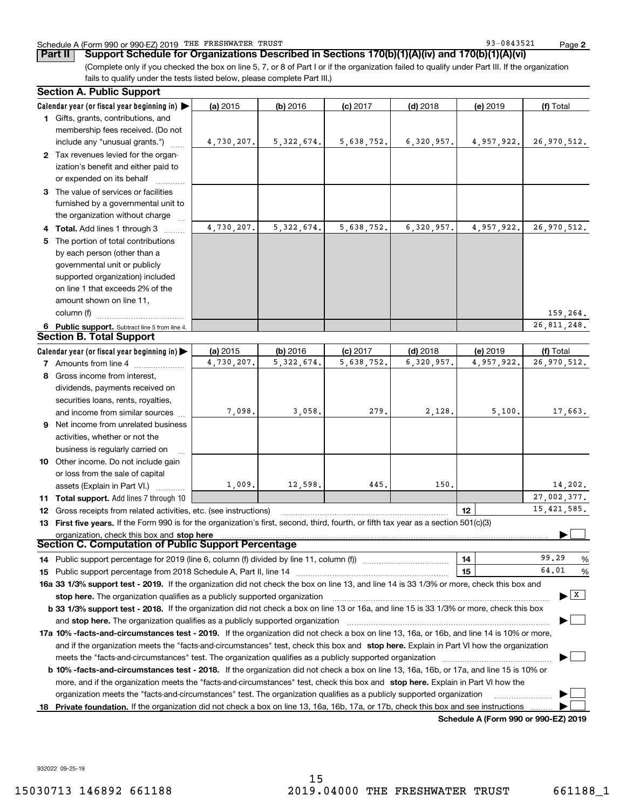## Schedule A (Form 990 or 990-EZ) 2019 Page THE FRESHWATER TRUST 93-0843521

**2**

(Complete only if you checked the box on line 5, 7, or 8 of Part I or if the organization failed to qualify under Part III. If the organization **Part II** Support Schedule for Organizations Described in Sections 170(b)(1)(A)(iv) and 170(b)(1)(A)(vi)

fails to qualify under the tests listed below, please complete Part III.)

|    | <b>Section A. Public Support</b>                                                                                                               |            |              |             |            |                                      |                                |  |  |  |  |
|----|------------------------------------------------------------------------------------------------------------------------------------------------|------------|--------------|-------------|------------|--------------------------------------|--------------------------------|--|--|--|--|
|    | Calendar year (or fiscal year beginning in) $\blacktriangleright$                                                                              | (a) 2015   | $(b)$ 2016   | $(c)$ 2017  | $(d)$ 2018 | (e) 2019                             | (f) Total                      |  |  |  |  |
|    | 1 Gifts, grants, contributions, and                                                                                                            |            |              |             |            |                                      |                                |  |  |  |  |
|    | membership fees received. (Do not                                                                                                              |            |              |             |            |                                      |                                |  |  |  |  |
|    | include any "unusual grants.")                                                                                                                 | 4,730,207. | 5, 322, 674. | 5,638,752.  | 6,320,957. | 4,957,922.                           | 26,970,512.                    |  |  |  |  |
|    | 2 Tax revenues levied for the organ-                                                                                                           |            |              |             |            |                                      |                                |  |  |  |  |
|    | ization's benefit and either paid to                                                                                                           |            |              |             |            |                                      |                                |  |  |  |  |
|    | or expended on its behalf                                                                                                                      |            |              |             |            |                                      |                                |  |  |  |  |
|    | 3 The value of services or facilities                                                                                                          |            |              |             |            |                                      |                                |  |  |  |  |
|    | furnished by a governmental unit to                                                                                                            |            |              |             |            |                                      |                                |  |  |  |  |
|    | the organization without charge                                                                                                                |            |              |             |            |                                      |                                |  |  |  |  |
|    | 4 Total. Add lines 1 through 3                                                                                                                 | 4,730,207. | 5, 322, 674. | 5,638,752.  | 6,320,957. | 4,957,922.                           | 26, 970, 512.                  |  |  |  |  |
| 5  | The portion of total contributions                                                                                                             |            |              |             |            |                                      |                                |  |  |  |  |
|    | by each person (other than a                                                                                                                   |            |              |             |            |                                      |                                |  |  |  |  |
|    | governmental unit or publicly                                                                                                                  |            |              |             |            |                                      |                                |  |  |  |  |
|    | supported organization) included                                                                                                               |            |              |             |            |                                      |                                |  |  |  |  |
|    | on line 1 that exceeds 2% of the                                                                                                               |            |              |             |            |                                      |                                |  |  |  |  |
|    | amount shown on line 11,                                                                                                                       |            |              |             |            |                                      |                                |  |  |  |  |
|    | column (f)<br>159,264.                                                                                                                         |            |              |             |            |                                      |                                |  |  |  |  |
|    | 26,811,248.<br>6 Public support. Subtract line 5 from line 4.                                                                                  |            |              |             |            |                                      |                                |  |  |  |  |
|    | <b>Section B. Total Support</b>                                                                                                                |            |              |             |            |                                      |                                |  |  |  |  |
|    | Calendar year (or fiscal year beginning in) $\blacktriangleright$                                                                              | (a) 2015   | (b) 2016     | $(c)$ 2017  | $(d)$ 2018 | (e) 2019                             | (f) Total                      |  |  |  |  |
|    | <b>7</b> Amounts from line 4                                                                                                                   | 6,320,957. | 4,957,922.   | 26,970,512. |            |                                      |                                |  |  |  |  |
|    | 8 Gross income from interest,                                                                                                                  |            |              |             |            |                                      |                                |  |  |  |  |
|    | dividends, payments received on                                                                                                                |            |              |             |            |                                      |                                |  |  |  |  |
|    | securities loans, rents, royalties,                                                                                                            |            |              |             |            |                                      |                                |  |  |  |  |
|    | and income from similar sources                                                                                                                | 7,098.     | 3,058.       | 279.        | 2,128.     | 5,100.                               | 17,663.                        |  |  |  |  |
|    | <b>9</b> Net income from unrelated business                                                                                                    |            |              |             |            |                                      |                                |  |  |  |  |
|    | activities, whether or not the                                                                                                                 |            |              |             |            |                                      |                                |  |  |  |  |
|    | business is regularly carried on                                                                                                               |            |              |             |            |                                      |                                |  |  |  |  |
|    | 10 Other income. Do not include gain                                                                                                           |            |              |             |            |                                      |                                |  |  |  |  |
|    | or loss from the sale of capital                                                                                                               |            |              |             |            |                                      |                                |  |  |  |  |
|    | assets (Explain in Part VI.)                                                                                                                   | 1,009.     | 12,598.      | 445.        | 150.       |                                      | 14,202.                        |  |  |  |  |
|    | 11 Total support. Add lines 7 through 10                                                                                                       |            |              |             |            |                                      | 27,002,377.                    |  |  |  |  |
| 12 | Gross receipts from related activities, etc. (see instructions)                                                                                |            |              |             |            | 12                                   | 15, 421, 585.                  |  |  |  |  |
|    | 13 First five years. If the Form 990 is for the organization's first, second, third, fourth, or fifth tax year as a section 501(c)(3)          |            |              |             |            |                                      |                                |  |  |  |  |
|    |                                                                                                                                                |            |              |             |            |                                      |                                |  |  |  |  |
|    | District and Section C. Computation of Public Support Percentage Section C. Computation of Public Support Percentage                           |            |              |             |            |                                      |                                |  |  |  |  |
|    | 14 Public support percentage for 2019 (line 6, column (f) divided by line 11, column (f) <i>mummention</i>                                     |            | 14           | 99.29<br>%  |            |                                      |                                |  |  |  |  |
|    |                                                                                                                                                |            | 15           | 64.01<br>%  |            |                                      |                                |  |  |  |  |
|    | 16a 33 1/3% support test - 2019. If the organization did not check the box on line 13, and line 14 is 33 1/3% or more, check this box and      |            |              |             |            |                                      |                                |  |  |  |  |
|    | stop here. The organization qualifies as a publicly supported organization                                                                     |            |              |             |            |                                      | $\blacktriangleright$ $\mid$ X |  |  |  |  |
|    | b 33 1/3% support test - 2018. If the organization did not check a box on line 13 or 16a, and line 15 is 33 1/3% or more, check this box       |            |              |             |            |                                      |                                |  |  |  |  |
|    | and stop here. The organization qualifies as a publicly supported organization                                                                 |            |              |             |            |                                      |                                |  |  |  |  |
|    | 17a 10% -facts-and-circumstances test - 2019. If the organization did not check a box on line 13, 16a, or 16b, and line 14 is 10% or more,     |            |              |             |            |                                      |                                |  |  |  |  |
|    | and if the organization meets the "facts-and-circumstances" test, check this box and stop here. Explain in Part VI how the organization        |            |              |             |            |                                      |                                |  |  |  |  |
|    | meets the "facts-and-circumstances" test. The organization qualifies as a publicly supported organization                                      |            |              |             |            |                                      |                                |  |  |  |  |
|    | <b>b 10% -facts-and-circumstances test - 2018.</b> If the organization did not check a box on line 13, 16a, 16b, or 17a, and line 15 is 10% or |            |              |             |            |                                      |                                |  |  |  |  |
|    | more, and if the organization meets the "facts-and-circumstances" test, check this box and stop here. Explain in Part VI how the               |            |              |             |            |                                      |                                |  |  |  |  |
|    | organization meets the "facts-and-circumstances" test. The organization qualifies as a publicly supported organization                         |            |              |             |            |                                      |                                |  |  |  |  |
| 18 | Private foundation. If the organization did not check a box on line 13, 16a, 16b, 17a, or 17b, check this box and see instructions             |            |              |             |            |                                      |                                |  |  |  |  |
|    |                                                                                                                                                |            |              |             |            | Schedule A (Form 990 or 990-F7) 2019 |                                |  |  |  |  |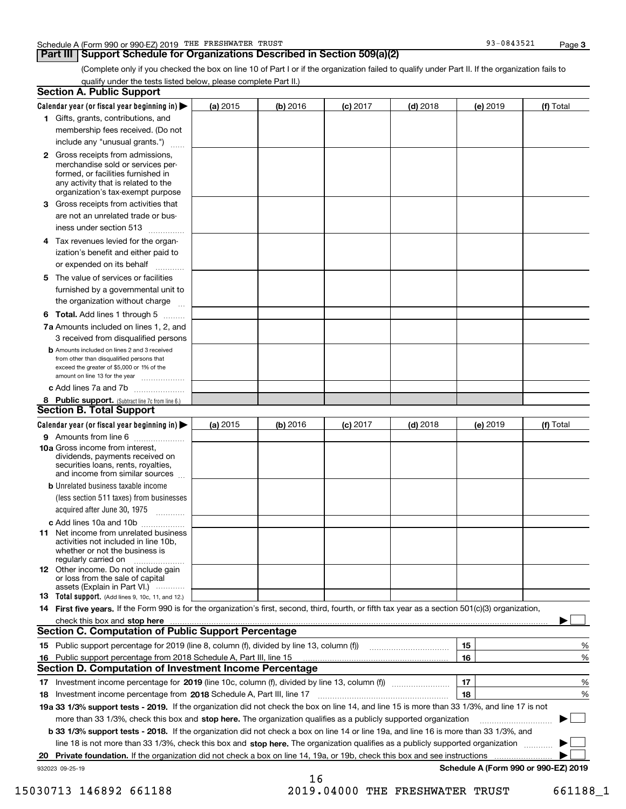## **Part III Support Schedule for Organizations Described in Section 509(a)(2)**

**3**

(Complete only if you checked the box on line 10 of Part I or if the organization failed to qualify under Part II. If the organization fails to qualify under the tests listed below, please complete Part II.)

|    | <b>Section A. Public Support</b>                                                                                                                                                                                               |          |           |                 |            |          |                                      |  |  |  |
|----|--------------------------------------------------------------------------------------------------------------------------------------------------------------------------------------------------------------------------------|----------|-----------|-----------------|------------|----------|--------------------------------------|--|--|--|
|    | Calendar year (or fiscal year beginning in) $\blacktriangleright$                                                                                                                                                              | (a) 2015 | (b) 2016  | <b>(c)</b> 2017 | $(d)$ 2018 | (e) 2019 | (f) Total                            |  |  |  |
|    | 1 Gifts, grants, contributions, and                                                                                                                                                                                            |          |           |                 |            |          |                                      |  |  |  |
|    | membership fees received. (Do not                                                                                                                                                                                              |          |           |                 |            |          |                                      |  |  |  |
|    | include any "unusual grants.")                                                                                                                                                                                                 |          |           |                 |            |          |                                      |  |  |  |
|    | <b>2</b> Gross receipts from admissions,<br>merchandise sold or services per-<br>formed, or facilities furnished in<br>any activity that is related to the<br>organization's tax-exempt purpose                                |          |           |                 |            |          |                                      |  |  |  |
|    | 3 Gross receipts from activities that<br>are not an unrelated trade or bus-                                                                                                                                                    |          |           |                 |            |          |                                      |  |  |  |
|    | iness under section 513                                                                                                                                                                                                        |          |           |                 |            |          |                                      |  |  |  |
|    | 4 Tax revenues levied for the organ-<br>ization's benefit and either paid to<br>or expended on its behalf<br>.                                                                                                                 |          |           |                 |            |          |                                      |  |  |  |
|    | 5 The value of services or facilities<br>furnished by a governmental unit to                                                                                                                                                   |          |           |                 |            |          |                                      |  |  |  |
|    | the organization without charge                                                                                                                                                                                                |          |           |                 |            |          |                                      |  |  |  |
|    | <b>6 Total.</b> Add lines 1 through 5                                                                                                                                                                                          |          |           |                 |            |          |                                      |  |  |  |
|    | 7a Amounts included on lines 1, 2, and<br>3 received from disqualified persons                                                                                                                                                 |          |           |                 |            |          |                                      |  |  |  |
|    | <b>b</b> Amounts included on lines 2 and 3 received<br>from other than disqualified persons that<br>exceed the greater of \$5,000 or 1% of the<br>amount on line 13 for the year                                               |          |           |                 |            |          |                                      |  |  |  |
|    | c Add lines 7a and 7b                                                                                                                                                                                                          |          |           |                 |            |          |                                      |  |  |  |
|    | 8 Public support. (Subtract line 7c from line 6.)                                                                                                                                                                              |          |           |                 |            |          |                                      |  |  |  |
|    | <b>Section B. Total Support</b>                                                                                                                                                                                                |          | (b) 2016  |                 | $(d)$ 2018 |          |                                      |  |  |  |
|    | Calendar year (or fiscal year beginning in)                                                                                                                                                                                    | (e) 2019 | (f) Total |                 |            |          |                                      |  |  |  |
|    | 9 Amounts from line 6                                                                                                                                                                                                          |          |           |                 |            |          |                                      |  |  |  |
|    | 10a Gross income from interest,<br>dividends, payments received on<br>securities loans, rents, royalties,<br>and income from similar sources                                                                                   |          |           |                 |            |          |                                      |  |  |  |
|    | <b>b</b> Unrelated business taxable income<br>(less section 511 taxes) from businesses<br>acquired after June 30, 1975 [10001]                                                                                                 |          |           |                 |            |          |                                      |  |  |  |
|    | c Add lines 10a and 10b                                                                                                                                                                                                        |          |           |                 |            |          |                                      |  |  |  |
|    | 11 Net income from unrelated business<br>activities not included in line 10b,<br>whether or not the business is<br>regularly carried on                                                                                        |          |           |                 |            |          |                                      |  |  |  |
|    | <b>12</b> Other income. Do not include gain<br>or loss from the sale of capital<br>assets (Explain in Part VI.)                                                                                                                |          |           |                 |            |          |                                      |  |  |  |
|    | 13 Total support. (Add lines 9, 10c, 11, and 12.)                                                                                                                                                                              |          |           |                 |            |          |                                      |  |  |  |
|    | 14 First five years. If the Form 990 is for the organization's first, second, third, fourth, or fifth tax year as a section 501(c)(3) organization,                                                                            |          |           |                 |            |          |                                      |  |  |  |
|    | check this box and stop here communication and content to the state of the state of the state of the state of the state of the state of the state of the state of the state of the state of the state of the state of the stat |          |           |                 |            |          |                                      |  |  |  |
|    | <b>Section C. Computation of Public Support Percentage</b>                                                                                                                                                                     |          |           |                 |            |          |                                      |  |  |  |
|    |                                                                                                                                                                                                                                |          |           |                 |            | 15       | %                                    |  |  |  |
| 16 | Public support percentage from 2018 Schedule A, Part III, line 15                                                                                                                                                              |          |           |                 |            | 16       | %                                    |  |  |  |
|    | <b>Section D. Computation of Investment Income Percentage</b>                                                                                                                                                                  |          |           |                 |            |          |                                      |  |  |  |
|    | 17 Investment income percentage for 2019 (line 10c, column (f), divided by line 13, column (f))                                                                                                                                |          |           |                 |            | 17       | %                                    |  |  |  |
|    | 18 Investment income percentage from 2018 Schedule A, Part III, line 17                                                                                                                                                        |          |           |                 |            | 18       | %                                    |  |  |  |
|    | 19a 33 1/3% support tests - 2019. If the organization did not check the box on line 14, and line 15 is more than 33 1/3%, and line 17 is not                                                                                   |          |           |                 |            |          |                                      |  |  |  |
|    | more than 33 1/3%, check this box and stop here. The organization qualifies as a publicly supported organization                                                                                                               |          |           |                 |            |          | $\sim$ 1                             |  |  |  |
|    | b 33 1/3% support tests - 2018. If the organization did not check a box on line 14 or line 19a, and line 16 is more than 33 1/3%, and                                                                                          |          |           |                 |            |          |                                      |  |  |  |
|    | line 18 is not more than 33 1/3%, check this box and stop here. The organization qualifies as a publicly supported organization                                                                                                |          |           |                 |            |          |                                      |  |  |  |
| 20 | Private foundation. If the organization did not check a box on line 14, 19a, or 19b, check this box and see instructions                                                                                                       |          |           |                 |            |          |                                      |  |  |  |
|    | 932023 09-25-19                                                                                                                                                                                                                |          | 16        |                 |            |          | Schedule A (Form 990 or 990-EZ) 2019 |  |  |  |

15030713 146892 661188 2019.04000 THE FRESHWATER TRUST 661188\_1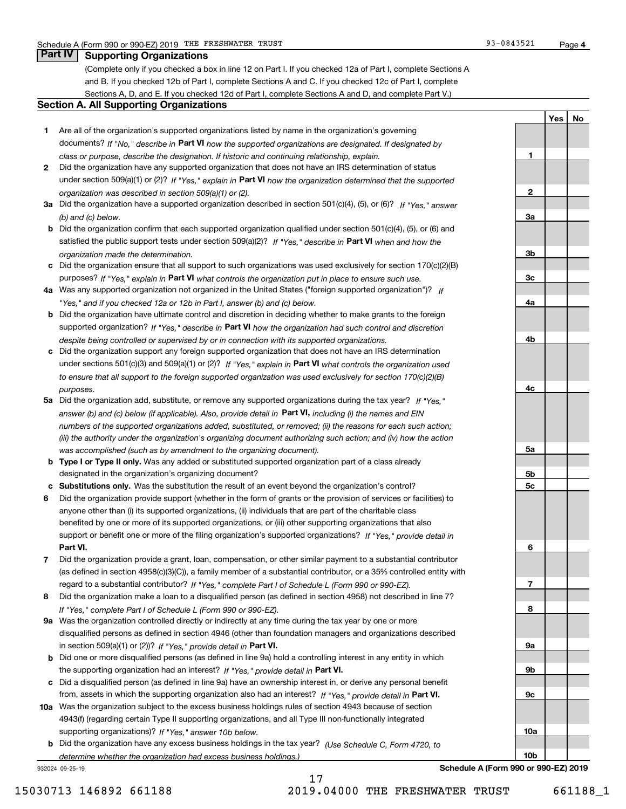(Complete only if you checked a box in line 12 on Part I. If you checked 12a of Part I, complete Sections A and B. If you checked 12b of Part I, complete Sections A and C. If you checked 12c of Part I, complete Sections A, D, and E. If you checked 12d of Part I, complete Sections A and D, and complete Part V.)

## **Section A. All Supporting Organizations**

- **1** Are all of the organization's supported organizations listed by name in the organization's governing documents? If "No," describe in **Part VI** how the supported organizations are designated. If designated by *class or purpose, describe the designation. If historic and continuing relationship, explain.*
- **2** Did the organization have any supported organization that does not have an IRS determination of status under section 509(a)(1) or (2)? If "Yes," explain in Part VI how the organization determined that the supported *organization was described in section 509(a)(1) or (2).*
- **3a** Did the organization have a supported organization described in section 501(c)(4), (5), or (6)? If "Yes," answer *(b) and (c) below.*
- **b** Did the organization confirm that each supported organization qualified under section 501(c)(4), (5), or (6) and satisfied the public support tests under section 509(a)(2)? If "Yes," describe in **Part VI** when and how the *organization made the determination.*
- **c**Did the organization ensure that all support to such organizations was used exclusively for section 170(c)(2)(B) purposes? If "Yes," explain in **Part VI** what controls the organization put in place to ensure such use.
- **4a** *If* Was any supported organization not organized in the United States ("foreign supported organization")? *"Yes," and if you checked 12a or 12b in Part I, answer (b) and (c) below.*
- **b** Did the organization have ultimate control and discretion in deciding whether to make grants to the foreign supported organization? If "Yes," describe in **Part VI** how the organization had such control and discretion *despite being controlled or supervised by or in connection with its supported organizations.*
- **c** Did the organization support any foreign supported organization that does not have an IRS determination under sections 501(c)(3) and 509(a)(1) or (2)? If "Yes," explain in **Part VI** what controls the organization used *to ensure that all support to the foreign supported organization was used exclusively for section 170(c)(2)(B) purposes.*
- **5a***If "Yes,"* Did the organization add, substitute, or remove any supported organizations during the tax year? answer (b) and (c) below (if applicable). Also, provide detail in **Part VI,** including (i) the names and EIN *numbers of the supported organizations added, substituted, or removed; (ii) the reasons for each such action; (iii) the authority under the organization's organizing document authorizing such action; and (iv) how the action was accomplished (such as by amendment to the organizing document).*
- **b** Type I or Type II only. Was any added or substituted supported organization part of a class already designated in the organization's organizing document?
- **cSubstitutions only.**  Was the substitution the result of an event beyond the organization's control?
- **6** Did the organization provide support (whether in the form of grants or the provision of services or facilities) to **Part VI.** *If "Yes," provide detail in* support or benefit one or more of the filing organization's supported organizations? anyone other than (i) its supported organizations, (ii) individuals that are part of the charitable class benefited by one or more of its supported organizations, or (iii) other supporting organizations that also
- **7**Did the organization provide a grant, loan, compensation, or other similar payment to a substantial contributor *If "Yes," complete Part I of Schedule L (Form 990 or 990-EZ).* regard to a substantial contributor? (as defined in section 4958(c)(3)(C)), a family member of a substantial contributor, or a 35% controlled entity with
- **8** Did the organization make a loan to a disqualified person (as defined in section 4958) not described in line 7? *If "Yes," complete Part I of Schedule L (Form 990 or 990-EZ).*
- **9a** Was the organization controlled directly or indirectly at any time during the tax year by one or more in section 509(a)(1) or (2))? If "Yes," *provide detail in* <code>Part VI.</code> disqualified persons as defined in section 4946 (other than foundation managers and organizations described
- **b**the supporting organization had an interest? If "Yes," provide detail in P**art VI**. Did one or more disqualified persons (as defined in line 9a) hold a controlling interest in any entity in which
- **c**Did a disqualified person (as defined in line 9a) have an ownership interest in, or derive any personal benefit from, assets in which the supporting organization also had an interest? If "Yes," provide detail in P**art VI.**
- **10a** Was the organization subject to the excess business holdings rules of section 4943 because of section supporting organizations)? If "Yes," answer 10b below. 4943(f) (regarding certain Type II supporting organizations, and all Type III non-functionally integrated
- **b** Did the organization have any excess business holdings in the tax year? (Use Schedule C, Form 4720, to *determine whether the organization had excess business holdings.)*

932024 09-25-19

| 1              |  |
|----------------|--|
|                |  |
|                |  |
| $\overline{2}$ |  |
| <u>3a</u>      |  |
|                |  |
|                |  |
| $\frac{3b}{2}$ |  |
|                |  |
| $\frac{3c}{2}$ |  |
| <u>4a</u>      |  |
|                |  |
|                |  |
| 4 <sub>b</sub> |  |
|                |  |
|                |  |
| $rac{4c}{2}$   |  |
|                |  |
|                |  |
|                |  |
|                |  |
| <u>5a</u>      |  |
| $\frac{5b}{2}$ |  |
| $\frac{5c}{2}$ |  |
|                |  |
|                |  |
|                |  |
| 6              |  |
|                |  |
|                |  |
| $\overline{1}$ |  |
| 8              |  |
|                |  |
|                |  |
| <u>9a</u>      |  |
|                |  |
| <u>9b</u>      |  |
| $\frac{9c}{2}$ |  |
|                |  |
|                |  |
| <u>10a</u>     |  |

**YesNo**

**Schedule A (Form 990 or 990-EZ) 2019**

**10b**

17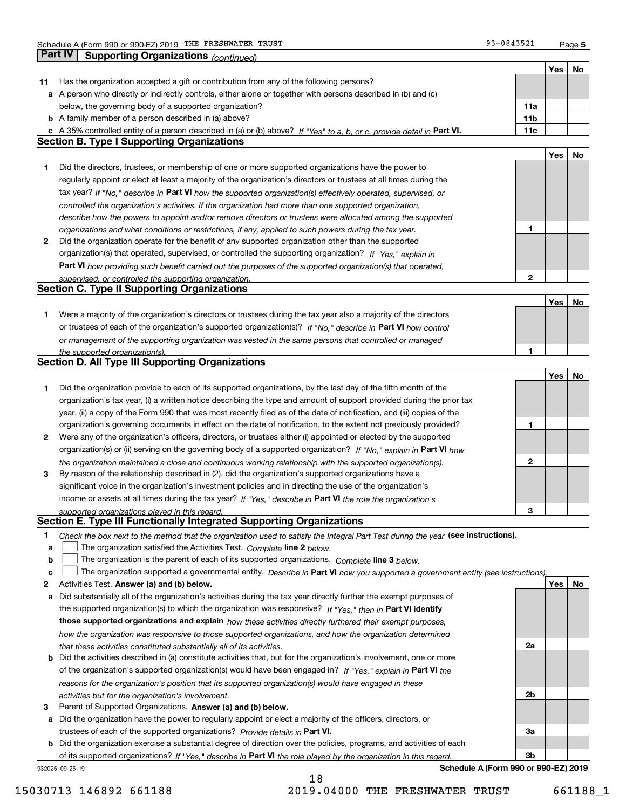**5**

|    | Part IV<br>Supporting Organizations (continued)                                                                                   |                 |     |    |
|----|-----------------------------------------------------------------------------------------------------------------------------------|-----------------|-----|----|
|    |                                                                                                                                   |                 | Yes | No |
| 11 | Has the organization accepted a gift or contribution from any of the following persons?                                           |                 |     |    |
|    | a A person who directly or indirectly controls, either alone or together with persons described in (b) and (c)                    |                 |     |    |
|    | below, the governing body of a supported organization?                                                                            | 11a             |     |    |
|    | <b>b</b> A family member of a person described in (a) above?                                                                      | 11 <sub>b</sub> |     |    |
|    | c A 35% controlled entity of a person described in (a) or (b) above? If "Yes" to a, b, or c, provide detail in Part VI.           | 11c             |     |    |
|    | <b>Section B. Type I Supporting Organizations</b>                                                                                 |                 |     |    |
|    |                                                                                                                                   |                 | Yes | No |
| 1  | Did the directors, trustees, or membership of one or more supported organizations have the power to                               |                 |     |    |
|    | regularly appoint or elect at least a majority of the organization's directors or trustees at all times during the                |                 |     |    |
|    | tax year? If "No," describe in Part VI how the supported organization(s) effectively operated, supervised, or                     |                 |     |    |
|    | controlled the organization's activities. If the organization had more than one supported organization,                           |                 |     |    |
|    | describe how the powers to appoint and/or remove directors or trustees were allocated among the supported                         |                 |     |    |
|    | organizations and what conditions or restrictions, if any, applied to such powers during the tax year.                            | 1               |     |    |
| 2  | Did the organization operate for the benefit of any supported organization other than the supported                               |                 |     |    |
|    | organization(s) that operated, supervised, or controlled the supporting organization? If "Yes," explain in                        |                 |     |    |
|    | Part VI how providing such benefit carried out the purposes of the supported organization(s) that operated,                       |                 |     |    |
|    | supervised, or controlled the supporting organization.                                                                            | $\mathbf{2}$    |     |    |
|    | <b>Section C. Type II Supporting Organizations</b>                                                                                |                 |     |    |
|    |                                                                                                                                   |                 | Yes | No |
| 1. | Were a majority of the organization's directors or trustees during the tax year also a majority of the directors                  |                 |     |    |
|    | or trustees of each of the organization's supported organization(s)? If "No." describe in Part VI how control                     |                 |     |    |
|    |                                                                                                                                   |                 |     |    |
|    | or management of the supporting organization was vested in the same persons that controlled or managed                            | 1               |     |    |
|    | the supported organization(s).<br><b>Section D. All Type III Supporting Organizations</b>                                         |                 |     |    |
|    |                                                                                                                                   |                 | Yes | No |
| 1  | Did the organization provide to each of its supported organizations, by the last day of the fifth month of the                    |                 |     |    |
|    |                                                                                                                                   |                 |     |    |
|    | organization's tax year, (i) a written notice describing the type and amount of support provided during the prior tax             |                 |     |    |
|    | year, (ii) a copy of the Form 990 that was most recently filed as of the date of notification, and (iii) copies of the            |                 |     |    |
|    | organization's governing documents in effect on the date of notification, to the extent not previously provided?                  | 1               |     |    |
| 2  | Were any of the organization's officers, directors, or trustees either (i) appointed or elected by the supported                  |                 |     |    |
|    | organization(s) or (ii) serving on the governing body of a supported organization? If "No," explain in Part VI how                |                 |     |    |
|    | the organization maintained a close and continuous working relationship with the supported organization(s).                       | $\mathbf{2}$    |     |    |
| 3  | By reason of the relationship described in (2), did the organization's supported organizations have a                             |                 |     |    |
|    | significant voice in the organization's investment policies and in directing the use of the organization's                        |                 |     |    |
|    | income or assets at all times during the tax year? If "Yes," describe in Part VI the role the organization's                      |                 |     |    |
|    | supported organizations played in this regard.                                                                                    | 3               |     |    |
|    | Section E. Type III Functionally Integrated Supporting Organizations                                                              |                 |     |    |
| 1  | Check the box next to the method that the organization used to satisfy the Integral Part Test during the year (see instructions). |                 |     |    |
| а  | The organization satisfied the Activities Test. Complete line 2 below.                                                            |                 |     |    |
| b  | The organization is the parent of each of its supported organizations. Complete line 3 below.                                     |                 |     |    |
| c  | The organization supported a governmental entity. Describe in Part VI how you supported a government entity (see instructions).   |                 |     |    |
| 2  | Activities Test. Answer (a) and (b) below.                                                                                        |                 | Yes | No |
| а  | Did substantially all of the organization's activities during the tax year directly further the exempt purposes of                |                 |     |    |
|    | the supported organization(s) to which the organization was responsive? If "Yes," then in Part VI identify                        |                 |     |    |
|    | those supported organizations and explain how these activities directly furthered their exempt purposes,                          |                 |     |    |
|    | how the organization was responsive to those supported organizations, and how the organization determined                         |                 |     |    |
|    | that these activities constituted substantially all of its activities.                                                            | 2a              |     |    |
|    | <b>b</b> Did the activities described in (a) constitute activities that, but for the organization's involvement, one or more      |                 |     |    |
|    | of the organization's supported organization(s) would have been engaged in? If "Yes," explain in Part VI the                      |                 |     |    |
|    | reasons for the organization's position that its supported organization(s) would have engaged in these                            |                 |     |    |
|    | activities but for the organization's involvement.                                                                                | 2b              |     |    |
| 3  | Parent of Supported Organizations. Answer (a) and (b) below.                                                                      |                 |     |    |
| а  | Did the organization have the power to regularly appoint or elect a majority of the officers, directors, or                       |                 |     |    |
|    | trustees of each of the supported organizations? Provide details in Part VI.                                                      | За              |     |    |
|    | <b>b</b> Did the organization exercise a substantial degree of direction over the policies, programs, and activities of each      |                 |     |    |
|    | of its supported organizations? If "Yes," describe in Part VI the role played by the organization in this regard.                 | 3b              |     |    |
|    | Schedule A (Form 990 or 990-EZ) 2019<br>932025 09-25-19                                                                           |                 |     |    |

15030713 146892 661188 2019.04000 THE FRESHWATER TRUST 661188\_1

18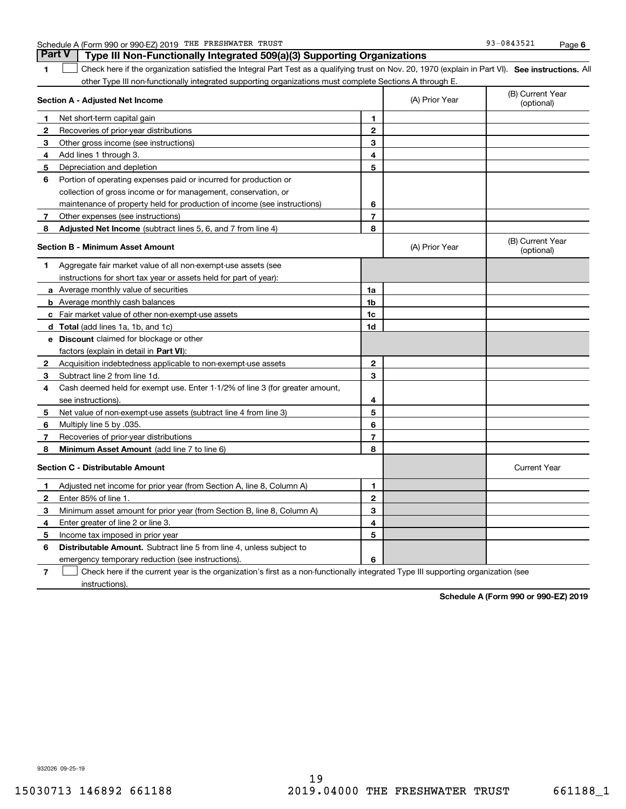|  | Schedule A (Form 990 or 990-EZ) 2019 | THE | FRESHWATER | TRUST | 93-0843521 | Paɑe |  |
|--|--------------------------------------|-----|------------|-------|------------|------|--|
|--|--------------------------------------|-----|------------|-------|------------|------|--|

**1**1 Check here if the organization satisfied the Integral Part Test as a qualifying trust on Nov. 20, 1970 (explain in Part VI). See instructions. All other Type III non-functionally integrated supporting organizations must complete Sections A through E. **Part V Type III Non-Functionally Integrated 509(a)(3) Supporting Organizations** 

| Section A - Adjusted Net Income |                                                                                                                                   | (A) Prior Year | (B) Current Year<br>(optional) |                                |
|---------------------------------|-----------------------------------------------------------------------------------------------------------------------------------|----------------|--------------------------------|--------------------------------|
| 1                               | Net short-term capital gain                                                                                                       | 1              |                                |                                |
| $\mathbf{2}$                    | Recoveries of prior-year distributions                                                                                            | $\overline{2}$ |                                |                                |
| 3                               | Other gross income (see instructions)                                                                                             | 3              |                                |                                |
| 4                               | Add lines 1 through 3.                                                                                                            | 4              |                                |                                |
| 5                               | Depreciation and depletion                                                                                                        | 5              |                                |                                |
| 6                               | Portion of operating expenses paid or incurred for production or                                                                  |                |                                |                                |
|                                 | collection of gross income or for management, conservation, or                                                                    |                |                                |                                |
|                                 | maintenance of property held for production of income (see instructions)                                                          | 6              |                                |                                |
| 7                               | Other expenses (see instructions)                                                                                                 | $\overline{7}$ |                                |                                |
| 8                               | Adjusted Net Income (subtract lines 5, 6, and 7 from line 4)                                                                      | 8              |                                |                                |
|                                 | <b>Section B - Minimum Asset Amount</b>                                                                                           |                | (A) Prior Year                 | (B) Current Year<br>(optional) |
| 1                               | Aggregate fair market value of all non-exempt-use assets (see                                                                     |                |                                |                                |
|                                 | instructions for short tax year or assets held for part of year):                                                                 |                |                                |                                |
|                                 | a Average monthly value of securities                                                                                             | 1a             |                                |                                |
|                                 | <b>b</b> Average monthly cash balances                                                                                            | 1 <sub>b</sub> |                                |                                |
|                                 | c Fair market value of other non-exempt-use assets                                                                                | 1c             |                                |                                |
|                                 | d Total (add lines 1a, 1b, and 1c)                                                                                                | 1d             |                                |                                |
|                                 | e Discount claimed for blockage or other                                                                                          |                |                                |                                |
|                                 | factors (explain in detail in Part VI):                                                                                           |                |                                |                                |
| 2                               | Acquisition indebtedness applicable to non-exempt-use assets                                                                      | $\mathbf{2}$   |                                |                                |
| 3                               | Subtract line 2 from line 1d.                                                                                                     | 3              |                                |                                |
| 4                               | Cash deemed held for exempt use. Enter 1-1/2% of line 3 (for greater amount,                                                      |                |                                |                                |
|                                 | see instructions)                                                                                                                 | 4              |                                |                                |
| 5                               | Net value of non-exempt-use assets (subtract line 4 from line 3)                                                                  | 5              |                                |                                |
| 6                               | Multiply line 5 by .035.                                                                                                          | 6              |                                |                                |
| 7                               | Recoveries of prior-year distributions                                                                                            | $\overline{7}$ |                                |                                |
| 8                               | Minimum Asset Amount (add line 7 to line 6)                                                                                       | 8              |                                |                                |
|                                 | <b>Section C - Distributable Amount</b>                                                                                           |                |                                | <b>Current Year</b>            |
| 1.                              | Adjusted net income for prior year (from Section A, line 8, Column A)                                                             | 1              |                                |                                |
| 2                               | Enter 85% of line 1.                                                                                                              | $\overline{2}$ |                                |                                |
| 3                               | Minimum asset amount for prior year (from Section B, line 8, Column A)                                                            | 3              |                                |                                |
| 4                               | Enter greater of line 2 or line 3.                                                                                                | 4              |                                |                                |
| 5                               | Income tax imposed in prior year                                                                                                  | 5              |                                |                                |
| 6                               | <b>Distributable Amount.</b> Subtract line 5 from line 4, unless subject to                                                       |                |                                |                                |
|                                 | emergency temporary reduction (see instructions).                                                                                 | 6              |                                |                                |
| 7                               | Check here if the current year is the organization's first as a non-functionally integrated Type III supporting organization (see |                |                                |                                |

instructions).

**Schedule A (Form 990 or 990-EZ) 2019**

932026 09-25-19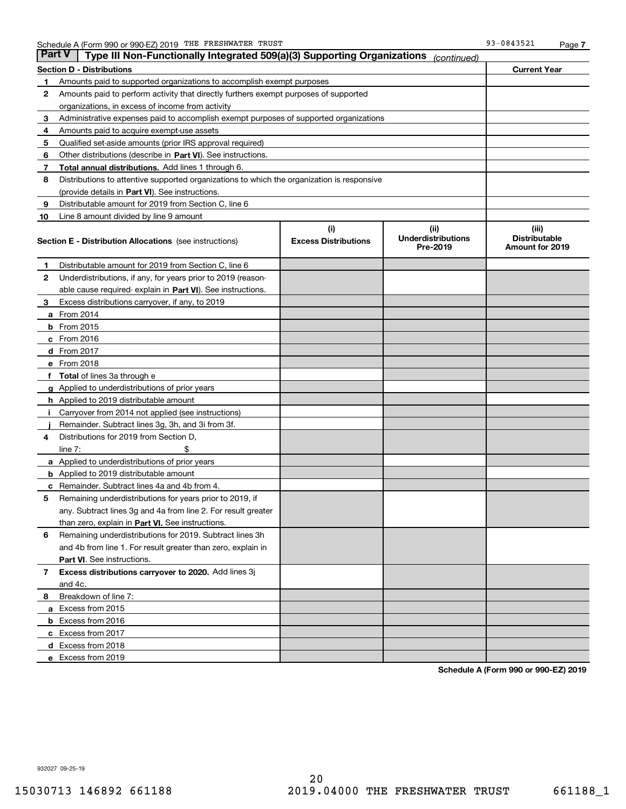| Part V | Type III Non-Functionally Integrated 509(a)(3) Supporting Organizations                    |                                    | (continued)                                   |                                                         |
|--------|--------------------------------------------------------------------------------------------|------------------------------------|-----------------------------------------------|---------------------------------------------------------|
|        | Section D - Distributions                                                                  |                                    |                                               | <b>Current Year</b>                                     |
| 1      | Amounts paid to supported organizations to accomplish exempt purposes                      |                                    |                                               |                                                         |
| 2      | Amounts paid to perform activity that directly furthers exempt purposes of supported       |                                    |                                               |                                                         |
|        | organizations, in excess of income from activity                                           |                                    |                                               |                                                         |
| З      | Administrative expenses paid to accomplish exempt purposes of supported organizations      |                                    |                                               |                                                         |
| 4      | Amounts paid to acquire exempt-use assets                                                  |                                    |                                               |                                                         |
| 5      | Qualified set-aside amounts (prior IRS approval required)                                  |                                    |                                               |                                                         |
| 6      | Other distributions (describe in Part VI). See instructions.                               |                                    |                                               |                                                         |
| 7      | Total annual distributions. Add lines 1 through 6.                                         |                                    |                                               |                                                         |
| 8      | Distributions to attentive supported organizations to which the organization is responsive |                                    |                                               |                                                         |
|        | (provide details in Part VI). See instructions.                                            |                                    |                                               |                                                         |
| 9      | Distributable amount for 2019 from Section C, line 6                                       |                                    |                                               |                                                         |
| 10     | Line 8 amount divided by line 9 amount                                                     |                                    |                                               |                                                         |
|        | <b>Section E - Distribution Allocations</b> (see instructions)                             | (i)<br><b>Excess Distributions</b> | (ii)<br><b>Underdistributions</b><br>Pre-2019 | (iii)<br><b>Distributable</b><br><b>Amount for 2019</b> |
| 1.     | Distributable amount for 2019 from Section C, line 6                                       |                                    |                                               |                                                         |
| 2      | Underdistributions, if any, for years prior to 2019 (reason-                               |                                    |                                               |                                                         |
|        | able cause required-explain in Part VI). See instructions.                                 |                                    |                                               |                                                         |
| з      | Excess distributions carryover, if any, to 2019                                            |                                    |                                               |                                                         |
|        | <b>a</b> From 2014                                                                         |                                    |                                               |                                                         |
|        | <b>b</b> From 2015                                                                         |                                    |                                               |                                                         |
|        | $c$ From 2016                                                                              |                                    |                                               |                                                         |
|        | d From 2017                                                                                |                                    |                                               |                                                         |
|        | e From 2018                                                                                |                                    |                                               |                                                         |
| f      | <b>Total</b> of lines 3a through e                                                         |                                    |                                               |                                                         |
|        | <b>g</b> Applied to underdistributions of prior years                                      |                                    |                                               |                                                         |
|        | <b>h</b> Applied to 2019 distributable amount                                              |                                    |                                               |                                                         |
|        | Carryover from 2014 not applied (see instructions)                                         |                                    |                                               |                                                         |
|        | Remainder. Subtract lines 3g, 3h, and 3i from 3f.                                          |                                    |                                               |                                                         |
| 4      | Distributions for 2019 from Section D,                                                     |                                    |                                               |                                                         |
|        | line $7:$                                                                                  |                                    |                                               |                                                         |
|        | <b>a</b> Applied to underdistributions of prior years                                      |                                    |                                               |                                                         |
|        | <b>b</b> Applied to 2019 distributable amount                                              |                                    |                                               |                                                         |
| c      | Remainder. Subtract lines 4a and 4b from 4.                                                |                                    |                                               |                                                         |
| 5      | Remaining underdistributions for years prior to 2019, if                                   |                                    |                                               |                                                         |
|        | any. Subtract lines 3g and 4a from line 2. For result greater                              |                                    |                                               |                                                         |
|        | than zero, explain in Part VI. See instructions.                                           |                                    |                                               |                                                         |
| 6      | Remaining underdistributions for 2019. Subtract lines 3h                                   |                                    |                                               |                                                         |
|        | and 4b from line 1. For result greater than zero, explain in                               |                                    |                                               |                                                         |
|        | Part VI. See instructions.                                                                 |                                    |                                               |                                                         |
| 7      | Excess distributions carryover to 2020. Add lines 3j                                       |                                    |                                               |                                                         |
|        | and 4c.                                                                                    |                                    |                                               |                                                         |
| 8      | Breakdown of line 7:                                                                       |                                    |                                               |                                                         |
|        | a Excess from 2015                                                                         |                                    |                                               |                                                         |
|        | <b>b</b> Excess from 2016                                                                  |                                    |                                               |                                                         |
|        | c Excess from 2017                                                                         |                                    |                                               |                                                         |
|        | d Excess from 2018                                                                         |                                    |                                               |                                                         |
|        | e Excess from 2019                                                                         |                                    |                                               |                                                         |

**Schedule A (Form 990 or 990-EZ) 2019**

932027 09-25-19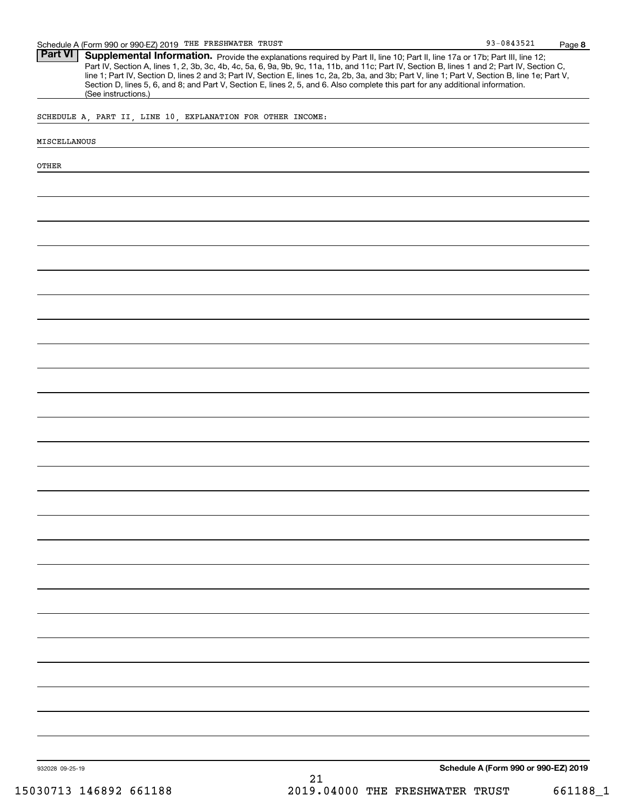**8** 93-0843521

Part VI | Supplemental Information. Provide the explanations required by Part II, line 10; Part II, line 17a or 17b; Part III, line 12; Part IV, Section A, lines 1, 2, 3b, 3c, 4b, 4c, 5a, 6, 9a, 9b, 9c, 11a, 11b, and 11c; Part IV, Section B, lines 1 and 2; Part IV, Section C, line 1; Part IV, Section D, lines 2 and 3; Part IV, Section E, lines 1c, 2a, 2b, 3a, and 3b; Part V, line 1; Part V, Section B, line 1e; Part V, Section D, lines 5, 6, and 8; and Part V, Section E, lines 2, 5, and 6. Also complete this part for any additional information. (See instructions.)

SCHEDULE A, PART II, LINE 10, EXPLANATION FOR OTHER INCOME:

#### MISCELLANOUS

OTHER

932028 09-25-19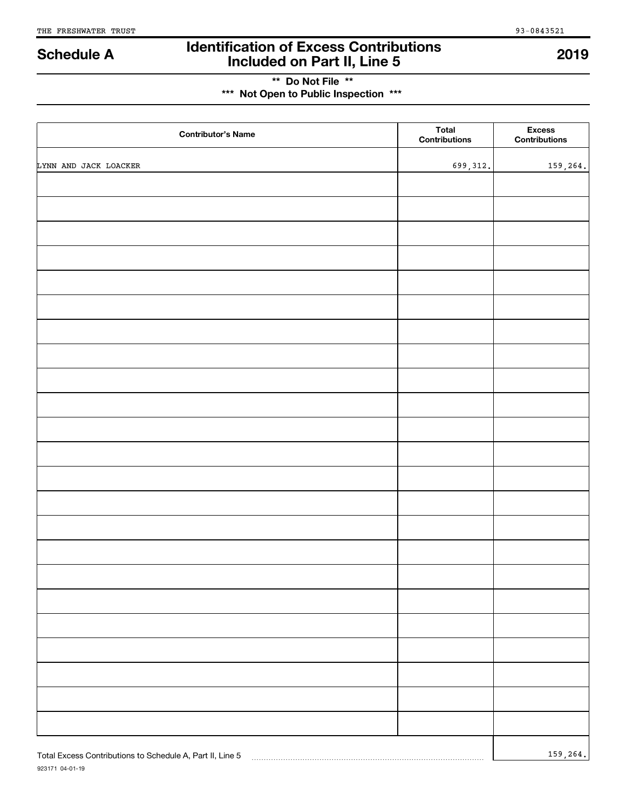## **Identification of Excess Contributions Included on Part II, Line 5 Schedule A 2019**

## **\*\* Do Not File \*\* \*\*\* Not Open to Public Inspection \*\*\***

| <b>Contributor's Name</b>                                 | <b>Total</b><br>Contributions | <b>Excess</b><br>Contributions |
|-----------------------------------------------------------|-------------------------------|--------------------------------|
| LYNN AND JACK LOACKER                                     | 699, 312.                     | 159,264.                       |
|                                                           |                               |                                |
|                                                           |                               |                                |
|                                                           |                               |                                |
|                                                           |                               |                                |
|                                                           |                               |                                |
|                                                           |                               |                                |
|                                                           |                               |                                |
|                                                           |                               |                                |
|                                                           |                               |                                |
|                                                           |                               |                                |
|                                                           |                               |                                |
|                                                           |                               |                                |
|                                                           |                               |                                |
|                                                           |                               |                                |
|                                                           |                               |                                |
|                                                           |                               |                                |
|                                                           |                               |                                |
|                                                           |                               |                                |
|                                                           |                               |                                |
|                                                           |                               |                                |
|                                                           |                               |                                |
|                                                           |                               |                                |
|                                                           |                               |                                |
| Total Excess Contributions to Schedule A, Part II, Line 5 |                               | 159, 264.                      |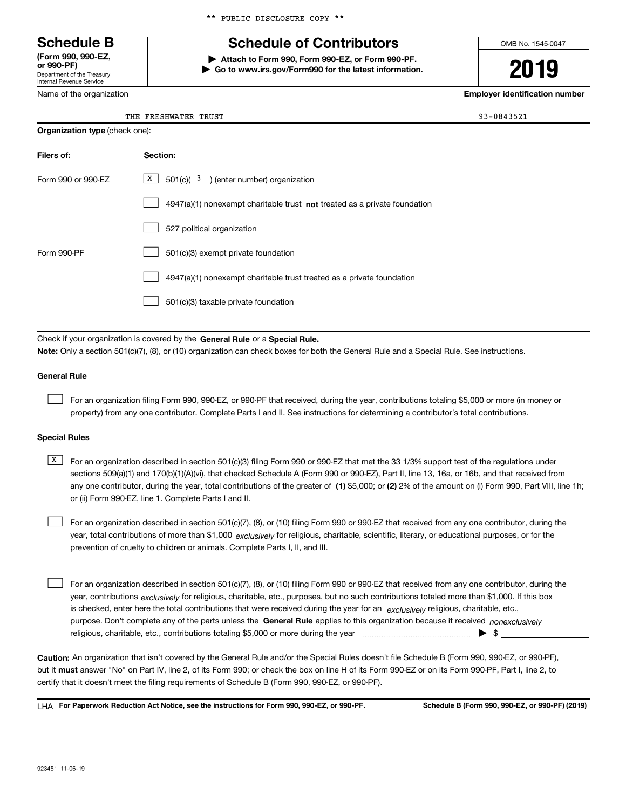Department of the Treasury Internal Revenue Service **(Form 990, 990-EZ, or 990-PF)**

Name of the organization

|  |  | ** PUBLIC DISCLOSURE COPY ** |  |  |
|--|--|------------------------------|--|--|
|--|--|------------------------------|--|--|

## **Schedule B Schedule of Contributors**

**| Attach to Form 990, Form 990-EZ, or Form 990-PF. | Go to www.irs.gov/Form990 for the latest information.** OMB No. 1545-0047

# **2019**

**Employer identification number**

The free state  $\begin{array}{|c|c|c|c|c|}\hline \end{array}$  93–0843521  $\begin{array}{|c|c|c|c|c|}\hline \end{array}$ 

| THE FRESHWATER TRUS' |  |
|----------------------|--|
|                      |  |

| <b>Organization type (check one):</b>                                              |  |  |  |  |  |
|------------------------------------------------------------------------------------|--|--|--|--|--|
| Section:                                                                           |  |  |  |  |  |
| $\boxed{\text{X}}$ 501(c)( <sup>3</sup> ) (enter number) organization              |  |  |  |  |  |
| $4947(a)(1)$ nonexempt charitable trust <b>not</b> treated as a private foundation |  |  |  |  |  |
| 527 political organization                                                         |  |  |  |  |  |
| 501(c)(3) exempt private foundation                                                |  |  |  |  |  |
| 4947(a)(1) nonexempt charitable trust treated as a private foundation              |  |  |  |  |  |
| 501(c)(3) taxable private foundation                                               |  |  |  |  |  |
|                                                                                    |  |  |  |  |  |

Check if your organization is covered by the **General Rule** or a **Special Rule. Note:**  Only a section 501(c)(7), (8), or (10) organization can check boxes for both the General Rule and a Special Rule. See instructions.

## **General Rule**

 $\mathcal{L}^{\text{max}}$ 

For an organization filing Form 990, 990-EZ, or 990-PF that received, during the year, contributions totaling \$5,000 or more (in money or property) from any one contributor. Complete Parts I and II. See instructions for determining a contributor's total contributions.

## **Special Rules**

any one contributor, during the year, total contributions of the greater of  $\,$  (1) \$5,000; or **(2)** 2% of the amount on (i) Form 990, Part VIII, line 1h;  $\overline{X}$  For an organization described in section 501(c)(3) filing Form 990 or 990-EZ that met the 33 1/3% support test of the regulations under sections 509(a)(1) and 170(b)(1)(A)(vi), that checked Schedule A (Form 990 or 990-EZ), Part II, line 13, 16a, or 16b, and that received from or (ii) Form 990-EZ, line 1. Complete Parts I and II.

year, total contributions of more than \$1,000 *exclusively* for religious, charitable, scientific, literary, or educational purposes, or for the For an organization described in section 501(c)(7), (8), or (10) filing Form 990 or 990-EZ that received from any one contributor, during the prevention of cruelty to children or animals. Complete Parts I, II, and III.  $\mathcal{L}^{\text{max}}$ 

purpose. Don't complete any of the parts unless the **General Rule** applies to this organization because it received *nonexclusively* year, contributions <sub>exclusively</sub> for religious, charitable, etc., purposes, but no such contributions totaled more than \$1,000. If this box is checked, enter here the total contributions that were received during the year for an  $\;$ exclusively religious, charitable, etc., For an organization described in section 501(c)(7), (8), or (10) filing Form 990 or 990-EZ that received from any one contributor, during the religious, charitable, etc., contributions totaling \$5,000 or more during the year  $\Box$ — $\Box$   $\Box$  $\mathcal{L}^{\text{max}}$ 

**Caution:**  An organization that isn't covered by the General Rule and/or the Special Rules doesn't file Schedule B (Form 990, 990-EZ, or 990-PF),  **must** but it answer "No" on Part IV, line 2, of its Form 990; or check the box on line H of its Form 990-EZ or on its Form 990-PF, Part I, line 2, to certify that it doesn't meet the filing requirements of Schedule B (Form 990, 990-EZ, or 990-PF).

**For Paperwork Reduction Act Notice, see the instructions for Form 990, 990-EZ, or 990-PF. Schedule B (Form 990, 990-EZ, or 990-PF) (2019)** LHA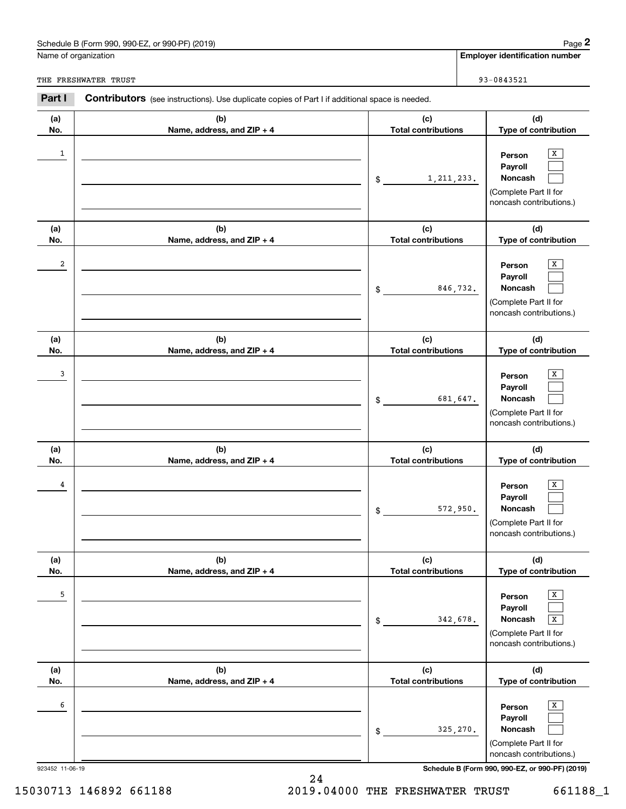## Schedule B (Form 990, 990-EZ, or 990-PF) (2019) Page 2

|                 | Schedule B (Form 990, 990-EZ, or 990-PF) (2019)                                                       |                                   | Page 2                                                                                     |
|-----------------|-------------------------------------------------------------------------------------------------------|-----------------------------------|--------------------------------------------------------------------------------------------|
|                 | Name of organization                                                                                  |                                   | <b>Employer identification number</b>                                                      |
|                 | THE FRESHWATER TRUST                                                                                  |                                   | 93-0843521                                                                                 |
| Part I          | <b>Contributors</b> (see instructions). Use duplicate copies of Part I if additional space is needed. |                                   |                                                                                            |
| (a)<br>No.      | (b)<br>Name, address, and ZIP + 4                                                                     | (c)<br><b>Total contributions</b> | (d)<br>Type of contribution                                                                |
| 1               |                                                                                                       | 1, 211, 233.<br>\$                | х<br>Person<br>Payroll<br>Noncash<br>(Complete Part II for<br>noncash contributions.)      |
| (a)<br>No.      | (b)<br>Name, address, and ZIP + 4                                                                     | (c)<br><b>Total contributions</b> | (d)<br>Type of contribution                                                                |
| 2               |                                                                                                       | 846,732.<br>\$                    | х<br>Person<br>Payroll<br>Noncash<br>(Complete Part II for<br>noncash contributions.)      |
| (a)<br>No.      | (b)<br>Name, address, and ZIP + 4                                                                     | (c)<br><b>Total contributions</b> | (d)<br>Type of contribution                                                                |
| 3               |                                                                                                       | 681,647.<br>\$                    | х<br>Person<br>Payroll<br>Noncash<br>(Complete Part II for<br>noncash contributions.)      |
| (a)<br>No.      | (b)<br>Name, address, and ZIP + 4                                                                     | (c)<br><b>Total contributions</b> | (d)<br>Type of contribution                                                                |
| 4               |                                                                                                       | 572,950.<br>\$                    | х<br>Person<br>Payroll<br>Noncash<br>(Complete Part II for<br>noncash contributions.)      |
| (a)<br>No.      | (b)<br>Name, address, and ZIP + 4                                                                     | (c)<br><b>Total contributions</b> | (d)<br>Type of contribution                                                                |
| 5               |                                                                                                       | 342,678.<br>\$                    | Х<br>Person<br>Payroll<br>Noncash<br>X<br>(Complete Part II for<br>noncash contributions.) |
| (a)<br>No.      | (b)<br>Name, address, and ZIP + 4                                                                     | (c)<br><b>Total contributions</b> | (d)<br>Type of contribution                                                                |
| 6               |                                                                                                       | 325,270.<br>\$                    | х<br>Person<br>Payroll<br>Noncash<br>(Complete Part II for<br>noncash contributions.)      |
| 923452 11-06-19 |                                                                                                       |                                   | Schedule B (Form 990, 990-EZ, or 990-PF) (2019)                                            |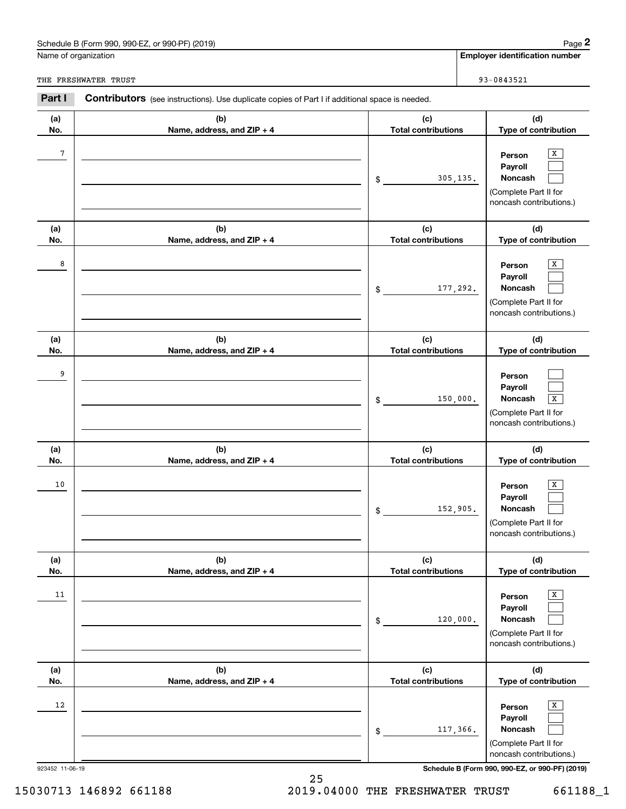## Schedule B (Form 990, 990-EZ, or 990-PF) (2019) Page 2

|                 | Schedule B (Form 990, 990-EZ, or 990-PF) (2019)                                                       | Page 2                                                                                                                        |
|-----------------|-------------------------------------------------------------------------------------------------------|-------------------------------------------------------------------------------------------------------------------------------|
|                 | Name of organization                                                                                  | <b>Employer identification number</b>                                                                                         |
|                 | THE FRESHWATER TRUST                                                                                  | 93-0843521                                                                                                                    |
| Part I          | <b>Contributors</b> (see instructions). Use duplicate copies of Part I if additional space is needed. |                                                                                                                               |
| (a)<br>No.      | (b)<br>Name, address, and ZIP + 4                                                                     | (c)<br>(d)<br><b>Total contributions</b><br>Type of contribution                                                              |
| 7               |                                                                                                       | х<br>Person<br>Payroll<br>Noncash<br>305,135.<br>\$<br>(Complete Part II for<br>noncash contributions.)                       |
| (a)<br>No.      | (b)<br>Name, address, and ZIP + 4                                                                     | (c)<br>(d)<br><b>Total contributions</b><br>Type of contribution                                                              |
| 8               |                                                                                                       | х<br>Person<br>Payroll<br>Noncash<br>177,292.<br>\$<br>(Complete Part II for<br>noncash contributions.)                       |
| (a)<br>No.      | (b)<br>Name, address, and ZIP + 4                                                                     | (c)<br>(d)<br><b>Total contributions</b><br>Type of contribution                                                              |
| 9               |                                                                                                       | Person<br>Payroll<br>Noncash<br>$\overline{\textbf{X}}$<br>150,000.<br>\$<br>(Complete Part II for<br>noncash contributions.) |
| (a)<br>No.      | (b)<br>Name, address, and ZIP + 4                                                                     | (c)<br>(d)<br><b>Total contributions</b><br>Type of contribution                                                              |
| 10              |                                                                                                       | х<br>Person<br>Payroll<br>152,905.<br>Noncash<br>\$<br>(Complete Part II for<br>noncash contributions.)                       |
| (a)<br>No.      | (b)<br>Name, address, and ZIP + 4                                                                     | (c)<br>(d)<br><b>Total contributions</b><br>Type of contribution                                                              |
| 11              |                                                                                                       | Х<br>Person<br>Payroll<br>Noncash<br>120,000.<br>\$<br>(Complete Part II for<br>noncash contributions.)                       |
| (a)<br>No.      | (b)<br>Name, address, and ZIP + 4                                                                     | (c)<br>(d)<br><b>Total contributions</b><br>Type of contribution                                                              |
| 12              |                                                                                                       | Х<br>Person<br>Payroll<br>Noncash<br>117,366.<br>\$<br>(Complete Part II for<br>noncash contributions.)                       |
| 923452 11-06-19 |                                                                                                       | Schedule B (Form 990, 990-EZ, or 990-PF) (2019)                                                                               |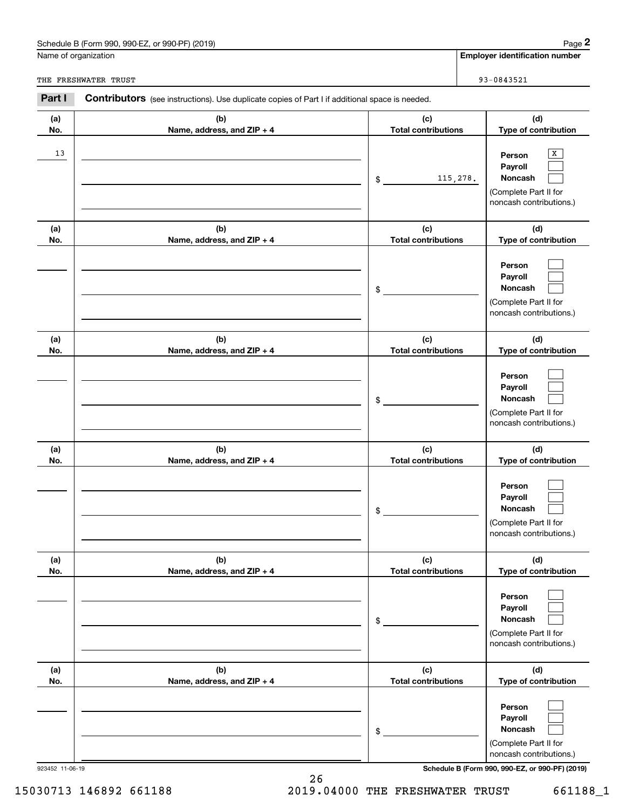## Schedule B (Form 990, 990-EZ, or 990-PF) (2019) Page 2

|                      | Schedule B (Form 990, 990-EZ, or 990-PF) (2019)                                                       |                                   | Page 2                                                                                                                              |
|----------------------|-------------------------------------------------------------------------------------------------------|-----------------------------------|-------------------------------------------------------------------------------------------------------------------------------------|
| Name of organization |                                                                                                       |                                   | <b>Employer identification number</b>                                                                                               |
|                      | THE FRESHWATER TRUST                                                                                  |                                   | 93-0843521                                                                                                                          |
| Part I               | <b>Contributors</b> (see instructions). Use duplicate copies of Part I if additional space is needed. |                                   |                                                                                                                                     |
| (a)<br>No.           | (b)<br>Name, address, and ZIP + 4                                                                     | (c)<br><b>Total contributions</b> | (d)<br>Type of contribution                                                                                                         |
| 13                   |                                                                                                       | 115,278.<br>\$                    | х<br>Person<br>Payroll<br>Noncash<br>(Complete Part II for<br>noncash contributions.)                                               |
| (a)<br>No.           | (b)<br>Name, address, and ZIP + 4                                                                     | (c)<br><b>Total contributions</b> | (d)<br>Type of contribution                                                                                                         |
|                      |                                                                                                       | \$                                | Person<br>Payroll<br>Noncash<br>(Complete Part II for<br>noncash contributions.)                                                    |
| (a)<br>No.           | (b)<br>Name, address, and ZIP + 4                                                                     | (c)<br><b>Total contributions</b> | (d)<br>Type of contribution                                                                                                         |
|                      |                                                                                                       | \$                                | Person<br>Payroll<br>Noncash<br>(Complete Part II for<br>noncash contributions.)                                                    |
| (a)<br>No.           | (b)<br>Name, address, and ZIP + 4                                                                     | (c)<br><b>Total contributions</b> | (d)<br>Type of contribution                                                                                                         |
|                      |                                                                                                       | \$                                | Person<br>Payroll<br>Noncash<br>(Complete Part II for<br>noncash contributions.)                                                    |
| (a)<br>No.           | (b)<br>Name, address, and ZIP + 4                                                                     | (c)<br><b>Total contributions</b> | (d)<br>Type of contribution                                                                                                         |
|                      |                                                                                                       | \$                                | Person<br>Payroll<br>Noncash<br>(Complete Part II for<br>noncash contributions.)                                                    |
| (a)<br>No.           | (b)<br>Name, address, and ZIP + 4                                                                     | (c)<br><b>Total contributions</b> | (d)<br>Type of contribution                                                                                                         |
|                      | 923452 11-06-19                                                                                       | \$                                | Person<br>Payroll<br>Noncash<br>(Complete Part II for<br>noncash contributions.)<br>Schedule B (Form 990, 990-EZ, or 990-PF) (2019) |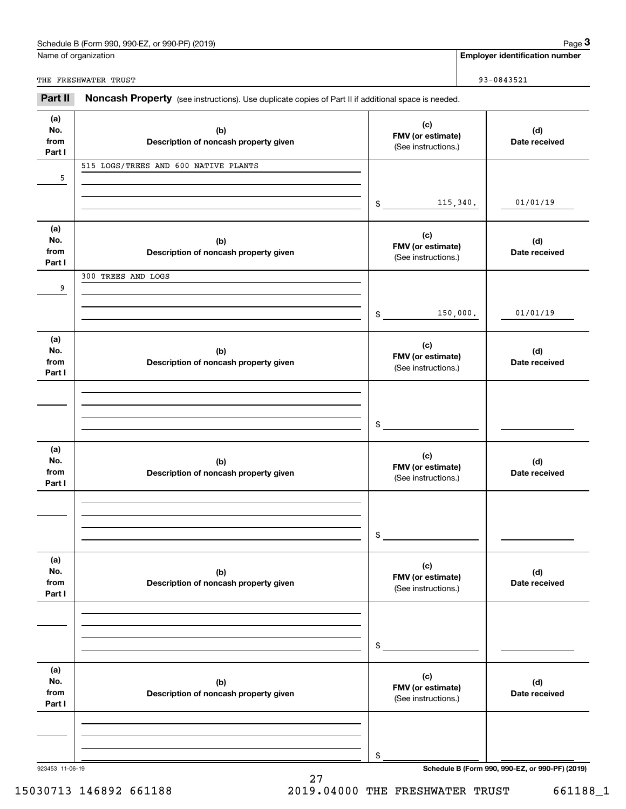## Schedule B (Form 990, 990-EZ, or 990-PF) (2019) **Page 3** Page 3

Name of organization

**Employer identification number**

THE FRESHWATER TRUST SERVICES AND THE RESERVE THE SERVICES AND THE RESERVE THE SAME SERVICES AND THE SERVICES OF SAME SERVICES AND THE SERVICES OF SAME SERVICES AND THE SERVICES OF SAME SERVER SERVER SERVER SERVER SERVER S

923453 11-06-19 **Schedule B (Form 990, 990-EZ, or 990-PF) (2019) (a)No.fromPart I (c)FMV (or estimate) (b) Description of noncash property given (d) Date received (a)No.fromPart I (c) FMV (or estimate) (b) Description of noncash property given (d) Date received (a)No.fromPart I (c) FMV (or estimate) (b) Description of noncash property given (d) Date received (a) No.fromPart I (c) FMV (or estimate) (b)Description of noncash property given (d)Date received (a) No.fromPart I (c) FMV (or estimate) (b) Description of noncash property given (d) Date received (a) No.fromPart I (c)FMV (or estimate) (b)Description of noncash property given (d)Date received** Noncash Property (see instructions). Use duplicate copies of Part II if additional space is needed. (See instructions.) \$(See instructions.) \$(See instructions.) \$(See instructions.) \$(See instructions.) \$(See instructions.) \$**2Page 3 Employer identification number**<br>
Iame of organization<br> **3Part II Noncash Property** (see instructions). Use duplicate copies of Part II if additional space is needed. 501/01/19901/01/19115,340. 515 LOGS/TREES AND 600 NATIVE PLANTS 150,000. 300 TREES AND LOGS

## 15030713 146892 661188 2019.04000 THE FRESHWATER TRUST 661188\_1

27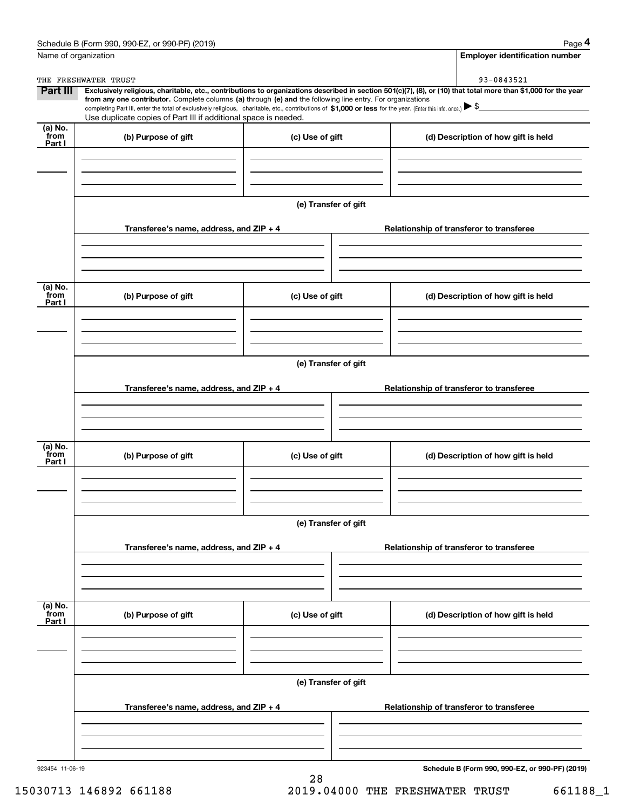|                           | Schedule B (Form 990, 990-EZ, or 990-PF) (2019)<br>Name of organization                                                                                      |                      | Page 4<br><b>Employer identification number</b>                                                                                                                              |  |  |  |  |  |
|---------------------------|--------------------------------------------------------------------------------------------------------------------------------------------------------------|----------------------|------------------------------------------------------------------------------------------------------------------------------------------------------------------------------|--|--|--|--|--|
|                           |                                                                                                                                                              |                      |                                                                                                                                                                              |  |  |  |  |  |
| Part III                  | THE FRESHWATER TRUST                                                                                                                                         |                      | 93-0843521<br>Exclusively religious, charitable, etc., contributions to organizations described in section 501(c)(7), (8), or (10) that total more than \$1,000 for the year |  |  |  |  |  |
|                           | from any one contributor. Complete columns (a) through (e) and the following line entry. For organizations                                                   |                      |                                                                                                                                                                              |  |  |  |  |  |
|                           | completing Part III, enter the total of exclusively religious, charitable, etc., contributions of \$1,000 or less for the year. (Enter this info. once.) \\$ |                      |                                                                                                                                                                              |  |  |  |  |  |
| (a) No.                   | Use duplicate copies of Part III if additional space is needed.                                                                                              |                      |                                                                                                                                                                              |  |  |  |  |  |
| from                      | (b) Purpose of gift                                                                                                                                          | (c) Use of gift      | (d) Description of how gift is held                                                                                                                                          |  |  |  |  |  |
| Part I                    |                                                                                                                                                              |                      |                                                                                                                                                                              |  |  |  |  |  |
|                           |                                                                                                                                                              |                      |                                                                                                                                                                              |  |  |  |  |  |
|                           |                                                                                                                                                              |                      |                                                                                                                                                                              |  |  |  |  |  |
|                           |                                                                                                                                                              |                      |                                                                                                                                                                              |  |  |  |  |  |
|                           |                                                                                                                                                              | (e) Transfer of gift |                                                                                                                                                                              |  |  |  |  |  |
|                           |                                                                                                                                                              |                      |                                                                                                                                                                              |  |  |  |  |  |
|                           | Transferee's name, address, and ZIP + 4                                                                                                                      |                      | Relationship of transferor to transferee                                                                                                                                     |  |  |  |  |  |
|                           |                                                                                                                                                              |                      |                                                                                                                                                                              |  |  |  |  |  |
|                           |                                                                                                                                                              |                      |                                                                                                                                                                              |  |  |  |  |  |
|                           |                                                                                                                                                              |                      |                                                                                                                                                                              |  |  |  |  |  |
| (a) No.                   |                                                                                                                                                              |                      |                                                                                                                                                                              |  |  |  |  |  |
| from                      | (b) Purpose of gift                                                                                                                                          | (c) Use of gift      | (d) Description of how gift is held                                                                                                                                          |  |  |  |  |  |
| Part I                    |                                                                                                                                                              |                      |                                                                                                                                                                              |  |  |  |  |  |
|                           |                                                                                                                                                              |                      |                                                                                                                                                                              |  |  |  |  |  |
|                           |                                                                                                                                                              |                      |                                                                                                                                                                              |  |  |  |  |  |
|                           |                                                                                                                                                              |                      |                                                                                                                                                                              |  |  |  |  |  |
|                           | (e) Transfer of gift                                                                                                                                         |                      |                                                                                                                                                                              |  |  |  |  |  |
|                           |                                                                                                                                                              |                      |                                                                                                                                                                              |  |  |  |  |  |
|                           |                                                                                                                                                              |                      |                                                                                                                                                                              |  |  |  |  |  |
|                           | Transferee's name, address, and ZIP + 4                                                                                                                      |                      | Relationship of transferor to transferee                                                                                                                                     |  |  |  |  |  |
|                           |                                                                                                                                                              |                      |                                                                                                                                                                              |  |  |  |  |  |
|                           |                                                                                                                                                              |                      |                                                                                                                                                                              |  |  |  |  |  |
|                           |                                                                                                                                                              |                      |                                                                                                                                                                              |  |  |  |  |  |
|                           |                                                                                                                                                              |                      |                                                                                                                                                                              |  |  |  |  |  |
| (a) No.<br>from           | (b) Purpose of gift                                                                                                                                          | (c) Use of gift      | (d) Description of how gift is held                                                                                                                                          |  |  |  |  |  |
| Part I                    |                                                                                                                                                              |                      |                                                                                                                                                                              |  |  |  |  |  |
|                           |                                                                                                                                                              |                      |                                                                                                                                                                              |  |  |  |  |  |
|                           |                                                                                                                                                              |                      |                                                                                                                                                                              |  |  |  |  |  |
|                           |                                                                                                                                                              |                      |                                                                                                                                                                              |  |  |  |  |  |
|                           |                                                                                                                                                              | (e) Transfer of gift |                                                                                                                                                                              |  |  |  |  |  |
|                           |                                                                                                                                                              |                      |                                                                                                                                                                              |  |  |  |  |  |
|                           | Transferee's name, address, and ZIP + 4                                                                                                                      |                      | Relationship of transferor to transferee                                                                                                                                     |  |  |  |  |  |
|                           |                                                                                                                                                              |                      |                                                                                                                                                                              |  |  |  |  |  |
|                           |                                                                                                                                                              |                      |                                                                                                                                                                              |  |  |  |  |  |
|                           |                                                                                                                                                              |                      |                                                                                                                                                                              |  |  |  |  |  |
|                           |                                                                                                                                                              |                      |                                                                                                                                                                              |  |  |  |  |  |
|                           | (b) Purpose of gift                                                                                                                                          | (c) Use of gift      | (d) Description of how gift is held                                                                                                                                          |  |  |  |  |  |
| (a) No.<br>from<br>Part I |                                                                                                                                                              |                      |                                                                                                                                                                              |  |  |  |  |  |
|                           |                                                                                                                                                              |                      |                                                                                                                                                                              |  |  |  |  |  |
|                           |                                                                                                                                                              |                      |                                                                                                                                                                              |  |  |  |  |  |
|                           |                                                                                                                                                              |                      |                                                                                                                                                                              |  |  |  |  |  |
|                           |                                                                                                                                                              | (e) Transfer of gift |                                                                                                                                                                              |  |  |  |  |  |
|                           |                                                                                                                                                              |                      |                                                                                                                                                                              |  |  |  |  |  |
|                           | Transferee's name, address, and $ZIP + 4$                                                                                                                    |                      | Relationship of transferor to transferee                                                                                                                                     |  |  |  |  |  |
|                           |                                                                                                                                                              |                      |                                                                                                                                                                              |  |  |  |  |  |
|                           |                                                                                                                                                              |                      |                                                                                                                                                                              |  |  |  |  |  |

28

15030713 146892 661188 2019.04000 THE FRESHWATER TRUST 661188\_1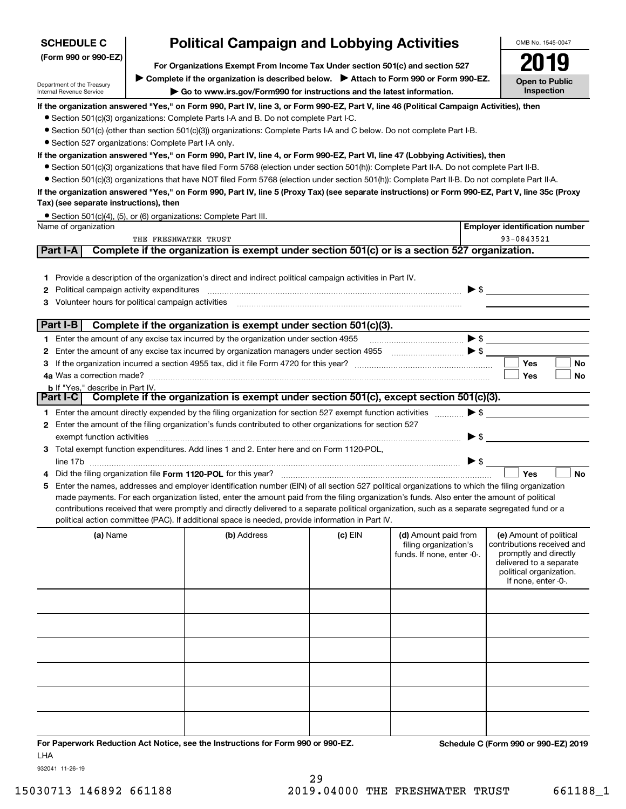| <b>SCHEDULE C</b>    | <b>Political Campaign and Lobbying Activities</b> |
|----------------------|---------------------------------------------------|
| (Form 990 or 990-EZ) |                                                   |

**For Organizations Exempt From Income Tax Under section 501(c) and section 527** ▶ Complete if the organization is described below. ▶ Attach to Form 990 or Form 990-EZ.

Department of the Treasury Internal Revenue Service

**| Go to www.irs.gov/Form990 for instructions and the latest information.**

**Open to Public Inspection2019**

OMB No. 1545-0047

**If the organization answered "Yes," on Form 990, Part IV, line 3, or Form 990-EZ, Part V, line 46 (Political Campaign Activities), then**

- Section 501(c)(3) organizations: Complete Parts I-A and B. Do not complete Part I-C.
- ¥ Section 501(c) (other than section 501(c)(3)) organizations: Complete Parts I-A and C below. Do not complete Part I-B.
- Section 527 organizations: Complete Part I-A only.

## **If the organization answered "Yes," on Form 990, Part IV, line 4, or Form 990-EZ, Part VI, line 47 (Lobbying Activities), then**

- ¥ Section 501(c)(3) organizations that have filed Form 5768 (election under section 501(h)): Complete Part II-A. Do not complete Part II-B.
- Section 501(c)(3) organizations that have NOT filed Form 5768 (election under section 501(h)): Complete Part II-B. Do not complete Part II-A.

## **If the organization answered "Yes," on Form 990, Part IV, line 5 (Proxy Tax) (see separate instructions) or Form 990-EZ, Part V, line 35c (Proxy Tax) (see separate instructions), then**

|  |  |  | • Section 501(c)(4), (5), or (6) organizations: Complete Part III. |
|--|--|--|--------------------------------------------------------------------|
|--|--|--|--------------------------------------------------------------------|

|    | Name of organization                                                                                                                                                                                                                                                                                                                                                                                                                                                                                                                                 |                                                                                               |           |                                                                             |                          | <b>Employer identification number</b>                                                                                                                         |           |
|----|------------------------------------------------------------------------------------------------------------------------------------------------------------------------------------------------------------------------------------------------------------------------------------------------------------------------------------------------------------------------------------------------------------------------------------------------------------------------------------------------------------------------------------------------------|-----------------------------------------------------------------------------------------------|-----------|-----------------------------------------------------------------------------|--------------------------|---------------------------------------------------------------------------------------------------------------------------------------------------------------|-----------|
|    | THE FRESHWATER TRUST                                                                                                                                                                                                                                                                                                                                                                                                                                                                                                                                 |                                                                                               |           |                                                                             |                          | 93-0843521                                                                                                                                                    |           |
|    | <b>Part I-A</b>                                                                                                                                                                                                                                                                                                                                                                                                                                                                                                                                      | Complete if the organization is exempt under section 501(c) or is a section 527 organization. |           |                                                                             |                          |                                                                                                                                                               |           |
|    | 1 Provide a description of the organization's direct and indirect political campaign activities in Part IV.<br>Political campaign activity expenditures<br>Volunteer hours for political campaign activities                                                                                                                                                                                                                                                                                                                                         |                                                                                               |           |                                                                             |                          | $\blacktriangleright$ \$                                                                                                                                      |           |
|    | $ $ Part I-B $ $                                                                                                                                                                                                                                                                                                                                                                                                                                                                                                                                     | Complete if the organization is exempt under section 501(c)(3).                               |           |                                                                             |                          |                                                                                                                                                               |           |
|    | 1 Enter the amount of any excise tax incurred by the organization under section 4955                                                                                                                                                                                                                                                                                                                                                                                                                                                                 |                                                                                               |           |                                                                             |                          |                                                                                                                                                               |           |
| 2  |                                                                                                                                                                                                                                                                                                                                                                                                                                                                                                                                                      |                                                                                               |           |                                                                             |                          |                                                                                                                                                               |           |
|    |                                                                                                                                                                                                                                                                                                                                                                                                                                                                                                                                                      |                                                                                               |           |                                                                             |                          | Yes                                                                                                                                                           | No        |
|    |                                                                                                                                                                                                                                                                                                                                                                                                                                                                                                                                                      |                                                                                               |           |                                                                             |                          | Yes                                                                                                                                                           | <b>No</b> |
|    | <b>b</b> If "Yes," describe in Part IV.                                                                                                                                                                                                                                                                                                                                                                                                                                                                                                              |                                                                                               |           |                                                                             |                          |                                                                                                                                                               |           |
|    | Part I-C                                                                                                                                                                                                                                                                                                                                                                                                                                                                                                                                             | Complete if the organization is exempt under section 501(c), except section 501(c)(3).        |           |                                                                             |                          |                                                                                                                                                               |           |
|    | 1 Enter the amount directly expended by the filing organization for section 527 exempt function activities                                                                                                                                                                                                                                                                                                                                                                                                                                           |                                                                                               |           |                                                                             |                          | $\triangleright$ \$                                                                                                                                           |           |
|    | Enter the amount of the filing organization's funds contributed to other organizations for section 527                                                                                                                                                                                                                                                                                                                                                                                                                                               |                                                                                               |           |                                                                             |                          |                                                                                                                                                               |           |
|    | exempt function activities                                                                                                                                                                                                                                                                                                                                                                                                                                                                                                                           |                                                                                               |           |                                                                             | $\blacktriangleright$ \$ |                                                                                                                                                               |           |
| 3  | Total exempt function expenditures. Add lines 1 and 2. Enter here and on Form 1120-POL,                                                                                                                                                                                                                                                                                                                                                                                                                                                              |                                                                                               |           |                                                                             |                          |                                                                                                                                                               |           |
|    |                                                                                                                                                                                                                                                                                                                                                                                                                                                                                                                                                      |                                                                                               |           |                                                                             | $\triangleright$ \$      |                                                                                                                                                               |           |
|    |                                                                                                                                                                                                                                                                                                                                                                                                                                                                                                                                                      |                                                                                               |           |                                                                             |                          | Yes                                                                                                                                                           | <b>No</b> |
| 5. | Enter the names, addresses and employer identification number (EIN) of all section 527 political organizations to which the filing organization<br>made payments. For each organization listed, enter the amount paid from the filing organization's funds. Also enter the amount of political<br>contributions received that were promptly and directly delivered to a separate political organization, such as a separate segregated fund or a<br>political action committee (PAC). If additional space is needed, provide information in Part IV. |                                                                                               |           |                                                                             |                          |                                                                                                                                                               |           |
|    | (a) Name                                                                                                                                                                                                                                                                                                                                                                                                                                                                                                                                             | (b) Address                                                                                   | $(c)$ EIN | (d) Amount paid from<br>filing organization's<br>funds. If none, enter -0-. |                          | (e) Amount of political<br>contributions received and<br>promptly and directly<br>delivered to a separate<br>political organization.<br>If none, enter $-0$ . |           |

932041 11-26-19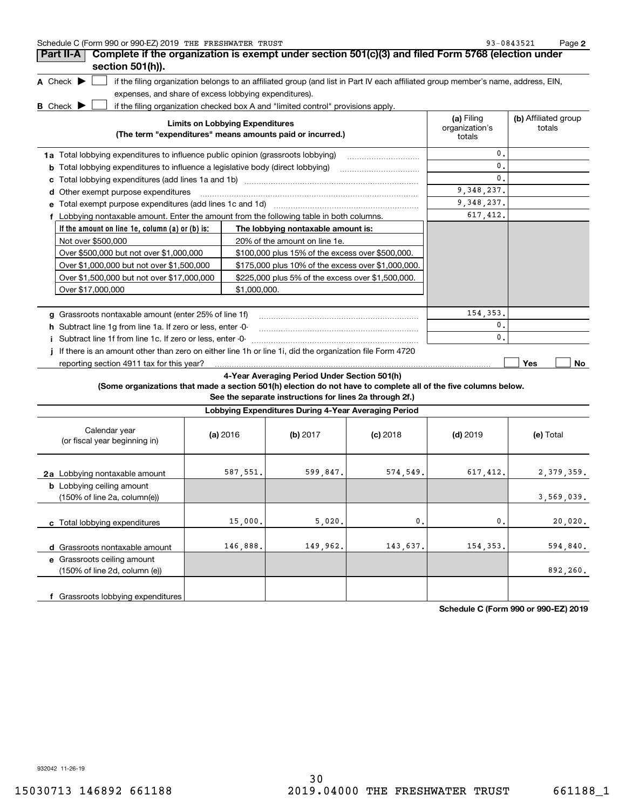| Schedule C (Form 990 or 990-EZ) 2019 THE FRESHWATER TRUST | $-0843521$<br>ດຈ | Page |
|-----------------------------------------------------------|------------------|------|
|-----------------------------------------------------------|------------------|------|

| Part II-A                                                                                | Complete if the organization is exempt under section 501(c)(3) and filed Form 5768 (election under                                |                                        |                                |
|------------------------------------------------------------------------------------------|-----------------------------------------------------------------------------------------------------------------------------------|----------------------------------------|--------------------------------|
| section 501(h)).                                                                         |                                                                                                                                   |                                        |                                |
| A Check $\blacktriangleright$                                                            | if the filing organization belongs to an affiliated group (and list in Part IV each affiliated group member's name, address, EIN, |                                        |                                |
| expenses, and share of excess lobbying expenditures).                                    |                                                                                                                                   |                                        |                                |
| <b>B</b> Check                                                                           | if the filing organization checked box A and "limited control" provisions apply.                                                  |                                        |                                |
|                                                                                          | <b>Limits on Lobbying Expenditures</b><br>(The term "expenditures" means amounts paid or incurred.)                               | (a) Filing<br>organization's<br>totals | (b) Affiliated group<br>totals |
| 1a Total lobbying expenditures to influence public opinion (grassroots lobbying)         |                                                                                                                                   | 0.                                     |                                |
| Total lobbying expenditures to influence a legislative body (direct lobbying)<br>b       |                                                                                                                                   | 0.                                     |                                |
| с                                                                                        |                                                                                                                                   | 0.                                     |                                |
| Other exempt purpose expenditures<br>d                                                   |                                                                                                                                   | 9,348,237.                             |                                |
| Total exempt purpose expenditures (add lines 1c and 1d)                                  |                                                                                                                                   | 9,348,237.                             |                                |
| f Lobbying nontaxable amount. Enter the amount from the following table in both columns. |                                                                                                                                   | 617, 412.                              |                                |
| If the amount on line 1e, column (a) or (b) is:                                          | The lobbying nontaxable amount is:                                                                                                |                                        |                                |
| Not over \$500,000                                                                       | 20% of the amount on line 1e.                                                                                                     |                                        |                                |
| Over \$500,000 but not over \$1,000,000                                                  | \$100,000 plus 15% of the excess over \$500,000.                                                                                  |                                        |                                |
| Over \$1,000,000 but not over \$1,500,000                                                | \$175,000 plus 10% of the excess over \$1,000,000.                                                                                |                                        |                                |
| Over \$1,500,000 but not over \$17,000,000                                               | \$225,000 plus 5% of the excess over \$1,500,000.                                                                                 |                                        |                                |
| Over \$17,000,000                                                                        | \$1,000,000.                                                                                                                      |                                        |                                |
| Grassroots nontaxable amount (enter 25% of line 1f)<br>a                                 |                                                                                                                                   | 154, 353.                              |                                |
| h Subtract line 1q from line 1a. If zero or less, enter -0-                              |                                                                                                                                   | 0.                                     |                                |
| Subtract line 1f from line 1c. If zero or less, enter -0-                                |                                                                                                                                   | $\mathbf{0}$ .                         |                                |
|                                                                                          | If there is an amount other than zero on either line 1h or line 1i, did the organization file Form 4720                           |                                        |                                |
| reporting section 4911 tax for this year?                                                |                                                                                                                                   |                                        | <b>Yes</b><br>No               |

## **4-Year Averaging Period Under Section 501(h)**

**(Some organizations that made a section 501(h) election do not have to complete all of the five columns below.**

**See the separate instructions for lines 2a through 2f.)**

|                                                                                                                       |          | Lobbying Expenditures During 4-Year Averaging Period |                |                          |                          |
|-----------------------------------------------------------------------------------------------------------------------|----------|------------------------------------------------------|----------------|--------------------------|--------------------------|
| Calendar year<br>(or fiscal year beginning in)                                                                        | (a) 2016 | $(b)$ 2017                                           | $(c)$ 2018     | $(d)$ 2019               | (e) Total                |
| 2a Lobbying nontaxable amount<br><b>b</b> Lobbying ceiling amount<br>$(150\% \text{ of line } 2a, \text{ column}(e))$ | 587,551. | 599,847.                                             | 574.549.       | 617, 412.                | 2,379,359.<br>3,569,039. |
| Total lobbying expenditures                                                                                           | 15,000.  | 5,020.                                               | $\mathbf{0}$ . | $\overline{\phantom{a}}$ | 20,020.                  |
| C.                                                                                                                    |          |                                                      |                |                          |                          |
| d Grassroots nontaxable amount                                                                                        | 146,888. | 149,962.                                             | 143,637.       | 154, 353.                | 594,840.                 |
| e Grassroots ceiling amount<br>(150% of line 2d, column (e))                                                          |          |                                                      |                |                          | 892,260.                 |
| f Grassroots lobbying expenditures                                                                                    |          |                                                      |                |                          |                          |

**Schedule C (Form 990 or 990-EZ) 2019**

932042 11-26-19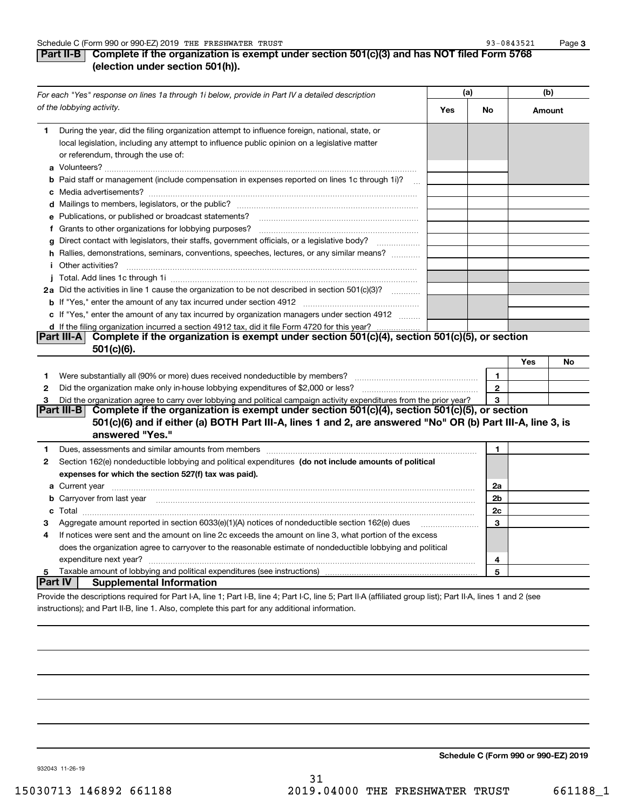**3**

| Part II-B $\mid$ Complete if the organization is exempt under section 501(c)(3) and has NOT filed Form 5768 |
|-------------------------------------------------------------------------------------------------------------|
| (election under section 501(h)).                                                                            |

|                | For each "Yes" response on lines 1a through 1i below, provide in Part IV a detailed description                                                                                                                                      | (a) |              | (b)    |    |
|----------------|--------------------------------------------------------------------------------------------------------------------------------------------------------------------------------------------------------------------------------------|-----|--------------|--------|----|
|                | of the lobbying activity.                                                                                                                                                                                                            | Yes | No           | Amount |    |
| 1              | During the year, did the filing organization attempt to influence foreign, national, state, or<br>local legislation, including any attempt to influence public opinion on a legislative matter<br>or referendum, through the use of: |     |              |        |    |
|                | <b>b</b> Paid staff or management (include compensation in expenses reported on lines 1c through 1i)?<br>$\mathcal{L}_{\text{max}}$                                                                                                  |     |              |        |    |
|                |                                                                                                                                                                                                                                      |     |              |        |    |
|                | e Publications, or published or broadcast statements?                                                                                                                                                                                |     |              |        |    |
|                | f Grants to other organizations for lobbying purposes?                                                                                                                                                                               |     |              |        |    |
| g              | Direct contact with legislators, their staffs, government officials, or a legislative body?                                                                                                                                          |     |              |        |    |
|                | h Rallies, demonstrations, seminars, conventions, speeches, lectures, or any similar means?                                                                                                                                          |     |              |        |    |
|                | <i>i</i> Other activities?                                                                                                                                                                                                           |     |              |        |    |
|                |                                                                                                                                                                                                                                      |     |              |        |    |
|                | 2a Did the activities in line 1 cause the organization to be not described in section 501(c)(3)?                                                                                                                                     |     |              |        |    |
|                |                                                                                                                                                                                                                                      |     |              |        |    |
|                | c If "Yes," enter the amount of any tax incurred by organization managers under section 4912                                                                                                                                         |     |              |        |    |
|                | d If the filing organization incurred a section 4912 tax, did it file Form 4720 for this year?                                                                                                                                       |     |              |        |    |
|                | Part III-A Complete if the organization is exempt under section 501(c)(4), section 501(c)(5), or section<br>$501(c)(6)$ .                                                                                                            |     |              |        |    |
|                |                                                                                                                                                                                                                                      |     |              | Yes    | No |
| 1              |                                                                                                                                                                                                                                      |     | $\mathbf{1}$ |        |    |
| $\mathbf{2}$   |                                                                                                                                                                                                                                      |     | $\mathbf 2$  |        |    |
| З              | Did the organization agree to carry over lobbying and political campaign activity expenditures from the prior year?                                                                                                                  |     | 3            |        |    |
|                | Part III-B<br>Complete if the organization is exempt under section 501(c)(4), section 501(c)(5), or section                                                                                                                          |     |              |        |    |
|                | 501(c)(6) and if either (a) BOTH Part III-A, lines 1 and 2, are answered "No" OR (b) Part III-A, line 3, is<br>answered "Yes."                                                                                                       |     |              |        |    |
| 1              | Dues, assessments and similar amounts from members [11] matter continuum matter and similar amounts and similar                                                                                                                      |     | 1.           |        |    |
| 2              | Section 162(e) nondeductible lobbying and political expenditures (do not include amounts of political                                                                                                                                |     |              |        |    |
|                | expenses for which the section 527(f) tax was paid).                                                                                                                                                                                 |     |              |        |    |
|                |                                                                                                                                                                                                                                      |     | 2a           |        |    |
|                | <b>b</b> Carryover from last year                                                                                                                                                                                                    |     | 2b           |        |    |
|                |                                                                                                                                                                                                                                      |     | 2c           |        |    |
| з              | Aggregate amount reported in section 6033(e)(1)(A) notices of nondeductible section 162(e) dues                                                                                                                                      |     | 3            |        |    |
| 4              | If notices were sent and the amount on line 2c exceeds the amount on line 3, what portion of the excess                                                                                                                              |     |              |        |    |
|                | does the organization agree to carryover to the reasonable estimate of nondeductible lobbying and political                                                                                                                          |     |              |        |    |
|                | expenditure next year?                                                                                                                                                                                                               |     | 4            |        |    |
| 5              | Taxable amount of lobbying and political expenditures (see instructions)                                                                                                                                                             |     | 5            |        |    |
| <b>Part IV</b> | <b>Supplemental Information</b>                                                                                                                                                                                                      |     |              |        |    |
|                | Provide the descriptions required for Part I-A, line 1; Part I-B, line 4; Part I-C, line 5; Part II-A (affiliated group list); Part II-A, lines 1 and 2 (see                                                                         |     |              |        |    |

instructions); and Part II-B, line 1. Also, complete this part for any additional information.

**Schedule C (Form 990 or 990-EZ) 2019**

932043 11-26-19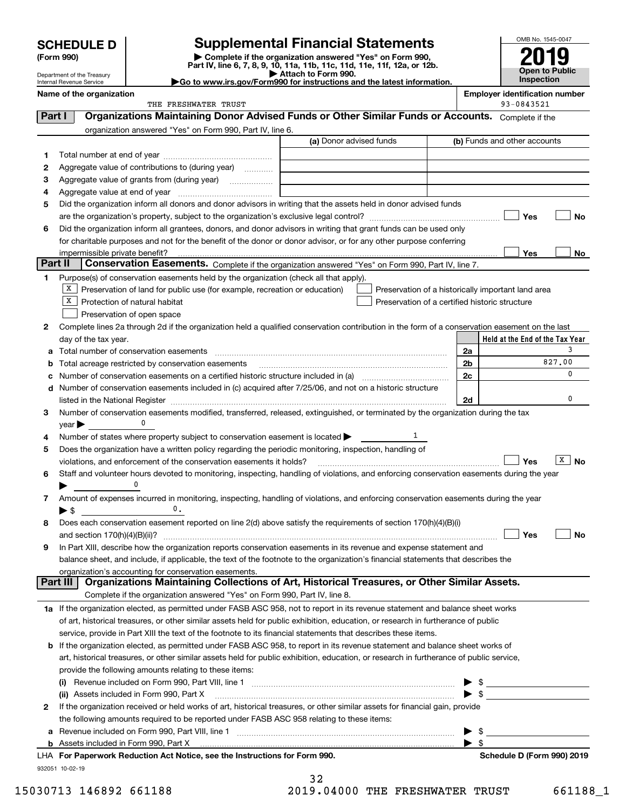| <b>SCHEDULE D</b> |  |
|-------------------|--|
|-------------------|--|

Department of the Treasury Internal Revenue Service

| (Form 990) |  |
|------------|--|
|------------|--|

## **SCHEDULE D Supplemental Financial Statements**

(Form 990)<br>
Pepartment of the Treasury<br>
Department of the Treasury<br>
Department of the Treasury<br>
Department of the Treasury<br> **Co to www.irs.gov/Form990 for instructions and the latest information.**<br> **Co to www.irs.gov/Form9** 



|         | Name of the organization<br>THE FRESHWATER TRUST                                                                                               |                         | 93-0843521                   | <b>Employer identification number</b> |
|---------|------------------------------------------------------------------------------------------------------------------------------------------------|-------------------------|------------------------------|---------------------------------------|
| Part I  | Organizations Maintaining Donor Advised Funds or Other Similar Funds or Accounts. Complete if the                                              |                         |                              |                                       |
|         |                                                                                                                                                |                         |                              |                                       |
|         | organization answered "Yes" on Form 990, Part IV, line 6.<br>(a) Donor advised funds                                                           |                         | (b) Funds and other accounts |                                       |
|         |                                                                                                                                                |                         |                              |                                       |
| 1.      | Aggregate value of contributions to (during year)                                                                                              |                         |                              |                                       |
| 2       |                                                                                                                                                |                         |                              |                                       |
| з<br>4  |                                                                                                                                                |                         |                              |                                       |
| 5       | Did the organization inform all donors and donor advisors in writing that the assets held in donor advised funds                               |                         |                              |                                       |
|         |                                                                                                                                                |                         | Yes                          | No                                    |
| 6       | Did the organization inform all grantees, donors, and donor advisors in writing that grant funds can be used only                              |                         |                              |                                       |
|         | for charitable purposes and not for the benefit of the donor or donor advisor, or for any other purpose conferring                             |                         |                              |                                       |
|         |                                                                                                                                                |                         | Yes                          | No                                    |
| Part II | Conservation Easements. Complete if the organization answered "Yes" on Form 990, Part IV, line 7.                                              |                         |                              |                                       |
| 1.      | Purpose(s) of conservation easements held by the organization (check all that apply).                                                          |                         |                              |                                       |
|         | $X$ Preservation of land for public use (for example, recreation or education)<br>Preservation of a historically important land area           |                         |                              |                                       |
|         | X  <br>Protection of natural habitat<br>Preservation of a certified historic structure                                                         |                         |                              |                                       |
|         | Preservation of open space                                                                                                                     |                         |                              |                                       |
| 2       | Complete lines 2a through 2d if the organization held a qualified conservation contribution in the form of a conservation easement on the last |                         |                              |                                       |
|         | day of the tax year.                                                                                                                           |                         |                              | Held at the End of the Tax Year       |
| а       | Total number of conservation easements                                                                                                         | 2a                      |                              | 3                                     |
| b       | Total acreage restricted by conservation easements                                                                                             | 2b                      |                              | 827.00                                |
| с       |                                                                                                                                                | 2c                      |                              | 0                                     |
|         | d Number of conservation easements included in (c) acquired after 7/25/06, and not on a historic structure                                     |                         |                              |                                       |
|         | listed in the National Register [11, 2003] [12, 2014] The National Register [11, 2015] The National Register [                                 | 2d                      |                              | 0                                     |
| 3       | Number of conservation easements modified, transferred, released, extinguished, or terminated by the organization during the tax               |                         |                              |                                       |
|         | $year \blacktriangleright$                                                                                                                     |                         |                              |                                       |
| 4       | 1<br>Number of states where property subject to conservation easement is located >                                                             |                         |                              |                                       |
| 5       | Does the organization have a written policy regarding the periodic monitoring, inspection, handling of                                         |                         |                              |                                       |
|         | violations, and enforcement of the conservation easements it holds?                                                                            |                         | Yes                          | $X \mid N$ o                          |
| 6       | Staff and volunteer hours devoted to monitoring, inspecting, handling of violations, and enforcing conservation easements during the year      |                         |                              |                                       |
|         |                                                                                                                                                |                         |                              |                                       |
| 7       | Amount of expenses incurred in monitoring, inspecting, handling of violations, and enforcing conservation easements during the year            |                         |                              |                                       |
|         | 0.<br>$\blacktriangleright$ S                                                                                                                  |                         |                              |                                       |
| 8       | Does each conservation easement reported on line 2(d) above satisfy the requirements of section 170(h)(4)(B)(i)                                |                         |                              |                                       |
|         |                                                                                                                                                |                         | Yes                          | No                                    |
|         | In Part XIII, describe how the organization reports conservation easements in its revenue and expense statement and                            |                         |                              |                                       |
|         | balance sheet, and include, if applicable, the text of the footnote to the organization's financial statements that describes the              |                         |                              |                                       |
|         | organization's accounting for conservation easements.                                                                                          |                         |                              |                                       |
|         | Organizations Maintaining Collections of Art, Historical Treasures, or Other Similar Assets.<br>Part III                                       |                         |                              |                                       |
|         | Complete if the organization answered "Yes" on Form 990, Part IV, line 8.                                                                      |                         |                              |                                       |
|         | 1a If the organization elected, as permitted under FASB ASC 958, not to report in its revenue statement and balance sheet works                |                         |                              |                                       |
|         | of art, historical treasures, or other similar assets held for public exhibition, education, or research in furtherance of public              |                         |                              |                                       |
|         | service, provide in Part XIII the text of the footnote to its financial statements that describes these items.                                 |                         |                              |                                       |
|         | <b>b</b> If the organization elected, as permitted under FASB ASC 958, to report in its revenue statement and balance sheet works of           |                         |                              |                                       |
|         | art, historical treasures, or other similar assets held for public exhibition, education, or research in furtherance of public service,        |                         |                              |                                       |
|         | provide the following amounts relating to these items:                                                                                         |                         |                              |                                       |
|         | (i)                                                                                                                                            |                         |                              |                                       |
|         | (ii) Assets included in Form 990, Part X                                                                                                       |                         | $\blacktriangleright$ \$     |                                       |
| 2       | If the organization received or held works of art, historical treasures, or other similar assets for financial gain, provide                   |                         |                              |                                       |
|         | the following amounts required to be reported under FASB ASC 958 relating to these items:                                                      |                         |                              |                                       |
| a       |                                                                                                                                                | \$                      |                              |                                       |
|         |                                                                                                                                                | $\blacktriangleright$ s |                              |                                       |
|         | LHA For Paperwork Reduction Act Notice, see the Instructions for Form 990.                                                                     |                         |                              | Schedule D (Form 990) 2019            |
|         | 932051 10-02-19<br>32                                                                                                                          |                         |                              |                                       |
|         |                                                                                                                                                |                         |                              |                                       |

| 34  |  |       |  |  |
|-----|--|-------|--|--|
| 1 ດ |  | 01000 |  |  |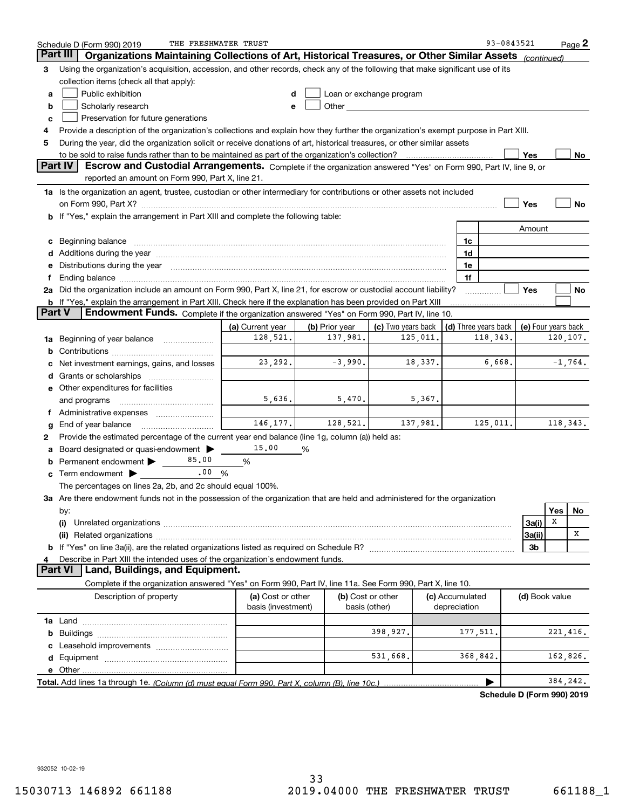| Part III<br>Organizations Maintaining Collections of Art, Historical Treasures, or Other Similar Assets<br>(continued)<br>Using the organization's acquisition, accession, and other records, check any of the following that make significant use of its<br>З<br>collection items (check all that apply):<br>Public exhibition<br>Loan or exchange program<br>d<br>а<br>Other and the control of the control of the control of the control of the control of the control of the control of the control of the control of the control of the control of the control of the control of the control of th<br>Scholarly research<br>b<br>e<br>Preservation for future generations<br>с<br>Provide a description of the organization's collections and explain how they further the organization's exempt purpose in Part XIII.<br>4<br>During the year, did the organization solicit or receive donations of art, historical treasures, or other similar assets<br>5<br>to be sold to raise funds rather than to be maintained as part of the organization's collection?<br>Yes<br>No<br>Part IV<br>Escrow and Custodial Arrangements. Complete if the organization answered "Yes" on Form 990, Part IV, line 9, or<br>reported an amount on Form 990, Part X, line 21.<br>1a Is the organization an agent, trustee, custodian or other intermediary for contributions or other assets not included<br>Yes<br>No<br>b If "Yes," explain the arrangement in Part XIII and complete the following table:<br>Amount<br>Beginning balance <b>with the contract of the contract of the contract of the contract of the contract of the contract of the contract of the contract of the contract of the contract of the contract of the contract of the co</b><br>1c<br>с<br>Additions during the year manufactured and an account of the year manufactured and account of the year manufactured and account of the year manufactured and account of the year manufactured and account of the year manufact<br>1d<br>Distributions during the year manufactured and continuum and contact the year manufactured and contact the year<br>1e<br>1f<br>Ending balance manufactured and contract the contract of the contract of the contract of the contract of the contract of the contract of the contract of the contract of the contract of the contract of the contract of the c<br>f.<br>2a Did the organization include an amount on Form 990, Part X, line 21, for escrow or custodial account liability?<br>Yes<br>No<br><b>b</b> If "Yes," explain the arrangement in Part XIII. Check here if the explanation has been provided on Part XIII<br><b>Part V</b><br>Endowment Funds. Complete if the organization answered "Yes" on Form 990, Part IV, line 10.<br>(c) Two years back<br>(a) Current year<br>(b) Prior year<br>(d) Three years back<br>(e) Four years back<br>128,521.<br>137,981.<br>120,107.<br>125,011.<br>118,343.<br>1a Beginning of year balance<br>b<br>$-1,764.$<br>23,292.<br>$-3,990.$<br>6,668.<br>18,337.<br>Net investment earnings, gains, and losses<br>d<br>e Other expenditures for facilities<br>5,636.<br>5,470.<br>5,367.<br>and programs<br>Administrative expenses<br>Ť.<br>146, 177.<br>128,521.<br>137,981.<br>125,011.<br>118, 343.<br>End of year balance<br>Provide the estimated percentage of the current year end balance (line 1g, column (a)) held as:<br>2<br>15.00<br>Board designated or quasi-endowment<br>%<br>85.00<br>Permanent endowment ><br>%<br>.00%<br>Term endowment $\blacktriangleright$<br>The percentages on lines 2a, 2b, and 2c should equal 100%.<br>3a Are there endowment funds not in the possession of the organization that are held and administered for the organization<br>Yes<br>No<br>by:<br>X<br>3a(i)<br>(i)<br>Χ<br>3a(ii)<br>3b<br>Describe in Part XIII the intended uses of the organization's endowment funds.<br>4<br><b>Part VI</b><br>Land, Buildings, and Equipment.<br>Complete if the organization answered "Yes" on Form 990, Part IV, line 11a. See Form 990, Part X, line 10.<br>Description of property<br>(a) Cost or other<br>(b) Cost or other<br>(c) Accumulated<br>(d) Book value<br>basis (investment)<br>depreciation<br>basis (other)<br>221, 416.<br>398,927.<br>177,511.<br>b<br>531,668.<br>162,826.<br>368,842.<br>е<br>384,242.<br>Pohodulo D (Form 000) 2010 | THE FRESHWATER TRUST<br>Schedule D (Form 990) 2019 |  |  |  |  |  | 93-0843521 |  | $Page$ 2 |
|-----------------------------------------------------------------------------------------------------------------------------------------------------------------------------------------------------------------------------------------------------------------------------------------------------------------------------------------------------------------------------------------------------------------------------------------------------------------------------------------------------------------------------------------------------------------------------------------------------------------------------------------------------------------------------------------------------------------------------------------------------------------------------------------------------------------------------------------------------------------------------------------------------------------------------------------------------------------------------------------------------------------------------------------------------------------------------------------------------------------------------------------------------------------------------------------------------------------------------------------------------------------------------------------------------------------------------------------------------------------------------------------------------------------------------------------------------------------------------------------------------------------------------------------------------------------------------------------------------------------------------------------------------------------------------------------------------------------------------------------------------------------------------------------------------------------------------------------------------------------------------------------------------------------------------------------------------------------------------------------------------------------------------------------------------------------------------------------------------------------------------------------------------------------------------------------------------------------------------------------------------------------------------------------------------------------------------------------------------------------------------------------------------------------------------------------------------------------------------------------------------------------------------------------------------------------------------------------------------------------------------------------------------------------------------------------------------------------------------------------------------------------------------------------------------------------------------------------------------------------------------------------------------------------------------------------------------------------------------------------------------------------------------------------------------------------------------------------------------------------------------------------------------------------------------------------------------------------------------------------------------------------------------------------------------------------------------------------------------------------------------------------------------------------------------------------------------------------------------------------------------------------------------------------------------------------------------------------------------------------------------------------------------------------------------------------------------------------------------------------------------------------------------------------------------------------------------------------------------------------------------------------------------------------------------------------------------------------------------------------------------------------------------------------------------------------------------------------------------------------------------------------------------------------------------------------------------------------------------------------------------------------------------------------------------------------------------------------------------------------------|----------------------------------------------------|--|--|--|--|--|------------|--|----------|
|                                                                                                                                                                                                                                                                                                                                                                                                                                                                                                                                                                                                                                                                                                                                                                                                                                                                                                                                                                                                                                                                                                                                                                                                                                                                                                                                                                                                                                                                                                                                                                                                                                                                                                                                                                                                                                                                                                                                                                                                                                                                                                                                                                                                                                                                                                                                                                                                                                                                                                                                                                                                                                                                                                                                                                                                                                                                                                                                                                                                                                                                                                                                                                                                                                                                                                                                                                                                                                                                                                                                                                                                                                                                                                                                                                                                                                                                                                                                                                                                                                                                                                                                                                                                                                                                                                                                                                       |                                                    |  |  |  |  |  |            |  |          |
|                                                                                                                                                                                                                                                                                                                                                                                                                                                                                                                                                                                                                                                                                                                                                                                                                                                                                                                                                                                                                                                                                                                                                                                                                                                                                                                                                                                                                                                                                                                                                                                                                                                                                                                                                                                                                                                                                                                                                                                                                                                                                                                                                                                                                                                                                                                                                                                                                                                                                                                                                                                                                                                                                                                                                                                                                                                                                                                                                                                                                                                                                                                                                                                                                                                                                                                                                                                                                                                                                                                                                                                                                                                                                                                                                                                                                                                                                                                                                                                                                                                                                                                                                                                                                                                                                                                                                                       |                                                    |  |  |  |  |  |            |  |          |
|                                                                                                                                                                                                                                                                                                                                                                                                                                                                                                                                                                                                                                                                                                                                                                                                                                                                                                                                                                                                                                                                                                                                                                                                                                                                                                                                                                                                                                                                                                                                                                                                                                                                                                                                                                                                                                                                                                                                                                                                                                                                                                                                                                                                                                                                                                                                                                                                                                                                                                                                                                                                                                                                                                                                                                                                                                                                                                                                                                                                                                                                                                                                                                                                                                                                                                                                                                                                                                                                                                                                                                                                                                                                                                                                                                                                                                                                                                                                                                                                                                                                                                                                                                                                                                                                                                                                                                       |                                                    |  |  |  |  |  |            |  |          |
|                                                                                                                                                                                                                                                                                                                                                                                                                                                                                                                                                                                                                                                                                                                                                                                                                                                                                                                                                                                                                                                                                                                                                                                                                                                                                                                                                                                                                                                                                                                                                                                                                                                                                                                                                                                                                                                                                                                                                                                                                                                                                                                                                                                                                                                                                                                                                                                                                                                                                                                                                                                                                                                                                                                                                                                                                                                                                                                                                                                                                                                                                                                                                                                                                                                                                                                                                                                                                                                                                                                                                                                                                                                                                                                                                                                                                                                                                                                                                                                                                                                                                                                                                                                                                                                                                                                                                                       |                                                    |  |  |  |  |  |            |  |          |
|                                                                                                                                                                                                                                                                                                                                                                                                                                                                                                                                                                                                                                                                                                                                                                                                                                                                                                                                                                                                                                                                                                                                                                                                                                                                                                                                                                                                                                                                                                                                                                                                                                                                                                                                                                                                                                                                                                                                                                                                                                                                                                                                                                                                                                                                                                                                                                                                                                                                                                                                                                                                                                                                                                                                                                                                                                                                                                                                                                                                                                                                                                                                                                                                                                                                                                                                                                                                                                                                                                                                                                                                                                                                                                                                                                                                                                                                                                                                                                                                                                                                                                                                                                                                                                                                                                                                                                       |                                                    |  |  |  |  |  |            |  |          |
|                                                                                                                                                                                                                                                                                                                                                                                                                                                                                                                                                                                                                                                                                                                                                                                                                                                                                                                                                                                                                                                                                                                                                                                                                                                                                                                                                                                                                                                                                                                                                                                                                                                                                                                                                                                                                                                                                                                                                                                                                                                                                                                                                                                                                                                                                                                                                                                                                                                                                                                                                                                                                                                                                                                                                                                                                                                                                                                                                                                                                                                                                                                                                                                                                                                                                                                                                                                                                                                                                                                                                                                                                                                                                                                                                                                                                                                                                                                                                                                                                                                                                                                                                                                                                                                                                                                                                                       |                                                    |  |  |  |  |  |            |  |          |
|                                                                                                                                                                                                                                                                                                                                                                                                                                                                                                                                                                                                                                                                                                                                                                                                                                                                                                                                                                                                                                                                                                                                                                                                                                                                                                                                                                                                                                                                                                                                                                                                                                                                                                                                                                                                                                                                                                                                                                                                                                                                                                                                                                                                                                                                                                                                                                                                                                                                                                                                                                                                                                                                                                                                                                                                                                                                                                                                                                                                                                                                                                                                                                                                                                                                                                                                                                                                                                                                                                                                                                                                                                                                                                                                                                                                                                                                                                                                                                                                                                                                                                                                                                                                                                                                                                                                                                       |                                                    |  |  |  |  |  |            |  |          |
|                                                                                                                                                                                                                                                                                                                                                                                                                                                                                                                                                                                                                                                                                                                                                                                                                                                                                                                                                                                                                                                                                                                                                                                                                                                                                                                                                                                                                                                                                                                                                                                                                                                                                                                                                                                                                                                                                                                                                                                                                                                                                                                                                                                                                                                                                                                                                                                                                                                                                                                                                                                                                                                                                                                                                                                                                                                                                                                                                                                                                                                                                                                                                                                                                                                                                                                                                                                                                                                                                                                                                                                                                                                                                                                                                                                                                                                                                                                                                                                                                                                                                                                                                                                                                                                                                                                                                                       |                                                    |  |  |  |  |  |            |  |          |
|                                                                                                                                                                                                                                                                                                                                                                                                                                                                                                                                                                                                                                                                                                                                                                                                                                                                                                                                                                                                                                                                                                                                                                                                                                                                                                                                                                                                                                                                                                                                                                                                                                                                                                                                                                                                                                                                                                                                                                                                                                                                                                                                                                                                                                                                                                                                                                                                                                                                                                                                                                                                                                                                                                                                                                                                                                                                                                                                                                                                                                                                                                                                                                                                                                                                                                                                                                                                                                                                                                                                                                                                                                                                                                                                                                                                                                                                                                                                                                                                                                                                                                                                                                                                                                                                                                                                                                       |                                                    |  |  |  |  |  |            |  |          |
|                                                                                                                                                                                                                                                                                                                                                                                                                                                                                                                                                                                                                                                                                                                                                                                                                                                                                                                                                                                                                                                                                                                                                                                                                                                                                                                                                                                                                                                                                                                                                                                                                                                                                                                                                                                                                                                                                                                                                                                                                                                                                                                                                                                                                                                                                                                                                                                                                                                                                                                                                                                                                                                                                                                                                                                                                                                                                                                                                                                                                                                                                                                                                                                                                                                                                                                                                                                                                                                                                                                                                                                                                                                                                                                                                                                                                                                                                                                                                                                                                                                                                                                                                                                                                                                                                                                                                                       |                                                    |  |  |  |  |  |            |  |          |
|                                                                                                                                                                                                                                                                                                                                                                                                                                                                                                                                                                                                                                                                                                                                                                                                                                                                                                                                                                                                                                                                                                                                                                                                                                                                                                                                                                                                                                                                                                                                                                                                                                                                                                                                                                                                                                                                                                                                                                                                                                                                                                                                                                                                                                                                                                                                                                                                                                                                                                                                                                                                                                                                                                                                                                                                                                                                                                                                                                                                                                                                                                                                                                                                                                                                                                                                                                                                                                                                                                                                                                                                                                                                                                                                                                                                                                                                                                                                                                                                                                                                                                                                                                                                                                                                                                                                                                       |                                                    |  |  |  |  |  |            |  |          |
|                                                                                                                                                                                                                                                                                                                                                                                                                                                                                                                                                                                                                                                                                                                                                                                                                                                                                                                                                                                                                                                                                                                                                                                                                                                                                                                                                                                                                                                                                                                                                                                                                                                                                                                                                                                                                                                                                                                                                                                                                                                                                                                                                                                                                                                                                                                                                                                                                                                                                                                                                                                                                                                                                                                                                                                                                                                                                                                                                                                                                                                                                                                                                                                                                                                                                                                                                                                                                                                                                                                                                                                                                                                                                                                                                                                                                                                                                                                                                                                                                                                                                                                                                                                                                                                                                                                                                                       |                                                    |  |  |  |  |  |            |  |          |
|                                                                                                                                                                                                                                                                                                                                                                                                                                                                                                                                                                                                                                                                                                                                                                                                                                                                                                                                                                                                                                                                                                                                                                                                                                                                                                                                                                                                                                                                                                                                                                                                                                                                                                                                                                                                                                                                                                                                                                                                                                                                                                                                                                                                                                                                                                                                                                                                                                                                                                                                                                                                                                                                                                                                                                                                                                                                                                                                                                                                                                                                                                                                                                                                                                                                                                                                                                                                                                                                                                                                                                                                                                                                                                                                                                                                                                                                                                                                                                                                                                                                                                                                                                                                                                                                                                                                                                       |                                                    |  |  |  |  |  |            |  |          |
|                                                                                                                                                                                                                                                                                                                                                                                                                                                                                                                                                                                                                                                                                                                                                                                                                                                                                                                                                                                                                                                                                                                                                                                                                                                                                                                                                                                                                                                                                                                                                                                                                                                                                                                                                                                                                                                                                                                                                                                                                                                                                                                                                                                                                                                                                                                                                                                                                                                                                                                                                                                                                                                                                                                                                                                                                                                                                                                                                                                                                                                                                                                                                                                                                                                                                                                                                                                                                                                                                                                                                                                                                                                                                                                                                                                                                                                                                                                                                                                                                                                                                                                                                                                                                                                                                                                                                                       |                                                    |  |  |  |  |  |            |  |          |
|                                                                                                                                                                                                                                                                                                                                                                                                                                                                                                                                                                                                                                                                                                                                                                                                                                                                                                                                                                                                                                                                                                                                                                                                                                                                                                                                                                                                                                                                                                                                                                                                                                                                                                                                                                                                                                                                                                                                                                                                                                                                                                                                                                                                                                                                                                                                                                                                                                                                                                                                                                                                                                                                                                                                                                                                                                                                                                                                                                                                                                                                                                                                                                                                                                                                                                                                                                                                                                                                                                                                                                                                                                                                                                                                                                                                                                                                                                                                                                                                                                                                                                                                                                                                                                                                                                                                                                       |                                                    |  |  |  |  |  |            |  |          |
|                                                                                                                                                                                                                                                                                                                                                                                                                                                                                                                                                                                                                                                                                                                                                                                                                                                                                                                                                                                                                                                                                                                                                                                                                                                                                                                                                                                                                                                                                                                                                                                                                                                                                                                                                                                                                                                                                                                                                                                                                                                                                                                                                                                                                                                                                                                                                                                                                                                                                                                                                                                                                                                                                                                                                                                                                                                                                                                                                                                                                                                                                                                                                                                                                                                                                                                                                                                                                                                                                                                                                                                                                                                                                                                                                                                                                                                                                                                                                                                                                                                                                                                                                                                                                                                                                                                                                                       |                                                    |  |  |  |  |  |            |  |          |
|                                                                                                                                                                                                                                                                                                                                                                                                                                                                                                                                                                                                                                                                                                                                                                                                                                                                                                                                                                                                                                                                                                                                                                                                                                                                                                                                                                                                                                                                                                                                                                                                                                                                                                                                                                                                                                                                                                                                                                                                                                                                                                                                                                                                                                                                                                                                                                                                                                                                                                                                                                                                                                                                                                                                                                                                                                                                                                                                                                                                                                                                                                                                                                                                                                                                                                                                                                                                                                                                                                                                                                                                                                                                                                                                                                                                                                                                                                                                                                                                                                                                                                                                                                                                                                                                                                                                                                       |                                                    |  |  |  |  |  |            |  |          |
|                                                                                                                                                                                                                                                                                                                                                                                                                                                                                                                                                                                                                                                                                                                                                                                                                                                                                                                                                                                                                                                                                                                                                                                                                                                                                                                                                                                                                                                                                                                                                                                                                                                                                                                                                                                                                                                                                                                                                                                                                                                                                                                                                                                                                                                                                                                                                                                                                                                                                                                                                                                                                                                                                                                                                                                                                                                                                                                                                                                                                                                                                                                                                                                                                                                                                                                                                                                                                                                                                                                                                                                                                                                                                                                                                                                                                                                                                                                                                                                                                                                                                                                                                                                                                                                                                                                                                                       |                                                    |  |  |  |  |  |            |  |          |
|                                                                                                                                                                                                                                                                                                                                                                                                                                                                                                                                                                                                                                                                                                                                                                                                                                                                                                                                                                                                                                                                                                                                                                                                                                                                                                                                                                                                                                                                                                                                                                                                                                                                                                                                                                                                                                                                                                                                                                                                                                                                                                                                                                                                                                                                                                                                                                                                                                                                                                                                                                                                                                                                                                                                                                                                                                                                                                                                                                                                                                                                                                                                                                                                                                                                                                                                                                                                                                                                                                                                                                                                                                                                                                                                                                                                                                                                                                                                                                                                                                                                                                                                                                                                                                                                                                                                                                       |                                                    |  |  |  |  |  |            |  |          |
|                                                                                                                                                                                                                                                                                                                                                                                                                                                                                                                                                                                                                                                                                                                                                                                                                                                                                                                                                                                                                                                                                                                                                                                                                                                                                                                                                                                                                                                                                                                                                                                                                                                                                                                                                                                                                                                                                                                                                                                                                                                                                                                                                                                                                                                                                                                                                                                                                                                                                                                                                                                                                                                                                                                                                                                                                                                                                                                                                                                                                                                                                                                                                                                                                                                                                                                                                                                                                                                                                                                                                                                                                                                                                                                                                                                                                                                                                                                                                                                                                                                                                                                                                                                                                                                                                                                                                                       |                                                    |  |  |  |  |  |            |  |          |
|                                                                                                                                                                                                                                                                                                                                                                                                                                                                                                                                                                                                                                                                                                                                                                                                                                                                                                                                                                                                                                                                                                                                                                                                                                                                                                                                                                                                                                                                                                                                                                                                                                                                                                                                                                                                                                                                                                                                                                                                                                                                                                                                                                                                                                                                                                                                                                                                                                                                                                                                                                                                                                                                                                                                                                                                                                                                                                                                                                                                                                                                                                                                                                                                                                                                                                                                                                                                                                                                                                                                                                                                                                                                                                                                                                                                                                                                                                                                                                                                                                                                                                                                                                                                                                                                                                                                                                       |                                                    |  |  |  |  |  |            |  |          |
|                                                                                                                                                                                                                                                                                                                                                                                                                                                                                                                                                                                                                                                                                                                                                                                                                                                                                                                                                                                                                                                                                                                                                                                                                                                                                                                                                                                                                                                                                                                                                                                                                                                                                                                                                                                                                                                                                                                                                                                                                                                                                                                                                                                                                                                                                                                                                                                                                                                                                                                                                                                                                                                                                                                                                                                                                                                                                                                                                                                                                                                                                                                                                                                                                                                                                                                                                                                                                                                                                                                                                                                                                                                                                                                                                                                                                                                                                                                                                                                                                                                                                                                                                                                                                                                                                                                                                                       |                                                    |  |  |  |  |  |            |  |          |
|                                                                                                                                                                                                                                                                                                                                                                                                                                                                                                                                                                                                                                                                                                                                                                                                                                                                                                                                                                                                                                                                                                                                                                                                                                                                                                                                                                                                                                                                                                                                                                                                                                                                                                                                                                                                                                                                                                                                                                                                                                                                                                                                                                                                                                                                                                                                                                                                                                                                                                                                                                                                                                                                                                                                                                                                                                                                                                                                                                                                                                                                                                                                                                                                                                                                                                                                                                                                                                                                                                                                                                                                                                                                                                                                                                                                                                                                                                                                                                                                                                                                                                                                                                                                                                                                                                                                                                       |                                                    |  |  |  |  |  |            |  |          |
|                                                                                                                                                                                                                                                                                                                                                                                                                                                                                                                                                                                                                                                                                                                                                                                                                                                                                                                                                                                                                                                                                                                                                                                                                                                                                                                                                                                                                                                                                                                                                                                                                                                                                                                                                                                                                                                                                                                                                                                                                                                                                                                                                                                                                                                                                                                                                                                                                                                                                                                                                                                                                                                                                                                                                                                                                                                                                                                                                                                                                                                                                                                                                                                                                                                                                                                                                                                                                                                                                                                                                                                                                                                                                                                                                                                                                                                                                                                                                                                                                                                                                                                                                                                                                                                                                                                                                                       |                                                    |  |  |  |  |  |            |  |          |
|                                                                                                                                                                                                                                                                                                                                                                                                                                                                                                                                                                                                                                                                                                                                                                                                                                                                                                                                                                                                                                                                                                                                                                                                                                                                                                                                                                                                                                                                                                                                                                                                                                                                                                                                                                                                                                                                                                                                                                                                                                                                                                                                                                                                                                                                                                                                                                                                                                                                                                                                                                                                                                                                                                                                                                                                                                                                                                                                                                                                                                                                                                                                                                                                                                                                                                                                                                                                                                                                                                                                                                                                                                                                                                                                                                                                                                                                                                                                                                                                                                                                                                                                                                                                                                                                                                                                                                       |                                                    |  |  |  |  |  |            |  |          |
|                                                                                                                                                                                                                                                                                                                                                                                                                                                                                                                                                                                                                                                                                                                                                                                                                                                                                                                                                                                                                                                                                                                                                                                                                                                                                                                                                                                                                                                                                                                                                                                                                                                                                                                                                                                                                                                                                                                                                                                                                                                                                                                                                                                                                                                                                                                                                                                                                                                                                                                                                                                                                                                                                                                                                                                                                                                                                                                                                                                                                                                                                                                                                                                                                                                                                                                                                                                                                                                                                                                                                                                                                                                                                                                                                                                                                                                                                                                                                                                                                                                                                                                                                                                                                                                                                                                                                                       |                                                    |  |  |  |  |  |            |  |          |
|                                                                                                                                                                                                                                                                                                                                                                                                                                                                                                                                                                                                                                                                                                                                                                                                                                                                                                                                                                                                                                                                                                                                                                                                                                                                                                                                                                                                                                                                                                                                                                                                                                                                                                                                                                                                                                                                                                                                                                                                                                                                                                                                                                                                                                                                                                                                                                                                                                                                                                                                                                                                                                                                                                                                                                                                                                                                                                                                                                                                                                                                                                                                                                                                                                                                                                                                                                                                                                                                                                                                                                                                                                                                                                                                                                                                                                                                                                                                                                                                                                                                                                                                                                                                                                                                                                                                                                       |                                                    |  |  |  |  |  |            |  |          |
|                                                                                                                                                                                                                                                                                                                                                                                                                                                                                                                                                                                                                                                                                                                                                                                                                                                                                                                                                                                                                                                                                                                                                                                                                                                                                                                                                                                                                                                                                                                                                                                                                                                                                                                                                                                                                                                                                                                                                                                                                                                                                                                                                                                                                                                                                                                                                                                                                                                                                                                                                                                                                                                                                                                                                                                                                                                                                                                                                                                                                                                                                                                                                                                                                                                                                                                                                                                                                                                                                                                                                                                                                                                                                                                                                                                                                                                                                                                                                                                                                                                                                                                                                                                                                                                                                                                                                                       |                                                    |  |  |  |  |  |            |  |          |
|                                                                                                                                                                                                                                                                                                                                                                                                                                                                                                                                                                                                                                                                                                                                                                                                                                                                                                                                                                                                                                                                                                                                                                                                                                                                                                                                                                                                                                                                                                                                                                                                                                                                                                                                                                                                                                                                                                                                                                                                                                                                                                                                                                                                                                                                                                                                                                                                                                                                                                                                                                                                                                                                                                                                                                                                                                                                                                                                                                                                                                                                                                                                                                                                                                                                                                                                                                                                                                                                                                                                                                                                                                                                                                                                                                                                                                                                                                                                                                                                                                                                                                                                                                                                                                                                                                                                                                       |                                                    |  |  |  |  |  |            |  |          |
|                                                                                                                                                                                                                                                                                                                                                                                                                                                                                                                                                                                                                                                                                                                                                                                                                                                                                                                                                                                                                                                                                                                                                                                                                                                                                                                                                                                                                                                                                                                                                                                                                                                                                                                                                                                                                                                                                                                                                                                                                                                                                                                                                                                                                                                                                                                                                                                                                                                                                                                                                                                                                                                                                                                                                                                                                                                                                                                                                                                                                                                                                                                                                                                                                                                                                                                                                                                                                                                                                                                                                                                                                                                                                                                                                                                                                                                                                                                                                                                                                                                                                                                                                                                                                                                                                                                                                                       |                                                    |  |  |  |  |  |            |  |          |
|                                                                                                                                                                                                                                                                                                                                                                                                                                                                                                                                                                                                                                                                                                                                                                                                                                                                                                                                                                                                                                                                                                                                                                                                                                                                                                                                                                                                                                                                                                                                                                                                                                                                                                                                                                                                                                                                                                                                                                                                                                                                                                                                                                                                                                                                                                                                                                                                                                                                                                                                                                                                                                                                                                                                                                                                                                                                                                                                                                                                                                                                                                                                                                                                                                                                                                                                                                                                                                                                                                                                                                                                                                                                                                                                                                                                                                                                                                                                                                                                                                                                                                                                                                                                                                                                                                                                                                       |                                                    |  |  |  |  |  |            |  |          |
|                                                                                                                                                                                                                                                                                                                                                                                                                                                                                                                                                                                                                                                                                                                                                                                                                                                                                                                                                                                                                                                                                                                                                                                                                                                                                                                                                                                                                                                                                                                                                                                                                                                                                                                                                                                                                                                                                                                                                                                                                                                                                                                                                                                                                                                                                                                                                                                                                                                                                                                                                                                                                                                                                                                                                                                                                                                                                                                                                                                                                                                                                                                                                                                                                                                                                                                                                                                                                                                                                                                                                                                                                                                                                                                                                                                                                                                                                                                                                                                                                                                                                                                                                                                                                                                                                                                                                                       |                                                    |  |  |  |  |  |            |  |          |
|                                                                                                                                                                                                                                                                                                                                                                                                                                                                                                                                                                                                                                                                                                                                                                                                                                                                                                                                                                                                                                                                                                                                                                                                                                                                                                                                                                                                                                                                                                                                                                                                                                                                                                                                                                                                                                                                                                                                                                                                                                                                                                                                                                                                                                                                                                                                                                                                                                                                                                                                                                                                                                                                                                                                                                                                                                                                                                                                                                                                                                                                                                                                                                                                                                                                                                                                                                                                                                                                                                                                                                                                                                                                                                                                                                                                                                                                                                                                                                                                                                                                                                                                                                                                                                                                                                                                                                       |                                                    |  |  |  |  |  |            |  |          |
|                                                                                                                                                                                                                                                                                                                                                                                                                                                                                                                                                                                                                                                                                                                                                                                                                                                                                                                                                                                                                                                                                                                                                                                                                                                                                                                                                                                                                                                                                                                                                                                                                                                                                                                                                                                                                                                                                                                                                                                                                                                                                                                                                                                                                                                                                                                                                                                                                                                                                                                                                                                                                                                                                                                                                                                                                                                                                                                                                                                                                                                                                                                                                                                                                                                                                                                                                                                                                                                                                                                                                                                                                                                                                                                                                                                                                                                                                                                                                                                                                                                                                                                                                                                                                                                                                                                                                                       |                                                    |  |  |  |  |  |            |  |          |
|                                                                                                                                                                                                                                                                                                                                                                                                                                                                                                                                                                                                                                                                                                                                                                                                                                                                                                                                                                                                                                                                                                                                                                                                                                                                                                                                                                                                                                                                                                                                                                                                                                                                                                                                                                                                                                                                                                                                                                                                                                                                                                                                                                                                                                                                                                                                                                                                                                                                                                                                                                                                                                                                                                                                                                                                                                                                                                                                                                                                                                                                                                                                                                                                                                                                                                                                                                                                                                                                                                                                                                                                                                                                                                                                                                                                                                                                                                                                                                                                                                                                                                                                                                                                                                                                                                                                                                       |                                                    |  |  |  |  |  |            |  |          |
|                                                                                                                                                                                                                                                                                                                                                                                                                                                                                                                                                                                                                                                                                                                                                                                                                                                                                                                                                                                                                                                                                                                                                                                                                                                                                                                                                                                                                                                                                                                                                                                                                                                                                                                                                                                                                                                                                                                                                                                                                                                                                                                                                                                                                                                                                                                                                                                                                                                                                                                                                                                                                                                                                                                                                                                                                                                                                                                                                                                                                                                                                                                                                                                                                                                                                                                                                                                                                                                                                                                                                                                                                                                                                                                                                                                                                                                                                                                                                                                                                                                                                                                                                                                                                                                                                                                                                                       |                                                    |  |  |  |  |  |            |  |          |
|                                                                                                                                                                                                                                                                                                                                                                                                                                                                                                                                                                                                                                                                                                                                                                                                                                                                                                                                                                                                                                                                                                                                                                                                                                                                                                                                                                                                                                                                                                                                                                                                                                                                                                                                                                                                                                                                                                                                                                                                                                                                                                                                                                                                                                                                                                                                                                                                                                                                                                                                                                                                                                                                                                                                                                                                                                                                                                                                                                                                                                                                                                                                                                                                                                                                                                                                                                                                                                                                                                                                                                                                                                                                                                                                                                                                                                                                                                                                                                                                                                                                                                                                                                                                                                                                                                                                                                       |                                                    |  |  |  |  |  |            |  |          |
|                                                                                                                                                                                                                                                                                                                                                                                                                                                                                                                                                                                                                                                                                                                                                                                                                                                                                                                                                                                                                                                                                                                                                                                                                                                                                                                                                                                                                                                                                                                                                                                                                                                                                                                                                                                                                                                                                                                                                                                                                                                                                                                                                                                                                                                                                                                                                                                                                                                                                                                                                                                                                                                                                                                                                                                                                                                                                                                                                                                                                                                                                                                                                                                                                                                                                                                                                                                                                                                                                                                                                                                                                                                                                                                                                                                                                                                                                                                                                                                                                                                                                                                                                                                                                                                                                                                                                                       |                                                    |  |  |  |  |  |            |  |          |
|                                                                                                                                                                                                                                                                                                                                                                                                                                                                                                                                                                                                                                                                                                                                                                                                                                                                                                                                                                                                                                                                                                                                                                                                                                                                                                                                                                                                                                                                                                                                                                                                                                                                                                                                                                                                                                                                                                                                                                                                                                                                                                                                                                                                                                                                                                                                                                                                                                                                                                                                                                                                                                                                                                                                                                                                                                                                                                                                                                                                                                                                                                                                                                                                                                                                                                                                                                                                                                                                                                                                                                                                                                                                                                                                                                                                                                                                                                                                                                                                                                                                                                                                                                                                                                                                                                                                                                       |                                                    |  |  |  |  |  |            |  |          |
|                                                                                                                                                                                                                                                                                                                                                                                                                                                                                                                                                                                                                                                                                                                                                                                                                                                                                                                                                                                                                                                                                                                                                                                                                                                                                                                                                                                                                                                                                                                                                                                                                                                                                                                                                                                                                                                                                                                                                                                                                                                                                                                                                                                                                                                                                                                                                                                                                                                                                                                                                                                                                                                                                                                                                                                                                                                                                                                                                                                                                                                                                                                                                                                                                                                                                                                                                                                                                                                                                                                                                                                                                                                                                                                                                                                                                                                                                                                                                                                                                                                                                                                                                                                                                                                                                                                                                                       |                                                    |  |  |  |  |  |            |  |          |
|                                                                                                                                                                                                                                                                                                                                                                                                                                                                                                                                                                                                                                                                                                                                                                                                                                                                                                                                                                                                                                                                                                                                                                                                                                                                                                                                                                                                                                                                                                                                                                                                                                                                                                                                                                                                                                                                                                                                                                                                                                                                                                                                                                                                                                                                                                                                                                                                                                                                                                                                                                                                                                                                                                                                                                                                                                                                                                                                                                                                                                                                                                                                                                                                                                                                                                                                                                                                                                                                                                                                                                                                                                                                                                                                                                                                                                                                                                                                                                                                                                                                                                                                                                                                                                                                                                                                                                       |                                                    |  |  |  |  |  |            |  |          |
|                                                                                                                                                                                                                                                                                                                                                                                                                                                                                                                                                                                                                                                                                                                                                                                                                                                                                                                                                                                                                                                                                                                                                                                                                                                                                                                                                                                                                                                                                                                                                                                                                                                                                                                                                                                                                                                                                                                                                                                                                                                                                                                                                                                                                                                                                                                                                                                                                                                                                                                                                                                                                                                                                                                                                                                                                                                                                                                                                                                                                                                                                                                                                                                                                                                                                                                                                                                                                                                                                                                                                                                                                                                                                                                                                                                                                                                                                                                                                                                                                                                                                                                                                                                                                                                                                                                                                                       |                                                    |  |  |  |  |  |            |  |          |
|                                                                                                                                                                                                                                                                                                                                                                                                                                                                                                                                                                                                                                                                                                                                                                                                                                                                                                                                                                                                                                                                                                                                                                                                                                                                                                                                                                                                                                                                                                                                                                                                                                                                                                                                                                                                                                                                                                                                                                                                                                                                                                                                                                                                                                                                                                                                                                                                                                                                                                                                                                                                                                                                                                                                                                                                                                                                                                                                                                                                                                                                                                                                                                                                                                                                                                                                                                                                                                                                                                                                                                                                                                                                                                                                                                                                                                                                                                                                                                                                                                                                                                                                                                                                                                                                                                                                                                       |                                                    |  |  |  |  |  |            |  |          |
|                                                                                                                                                                                                                                                                                                                                                                                                                                                                                                                                                                                                                                                                                                                                                                                                                                                                                                                                                                                                                                                                                                                                                                                                                                                                                                                                                                                                                                                                                                                                                                                                                                                                                                                                                                                                                                                                                                                                                                                                                                                                                                                                                                                                                                                                                                                                                                                                                                                                                                                                                                                                                                                                                                                                                                                                                                                                                                                                                                                                                                                                                                                                                                                                                                                                                                                                                                                                                                                                                                                                                                                                                                                                                                                                                                                                                                                                                                                                                                                                                                                                                                                                                                                                                                                                                                                                                                       |                                                    |  |  |  |  |  |            |  |          |
|                                                                                                                                                                                                                                                                                                                                                                                                                                                                                                                                                                                                                                                                                                                                                                                                                                                                                                                                                                                                                                                                                                                                                                                                                                                                                                                                                                                                                                                                                                                                                                                                                                                                                                                                                                                                                                                                                                                                                                                                                                                                                                                                                                                                                                                                                                                                                                                                                                                                                                                                                                                                                                                                                                                                                                                                                                                                                                                                                                                                                                                                                                                                                                                                                                                                                                                                                                                                                                                                                                                                                                                                                                                                                                                                                                                                                                                                                                                                                                                                                                                                                                                                                                                                                                                                                                                                                                       |                                                    |  |  |  |  |  |            |  |          |
|                                                                                                                                                                                                                                                                                                                                                                                                                                                                                                                                                                                                                                                                                                                                                                                                                                                                                                                                                                                                                                                                                                                                                                                                                                                                                                                                                                                                                                                                                                                                                                                                                                                                                                                                                                                                                                                                                                                                                                                                                                                                                                                                                                                                                                                                                                                                                                                                                                                                                                                                                                                                                                                                                                                                                                                                                                                                                                                                                                                                                                                                                                                                                                                                                                                                                                                                                                                                                                                                                                                                                                                                                                                                                                                                                                                                                                                                                                                                                                                                                                                                                                                                                                                                                                                                                                                                                                       |                                                    |  |  |  |  |  |            |  |          |
|                                                                                                                                                                                                                                                                                                                                                                                                                                                                                                                                                                                                                                                                                                                                                                                                                                                                                                                                                                                                                                                                                                                                                                                                                                                                                                                                                                                                                                                                                                                                                                                                                                                                                                                                                                                                                                                                                                                                                                                                                                                                                                                                                                                                                                                                                                                                                                                                                                                                                                                                                                                                                                                                                                                                                                                                                                                                                                                                                                                                                                                                                                                                                                                                                                                                                                                                                                                                                                                                                                                                                                                                                                                                                                                                                                                                                                                                                                                                                                                                                                                                                                                                                                                                                                                                                                                                                                       |                                                    |  |  |  |  |  |            |  |          |
|                                                                                                                                                                                                                                                                                                                                                                                                                                                                                                                                                                                                                                                                                                                                                                                                                                                                                                                                                                                                                                                                                                                                                                                                                                                                                                                                                                                                                                                                                                                                                                                                                                                                                                                                                                                                                                                                                                                                                                                                                                                                                                                                                                                                                                                                                                                                                                                                                                                                                                                                                                                                                                                                                                                                                                                                                                                                                                                                                                                                                                                                                                                                                                                                                                                                                                                                                                                                                                                                                                                                                                                                                                                                                                                                                                                                                                                                                                                                                                                                                                                                                                                                                                                                                                                                                                                                                                       |                                                    |  |  |  |  |  |            |  |          |
|                                                                                                                                                                                                                                                                                                                                                                                                                                                                                                                                                                                                                                                                                                                                                                                                                                                                                                                                                                                                                                                                                                                                                                                                                                                                                                                                                                                                                                                                                                                                                                                                                                                                                                                                                                                                                                                                                                                                                                                                                                                                                                                                                                                                                                                                                                                                                                                                                                                                                                                                                                                                                                                                                                                                                                                                                                                                                                                                                                                                                                                                                                                                                                                                                                                                                                                                                                                                                                                                                                                                                                                                                                                                                                                                                                                                                                                                                                                                                                                                                                                                                                                                                                                                                                                                                                                                                                       |                                                    |  |  |  |  |  |            |  |          |
|                                                                                                                                                                                                                                                                                                                                                                                                                                                                                                                                                                                                                                                                                                                                                                                                                                                                                                                                                                                                                                                                                                                                                                                                                                                                                                                                                                                                                                                                                                                                                                                                                                                                                                                                                                                                                                                                                                                                                                                                                                                                                                                                                                                                                                                                                                                                                                                                                                                                                                                                                                                                                                                                                                                                                                                                                                                                                                                                                                                                                                                                                                                                                                                                                                                                                                                                                                                                                                                                                                                                                                                                                                                                                                                                                                                                                                                                                                                                                                                                                                                                                                                                                                                                                                                                                                                                                                       |                                                    |  |  |  |  |  |            |  |          |

**Schedule D (Form 990) 2019**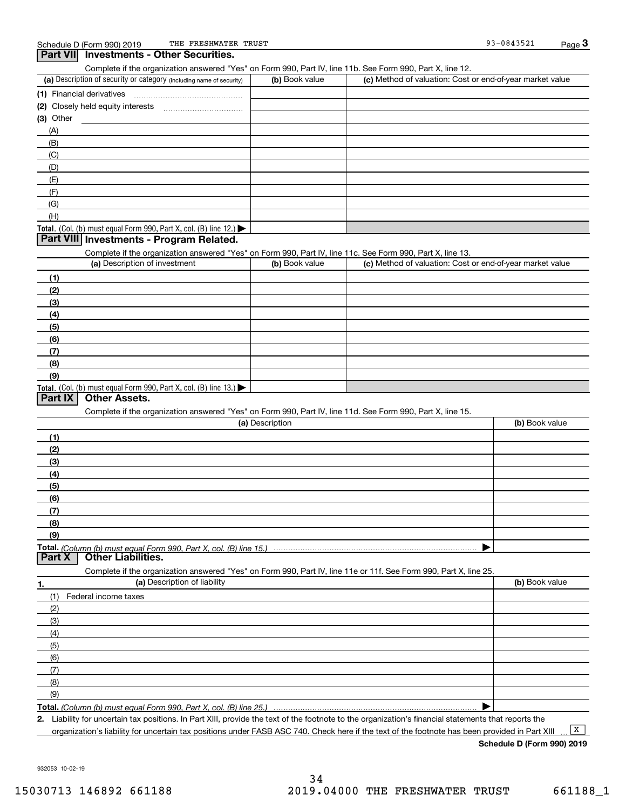| THE FRESHWATER TRUST<br>Schedule D (Form 990) 2019                                                                |                 |                                                           | 93-0843521     | $Page$ 3 |
|-------------------------------------------------------------------------------------------------------------------|-----------------|-----------------------------------------------------------|----------------|----------|
| Part VII Investments - Other Securities.                                                                          |                 |                                                           |                |          |
| Complete if the organization answered "Yes" on Form 990, Part IV, line 11b. See Form 990, Part X, line 12.        |                 |                                                           |                |          |
| (a) Description of security or category (including name of security)                                              | (b) Book value  | (c) Method of valuation: Cost or end-of-year market value |                |          |
|                                                                                                                   |                 |                                                           |                |          |
|                                                                                                                   |                 |                                                           |                |          |
|                                                                                                                   |                 |                                                           |                |          |
| $(3)$ Other                                                                                                       |                 |                                                           |                |          |
| (A)                                                                                                               |                 |                                                           |                |          |
| (B)                                                                                                               |                 |                                                           |                |          |
| (C)                                                                                                               |                 |                                                           |                |          |
| (D)                                                                                                               |                 |                                                           |                |          |
| (E)                                                                                                               |                 |                                                           |                |          |
|                                                                                                                   |                 |                                                           |                |          |
| (F)                                                                                                               |                 |                                                           |                |          |
| (G)                                                                                                               |                 |                                                           |                |          |
| (H)                                                                                                               |                 |                                                           |                |          |
| Total. (Col. (b) must equal Form 990, Part X, col. (B) line 12.) $\blacktriangleright$                            |                 |                                                           |                |          |
| Part VIII Investments - Program Related.                                                                          |                 |                                                           |                |          |
| Complete if the organization answered "Yes" on Form 990, Part IV, line 11c. See Form 990, Part X, line 13.        |                 |                                                           |                |          |
| (a) Description of investment                                                                                     | (b) Book value  | (c) Method of valuation: Cost or end-of-year market value |                |          |
|                                                                                                                   |                 |                                                           |                |          |
| (1)                                                                                                               |                 |                                                           |                |          |
| (2)                                                                                                               |                 |                                                           |                |          |
| (3)                                                                                                               |                 |                                                           |                |          |
| (4)                                                                                                               |                 |                                                           |                |          |
| (5)                                                                                                               |                 |                                                           |                |          |
| (6)                                                                                                               |                 |                                                           |                |          |
| (7)                                                                                                               |                 |                                                           |                |          |
| (8)                                                                                                               |                 |                                                           |                |          |
| (9)                                                                                                               |                 |                                                           |                |          |
|                                                                                                                   |                 |                                                           |                |          |
| Total. (Col. (b) must equal Form 990, Part X, col. (B) line 13.)<br><b>Other Assets.</b><br>Part IX               |                 |                                                           |                |          |
|                                                                                                                   |                 |                                                           |                |          |
| Complete if the organization answered "Yes" on Form 990, Part IV, line 11d. See Form 990, Part X, line 15.        |                 |                                                           |                |          |
|                                                                                                                   | (a) Description |                                                           | (b) Book value |          |
| (1)                                                                                                               |                 |                                                           |                |          |
| (2)                                                                                                               |                 |                                                           |                |          |
| (3)                                                                                                               |                 |                                                           |                |          |
| (4)                                                                                                               |                 |                                                           |                |          |
| (5)                                                                                                               |                 |                                                           |                |          |
| (6)                                                                                                               |                 |                                                           |                |          |
|                                                                                                                   |                 |                                                           |                |          |
| (7)                                                                                                               |                 |                                                           |                |          |
| (8)                                                                                                               |                 |                                                           |                |          |
| (9)                                                                                                               |                 |                                                           |                |          |
|                                                                                                                   |                 |                                                           |                |          |
| Part X<br><b>Other Liabilities.</b>                                                                               |                 |                                                           |                |          |
| Complete if the organization answered "Yes" on Form 990, Part IV, line 11e or 11f. See Form 990, Part X, line 25. |                 |                                                           |                |          |
| (a) Description of liability<br>1.                                                                                |                 |                                                           | (b) Book value |          |
| (1)<br>Federal income taxes                                                                                       |                 |                                                           |                |          |
| (2)                                                                                                               |                 |                                                           |                |          |
|                                                                                                                   |                 |                                                           |                |          |
| (3)                                                                                                               |                 |                                                           |                |          |
| (4)                                                                                                               |                 |                                                           |                |          |
| (5)                                                                                                               |                 |                                                           |                |          |
| (6)                                                                                                               |                 |                                                           |                |          |
| (7)                                                                                                               |                 |                                                           |                |          |
| (8)                                                                                                               |                 |                                                           |                |          |
| (9)                                                                                                               |                 |                                                           |                |          |
|                                                                                                                   |                 |                                                           |                |          |
|                                                                                                                   |                 |                                                           | ▶              |          |

**2.** Liability for uncertain tax positions. In Part XIII, provide the text of the footnote to the organization's financial statements that reports the organization's liability for uncertain tax positions under FASB ASC 740. Check here if the text of the footnote has been provided in Part XIII

**Schedule D (Form 990) 2019**

932053 10-02-19

 $\boxed{\mathbf{X}}$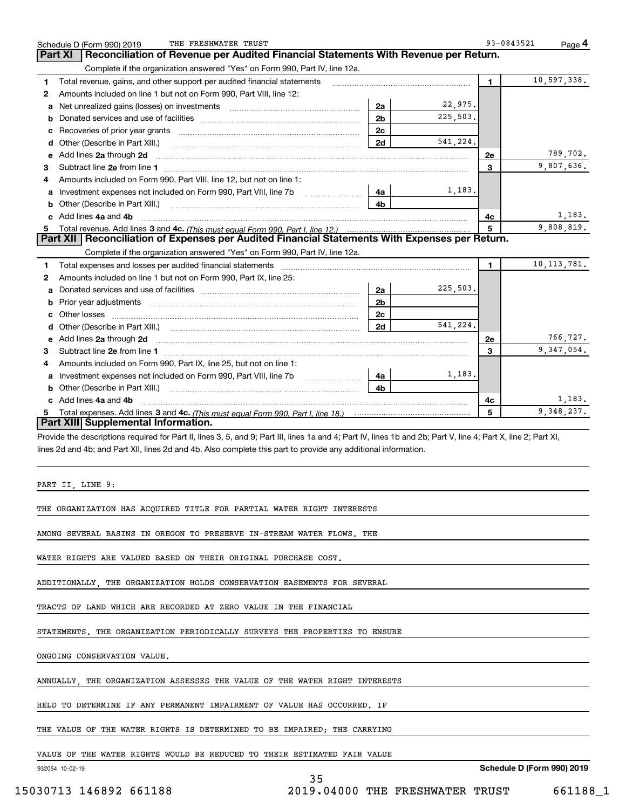|              | THE FRESHWATER TRUST<br>Schedule D (Form 990) 2019                                                                                                                                                                                  |                |          | 93-0843521   | Page 4        |
|--------------|-------------------------------------------------------------------------------------------------------------------------------------------------------------------------------------------------------------------------------------|----------------|----------|--------------|---------------|
|              | Reconciliation of Revenue per Audited Financial Statements With Revenue per Return.<br>Part XI                                                                                                                                      |                |          |              |               |
|              | Complete if the organization answered "Yes" on Form 990, Part IV, line 12a.                                                                                                                                                         |                |          |              |               |
| 1            | Total revenue, gains, and other support per audited financial statements                                                                                                                                                            |                |          | $\mathbf{1}$ | 10,597,338.   |
| $\mathbf{2}$ | Amounts included on line 1 but not on Form 990, Part VIII, line 12:                                                                                                                                                                 |                |          |              |               |
| a            | Net unrealized gains (losses) on investments [11] matter contracts and the unrealized gains (losses) on investments                                                                                                                 | 2a             | 22,975.  |              |               |
| b            |                                                                                                                                                                                                                                     | 2 <sub>b</sub> | 225,503. |              |               |
| с            |                                                                                                                                                                                                                                     | 2c             |          |              |               |
| d            |                                                                                                                                                                                                                                     | 2d             | 541,224. |              |               |
| е            | Add lines 2a through 2d                                                                                                                                                                                                             |                |          | 2e           | 789,702.      |
| 3            |                                                                                                                                                                                                                                     |                |          | 3            | 9,807,636.    |
| 4            | Amounts included on Form 990, Part VIII, line 12, but not on line 1:                                                                                                                                                                |                |          |              |               |
|              | Investment expenses not included on Form 990, Part VIII, line 7b                                                                                                                                                                    | 4a             | 1,183.   |              |               |
| b            | Other (Describe in Part XIII.) <b>Construction Contract Construction</b> Chemical Construction Chemical Chemical Chemical Chemical Chemical Chemical Chemical Chemical Chemical Chemical Chemical Chemical Chemical Chemical Chemic | 4b             |          |              |               |
| c.           | Add lines 4a and 4b                                                                                                                                                                                                                 |                |          | 4с           | 1,183.        |
| 5.           | Total revenue. Add lines 3 and 4c. (This must equal Form 990. Part I. line 12.)                                                                                                                                                     |                |          | 5            | 9,808,819.    |
|              | Part XII   Reconciliation of Expenses per Audited Financial Statements With Expenses per Return.                                                                                                                                    |                |          |              |               |
|              | Complete if the organization answered "Yes" on Form 990, Part IV, line 12a.                                                                                                                                                         |                |          |              |               |
| 1            |                                                                                                                                                                                                                                     |                |          | $\mathbf{1}$ | 10, 113, 781. |
| 2            | Amounts included on line 1 but not on Form 990, Part IX, line 25:                                                                                                                                                                   |                |          |              |               |
| а            |                                                                                                                                                                                                                                     | 2a             | 225,503. |              |               |
| b            | Prior year adjustments information and continuum and contact the contract of the contract of the contract of the contract of the contract of the contract of the contract of the contract of the contract of the contract of t      | 2 <sub>b</sub> |          |              |               |
| с            |                                                                                                                                                                                                                                     | 2c             |          |              |               |
| d            |                                                                                                                                                                                                                                     | 2d             | 541.224. |              |               |
| е            | Add lines 2a through 2d                                                                                                                                                                                                             |                |          | 2e           | 766,727.      |
| 3            |                                                                                                                                                                                                                                     |                |          | 3            | 9, 347, 054.  |
| 4            | Amounts included on Form 990, Part IX, line 25, but not on line 1:                                                                                                                                                                  |                |          |              |               |
| a            | Investment expenses not included on Form 990, Part VIII, line 7b                                                                                                                                                                    | 4a             | 1,183.   |              |               |
| b            | Other (Describe in Part XIII.) <b>Construction Contract Construction</b> Chemistry Chemistry Chemistry Chemistry Chemistry                                                                                                          | 4b             |          |              |               |
| c            | Add lines 4a and 4b                                                                                                                                                                                                                 |                |          | 4с           | 1,183.        |
|              |                                                                                                                                                                                                                                     |                |          | 5            | 9,348,237.    |
|              | Part XIII Supplemental Information.                                                                                                                                                                                                 |                |          |              |               |
|              | Provide the descriptions required for Part II, lines 3, 5, and 9; Part III, lines 1a and 4; Part IV, lines 1b and 2b; Part V, line 4; Part X, line 2; Part XI,                                                                      |                |          |              |               |
|              | lines 2d and 4b; and Part XII, lines 2d and 4b. Also complete this part to provide any additional information.                                                                                                                      |                |          |              |               |
|              |                                                                                                                                                                                                                                     |                |          |              |               |
|              |                                                                                                                                                                                                                                     |                |          |              |               |
|              | PART II, LINE 9:                                                                                                                                                                                                                    |                |          |              |               |
|              |                                                                                                                                                                                                                                     |                |          |              |               |
|              | THE ORGANIZATION HAS ACQUIRED TITLE FOR PARTIAL WATER RIGHT INTERESTS                                                                                                                                                               |                |          |              |               |
|              |                                                                                                                                                                                                                                     |                |          |              |               |
|              | AMONG SEVERAL BASINS IN OREGON TO PRESERVE IN-STREAM WATER FLOWS. THE                                                                                                                                                               |                |          |              |               |

WATER RIGHTS ARE VALUED BASED ON THEIR ORIGINAL PURCHASE COST.

ADDITIONALLY, THE ORGANIZATION HOLDS CONSERVATION EASEMENTS FOR SEVERAL

TRACTS OF LAND WHICH ARE RECORDED AT ZERO VALUE IN THE FINANCIAL

STATEMENTS. THE ORGANIZATION PERIODICALLY SURVEYS THE PROPERTIES TO ENSURE

ONGOING CONSERVATION VALUE.

ANNUALLY, THE ORGANIZATION ASSESSES THE VALUE OF THE WATER RIGHT INTERESTS

HELD TO DETERMINE IF ANY PERMANENT IMPAIRMENT OF VALUE HAS OCCURRED. IF

THE VALUE OF THE WATER RIGHTS IS DETERMINED TO BE IMPAIRED; THE CARRYING

VALUE OF THE WATER RIGHTS WOULD BE REDUCED TO THEIR ESTIMATED FAIR VALUE

932054 10-02-19

35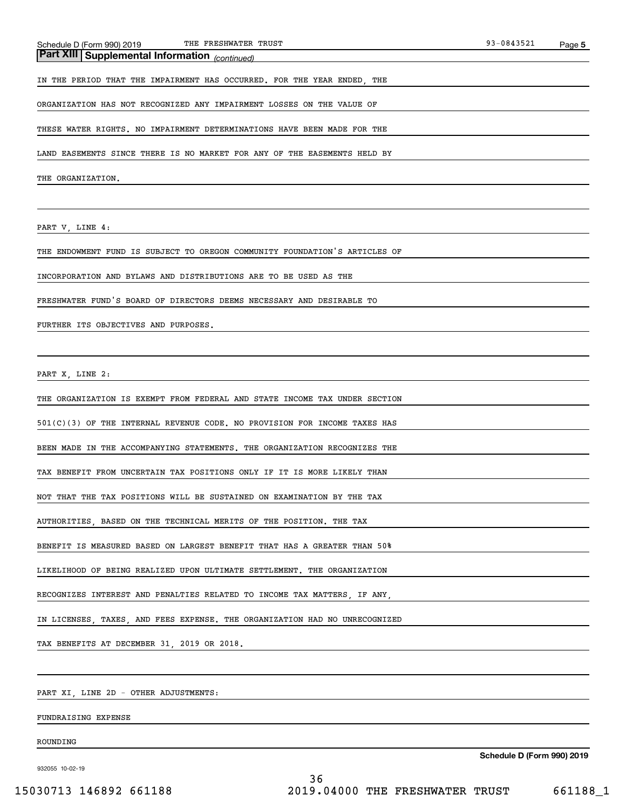*(continued)* **Part XIII Supplemental Information** 

IN THE PERIOD THAT THE IMPAIRMENT HAS OCCURRED. FOR THE YEAR ENDED, THE

ORGANIZATION HAS NOT RECOGNIZED ANY IMPAIRMENT LOSSES ON THE VALUE OF

THESE WATER RIGHTS. NO IMPAIRMENT DETERMINATIONS HAVE BEEN MADE FOR THE

LAND EASEMENTS SINCE THERE IS NO MARKET FOR ANY OF THE EASEMENTS HELD BY

THE ORGANIZATION.

PART V, LINE 4:

THE ENDOWMENT FUND IS SUBJECT TO OREGON COMMUNITY FOUNDATION'S ARTICLES OF

INCORPORATION AND BYLAWS AND DISTRIBUTIONS ARE TO BE USED AS THE

FRESHWATER FUND'S BOARD OF DIRECTORS DEEMS NECESSARY AND DESIRABLE TO

FURTHER ITS OBJECTIVES AND PURPOSES.

PART X, LINE 2:

THE ORGANIZATION IS EXEMPT FROM FEDERAL AND STATE INCOME TAX UNDER SECTION

501(C)(3) OF THE INTERNAL REVENUE CODE. NO PROVISION FOR INCOME TAXES HAS

BEEN MADE IN THE ACCOMPANYING STATEMENTS. THE ORGANIZATION RECOGNIZES THE

TAX BENEFIT FROM UNCERTAIN TAX POSITIONS ONLY IF IT IS MORE LIKELY THAN

NOT THAT THE TAX POSITIONS WILL BE SUSTAINED ON EXAMINATION BY THE TAX

AUTHORITIES, BASED ON THE TECHNICAL MERITS OF THE POSITION. THE TAX

BENEFIT IS MEASURED BASED ON LARGEST BENEFIT THAT HAS A GREATER THAN 50%

LIKELIHOOD OF BEING REALIZED UPON ULTIMATE SETTLEMENT. THE ORGANIZATION

RECOGNIZES INTEREST AND PENALTIES RELATED TO INCOME TAX MATTERS, IF ANY,

IN LICENSES, TAXES, AND FEES EXPENSE. THE ORGANIZATION HAD NO UNRECOGNIZED

TAX BENEFITS AT DECEMBER 31, 2019 OR 2018.

PART XI, LINE 2D - OTHER ADJUSTMENTS:

FUNDRAISING EXPENSE

ROUNDING

932055 10-02-19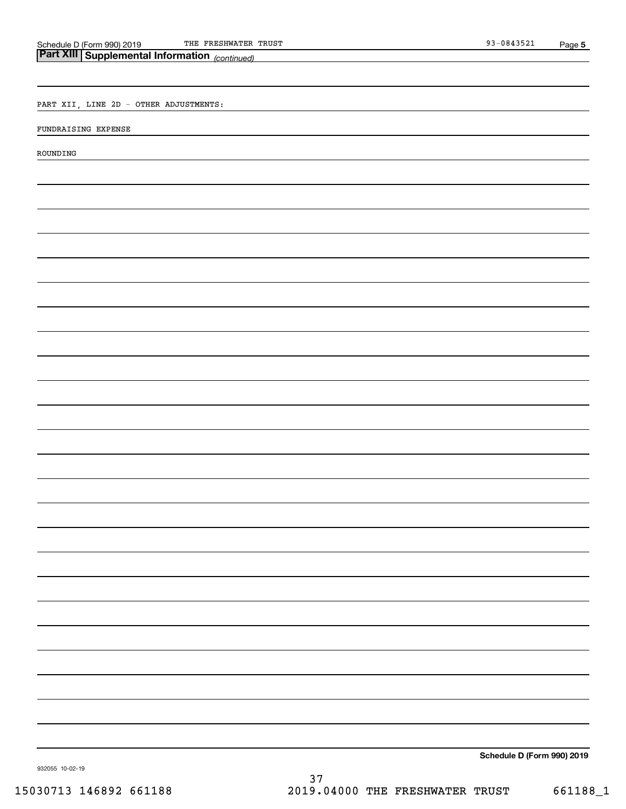THE FRESHWATER TRUST SERVICES AND THE FRESHWATER TRUST

| <b>Part XIII Supplemental Information</b> (continued) |  |
|-------------------------------------------------------|--|
|                                                       |  |
| PART XII, LINE 2D - OTHER ADJUSTMENTS:                |  |
| FUNDRAISING EXPENSE                                   |  |
| ROUNDING                                              |  |
|                                                       |  |
|                                                       |  |
|                                                       |  |
|                                                       |  |
|                                                       |  |
|                                                       |  |
|                                                       |  |
|                                                       |  |
|                                                       |  |
|                                                       |  |
|                                                       |  |
|                                                       |  |
|                                                       |  |
|                                                       |  |
|                                                       |  |
|                                                       |  |
|                                                       |  |
|                                                       |  |
|                                                       |  |
|                                                       |  |
|                                                       |  |
|                                                       |  |
|                                                       |  |
|                                                       |  |
| Schedule D (Form 990) 2019                            |  |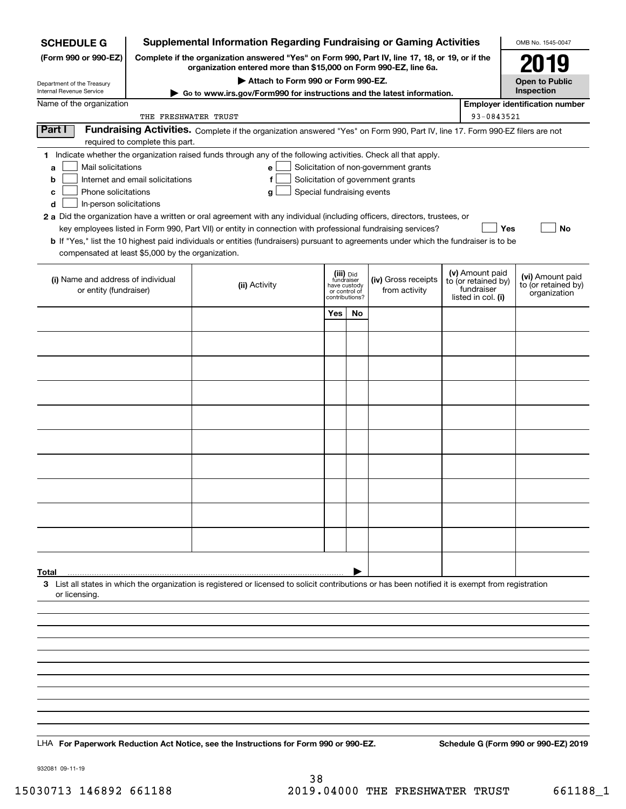| <b>SCHEDULE G</b>                                                                                                                             |                                                                                                                                                                     | <b>Supplemental Information Regarding Fundraising or Gaming Activities</b>                                                                                                                                                                                                                                                                                                                                                                                                                                                                         |                                                                            |    |                                                                            |  |                                                                            | OMB No. 1545-0047                                       |
|-----------------------------------------------------------------------------------------------------------------------------------------------|---------------------------------------------------------------------------------------------------------------------------------------------------------------------|----------------------------------------------------------------------------------------------------------------------------------------------------------------------------------------------------------------------------------------------------------------------------------------------------------------------------------------------------------------------------------------------------------------------------------------------------------------------------------------------------------------------------------------------------|----------------------------------------------------------------------------|----|----------------------------------------------------------------------------|--|----------------------------------------------------------------------------|---------------------------------------------------------|
| (Form 990 or 990-EZ)                                                                                                                          | Complete if the organization answered "Yes" on Form 990, Part IV, line 17, 18, or 19, or if the<br>organization entered more than \$15,000 on Form 990-EZ, line 6a. |                                                                                                                                                                                                                                                                                                                                                                                                                                                                                                                                                    |                                                                            |    |                                                                            |  |                                                                            | 2019                                                    |
| Department of the Treasury                                                                                                                    | Attach to Form 990 or Form 990-EZ.                                                                                                                                  |                                                                                                                                                                                                                                                                                                                                                                                                                                                                                                                                                    |                                                                            |    |                                                                            |  |                                                                            | <b>Open to Public</b>                                   |
| <b>Internal Revenue Service</b>                                                                                                               | Go to www.irs.gov/Form990 for instructions and the latest information.                                                                                              |                                                                                                                                                                                                                                                                                                                                                                                                                                                                                                                                                    |                                                                            |    |                                                                            |  |                                                                            | Inspection                                              |
| Name of the organization                                                                                                                      | THE FRESHWATER TRUST                                                                                                                                                |                                                                                                                                                                                                                                                                                                                                                                                                                                                                                                                                                    |                                                                            |    |                                                                            |  | 93-0843521                                                                 | <b>Employer identification number</b>                   |
| Part I                                                                                                                                        | required to complete this part.                                                                                                                                     | Fundraising Activities. Complete if the organization answered "Yes" on Form 990, Part IV, line 17. Form 990-EZ filers are not                                                                                                                                                                                                                                                                                                                                                                                                                      |                                                                            |    |                                                                            |  |                                                                            |                                                         |
| Mail solicitations<br>a<br>b<br>Phone solicitations<br>с<br>In-person solicitations<br>d<br>compensated at least \$5,000 by the organization. | Internet and email solicitations                                                                                                                                    | 1 Indicate whether the organization raised funds through any of the following activities. Check all that apply.<br>e<br>f<br>Special fundraising events<br>g<br>2 a Did the organization have a written or oral agreement with any individual (including officers, directors, trustees, or<br>key employees listed in Form 990, Part VII) or entity in connection with professional fundraising services?<br>b If "Yes," list the 10 highest paid individuals or entities (fundraisers) pursuant to agreements under which the fundraiser is to be |                                                                            |    | Solicitation of non-government grants<br>Solicitation of government grants |  | Yes                                                                        | No                                                      |
| (i) Name and address of individual<br>or entity (fundraiser)                                                                                  |                                                                                                                                                                     | (ii) Activity                                                                                                                                                                                                                                                                                                                                                                                                                                                                                                                                      | (iii) Did<br>fundraiser<br>have custody<br>or control of<br>contributions? |    | (iv) Gross receipts<br>from activity                                       |  | (v) Amount paid<br>to (or retained by)<br>fundraiser<br>listed in col. (i) | (vi) Amount paid<br>to (or retained by)<br>organization |
|                                                                                                                                               |                                                                                                                                                                     |                                                                                                                                                                                                                                                                                                                                                                                                                                                                                                                                                    | Yes                                                                        | No |                                                                            |  |                                                                            |                                                         |
|                                                                                                                                               |                                                                                                                                                                     |                                                                                                                                                                                                                                                                                                                                                                                                                                                                                                                                                    |                                                                            |    |                                                                            |  |                                                                            |                                                         |
|                                                                                                                                               |                                                                                                                                                                     |                                                                                                                                                                                                                                                                                                                                                                                                                                                                                                                                                    |                                                                            |    |                                                                            |  |                                                                            |                                                         |
|                                                                                                                                               |                                                                                                                                                                     |                                                                                                                                                                                                                                                                                                                                                                                                                                                                                                                                                    |                                                                            |    |                                                                            |  |                                                                            |                                                         |
|                                                                                                                                               |                                                                                                                                                                     |                                                                                                                                                                                                                                                                                                                                                                                                                                                                                                                                                    |                                                                            |    |                                                                            |  |                                                                            |                                                         |
|                                                                                                                                               |                                                                                                                                                                     |                                                                                                                                                                                                                                                                                                                                                                                                                                                                                                                                                    |                                                                            |    |                                                                            |  |                                                                            |                                                         |
|                                                                                                                                               |                                                                                                                                                                     |                                                                                                                                                                                                                                                                                                                                                                                                                                                                                                                                                    |                                                                            |    |                                                                            |  |                                                                            |                                                         |
|                                                                                                                                               |                                                                                                                                                                     |                                                                                                                                                                                                                                                                                                                                                                                                                                                                                                                                                    |                                                                            |    |                                                                            |  |                                                                            |                                                         |
|                                                                                                                                               |                                                                                                                                                                     |                                                                                                                                                                                                                                                                                                                                                                                                                                                                                                                                                    |                                                                            |    |                                                                            |  |                                                                            |                                                         |
|                                                                                                                                               |                                                                                                                                                                     |                                                                                                                                                                                                                                                                                                                                                                                                                                                                                                                                                    |                                                                            |    |                                                                            |  |                                                                            |                                                         |
|                                                                                                                                               |                                                                                                                                                                     |                                                                                                                                                                                                                                                                                                                                                                                                                                                                                                                                                    |                                                                            |    |                                                                            |  |                                                                            |                                                         |
|                                                                                                                                               |                                                                                                                                                                     |                                                                                                                                                                                                                                                                                                                                                                                                                                                                                                                                                    |                                                                            |    |                                                                            |  |                                                                            |                                                         |
|                                                                                                                                               |                                                                                                                                                                     |                                                                                                                                                                                                                                                                                                                                                                                                                                                                                                                                                    |                                                                            |    |                                                                            |  |                                                                            |                                                         |
| Total<br>or licensing.                                                                                                                        |                                                                                                                                                                     | 3 List all states in which the organization is registered or licensed to solicit contributions or has been notified it is exempt from registration                                                                                                                                                                                                                                                                                                                                                                                                 |                                                                            |    |                                                                            |  |                                                                            |                                                         |
|                                                                                                                                               |                                                                                                                                                                     |                                                                                                                                                                                                                                                                                                                                                                                                                                                                                                                                                    |                                                                            |    |                                                                            |  |                                                                            |                                                         |
|                                                                                                                                               |                                                                                                                                                                     |                                                                                                                                                                                                                                                                                                                                                                                                                                                                                                                                                    |                                                                            |    |                                                                            |  |                                                                            |                                                         |
|                                                                                                                                               |                                                                                                                                                                     |                                                                                                                                                                                                                                                                                                                                                                                                                                                                                                                                                    |                                                                            |    |                                                                            |  |                                                                            |                                                         |
|                                                                                                                                               |                                                                                                                                                                     |                                                                                                                                                                                                                                                                                                                                                                                                                                                                                                                                                    |                                                                            |    |                                                                            |  |                                                                            |                                                         |
|                                                                                                                                               |                                                                                                                                                                     |                                                                                                                                                                                                                                                                                                                                                                                                                                                                                                                                                    |                                                                            |    |                                                                            |  |                                                                            |                                                         |
|                                                                                                                                               |                                                                                                                                                                     |                                                                                                                                                                                                                                                                                                                                                                                                                                                                                                                                                    |                                                                            |    |                                                                            |  |                                                                            |                                                         |
|                                                                                                                                               |                                                                                                                                                                     | LHA For Paperwork Reduction Act Notice, see the Instructions for Form 990 or 990-EZ.                                                                                                                                                                                                                                                                                                                                                                                                                                                               |                                                                            |    |                                                                            |  |                                                                            | Schedule G (Form 990 or 990-EZ) 2019                    |
|                                                                                                                                               |                                                                                                                                                                     |                                                                                                                                                                                                                                                                                                                                                                                                                                                                                                                                                    |                                                                            |    |                                                                            |  |                                                                            |                                                         |

932081 09-11-19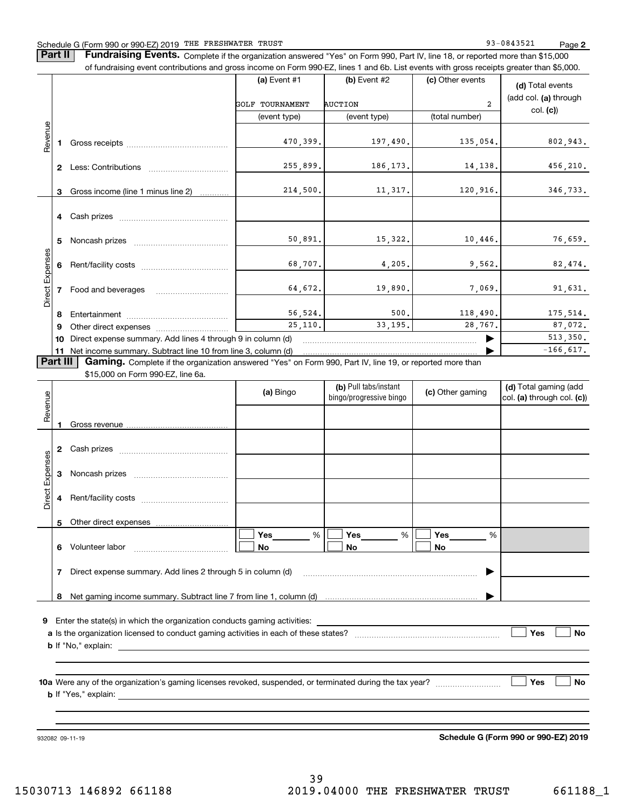**Part II** | Fundraising Events. Complete if the organization answered "Yes" on Form 990, Part IV, line 18, or reported more than \$15,000 of fundraising event contributions and gross income on Form 990-EZ, lines 1 and 6b. List events with gross receipts greater than \$5,000.

|                        |              |                                                                                                                                                                                                                                | (c) Other events<br>(a) Event #1<br>$(b)$ Event #2 |                |                | (d) Total events                  |  |  |
|------------------------|--------------|--------------------------------------------------------------------------------------------------------------------------------------------------------------------------------------------------------------------------------|----------------------------------------------------|----------------|----------------|-----------------------------------|--|--|
|                        |              |                                                                                                                                                                                                                                | GOLF TOURNAMENT                                    | <b>AUCTION</b> | $\overline{2}$ | (add col. (a) through<br>col. (c) |  |  |
|                        |              |                                                                                                                                                                                                                                | (event type)                                       | (event type)   | (total number) |                                   |  |  |
| Revenue                |              |                                                                                                                                                                                                                                |                                                    |                |                |                                   |  |  |
|                        |              | Gross receipts and the control of the control of the control of the control of the control of the control of the control of the control of the control of the control of the control of the control of the control of the cont | 470,399.                                           | 197,490.       | 135,054.       | 802,943.                          |  |  |
|                        | $\mathbf{2}$ | Less: Contributions                                                                                                                                                                                                            | 255,899.                                           | 186,173.       | 14, 138.       | 456,210.                          |  |  |
|                        | 3            | Gross income (line 1 minus line 2)                                                                                                                                                                                             | 214,500.                                           | 11,317.        | 120,916.       | 346,733.                          |  |  |
|                        |              |                                                                                                                                                                                                                                |                                                    |                |                |                                   |  |  |
|                        | 5.           |                                                                                                                                                                                                                                | 50,891.                                            | 15,322.        | 10,446.        | 76,659.                           |  |  |
| <b>Direct Expenses</b> |              |                                                                                                                                                                                                                                | 68,707.                                            | 4,205.         | 9,562.         | 82,474.                           |  |  |
|                        |              | Food and beverages                                                                                                                                                                                                             | 64,672.                                            | 19,890.        | 7,069.         | 91,631.                           |  |  |
|                        | 8            |                                                                                                                                                                                                                                | 56, 524.                                           | 500.           | 118,490.       | 175,514.                          |  |  |
|                        | 9            | Other direct expenses of the state of the state of the state of the state of the state of the state of the state of the state of the state of the state of the state of the state of the state of the state of the state of th | 25,110.                                            | 33,195.        | 28,767.        | 87,072.<br>513,350.               |  |  |
|                        | 10           | Direct expense summary. Add lines 4 through 9 in column (d)                                                                                                                                                                    |                                                    |                |                |                                   |  |  |
|                        |              | 11 Net income summary. Subtract line 10 from line 3, column (d)                                                                                                                                                                |                                                    |                |                | $-166,617.$                       |  |  |
| <b>Part III</b>        |              | Gaming. Complete if the organization answered "Yes" on Form 990, Part IV, line 19, or reported more than<br>\$15,000 on Form 990-EZ, line 6a.                                                                                  |                                                    |                |                |                                   |  |  |
|                        |              |                                                                                                                                                                                                                                |                                                    |                |                |                                   |  |  |

| Revenue         |                  |                                                                                                                                                                                                                                | (a) Bingo | (b) Pull tabs/instant<br>bingo/progressive bingo | (c) Other gaming             | (d) Total gaming (add<br>col. (a) through col. (c)) |  |  |
|-----------------|------------------|--------------------------------------------------------------------------------------------------------------------------------------------------------------------------------------------------------------------------------|-----------|--------------------------------------------------|------------------------------|-----------------------------------------------------|--|--|
|                 |                  |                                                                                                                                                                                                                                |           |                                                  |                              |                                                     |  |  |
|                 | 2                |                                                                                                                                                                                                                                |           |                                                  |                              |                                                     |  |  |
| Direct Expenses | 3                |                                                                                                                                                                                                                                |           |                                                  |                              |                                                     |  |  |
|                 | 4                |                                                                                                                                                                                                                                |           |                                                  |                              |                                                     |  |  |
|                 | 5                |                                                                                                                                                                                                                                |           |                                                  |                              |                                                     |  |  |
|                 | 6                |                                                                                                                                                                                                                                | %<br>No   | %<br><b>No</b>                                   | Yes $\_\_$<br>%<br><b>No</b> |                                                     |  |  |
|                 | 7                | Direct expense summary. Add lines 2 through 5 in column (d) [11] manus and the summan manuscription of the summan manuscription of the summan manuscription of the summan manuscription of the summan manuscription of the sum |           |                                                  | ▶                            |                                                     |  |  |
|                 | 8                |                                                                                                                                                                                                                                |           |                                                  |                              |                                                     |  |  |
| 9               |                  |                                                                                                                                                                                                                                |           |                                                  |                              | Yes<br><b>No</b>                                    |  |  |
|                 |                  |                                                                                                                                                                                                                                |           |                                                  |                              |                                                     |  |  |
|                 | <b>No</b><br>Yes |                                                                                                                                                                                                                                |           |                                                  |                              |                                                     |  |  |
|                 |                  |                                                                                                                                                                                                                                |           |                                                  |                              |                                                     |  |  |

932082 09-11-19

**Schedule G (Form 990 or 990-EZ) 2019**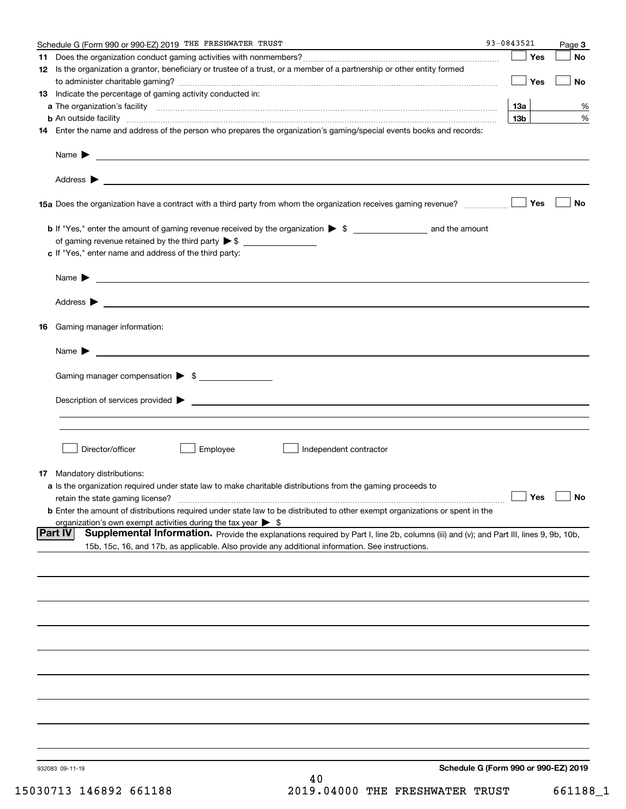|     | Schedule G (Form 990 or 990-EZ) 2019 THE FRESHWATER TRUST                                                                                                     | 93-0843521      |       | Page 3               |
|-----|---------------------------------------------------------------------------------------------------------------------------------------------------------------|-----------------|-------|----------------------|
| 11. |                                                                                                                                                               |                 | Yes   | <b>No</b>            |
|     | 12 Is the organization a grantor, beneficiary or trustee of a trust, or a member of a partnership or other entity formed                                      |                 |       |                      |
|     |                                                                                                                                                               |                 | │ Yes | No                   |
|     | 13 Indicate the percentage of gaming activity conducted in:                                                                                                   |                 |       |                      |
|     |                                                                                                                                                               | 1За             |       | %                    |
|     | <b>b</b> An outside facility <i>www.communicality www.communicality.communicality www.communicality www.communicality.communicality www.communicality.com</i> | 13 <sub>b</sub> |       | %                    |
|     | 14 Enter the name and address of the person who prepares the organization's gaming/special events books and records:                                          |                 |       |                      |
|     |                                                                                                                                                               |                 |       |                      |
|     |                                                                                                                                                               |                 |       |                      |
|     | Name $\triangleright$ $\square$                                                                                                                               |                 |       |                      |
|     |                                                                                                                                                               |                 |       |                      |
|     |                                                                                                                                                               |                 |       |                      |
|     | 15a Does the organization have a contract with a third party from whom the organization receives gaming revenue?                                              |                 | Yes   | <b>No</b>            |
|     |                                                                                                                                                               |                 |       |                      |
|     |                                                                                                                                                               |                 |       |                      |
|     |                                                                                                                                                               |                 |       |                      |
|     |                                                                                                                                                               |                 |       |                      |
|     | c If "Yes," enter name and address of the third party:                                                                                                        |                 |       |                      |
|     |                                                                                                                                                               |                 |       |                      |
|     |                                                                                                                                                               |                 |       |                      |
|     |                                                                                                                                                               |                 |       |                      |
|     |                                                                                                                                                               |                 |       |                      |
|     |                                                                                                                                                               |                 |       |                      |
| 16  | Gaming manager information:                                                                                                                                   |                 |       |                      |
|     |                                                                                                                                                               |                 |       |                      |
|     | Name $\blacktriangleright$                                                                                                                                    |                 |       |                      |
|     |                                                                                                                                                               |                 |       |                      |
|     | Gaming manager compensation > \$                                                                                                                              |                 |       |                      |
|     |                                                                                                                                                               |                 |       |                      |
|     | $Description of services provided$ $\triangleright$                                                                                                           |                 |       |                      |
|     |                                                                                                                                                               |                 |       |                      |
|     |                                                                                                                                                               |                 |       |                      |
|     |                                                                                                                                                               |                 |       |                      |
|     | Director/officer<br>Employee<br>Independent contractor                                                                                                        |                 |       |                      |
|     |                                                                                                                                                               |                 |       |                      |
|     | <b>17</b> Mandatory distributions:                                                                                                                            |                 |       |                      |
|     | a Is the organization required under state law to make charitable distributions from the gaming proceeds to                                                   |                 |       |                      |
|     | retain the state gaming license?                                                                                                                              |                 |       | $\Box$ Yes $\Box$ No |
|     | <b>b</b> Enter the amount of distributions required under state law to be distributed to other exempt organizations or spent in the                           |                 |       |                      |
|     | organization's own exempt activities during the tax year $\triangleright$ \$                                                                                  |                 |       |                      |
|     | Supplemental Information. Provide the explanations required by Part I, line 2b, columns (iii) and (v); and Part III, lines 9, 9b, 10b,<br><b>Part IV</b>      |                 |       |                      |
|     | 15b, 15c, 16, and 17b, as applicable. Also provide any additional information. See instructions.                                                              |                 |       |                      |
|     |                                                                                                                                                               |                 |       |                      |
|     |                                                                                                                                                               |                 |       |                      |
|     |                                                                                                                                                               |                 |       |                      |
|     |                                                                                                                                                               |                 |       |                      |
|     |                                                                                                                                                               |                 |       |                      |
|     |                                                                                                                                                               |                 |       |                      |
|     |                                                                                                                                                               |                 |       |                      |
|     |                                                                                                                                                               |                 |       |                      |
|     |                                                                                                                                                               |                 |       |                      |
|     |                                                                                                                                                               |                 |       |                      |
|     |                                                                                                                                                               |                 |       |                      |
|     |                                                                                                                                                               |                 |       |                      |
|     |                                                                                                                                                               |                 |       |                      |
|     |                                                                                                                                                               |                 |       |                      |
|     |                                                                                                                                                               |                 |       |                      |
|     |                                                                                                                                                               |                 |       |                      |
|     |                                                                                                                                                               |                 |       |                      |
|     | Schedule G (Form 990 or 990-EZ) 2019<br>932083 09-11-19                                                                                                       |                 |       |                      |
|     | 40                                                                                                                                                            |                 |       |                      |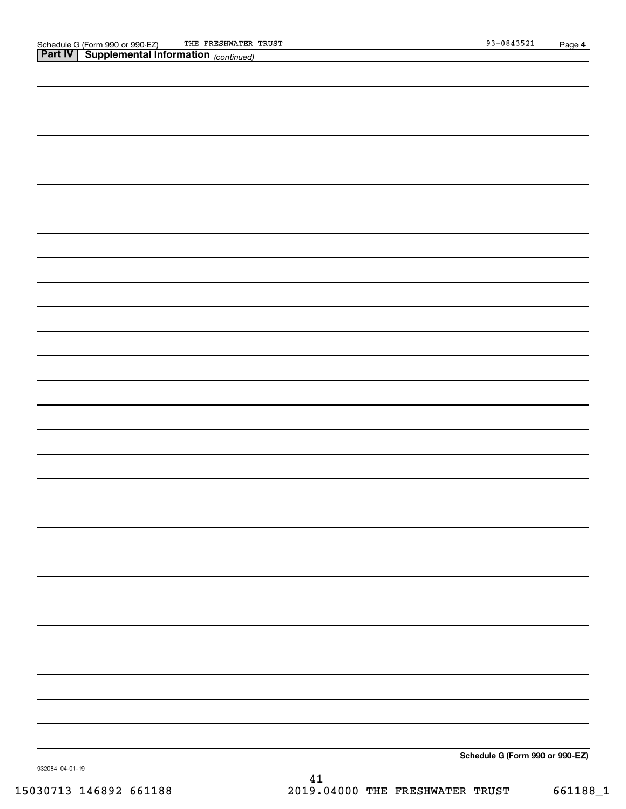| <b>Part IV   Supplemental Information</b> (continued) |
|-------------------------------------------------------|
|                                                       |
|                                                       |
|                                                       |
|                                                       |
|                                                       |
|                                                       |
|                                                       |
|                                                       |
|                                                       |
|                                                       |
|                                                       |
|                                                       |
|                                                       |
|                                                       |
|                                                       |
|                                                       |
|                                                       |
|                                                       |
|                                                       |
|                                                       |
|                                                       |
|                                                       |
|                                                       |
|                                                       |
|                                                       |
|                                                       |
|                                                       |
|                                                       |
| $0.1 \tImes = 0.00$                                   |

**Schedule G (Form 990 or 990-EZ)**

932084 04-01-19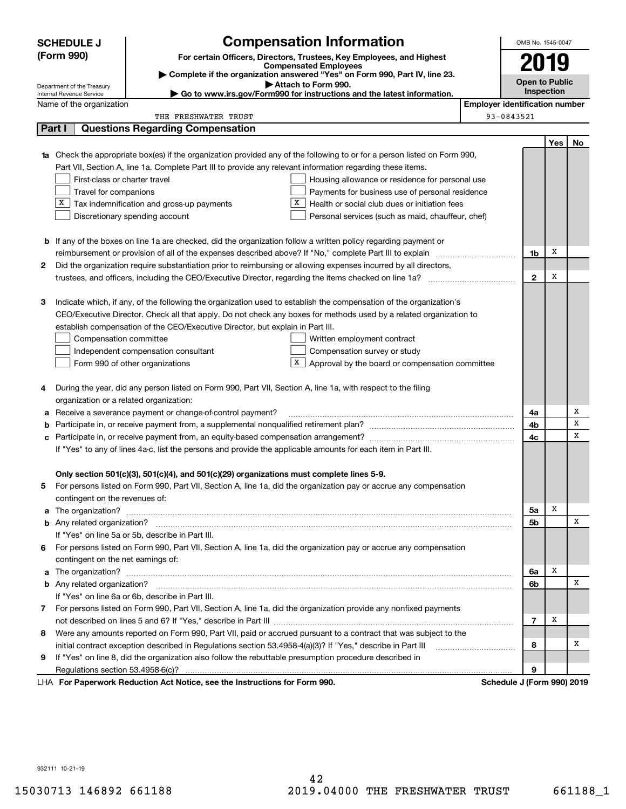|    | <b>Compensation Information</b><br><b>SCHEDULE J</b> |                                                                                                               |                                                                                                                                                                                                                                          |                                       |                            |            | OMB No. 1545-0047 |
|----|------------------------------------------------------|---------------------------------------------------------------------------------------------------------------|------------------------------------------------------------------------------------------------------------------------------------------------------------------------------------------------------------------------------------------|---------------------------------------|----------------------------|------------|-------------------|
|    | (Form 990)                                           |                                                                                                               | For certain Officers, Directors, Trustees, Key Employees, and Highest                                                                                                                                                                    |                                       |                            |            |                   |
|    |                                                      |                                                                                                               | <b>Compensated Employees</b>                                                                                                                                                                                                             |                                       | 2019                       |            |                   |
|    | Department of the Treasury                           |                                                                                                               | Complete if the organization answered "Yes" on Form 990, Part IV, line 23.<br>Attach to Form 990.                                                                                                                                        |                                       | <b>Open to Public</b>      |            |                   |
|    | Internal Revenue Service                             |                                                                                                               | ► Go to www.irs.gov/Form990 for instructions and the latest information.                                                                                                                                                                 |                                       | <b>Inspection</b>          |            |                   |
|    | Name of the organization                             |                                                                                                               |                                                                                                                                                                                                                                          | <b>Employer identification number</b> |                            |            |                   |
|    |                                                      | THE FRESHWATER TRUST                                                                                          |                                                                                                                                                                                                                                          |                                       | 93-0843521                 |            |                   |
|    | Part I                                               | <b>Questions Regarding Compensation</b>                                                                       |                                                                                                                                                                                                                                          |                                       |                            |            |                   |
|    |                                                      |                                                                                                               |                                                                                                                                                                                                                                          |                                       |                            | <b>Yes</b> | No                |
|    |                                                      |                                                                                                               | <b>1a</b> Check the appropriate box(es) if the organization provided any of the following to or for a person listed on Form 990,                                                                                                         |                                       |                            |            |                   |
|    |                                                      | Part VII, Section A, line 1a. Complete Part III to provide any relevant information regarding these items.    |                                                                                                                                                                                                                                          |                                       |                            |            |                   |
|    | First-class or charter travel                        |                                                                                                               | Housing allowance or residence for personal use                                                                                                                                                                                          |                                       |                            |            |                   |
|    | Travel for companions                                |                                                                                                               | Payments for business use of personal residence                                                                                                                                                                                          |                                       |                            |            |                   |
|    |                                                      | $X$ Tax indemnification and gross-up payments                                                                 | X<br>Health or social club dues or initiation fees                                                                                                                                                                                       |                                       |                            |            |                   |
|    |                                                      | Discretionary spending account                                                                                | Personal services (such as maid, chauffeur, chef)                                                                                                                                                                                        |                                       |                            |            |                   |
|    |                                                      |                                                                                                               |                                                                                                                                                                                                                                          |                                       |                            |            |                   |
|    |                                                      |                                                                                                               | <b>b</b> If any of the boxes on line 1a are checked, did the organization follow a written policy regarding payment or                                                                                                                   |                                       |                            | X          |                   |
|    |                                                      | reimbursement or provision of all of the expenses described above? If "No," complete Part III to explain      |                                                                                                                                                                                                                                          |                                       | 1b                         |            |                   |
| 2  |                                                      |                                                                                                               | Did the organization require substantiation prior to reimbursing or allowing expenses incurred by all directors,                                                                                                                         |                                       |                            | х          |                   |
|    |                                                      |                                                                                                               |                                                                                                                                                                                                                                          |                                       | $\mathbf{2}$               |            |                   |
| З  |                                                      |                                                                                                               |                                                                                                                                                                                                                                          |                                       |                            |            |                   |
|    |                                                      |                                                                                                               | Indicate which, if any, of the following the organization used to establish the compensation of the organization's<br>CEO/Executive Director. Check all that apply. Do not check any boxes for methods used by a related organization to |                                       |                            |            |                   |
|    |                                                      | establish compensation of the CEO/Executive Director, but explain in Part III.                                |                                                                                                                                                                                                                                          |                                       |                            |            |                   |
|    |                                                      |                                                                                                               |                                                                                                                                                                                                                                          |                                       |                            |            |                   |
|    | Compensation committee                               |                                                                                                               | Written employment contract<br>Compensation survey or study                                                                                                                                                                              |                                       |                            |            |                   |
|    |                                                      | Independent compensation consultant<br>Form 990 of other organizations                                        | $X$ Approval by the board or compensation committee                                                                                                                                                                                      |                                       |                            |            |                   |
|    |                                                      |                                                                                                               |                                                                                                                                                                                                                                          |                                       |                            |            |                   |
| 4  |                                                      | During the year, did any person listed on Form 990, Part VII, Section A, line 1a, with respect to the filing  |                                                                                                                                                                                                                                          |                                       |                            |            |                   |
|    | organization or a related organization:              |                                                                                                               |                                                                                                                                                                                                                                          |                                       |                            |            |                   |
| а  |                                                      | Receive a severance payment or change-of-control payment?                                                     |                                                                                                                                                                                                                                          |                                       | 4a                         |            | х                 |
| b  |                                                      |                                                                                                               |                                                                                                                                                                                                                                          |                                       | 4b                         |            | х                 |
| с  |                                                      |                                                                                                               |                                                                                                                                                                                                                                          |                                       | 4c                         |            | х                 |
|    |                                                      | If "Yes" to any of lines 4a-c, list the persons and provide the applicable amounts for each item in Part III. |                                                                                                                                                                                                                                          |                                       |                            |            |                   |
|    |                                                      |                                                                                                               |                                                                                                                                                                                                                                          |                                       |                            |            |                   |
|    |                                                      | Only section 501(c)(3), 501(c)(4), and 501(c)(29) organizations must complete lines 5-9.                      |                                                                                                                                                                                                                                          |                                       |                            |            |                   |
|    |                                                      |                                                                                                               | For persons listed on Form 990, Part VII, Section A, line 1a, did the organization pay or accrue any compensation                                                                                                                        |                                       |                            |            |                   |
|    | contingent on the revenues of:                       |                                                                                                               |                                                                                                                                                                                                                                          |                                       |                            |            |                   |
|    |                                                      |                                                                                                               |                                                                                                                                                                                                                                          |                                       | 5a                         | х          |                   |
|    |                                                      |                                                                                                               |                                                                                                                                                                                                                                          |                                       | 5b                         |            | х                 |
|    |                                                      | If "Yes" on line 5a or 5b, describe in Part III.                                                              |                                                                                                                                                                                                                                          |                                       |                            |            |                   |
| 6. |                                                      |                                                                                                               | For persons listed on Form 990, Part VII, Section A, line 1a, did the organization pay or accrue any compensation                                                                                                                        |                                       |                            |            |                   |
|    | contingent on the net earnings of:                   |                                                                                                               |                                                                                                                                                                                                                                          |                                       |                            |            |                   |
|    |                                                      |                                                                                                               |                                                                                                                                                                                                                                          |                                       | 6a                         | х          |                   |
|    |                                                      |                                                                                                               |                                                                                                                                                                                                                                          |                                       | 6b                         |            | x                 |
|    |                                                      | If "Yes" on line 6a or 6b, describe in Part III.                                                              |                                                                                                                                                                                                                                          |                                       |                            |            |                   |
|    |                                                      |                                                                                                               | 7 For persons listed on Form 990, Part VII, Section A, line 1a, did the organization provide any nonfixed payments                                                                                                                       |                                       |                            |            |                   |
|    |                                                      |                                                                                                               |                                                                                                                                                                                                                                          |                                       | 7                          | х          |                   |
|    |                                                      |                                                                                                               | 8 Were any amounts reported on Form 990, Part VII, paid or accrued pursuant to a contract that was subject to the                                                                                                                        |                                       |                            |            |                   |
|    |                                                      | initial contract exception described in Regulations section 53.4958-4(a)(3)? If "Yes," describe in Part III   |                                                                                                                                                                                                                                          |                                       | 8                          |            | х                 |
| 9  |                                                      | If "Yes" on line 8, did the organization also follow the rebuttable presumption procedure described in        |                                                                                                                                                                                                                                          |                                       |                            |            |                   |
|    |                                                      |                                                                                                               |                                                                                                                                                                                                                                          |                                       | 9                          |            |                   |
|    |                                                      | LHA For Paperwork Reduction Act Notice, see the Instructions for Form 990.                                    |                                                                                                                                                                                                                                          |                                       | Schedule J (Form 990) 2019 |            |                   |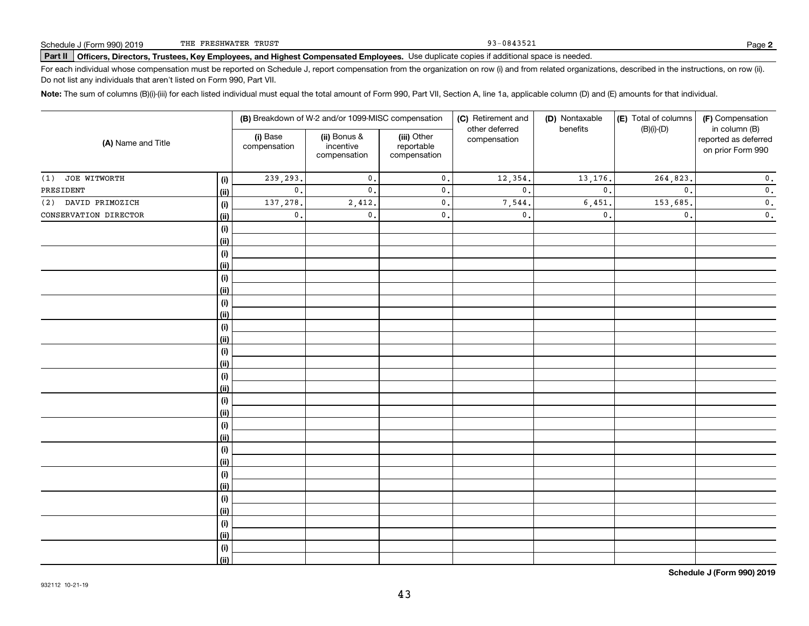93-0843521

## **Part II Officers, Directors, Trustees, Key Employees, and Highest Compensated Employees.**  Schedule J (Form 990) 2019 Page Use duplicate copies if additional space is needed.

For each individual whose compensation must be reported on Schedule J, report compensation from the organization on row (i) and from related organizations, described in the instructions, on row (ii). Do not list any individuals that aren't listed on Form 990, Part VII.

**Note:**  The sum of columns (B)(i)-(iii) for each listed individual must equal the total amount of Form 990, Part VII, Section A, line 1a, applicable column (D) and (E) amounts for that individual.

| (A) Name and Title    |      | (B) Breakdown of W-2 and/or 1099-MISC compensation |                                           |                                           | (C) Retirement and             | (D) Nontaxable<br>benefits | (E) Total of columns | (F) Compensation                                           |  |
|-----------------------|------|----------------------------------------------------|-------------------------------------------|-------------------------------------------|--------------------------------|----------------------------|----------------------|------------------------------------------------------------|--|
|                       |      | (i) Base<br>compensation                           | (ii) Bonus &<br>incentive<br>compensation | (iii) Other<br>reportable<br>compensation | other deferred<br>compensation |                            | $(B)(i)-(D)$         | in column (B)<br>reported as deferred<br>on prior Form 990 |  |
| JOE WITWORTH<br>(1)   | (i)  | 239,293.                                           | $\mathbf{0}$ .                            | $\mathbf 0$ .                             | 12,354.                        | 13,176.                    | 264,823.             | $\mathbf 0$ .                                              |  |
| PRESIDENT             | (ii) | $\mathbf{0}$ .                                     | $\mathbf{0}$ .                            | $\mathfrak o$ .                           | $\mathbf{0}$ .                 | $\mathbf{0}$ .             | $\mathbf{0}$ .       | $\overline{\mathbf{0}}$ .                                  |  |
| (2) DAVID PRIMOZICH   | (i)  | 137,278.                                           | 2,412.                                    | $\mathfrak o$ .                           | 7,544.                         | 6,451                      | 153,685.             | $\mathbf 0$ .                                              |  |
| CONSERVATION DIRECTOR | (ii) | $\mathbf{0}$ .                                     | $\mathbf{0}$ .                            | $\mathfrak o$ .                           | $\mathbf{0}$ .                 | $\mathbf{0}$ .             | $\mathfrak{o}$ .     | $\mathbf 0$ .                                              |  |
|                       | (i)  |                                                    |                                           |                                           |                                |                            |                      |                                                            |  |
|                       | (ii) |                                                    |                                           |                                           |                                |                            |                      |                                                            |  |
|                       | (i)  |                                                    |                                           |                                           |                                |                            |                      |                                                            |  |
|                       | (ii) |                                                    |                                           |                                           |                                |                            |                      |                                                            |  |
|                       | (i)  |                                                    |                                           |                                           |                                |                            |                      |                                                            |  |
|                       | (ii) |                                                    |                                           |                                           |                                |                            |                      |                                                            |  |
|                       | (i)  |                                                    |                                           |                                           |                                |                            |                      |                                                            |  |
|                       | (ii) |                                                    |                                           |                                           |                                |                            |                      |                                                            |  |
|                       | (i)  |                                                    |                                           |                                           |                                |                            |                      |                                                            |  |
|                       | (ii) |                                                    |                                           |                                           |                                |                            |                      |                                                            |  |
|                       | (i)  |                                                    |                                           |                                           |                                |                            |                      |                                                            |  |
|                       | (ii) |                                                    |                                           |                                           |                                |                            |                      |                                                            |  |
|                       | (i)  |                                                    |                                           |                                           |                                |                            |                      |                                                            |  |
|                       | (ii) |                                                    |                                           |                                           |                                |                            |                      |                                                            |  |
|                       | (i)  |                                                    |                                           |                                           |                                |                            |                      |                                                            |  |
|                       | (ii) |                                                    |                                           |                                           |                                |                            |                      |                                                            |  |
|                       | (i)  |                                                    |                                           |                                           |                                |                            |                      |                                                            |  |
|                       | (ii) |                                                    |                                           |                                           |                                |                            |                      |                                                            |  |
|                       | (i)  |                                                    |                                           |                                           |                                |                            |                      |                                                            |  |
|                       | (ii) |                                                    |                                           |                                           |                                |                            |                      |                                                            |  |
|                       | (i)  |                                                    |                                           |                                           |                                |                            |                      |                                                            |  |
|                       | (ii) |                                                    |                                           |                                           |                                |                            |                      |                                                            |  |
|                       | (i)  |                                                    |                                           |                                           |                                |                            |                      |                                                            |  |
|                       | (ii) |                                                    |                                           |                                           |                                |                            |                      |                                                            |  |
|                       | (i)  |                                                    |                                           |                                           |                                |                            |                      |                                                            |  |
|                       | (ii) |                                                    |                                           |                                           |                                |                            |                      |                                                            |  |
|                       | (i)  |                                                    |                                           |                                           |                                |                            |                      |                                                            |  |
|                       | (ii) |                                                    |                                           |                                           |                                |                            |                      |                                                            |  |

**Schedule J (Form 990) 2019**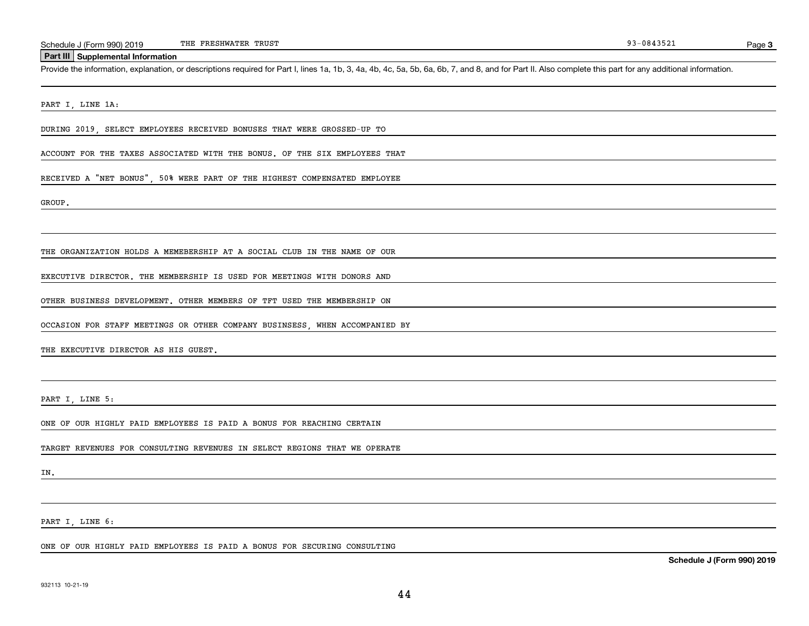### **Part III Supplemental Information**

Schedule J (Form 990) 2019 THE FRESHWATER TRUST<br>Part III Supplemental Information<br>Provide the information, explanation, or descriptions required for Part I, lines 1a, 1b, 3, 4a, 4b, 4c, 5a, 5b, 6a, 6b, 7, and 8, and for Pa

#### PART I, LINE 1A:

DURING 2019, SELECT EMPLOYEES RECEIVED BONUSES THAT WERE GROSSED-UP TO

ACCOUNT FOR THE TAXES ASSOCIATED WITH THE BONUS. OF THE SIX EMPLOYEES THAT

#### RECEIVED A "NET BONUS", 50% WERE PART OF THE HIGHEST COMPENSATED EMPLOYEE

GROUP.

#### THE ORGANIZATION HOLDS A MEMEBERSHIP AT A SOCIAL CLUB IN THE NAME OF OUR

EXECUTIVE DIRECTOR. THE MEMBERSHIP IS USED FOR MEETINGS WITH DONORS AND

OTHER BUSINESS DEVELOPMENT. OTHER MEMBERS OF TFT USED THE MEMBERSHIP ON

OCCASION FOR STAFF MEETINGS OR OTHER COMPANY BUSINSESS, WHEN ACCOMPANIED BY

THE EXECUTIVE DIRECTOR AS HIS GUEST.

PART I, LINE 5:

ONE OF OUR HIGHLY PAID EMPLOYEES IS PAID A BONUS FOR REACHING CERTAIN

TARGET REVENUES FOR CONSULTING REVENUES IN SELECT REGIONS THAT WE OPERATE

IN.

PART I, LINE 6:

ONE OF OUR HIGHLY PAID EMPLOYEES IS PAID A BONUS FOR SECURING CONSULTING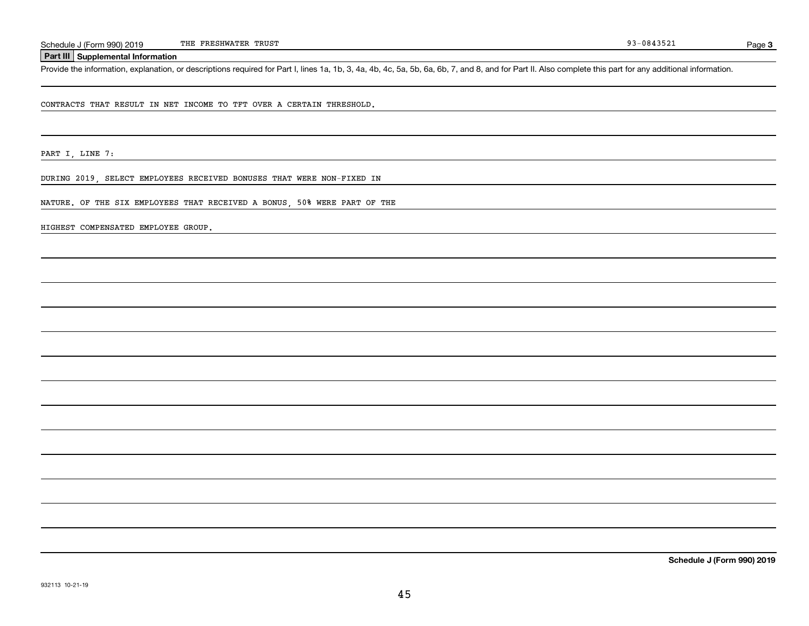### **Part III Supplemental Information**

Schedule J (Form 990) 2019 THE FRESHWATER TRUST<br> **Part III** Supplemental Information<br>
Provide the information, explanation, or descriptions required for Part I, lines 1a, 1b, 3, 4a, 4b, 4c, 5a, 5b, 6a, 6b, 7, and 8, and fo

CONTRACTS THAT RESULT IN NET INCOME TO TFT OVER A CERTAIN THRESHOLD.

PART I, LINE 7:

DURING 2019, SELECT EMPLOYEES RECEIVED BONUSES THAT WERE NON-FIXED IN

NATURE. OF THE SIX EMPLOYEES THAT RECEIVED A BONUS, 50% WERE PART OF THE

HIGHEST COMPENSATED EMPLOYEE GROUP.

**Schedule J (Form 990) 2019**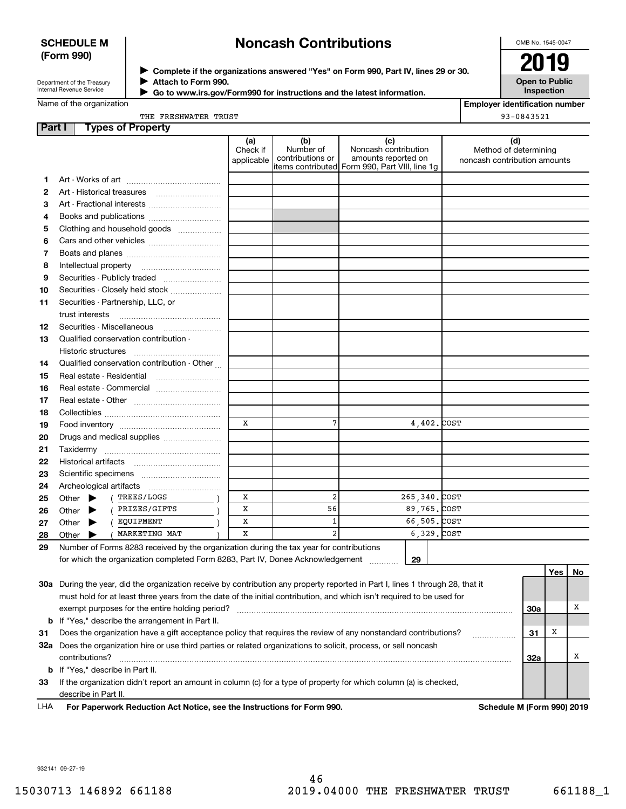## **SCHEDULE M (Form 990)**

## **Noncash Contributions**

OMB No. 1545-0047

| Department of the Treasury |  |
|----------------------------|--|
| Internal Revenue Service   |  |

**Complete if the organizations answered "Yes" on Form 990, Part IV, lines 29 or 30.** <sup>J</sup>**2019 Attach to Form 990.** J

**Open to Public Inspection**

|  |  | Name of the organization |  |
|--|--|--------------------------|--|
|--|--|--------------------------|--|

 **Go to www.irs.gov/Form990 for instructions and the latest information.** J

**Employer identification number** 93-0843521

| Part I |                             | <b>Types of Property</b>                                                                                                       |                               |                                      |                                                                                                      |                                                              |
|--------|-----------------------------|--------------------------------------------------------------------------------------------------------------------------------|-------------------------------|--------------------------------------|------------------------------------------------------------------------------------------------------|--------------------------------------------------------------|
|        |                             |                                                                                                                                | (a)<br>Check if<br>applicable | (b)<br>Number of<br>contributions or | (c)<br>Noncash contribution<br>amounts reported on<br>items contributed Form 990, Part VIII, line 1q | (d)<br>Method of determining<br>noncash contribution amounts |
| 1.     |                             |                                                                                                                                |                               |                                      |                                                                                                      |                                                              |
| 2      |                             |                                                                                                                                |                               |                                      |                                                                                                      |                                                              |
| 3      |                             | Art - Fractional interests                                                                                                     |                               |                                      |                                                                                                      |                                                              |
| 4      |                             | Books and publications                                                                                                         |                               |                                      |                                                                                                      |                                                              |
| 5      |                             | Clothing and household goods                                                                                                   |                               |                                      |                                                                                                      |                                                              |
| 6      |                             |                                                                                                                                |                               |                                      |                                                                                                      |                                                              |
| 7      |                             |                                                                                                                                |                               |                                      |                                                                                                      |                                                              |
| 8      | Intellectual property       |                                                                                                                                |                               |                                      |                                                                                                      |                                                              |
| 9      |                             | Securities - Publicly traded                                                                                                   |                               |                                      |                                                                                                      |                                                              |
| 10     |                             | Securities - Closely held stock                                                                                                |                               |                                      |                                                                                                      |                                                              |
| 11     |                             | Securities - Partnership, LLC, or                                                                                              |                               |                                      |                                                                                                      |                                                              |
|        | trust interests             |                                                                                                                                |                               |                                      |                                                                                                      |                                                              |
| 12     |                             |                                                                                                                                |                               |                                      |                                                                                                      |                                                              |
| 13     |                             | Qualified conservation contribution -                                                                                          |                               |                                      |                                                                                                      |                                                              |
|        | Historic structures         |                                                                                                                                |                               |                                      |                                                                                                      |                                                              |
| 14     |                             | Qualified conservation contribution - Other                                                                                    |                               |                                      |                                                                                                      |                                                              |
| 15     |                             | Real estate - Residential                                                                                                      |                               |                                      |                                                                                                      |                                                              |
| 16     |                             |                                                                                                                                |                               |                                      |                                                                                                      |                                                              |
| 17     |                             |                                                                                                                                |                               |                                      |                                                                                                      |                                                              |
| 18     |                             |                                                                                                                                |                               |                                      |                                                                                                      |                                                              |
| 19     |                             |                                                                                                                                | $\mathbf x$                   | 7                                    | 4,402. COST                                                                                          |                                                              |
| 20     |                             | Drugs and medical supplies                                                                                                     |                               |                                      |                                                                                                      |                                                              |
| 21     | Taxidermy                   |                                                                                                                                |                               |                                      |                                                                                                      |                                                              |
| 22     |                             |                                                                                                                                |                               |                                      |                                                                                                      |                                                              |
| 23     |                             |                                                                                                                                |                               |                                      |                                                                                                      |                                                              |
| 24     |                             | Archeological artifacts                                                                                                        |                               |                                      |                                                                                                      |                                                              |
| 25     | Other $\blacktriangleright$ | TREES/LOGS<br>$\sqrt{ }$                                                                                                       | x                             | $\overline{2}$                       | 265, 340, COST                                                                                       |                                                              |
| 26     | Other $\blacktriangleright$ | ( PRIZES/GIFTS                                                                                                                 | X                             | 56                                   | 89,765. COST                                                                                         |                                                              |
| 27     | Other $\blacktriangleright$ | ( EQUIPMENT                                                                                                                    | x                             | 1                                    | 66,505. COST                                                                                         |                                                              |
| 28     | Other $\blacktriangleright$ | ( MARKETING MAT                                                                                                                | X                             | $\overline{2}$                       | $6,329$ . $COST$                                                                                     |                                                              |
| 29     |                             | Number of Forms 8283 received by the organization during the tax year for contributions                                        |                               |                                      |                                                                                                      |                                                              |
|        |                             | for which the organization completed Form 8283, Part IV, Donee Acknowledgement [1111]                                          |                               |                                      | 29                                                                                                   |                                                              |
|        |                             |                                                                                                                                |                               |                                      |                                                                                                      | Yes  <br>No                                                  |
|        |                             | 30a During the year, did the organization receive by contribution any property reported in Part I, lines 1 through 28, that it |                               |                                      |                                                                                                      |                                                              |

| _HA | For Paperwork Reduction Act Notice, see the Instructions for Form 990.                                                                | Schedule M (Form 990) 2019 |   |  |
|-----|---------------------------------------------------------------------------------------------------------------------------------------|----------------------------|---|--|
|     | describe in Part II.                                                                                                                  |                            |   |  |
| 33  | If the organization didn't report an amount in column (c) for a type of property for which column (a) is checked,                     |                            |   |  |
|     | <b>b</b> If "Yes," describe in Part II.                                                                                               |                            |   |  |
|     | contributions?                                                                                                                        | 32a                        |   |  |
|     | 32a Does the organization hire or use third parties or related organizations to solicit, process, or sell noncash                     |                            |   |  |
| 31  | Does the organization have a gift acceptance policy that requires the review of any nonstandard contributions?                        | 31                         | х |  |
|     | <b>b</b> If "Yes," describe the arrangement in Part II.                                                                               |                            |   |  |
|     | exempt purposes for the entire holding period?                                                                                        | 30a                        |   |  |
|     | must hold for at least three years from the date of the initial contribution, and which isn't required to be used for                 |                            |   |  |
|     | <b>30a</b> During the year, aid the organization receive by contribution any property reported in Part I, lines T through 28, that it |                            |   |  |

932141 09-27-19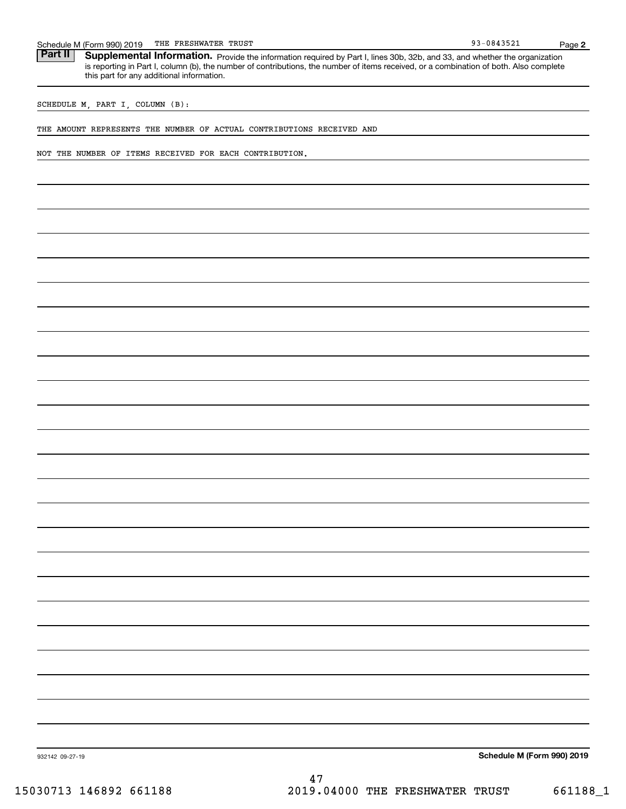| Schedule<br>M (Form 990) | ᅟᆏᄓᇦ<br>2019<br>. п. | FRESHWATER | TRUST |  | 1.25.2<br>n o<br><u>UO</u><br>≞ J J Z ⊥ | Page |
|--------------------------|----------------------|------------|-------|--|-----------------------------------------|------|
|--------------------------|----------------------|------------|-------|--|-----------------------------------------|------|

Part II | Supplemental Information. Provide the information required by Part I, lines 30b, 32b, and 33, and whether the organization is reporting in Part I, column (b), the number of contributions, the number of items received, or a combination of both. Also complete this part for any additional information.

SCHEDULE M, PART I, COLUMN (B):

THE AMOUNT REPRESENTS THE NUMBER OF ACTUAL CONTRIBUTIONS RECEIVED AND

NOT THE NUMBER OF ITEMS RECEIVED FOR EACH CONTRIBUTION.

**Schedule M (Form 990) 2019**

**2**

93-0843521

932142 09-27-19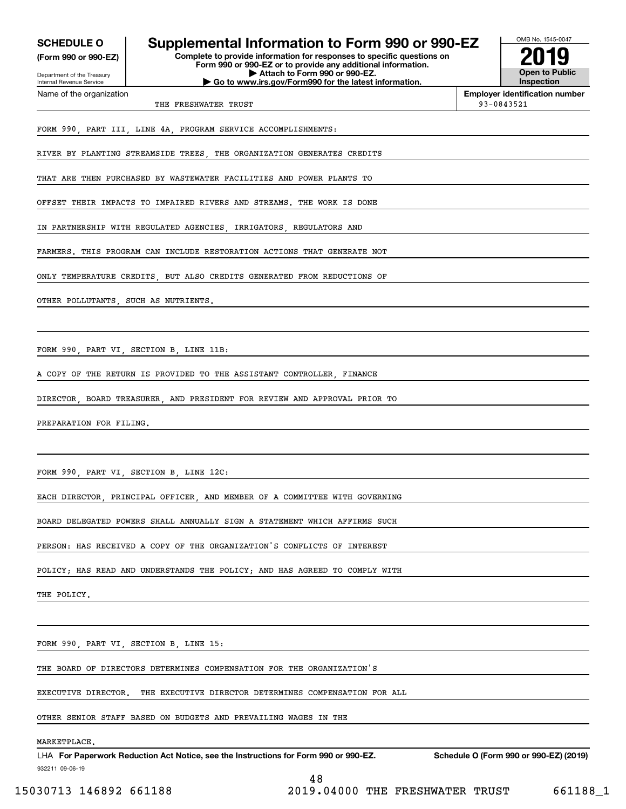**(Form 990 or 990-EZ)**

Department of the Treasury Internal Revenue Service Name of the organization

## **SCHEDULE O Supplemental Information to Form 990 or 990-EZ**

**Complete to provide information for responses to specific questions on Form 990 or 990-EZ or to provide any additional information. | Attach to Form 990 or 990-EZ. | Go to www.irs.gov/Form990 for the latest information.**



**Employer identification number**

THE FRESHWATER TRUST **12000** CHERRY TRUST **12000** CHERRY 12000 CHERRY 12000 CHERRY 12000 CHERRY 12000 CHERRY 12000 CHERRY 12000 CHERRY 12000 CHERRY 12000 CHERRY 12000 CHERRY 12000 CHERRY 12000 CHERRY 12000 CHERRY 12000 CHE

FORM 990, PART III, LINE 4A, PROGRAM SERVICE ACCOMPLISHMENTS:

RIVER BY PLANTING STREAMSIDE TREES, THE ORGANIZATION GENERATES CREDITS

THAT ARE THEN PURCHASED BY WASTEWATER FACILITIES AND POWER PLANTS TO

OFFSET THEIR IMPACTS TO IMPAIRED RIVERS AND STREAMS. THE WORK IS DONE

IN PARTNERSHIP WITH REGULATED AGENCIES IRRIGATORS REGULATORS AND

FARMERS. THIS PROGRAM CAN INCLUDE RESTORATION ACTIONS THAT GENERATE NOT

ONLY TEMPERATURE CREDITS, BUT ALSO CREDITS GENERATED FROM REDUCTIONS OF

OTHER POLLUTANTS SUCH AS NUTRIENTS

FORM 990, PART VI, SECTION B, LINE 11B:

A COPY OF THE RETURN IS PROVIDED TO THE ASSISTANT CONTROLLER, FINANCE

DIRECTOR, BOARD TREASURER, AND PRESIDENT FOR REVIEW AND APPROVAL PRIOR TO

PREPARATION FOR FILING.

FORM 990, PART VI, SECTION B, LINE 12C:

EACH DIRECTOR, PRINCIPAL OFFICER, AND MEMBER OF A COMMITTEE WITH GOVERNING

BOARD DELEGATED POWERS SHALL ANNUALLY SIGN A STATEMENT WHICH AFFIRMS SUCH

PERSON: HAS RECEIVED A COPY OF THE ORGANIZATION'S CONFLICTS OF INTEREST

POLICY; HAS READ AND UNDERSTANDS THE POLICY; AND HAS AGREED TO COMPLY WITH

THE POLICY.

FORM 990, PART VI, SECTION B, LINE 15:

THE BOARD OF DIRECTORS DETERMINES COMPENSATION FOR THE ORGANIZATION'S

EXECUTIVE DIRECTOR. THE EXECUTIVE DIRECTOR DETERMINES COMPENSATION FOR ALL

OTHER SENIOR STAFF BASED ON BUDGETS AND PREVAILING WAGES IN THE

#### MARKETPLACE.

932211 09-06-19 LHA For Paperwork Reduction Act Notice, see the Instructions for Form 990 or 990-EZ. Schedule O (Form 990 or 990-EZ) (2019) 48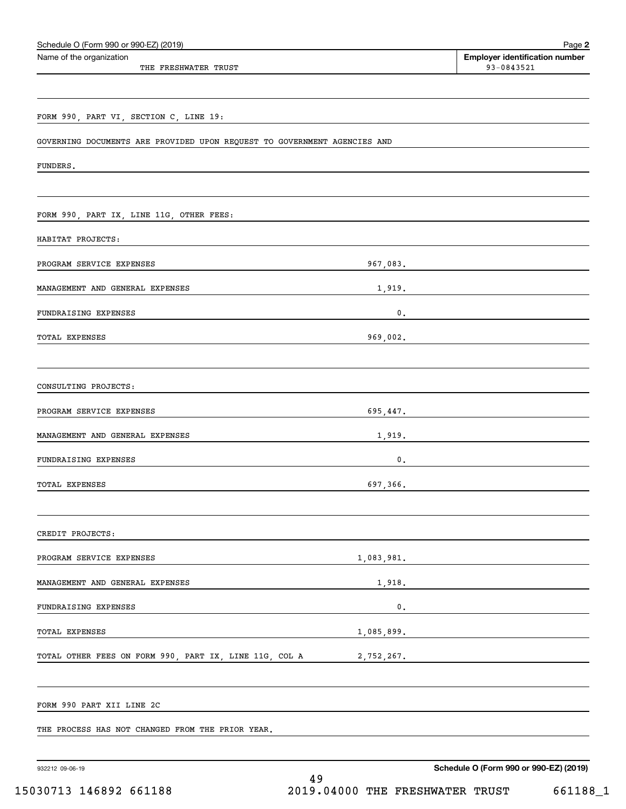| Schedule O (Form 990 or 990-EZ) (2019)                                   |                | Page 2                                              |
|--------------------------------------------------------------------------|----------------|-----------------------------------------------------|
| Name of the organization<br>THE FRESHWATER TRUST                         |                | <b>Employer identification number</b><br>93-0843521 |
|                                                                          |                |                                                     |
| FORM 990, PART VI, SECTION C, LINE 19:                                   |                |                                                     |
| GOVERNING DOCUMENTS ARE PROVIDED UPON REQUEST TO GOVERNMENT AGENCIES AND |                |                                                     |
| FUNDERS.                                                                 |                |                                                     |
|                                                                          |                |                                                     |
| FORM 990, PART IX, LINE 11G, OTHER FEES:                                 |                |                                                     |
| HABITAT PROJECTS:                                                        |                |                                                     |
| PROGRAM SERVICE EXPENSES                                                 | 967,083.       |                                                     |
| MANAGEMENT AND GENERAL EXPENSES                                          | 1,919.         |                                                     |
| FUNDRAISING EXPENSES                                                     | $\mathbf 0$ .  |                                                     |
| TOTAL EXPENSES                                                           | 969,002.       |                                                     |
| CONSULTING PROJECTS:                                                     |                |                                                     |
| PROGRAM SERVICE EXPENSES                                                 | 695,447.       |                                                     |
| MANAGEMENT AND GENERAL EXPENSES                                          | 1,919.         |                                                     |
| FUNDRAISING EXPENSES                                                     | 0.             |                                                     |
| TOTAL EXPENSES                                                           | 697,366.       |                                                     |
| CREDIT PROJECTS:                                                         |                |                                                     |
| PROGRAM SERVICE EXPENSES                                                 | 1,083,981.     |                                                     |
| MANAGEMENT AND GENERAL EXPENSES                                          | 1,918.         |                                                     |
| FUNDRAISING EXPENSES                                                     | $\mathsf{0}$ . |                                                     |
| TOTAL EXPENSES                                                           | 1,085,899.     |                                                     |
| TOTAL OTHER FEES ON FORM 990, PART IX, LINE 11G, COL A                   | 2,752,267.     |                                                     |
| FORM 990 PART XII LINE 2C                                                |                |                                                     |
| THE PROCESS HAS NOT CHANGED FROM THE PRIOR YEAR.                         |                |                                                     |
| 932212 09-06-19                                                          | 49             | Schedule O (Form 990 or 990-EZ) (2019)              |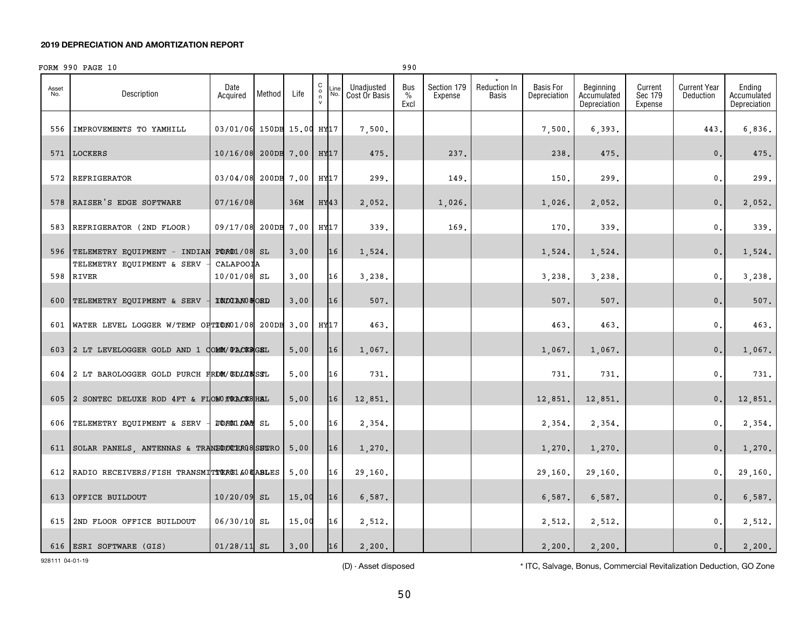## FORM 990 PAGE 10

| Asset<br>No. | Description                                           | Date<br>Acquired          | Method | Life       | C<br>Line<br>$\mathsf{o}$<br>No.<br>n<br>$\mathsf{v}$ | Unadjusted<br>Cost Or Basis | Bus<br>$\%$<br>Excl | Section 179<br>Expense | <b>Reduction In</b><br>Basis | <b>Basis For</b><br>Depreciation | Beginning<br>Accumulated<br>Depreciation | Current<br>Sec 179<br>Expense | <b>Current Year</b><br>Deduction | Ending<br>Accumulated<br>Depreciation |
|--------------|-------------------------------------------------------|---------------------------|--------|------------|-------------------------------------------------------|-----------------------------|---------------------|------------------------|------------------------------|----------------------------------|------------------------------------------|-------------------------------|----------------------------------|---------------------------------------|
| 556          | IMPROVEMENTS TO YAMHILL                               | 03/01/06 150DB 15.00 HY17 |        |            |                                                       | 7,500.                      |                     |                        |                              | 7,500.                           | 6,393.                                   |                               | 443.                             | 6,836.                                |
| 571          | LOCKERS                                               | 10/16/08 200DB 7.00       |        |            | HY17                                                  | 475.                        |                     | 237.                   |                              | 238.                             | 475.                                     |                               | $\mathbf{0}$ .                   | 475.                                  |
| 572          | <b>REFRIGERATOR</b>                                   | 03/04/08                  |        | 200DB 7.00 | HY17                                                  | 299.                        |                     | 149.                   |                              | 150.                             | 299.                                     |                               | $\mathbf{0}$ .                   | 299.                                  |
| 578          | RAISER'S EDGE SOFTWARE                                | 07/16/08                  |        | 36M        | HY43                                                  | 2,052.                      |                     | 1,026.                 |                              | 1,026.                           | 2,052.                                   |                               | $\mathbf 0$ .                    | 2,052.                                |
| 583          | REFRIGERATOR (2ND FLOOR)                              | 09/17/08 200DB 7.00       |        |            | HY17                                                  | 339.                        |                     | 169.                   |                              | 170.                             | 339.                                     |                               | $\mathbf{0}$ .                   | 339.                                  |
|              | 596 TELEMETRY EQUIPMENT - INDIAN                      | <b>FORD1/08 SL</b>        |        | 3,00       | 16                                                    | 1,524.                      |                     |                        |                              | 1,524.                           | 1,524.                                   |                               | $\mathbf 0$ .                    | 1,524.                                |
|              | TELEMETRY EQUIPMENT & SERV<br>598 RIVER               | CALAPOOIA<br>10/01/08 SL  |        | 3,00       | 16                                                    | 3,238.                      |                     |                        |                              | 3,238.                           | 3,238.                                   |                               | $\mathbf{0}$ .                   | 3,238.                                |
| 600          | TELEMETRY EQUIPMENT & SERV                            | <b>INDIANO &amp; ORD</b>  |        | 3,00       | 16                                                    | 507.                        |                     |                        |                              | 507.                             | 507.                                     |                               | 0.                               | 507.                                  |
|              | 601 WATER LEVEL LOGGER W/TEMP OF TION01/08 200DB 3.00 |                           |        |            | HY17                                                  | 463.                        |                     |                        |                              | 463.                             | 463.                                     |                               | $\mathbf 0$ .                    | 463.                                  |
|              | 603 2 LT LEVELOGGER GOLD AND 1 COMM/ PACK&GEL         |                           |        | 5.00       | 16                                                    | 1,067.                      |                     |                        |                              | 1,067.                           | 1,067.                                   |                               | $\mathbf 0$ .                    | 1,067.                                |
|              | 604 2 LT BAROLOGGER GOLD PURCH FROM/ SOLOSSSL         |                           |        | 5,00       | 16                                                    | 731.                        |                     |                        |                              | 731.                             | 731.                                     |                               | $\mathbf{0}$ .                   | 731.                                  |
| 605          | 2 SONTEC DELUXE ROD 4FT & FLOWO TRACKS HAL            |                           |        | 5.00       | 16                                                    | 12,851.                     |                     |                        |                              | 12,851.                          | 12,851.                                  |                               | $\mathbf{0}$ .                   | 12,851.                               |
|              | 606 TELEMETRY EQUIPMENT & SERV                        | <b>TOHN1 DAS SL</b>       |        | 5.00       | 16                                                    | 2,354.                      |                     |                        |                              | 2,354.                           | 2,354.                                   |                               | $\mathbf{0}$ .                   | 2,354.                                |
| 611          | SOLAR PANELS, ANTENNAS & TRANSOUCERG8SURO             |                           |        | 5,00       | 16                                                    | 1,270.                      |                     |                        |                              | 1,270.                           | 1,270.                                   |                               | 0.                               | 1,270.                                |
|              | 612 RADIO RECEIVERS/FISH TRANSMITTERS1 & 08 ABLES     |                           |        | 5,00       | 16                                                    | 29,160.                     |                     |                        |                              | 29,160.                          | 29,160.                                  |                               | $\mathbf{0}$ .                   | 29,160.                               |
| 613          | OFFICE BUILDOUT                                       | $10/20/09$ SL             |        | 15.00      | 16                                                    | 6,587.                      |                     |                        |                              | 6,587.                           | 6,587.                                   |                               | $\mathbf 0$ .                    | 6,587.                                |
| 615          | 2ND FLOOR OFFICE BUILDOUT                             | 06/30/10 SL               |        | 15.00      | 16                                                    | 2,512.                      |                     |                        |                              | 2,512.                           | 2,512.                                   |                               | 0.                               | 2,512.                                |
|              | 616   ESRI SOFTWARE (GIS)                             | $01/28/11$ SL             |        | 3.00       | 16                                                    | 2,200.                      |                     |                        |                              | 2,200.                           | 2,200.                                   |                               | 0.                               | 2,200.                                |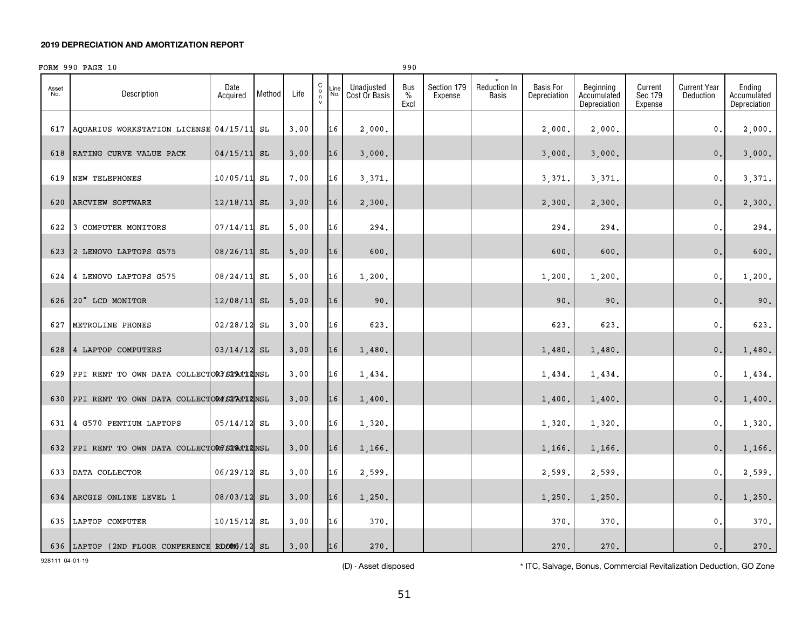|              | FORM 990 PAGE 10                               |                  |        |      |                                           |             |                             |                              | 990                    |                                     |                                  |                                          |                               |                                  |                                       |
|--------------|------------------------------------------------|------------------|--------|------|-------------------------------------------|-------------|-----------------------------|------------------------------|------------------------|-------------------------------------|----------------------------------|------------------------------------------|-------------------------------|----------------------------------|---------------------------------------|
| Asset<br>No. | Description                                    | Date<br>Acquired | Method | Life | $\begin{matrix} 0 \\ 0 \\ 7 \end{matrix}$ | .ine<br>No. | Unadjusted<br>Cost Or Basis | Bus<br>$\frac{0}{0}$<br>Excl | Section 179<br>Expense | <b>Reduction In</b><br><b>Basis</b> | <b>Basis For</b><br>Depreciation | Beginning<br>Accumulated<br>Depreciation | Current<br>Sec 179<br>Expense | <b>Current Year</b><br>Deduction | Ending<br>Accumulated<br>Depreciation |
| 617          | AQUARIUS WORKSTATION LICENSE                   | $04/15/11$ SL    |        | 3.00 |                                           | 16          | 2,000.                      |                              |                        |                                     | 2,000,                           | 2,000.                                   |                               | $\mathbf{0}$ .                   | 2,000.                                |
| 618          | RATING CURVE VALUE PACK                        | $04/15/11$ SL    |        | 3.00 |                                           | 16          | 3,000.                      |                              |                        |                                     | 3,000.                           | 3,000.                                   |                               | $\mathbf{0}$ .                   | 3,000.                                |
| 619          | NEW TELEPHONES                                 | 10/05/11 SL      |        | 7.00 |                                           | 16          | 3,371.                      |                              |                        |                                     | 3,371.                           | 3,371.                                   |                               | 0.                               | 3,371.                                |
| 620          | ARCVIEW SOFTWARE                               | $12/18/11$ SL    |        | 3.00 |                                           | 16          | 2,300.                      |                              |                        |                                     | 2,300.                           | 2,300.                                   |                               | $\mathbf 0$ .                    | 2,300.                                |
| 622          | 3 COMPUTER MONITORS                            | $07/14/11$ SL    |        | 5,00 |                                           | 16          | 294.                        |                              |                        |                                     | 294.                             | 294.                                     |                               | $\mathbf 0$ .                    | 294.                                  |
| 623          | 2 LENOVO LAPTOPS G575                          | $08/26/11$ SL    |        | 5,00 |                                           | 16          | 600.                        |                              |                        |                                     | 600.                             | 600.                                     |                               | $\mathbf{0}$ .                   | 600.                                  |
| 624          | 4 LENOVO LAPTOPS G575                          | 08/24/11 SL      |        | 5,00 |                                           | 16          | 1,200.                      |                              |                        |                                     | 1,200.                           | 1,200.                                   |                               | $\mathbf{0}$ .                   | 1,200.                                |
|              | 626 20" LCD MONITOR                            | 12/08/11 SL      |        | 5,00 |                                           | 16          | 90.                         |                              |                        |                                     | 90.                              | 90.                                      |                               | $\mathbf{0}$ .                   | 90.                                   |
| 627          | METROLINE PHONES                               | $02/28/12$ SL    |        | 3.00 |                                           | 16          | 623.                        |                              |                        |                                     | 623.                             | 623.                                     |                               | 0.                               | 623.                                  |
| 628          | 4 LAPTOP COMPUTERS                             | $03/14/12$ SL    |        | 3.00 |                                           | 16          | 1,480.                      |                              |                        |                                     | 1,480.                           | 1,480.                                   |                               | $\mathbf{0}$ .                   | 1,480.                                |
| 629          | PPI RENT TO OWN DATA COLLECTORY STATIZNSL      |                  |        | 3.00 |                                           | 16          | 1,434.                      |                              |                        |                                     | 1,434.                           | 1,434.                                   |                               | 0.                               | 1,434.                                |
| 630          | PPI RENT TO OWN DATA COLLECTOR4 STATIZINSL     |                  |        | 3.00 |                                           | 16          | 1,400.                      |                              |                        |                                     | 1,400.                           | 1,400.                                   |                               | $0$ .                            | 1,400.                                |
| 631          | 4 G570 PENTIUM LAPTOPS                         | $05/14/12$ SL    |        | 3.00 |                                           | 16          | 1,320.                      |                              |                        |                                     | 1,320.                           | 1,320.                                   |                               | 0.                               | 1,320.                                |
|              | 632 PPI RENT TO OWN DATA COLLECTORG STATIZINSL |                  |        | 3.00 |                                           | 16          | 1,166.                      |                              |                        |                                     | 1,166.                           | 1,166.                                   |                               | $0$ .                            | 1,166.                                |
| 633          | DATA COLLECTOR                                 | 06/29/12 SL      |        | 3.00 |                                           | 16          | 2,599.                      |                              |                        |                                     | 2,599.                           | 2,599.                                   |                               | $\mathbf{0}$ .                   | 2,599.                                |
| 634          | ARCGIS ONLINE LEVEL 1                          | 08/03/12 SL      |        | 3,00 |                                           | 16          | 1,250.                      |                              |                        |                                     | 1,250.                           | 1,250.                                   |                               | $\mathbf 0$ .                    | 1,250.                                |
| 635          | LAPTOP COMPUTER                                | $10/15/12$ SL    |        | 3.00 |                                           | 16          | 370.                        |                              |                        |                                     | 370.                             | 370.                                     |                               | $\mathsf{0}$ .                   | 370.                                  |
|              | 636 LAPTOP (2ND FLOOR CONFERENCE RDOM6/12 SL   |                  |        | 3.00 |                                           | 16          | 270.                        |                              |                        |                                     | 270.                             | 270.                                     |                               | $\mathbf{0}$ .                   | 270.                                  |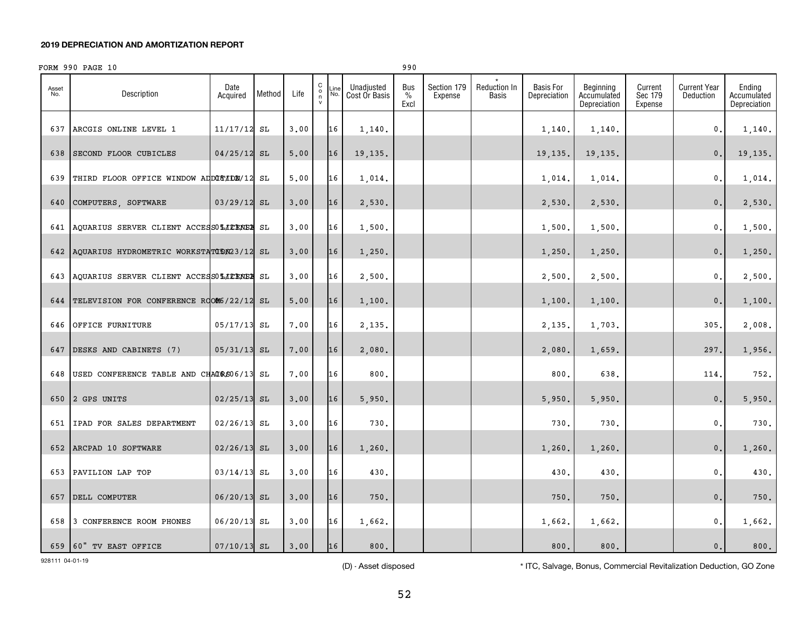## FORM 990 PAGE 10 990

| Asset<br>No. | Description                                  | Date<br>Acquired | Method | Life | $\mathtt{C}$<br>n<br>$\mathsf{v}$ | Line<br>No. | Unadjusted<br>Cost Or Basis | Bus<br>$\%$<br>Excl | Section 179<br>Expense | Reduction In<br>Basis | <b>Basis For</b><br>Depreciation | Beginning<br>Accumulated<br>Depreciation | Current<br>Sec 179<br>Expense | <b>Current Year</b><br>Deduction | Ending<br>Accumulated<br>Depreciation |
|--------------|----------------------------------------------|------------------|--------|------|-----------------------------------|-------------|-----------------------------|---------------------|------------------------|-----------------------|----------------------------------|------------------------------------------|-------------------------------|----------------------------------|---------------------------------------|
| 637          | ARCGIS ONLINE LEVEL 1                        | $11/17/12$ SL    |        | 3.00 |                                   | 16          | 1,140.                      |                     |                        |                       | 1,140.                           | 1,140.                                   |                               | $\mathbf{0}$ .                   | 1,140.                                |
| 638          | SECOND FLOOR CUBICLES                        | $04/25/12$ SL    |        | 5.00 |                                   | 16          | 19,135.                     |                     |                        |                       | 19,135.                          | 19,135.                                  |                               | $\mathbf{0}$ .                   | 19, 135.                              |
| 639          | THIRD FLOOR OFFICE WINDOW ADDUCTION/12       |                  | SL     | 5,00 |                                   | 16          | 1,014.                      |                     |                        |                       | 1,014.                           | 1,014.                                   |                               | $\mathbf{0}$ .                   | 1,014.                                |
| 640          | COMPUTERS, SOFTWARE                          | $03/29/12$ SL    |        | 3.00 |                                   | 16          | 2,530.                      |                     |                        |                       | 2,530.                           | 2,530.                                   |                               | $\mathbf 0$ .                    | 2,530.                                |
|              | 641 AQUARIUS SERVER CLIENT ACCESSOLIENEE SL  |                  |        | 3.00 |                                   | 16          | 1,500.                      |                     |                        |                       | 1,500.                           | 1,500.                                   |                               | $\mathfrak{o}$ .                 | 1,500.                                |
| 642          | AQUARIUS HYDROMETRIC WORKSTATODN23/12 SL     |                  |        | 3.00 |                                   | 16          | 1,250.                      |                     |                        |                       | 1,250.                           | 1,250.                                   |                               | $\mathbf{0}$ .                   | 1,250.                                |
|              | 643 AQUARIUS SERVER CLIENT ACCESSOLITENEE SL |                  |        | 3.00 |                                   | 16          | 2,500.                      |                     |                        |                       | 2,500.                           | 2,500.                                   |                               | $\mathbf{0}$ .                   | 2,500.                                |
| 644          | TELEVISION FOR CONFERENCE ROOM6/22/12 SL     |                  |        | 5.00 |                                   | 16          | 1,100.                      |                     |                        |                       | 1,100.                           | 1,100.                                   |                               | $\mathbf{0}$ .                   | 1,100.                                |
| 646          | OFFICE FURNITURE                             | 05/17/13         | SL     | 7.00 |                                   | 16          | 2,135.                      |                     |                        |                       | 2,135.                           | 1,703.                                   |                               | 305.                             | 2,008.                                |
| 647          | DESKS AND CABINETS (7)                       | $05/31/13$ SL    |        | 7.00 |                                   | 16          | 2,080.                      |                     |                        |                       | 2,080,                           | 1,659.                                   |                               | 297.                             | 1,956.                                |
| 648          | USED CONFERENCE TABLE AND CHAIRS06/13        |                  | SL     | 7.00 |                                   | 16          | 800.                        |                     |                        |                       | 800                              | 638.                                     |                               | 114.                             | 752.                                  |
| 650          | 2 GPS UNITS                                  | $02/25/13$ SL    |        | 3.00 |                                   | 16          | 5,950.                      |                     |                        |                       | 5,950.                           | 5,950.                                   |                               | $\mathbf{0}$ .                   | 5,950.                                |
|              | 651   IPAD FOR SALES DEPARTMENT              | 02/26/13         | SL     | 3,00 |                                   | 16          | 730.                        |                     |                        |                       | 730.                             | 730.                                     |                               | $\mathfrak{o}$ .                 | 730.                                  |
| 652          | ARCPAD 10 SOFTWARE                           | $02/26/13$ SL    |        | 3,00 |                                   | 16          | 1,260.                      |                     |                        |                       | 1,260.                           | 1,260.                                   |                               | $\mathbf 0$ .                    | 1,260.                                |
| 653          | PAVILION LAP TOP                             | 03/14/13         | SL     | 3,00 |                                   | 16          | 430.                        |                     |                        |                       | 430.                             | 430.                                     |                               | $\mathbf 0$ .                    | 430.                                  |
| 657          | DELL COMPUTER                                | $06/20/13$ SL    |        | 3.00 |                                   | 16          | 750.                        |                     |                        |                       | 750.                             | 750.                                     |                               | $\mathbf{0}$ .                   | 750.                                  |
| 658          | 3 CONFERENCE ROOM PHONES                     | 06/20/13         | SL     | 3.00 |                                   | 16          | 1,662.                      |                     |                        |                       | 1,662.                           | 1,662.                                   |                               | $\mathbf{0}$ .                   | 1,662.                                |
|              | 659 60" TV EAST OFFICE                       | $07/10/13$ SL    |        | 3.00 |                                   | 16          | 800.                        |                     |                        |                       | 800.                             | 800.                                     |                               | $\mathbf{0}$ .                   | 800.                                  |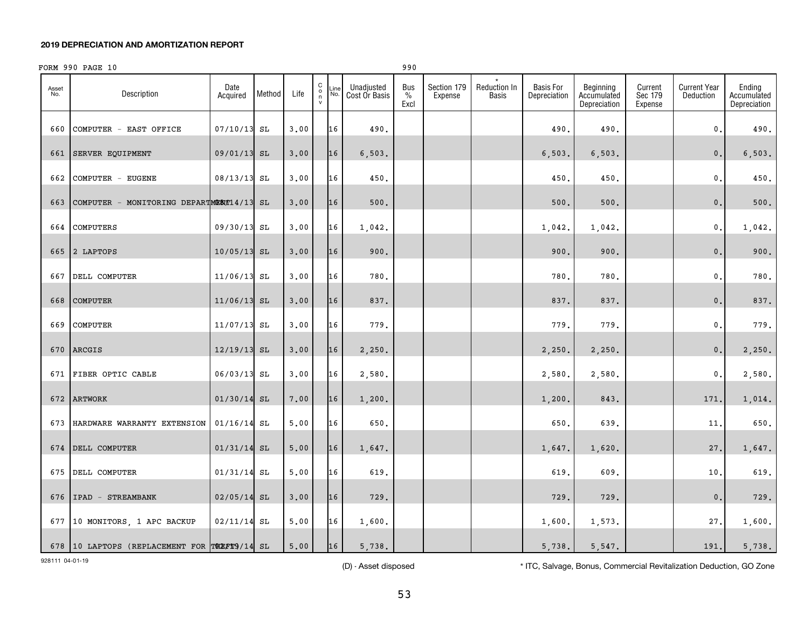## FORM 990 PAGE 10 990 PAGE 10

| Asset<br>No. | Description                                  | Date<br>Acquired | Method | Life | $\begin{smallmatrix} 0 \\ 0 \\ 7 \end{smallmatrix}$ | Line<br>No. | Unadjusted<br>Cost Or Basis | <b>Bus</b><br>$\frac{0}{0}$<br>Excl | Section 179<br>Expense | Reduction In<br>Basis | <b>Basis For</b><br>Depreciation | Beginning<br>Accumulated<br>Depreciation | Current<br>Sec 179<br>Expense | <b>Current Year</b><br>Deduction | Ending<br>Accumulated<br>Depreciation |
|--------------|----------------------------------------------|------------------|--------|------|-----------------------------------------------------|-------------|-----------------------------|-------------------------------------|------------------------|-----------------------|----------------------------------|------------------------------------------|-------------------------------|----------------------------------|---------------------------------------|
| 660          | COMPUTER - EAST OFFICE                       | 07/10/13 SL      |        | 3,00 |                                                     | 16          | 490.                        |                                     |                        |                       | 490.                             | 490.                                     |                               | 0.                               | 490.                                  |
| 661          | SERVER EQUIPMENT                             | 09/01/13 SL      |        | 3.00 |                                                     | 16          | 6, 503.                     |                                     |                        |                       | 6, 503.                          | 6, 503.                                  |                               | $\mathbf 0$ .                    | 6,503.                                |
| 662          | COMPUTER - EUGENE                            | 08/13/13 SL      |        | 3.00 |                                                     | 16          | 450.                        |                                     |                        |                       | 450.                             | 450.                                     |                               | 0.                               | 450.                                  |
| 663          | COMPUTER - MONITORING DEPARTMENT14/13 SL     |                  |        | 3.00 |                                                     | 16          | $500.$                      |                                     |                        |                       | 500.                             | 500.                                     |                               | $\mathbf{0}$ .                   | 500.                                  |
| 664          | COMPUTERS                                    | 09/30/13 SL      |        | 3.00 |                                                     | 16          | 1,042.                      |                                     |                        |                       | 1,042.                           | 1,042.                                   |                               | $\mathbf{0}$ .                   | 1,042.                                |
|              | 665 2 LAPTOPS                                | 10/05/13 SL      |        | 3,00 |                                                     | 16          | 900.                        |                                     |                        |                       | 900.                             | 900.                                     |                               | $\mathbf{0}$ .                   | 900.                                  |
| 667          | DELL COMPUTER                                | 11/06/13 SL      |        | 3.00 |                                                     | 16          | 780.                        |                                     |                        |                       | 780.                             | 780.                                     |                               | $\mathbf{0}$ .                   | 780.                                  |
| 668          | COMPUTER                                     | 11/06/13 SL      |        | 3,00 |                                                     | 16          | 837.                        |                                     |                        |                       | 837.                             | 837.                                     |                               | $\mathbf 0$ .                    | 837.                                  |
| 669          | COMPUTER                                     | 11/07/13 SL      |        | 3.00 |                                                     | 16          | 779.                        |                                     |                        |                       | 779.                             | 779.                                     |                               | $\mathbf 0$ .                    | 779.                                  |
|              | 670 ARCGIS                                   | $12/19/13$ SL    |        | 3,00 |                                                     | 16          | 2,250.                      |                                     |                        |                       | 2,250.                           | 2,250.                                   |                               | 0.                               | 2,250.                                |
|              | 671 FIBER OPTIC CABLE                        | 06/03/13 SL      |        | 3.00 |                                                     | 16          | 2,580.                      |                                     |                        |                       | 2,580.                           | 2,580.                                   |                               | 0.                               | 2,580.                                |
|              | 672 ARTWORK                                  | $01/30/14$ SL    |        | 7.00 |                                                     | 16          | 1,200.                      |                                     |                        |                       | 1,200.                           | 843.                                     |                               | 171.                             | 1,014.                                |
| 673          | HARDWARE WARRANTY EXTENSION                  | $01/16/14$ SL    |        | 5.00 |                                                     | 16          | 650.                        |                                     |                        |                       | 650.                             | 639.                                     |                               | 11.                              | 650.                                  |
| 674          | DELL COMPUTER                                | $01/31/14$ SL    |        | 5.00 |                                                     | 16          | 1,647.                      |                                     |                        |                       | 1,647.                           | 1,620.                                   |                               | 27.                              | 1,647.                                |
| 675          | DELL COMPUTER                                | $01/31/14$ SL    |        | 5.00 |                                                     | 16          | 619.                        |                                     |                        |                       | 619.                             | 609.                                     |                               | 10.                              | 619.                                  |
| 676          | IPAD - STREAMBANK                            | $02/05/14$ SL    |        | 3.00 |                                                     | 16          | 729.                        |                                     |                        |                       | 729.                             | 729.                                     |                               | $\mathbf{0}$ .                   | 729.                                  |
|              | 677 10 MONITORS, 1 APC BACKUP                | $02/11/14$ SL    |        | 5.00 |                                                     | 16          | 1,600.                      |                                     |                        |                       | 1,600.                           | 1,573.                                   |                               | 27.                              | 1,600.                                |
|              | 678 10 LAPTOPS (REPLACEMENT FOR TUEFT9/14 SL |                  |        | 5.00 |                                                     | 16          | 5,738.                      |                                     |                        |                       | 5,738.                           | 5, 547.                                  |                               | 191.                             | 5,738.                                |

928111 04-01-19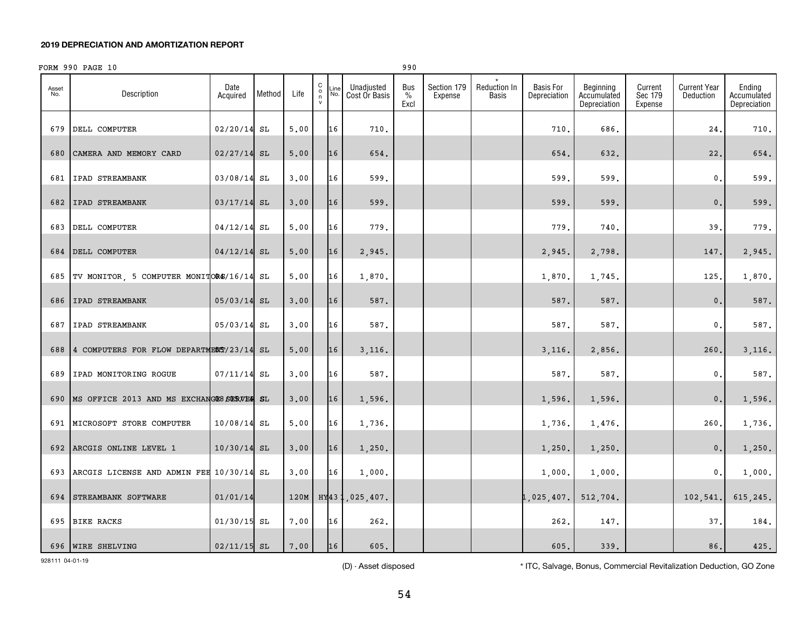## FORM 990 PAGE 10 990 990 990 PAGE 10

| Asset<br>No. | Description                                   | Date<br>Acquired | Method | Life | $\begin{matrix} 0 \\ \eta \\ \nu \end{matrix}$ | Line<br>No. | Unadjusted<br>Cost Or Basis | Bus<br>$\%$<br>Excl | Section 179<br>Expense | <b>Reduction In</b><br><b>Basis</b> | <b>Basis For</b><br>Depreciation | Beginning<br>Accumulated<br>Depreciation | Current<br>Sec 179<br>Expense | <b>Current Year</b><br>Deduction | Ending<br>Accumulated<br>Depreciation |
|--------------|-----------------------------------------------|------------------|--------|------|------------------------------------------------|-------------|-----------------------------|---------------------|------------------------|-------------------------------------|----------------------------------|------------------------------------------|-------------------------------|----------------------------------|---------------------------------------|
| 679          | DELL COMPUTER                                 | $02/20/14$ SL    |        | 5.00 |                                                | 16          | 710.                        |                     |                        |                                     | 710.                             | 686.                                     |                               | 24.                              | 710.                                  |
| 680          | CAMERA AND MEMORY CARD                        | $02/27/14$ SL    |        | 5,00 |                                                | 16          | 654.                        |                     |                        |                                     | 654.                             | 632.                                     |                               | 22.                              | 654.                                  |
| 681          | IPAD STREAMBANK                               | 03/08/14 SL      |        | 3,00 |                                                | 16          | 599.                        |                     |                        |                                     | 599.                             | 599.                                     |                               | 0.                               | 599.                                  |
|              | 682   IPAD STREAMBANK                         | $03/17/14$ SL    |        | 3,00 |                                                | 16          | 599.                        |                     |                        |                                     | 599.                             | 599.                                     |                               | $\mathbf{0}$ .                   | 599.                                  |
| 683          | DELL COMPUTER                                 | $04/12/14$ SL    |        | 5.00 |                                                | 16          | 779.                        |                     |                        |                                     | 779.                             | 740.                                     |                               | 39.                              | 779.                                  |
|              | 684 DELL COMPUTER                             | $04/12/14$ SL    |        | 5,00 |                                                | 16          | 2,945.                      |                     |                        |                                     | 2,945.                           | 2,798.                                   |                               | 147.                             | 2,945.                                |
|              | 685 TV MONITOR, 5 COMPUTER MONITORS/16/14 SL  |                  |        | 5.00 |                                                | 16          | 1,870.                      |                     |                        |                                     | 1,870.                           | 1,745.                                   |                               | 125,                             | 1,870.                                |
|              | 686 IPAD STREAMBANK                           | $05/03/14$ SL    |        | 3,00 |                                                | 16          | 587.                        |                     |                        |                                     | 587.                             | 587.                                     |                               | $\mathbf{0}$ .                   | 587.                                  |
| 687          | <b>IPAD STREAMBANK</b>                        | 05/03/14 SL      |        | 3.00 |                                                | 16          | 587.                        |                     |                        |                                     | 587.                             | 587.                                     |                               | $\mathbf 0$ .                    | 587.                                  |
|              | 688 4 COMPUTERS FOR FLOW DEPARTMENT/23/14 SL  |                  |        | 5,00 |                                                | 16          | 3,116.                      |                     |                        |                                     | 3,116.                           | 2,856.                                   |                               | 260.                             | 3,116.                                |
| 689          | IPAD MONITORING ROGUE                         | $07/11/14$ SL    |        | 3.00 |                                                | 16          | 587.                        |                     |                        |                                     | 587.                             | 587.                                     |                               | $\mathbf{0}$ .                   | 587.                                  |
|              | 690 MS OFFICE 2013 AND MS EXCHANGES SERVER SL |                  |        | 3.00 |                                                | 16          | 1,596.                      |                     |                        |                                     | 1,596.                           | 1,596.                                   |                               | $\mathbf{0}$ .                   | 1,596.                                |
|              | 691 MICROSOFT STORE COMPUTER                  | $10/08/14$ SL    |        | 5.00 |                                                | 16          | 1,736.                      |                     |                        |                                     | 1,736.                           | 1,476.                                   |                               | 260.                             | 1,736.                                |
|              | 692 ARCGIS ONLINE LEVEL 1                     | 10/30/14 SL      |        | 3.00 |                                                | 16          | 1,250.                      |                     |                        |                                     | 1,250.                           | 1,250.                                   |                               | 0.                               | 1,250.                                |
|              | 693 ARCGIS LICENSE AND ADMIN FEE 10/30/14 SL  |                  |        | 3.00 |                                                | 16          | 1,000.                      |                     |                        |                                     | 1,000.                           | 1,000.                                   |                               | 0.                               | 1,000.                                |
|              | 694 STREAMBANK SOFTWARE                       | 01/01/14         |        |      |                                                |             | 120M   HY431,025,407.       |                     |                        |                                     | 1,025,407.                       | 512,704.                                 |                               | 102, 541.                        | 615,245.                              |
|              | 695 BIKE RACKS                                | 01/30/15 SL      |        | 7.00 |                                                | 16          | 262.                        |                     |                        |                                     | 262.                             | 147.                                     |                               | 37.                              | 184.                                  |
|              |                                               |                  |        |      |                                                |             |                             |                     |                        |                                     |                                  |                                          |                               |                                  |                                       |

(D) - Asset disposed \* TTC, Salvage, Bonus, Commercial Revitalization Deduction, GO Zone

696 WIRE SHELVING | 02/11/15| SL | 7.00 | |16 | 605. | | | 605. | 339. | | 86. | 425.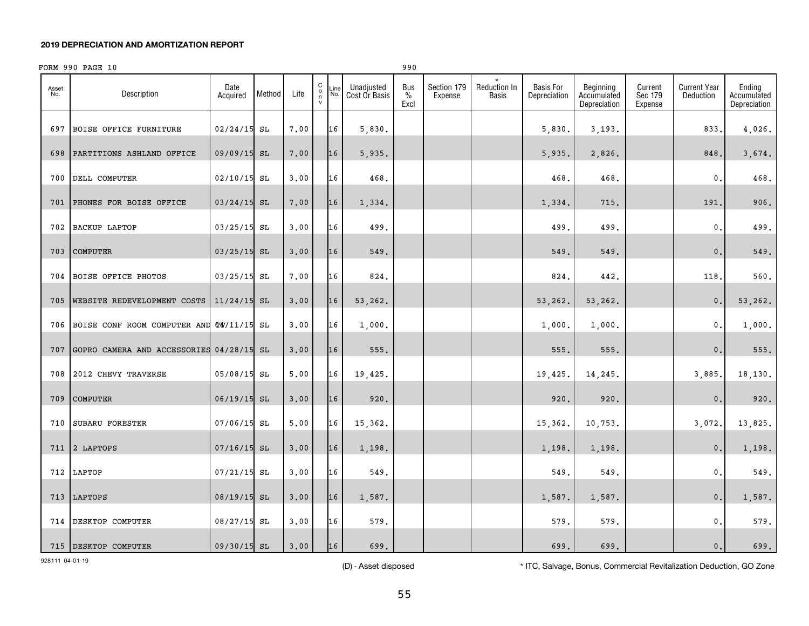## FORM 990 PAGE 10

| Asset<br>No. | Description                              | Date<br>Acquired | Method | Life | C<br>$\frac{0}{n}$ | .ine<br>No. | Unadjusted<br>Cost Or Basis | Bus<br>%<br>Excl | Section 179<br>Expense | Reduction In<br>Basis | <b>Basis For</b><br>Depreciation | Beginning<br>Accumulated<br>Depreciation | Current<br>Sec 179<br>Expense | <b>Current Year</b><br>Deduction | Ending<br>Accumulated<br>Depreciation |
|--------------|------------------------------------------|------------------|--------|------|--------------------|-------------|-----------------------------|------------------|------------------------|-----------------------|----------------------------------|------------------------------------------|-------------------------------|----------------------------------|---------------------------------------|
| 697          | <b>BOISE OFFICE FURNITURE</b>            | $02/24/15$ SL    |        | 7.00 |                    | 16          | 5,830.                      |                  |                        |                       | 5,830.                           | 3,193.                                   |                               | 833.                             | 4,026.                                |
| 698          | PARTITIONS ASHLAND OFFICE                | 09/09/15 SL      |        | 7.00 |                    | 16          | 5,935.                      |                  |                        |                       | 5,935.                           | 2,826.                                   |                               | 848.                             | 3,674.                                |
| 700          | DELL COMPUTER                            | $02/10/15$ SL    |        | 3,00 |                    | 16          | 468.                        |                  |                        |                       | 468.                             | 468.                                     |                               | 0.                               | 468.                                  |
| 701          | PHONES FOR BOISE OFFICE                  | $03/24/15$ SL    |        | 7.00 |                    | 16          | 1,334.                      |                  |                        |                       | 1,334.                           | 715.                                     |                               | 191.                             | 906.                                  |
| 702          | <b>BACKUP LAPTOP</b>                     | 03/25/15 SL      |        | 3.00 |                    | 16          | 499.                        |                  |                        |                       | 499.                             | 499.                                     |                               | $\mathbf 0$ .                    | 499.                                  |
| 703          | <b>COMPUTER</b>                          | $03/25/15$ SL    |        | 3,00 |                    | 16          | 549.                        |                  |                        |                       | 549.                             | 549.                                     |                               | $\mathbf{0}$ .                   | 549.                                  |
| 704          | <b>BOISE OFFICE PHOTOS</b>               | 03/25/15 SL      |        | 7.00 |                    | 16          | 824.                        |                  |                        |                       | 824.                             | 442.                                     |                               | 118.                             | $560.$                                |
| 705          | WEBSITE REDEVELOPMENT COSTS              | $11/24/15$ SL    |        | 3,00 |                    | 16          | 53,262.                     |                  |                        |                       | 53,262.                          | 53,262.                                  |                               | $\mathbf{0}$ .                   | 53,262.                               |
| 706          | BOISE CONF ROOM COMPUTER AND TW/11/15 SL |                  |        | 3,00 |                    | 16          | 1,000.                      |                  |                        |                       | 1,000.                           | 1,000.                                   |                               | $\mathbf{0}$ .                   | 1,000.                                |
| 707          | GOPRO CAMERA AND ACCESSORIES 04/28/15 SL |                  |        | 3.00 |                    | 16          | 555.                        |                  |                        |                       | 555.                             | 555.                                     |                               | $\mathbf 0$ .                    | 555.                                  |
| 708          | 2012 CHEVY TRAVERSE                      | 05/08/15 SL      |        | 5,00 |                    | 16          | 19,425.                     |                  |                        |                       | 19,425.                          | 14,245.                                  |                               | 3,885.                           | 18,130.                               |
| 709          | COMPUTER                                 | 06/19/15 SL      |        | 3.00 |                    | 16          | 920.                        |                  |                        |                       | 920.                             | 920.                                     |                               | $\mathbf{0}$ .                   | 920.                                  |
| 710          | SUBARU FORESTER                          | 07/06/15 SL      |        | 5,00 |                    | 16          | 15,362.                     |                  |                        |                       | 15,362.                          | 10,753.                                  |                               | 3,072.                           | 13,825.                               |
| 711          | 2 LAPTOPS                                | $07/16/15$ SL    |        | 3.00 |                    | 16          | 1,198.                      |                  |                        |                       | 1,198.                           | 1,198.                                   |                               | 0.                               | 1,198.                                |
| 712          | LAPTOP                                   | $07/21/15$ SL    |        | 3.00 |                    | 16          | 549.                        |                  |                        |                       | 549                              | 549.                                     |                               | $\mathbf{0}$ .                   | 549.                                  |
| 713          | LAPTOPS                                  | 08/19/15 SL      |        | 3,00 |                    | 16          | 1,587.                      |                  |                        |                       | 1,587.                           | 1,587.                                   |                               | $\mathbf{0}$ .                   | 1,587.                                |
| 714          | DESKTOP COMPUTER                         | 08/27/15 SL      |        | 3.00 |                    | 16          | 579.                        |                  |                        |                       | 579.                             | 579.                                     |                               | $\mathbf{0}$ .                   | 579.                                  |
|              | 715 DESKTOP COMPUTER                     | 09/30/15 SL      |        | 3,00 |                    | 16          | 699.                        |                  |                        |                       | 699.                             | 699.                                     |                               | $\mathbf{0}$ .                   | 699.                                  |

928111 04-01-19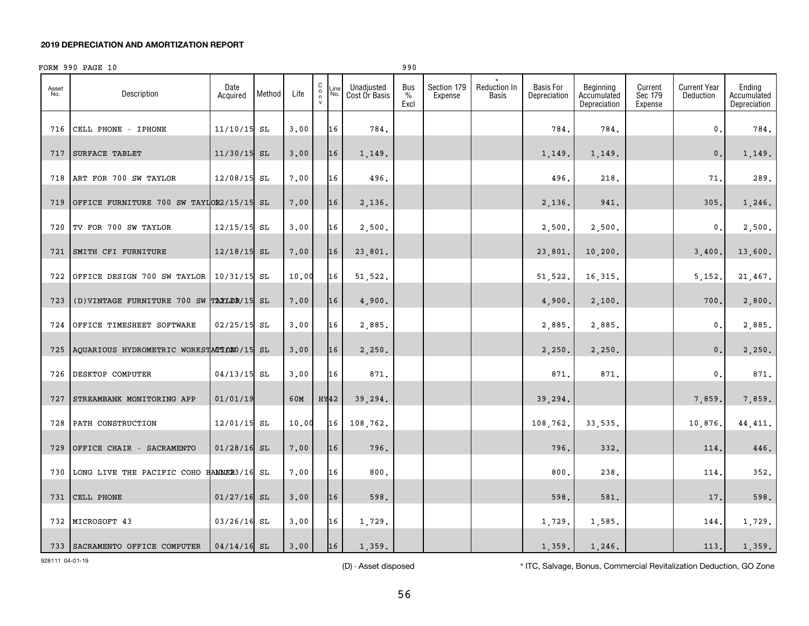## FORM 990 PAGE 10 990 PAGE 990

Asset No.

716

717

718

719

720

721

722

723

724

725

726

727

728

729

730

731

732

733

#### C o n vLine No.Dateon **Acquired Method** Life Unadiusted Cost Or Basis Bus % ExclSection 179 ExpenseReduction In Basis Basis For DepreciationBeginning Accumulated DepreciationCurrent Sec 179 ExpenseCurrent Year DeductionDescription\*CELL PHONE - IPHONE  $\begin{array}{|c|c|c|c|c|c|c|c|c|} \hline 11/10/15 & \text{SL} & 3.00 & 16 & 784. \ \hline \end{array}$ 784. 784. 0. 784. 17 |SURFACE TABLET | 11/30/15| SL | 3.00 | |16 | 1,149. | | | | | | 1,149. | | | 0.| 1,149. ART FOR 700 SW TAYLOR 12/08/15 SL 7.00 16 496. 496. 218. 71. 289. OFFICE FURNITURE 700 SW TAYLOR2/15/15 SL 7.00 16 2.136. | | | 2.136. | 341. | | 305. 1.246. TV FOR 700 SW TAYLOR |12/15/15|SL |3.00| 16| 2.500.| | | 2.500.| | 0.| 2.500. 21 |SMITH CFI FURNITURE | 12/18/15|SL | 7.00 | 16 | 23,801. | | | 23,801. | 10,200. | | 3,400. | 13,600. OFFICE DESIGN 700 SW TAYLOR 10/31/15 SL 10.00 16 51.522. I THE SET SET SET SET SET SALL 21.467. (D)VINTAGE FURNITURE 700 SW TAXLOR/15 SL 7.00 | 16 | 4.900. | | | | 4.900. | 2.100. | | 700. | 2.800. OFFICE TIMESHEET SOFTWARE | 02/25/15 SL | 3.00 | 16 | 2.885. | | | | | 2.885. | | | | 0. | 2.885. AQUARIOUS HYDROMETRIC WORKSTACTOXO/15 SL 3.00 16 2.250. 2.250. 2.250. 2.250. 2.250. 2.250. 2.250. 2.250. 26 |DESKTOP COMPUTER |04/13/15|SL |3.00||16|| 871.|| | | 871.| 1 0.|| 871. STREAMBANK MONITORING APP | 01/01/19 | 60M | HY42 | 39,294. | | | | 39,294. | | | 7,859. | 7,859. PATH CONSTRUCTION 12/01/15 SL 10.00 16 108,762. 108,762. 33,535. 10,876. 44,411.

928111 04-01-19

(D) - Asset disposed \* ITC, Salvage, Bonus, Commercial Revitalization Deduction, GO Zone

Ending AccumulatedDepreciation

OFFICE CHAIR - SACRAMENTO | 01/28/16| SL | 7.00 | 16 | 796. | | | | 796. | 332. | | 114. | 446.

LONG LIVE THE PACIFIC COHO BANNER 11/23/16 SL 7.00 16 800. 800. 238. 114. 352.

31 |CELL PHONE | 01/27/16| SL | 3.00 | 116 | 598. | | 598. | 598. | 581. | | 17. | 598.

32 |MICROSOFT 43 | 03/26/16| SL | 3.00 | 16 | 1,729. | | | 1,729. | 1,729. | | 144. | 1,729.

SACRAMENTO OFFICE COMPUTER 04/14/16 SL 3.00 16 1,359. 1,359. 1,246. 113. 1,359.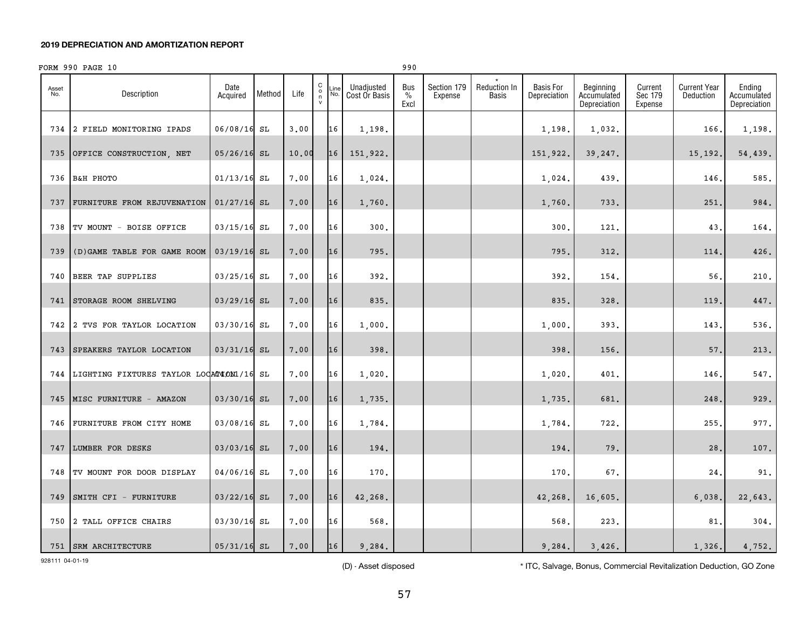|              | FORM 990 PAGE 10                    | 990              |        |       |                                   |            |                             |                     |                        |                              |                                  |
|--------------|-------------------------------------|------------------|--------|-------|-----------------------------------|------------|-----------------------------|---------------------|------------------------|------------------------------|----------------------------------|
| Asset<br>No. | Description                         | Date<br>Acquired | Method | Life  | C<br>$\circ$<br>n<br>$\mathsf{v}$ | Line<br>No | Unadjusted<br>Cost Or Basis | Bus<br>$\%$<br>Excl | Section 179<br>Expense | Reduction In<br><b>Basis</b> | <b>Basis For</b><br>Depreciation |
| 734          | FIELD MONITORING IPADS<br>$\cdot$ 2 | 06/08/16 SL      |        | 3.00  |                                   | 16         | 1,198.                      |                     |                        |                              | 1,198.                           |
| 735          | OFFICE CONSTRUCTION, NET            | $05/26/16$ SL    |        | 10.00 |                                   | 16         | 151,922.                    |                     |                        |                              | 151,922.                         |
| 736          | <b>B&amp;H PHOTO</b>                | $01/13/16$ SL    |        | 7.00  |                                   | 16         | 1,024.                      |                     |                        |                              | 1,024.                           |

|     | 734 2 FIELD MONITORING IPADS                 | 06/08/16 SL   | 3,00  | 16 | 1,198.   |  | 1,198.   | 1,032.  | 166.    | 1,198.  |
|-----|----------------------------------------------|---------------|-------|----|----------|--|----------|---------|---------|---------|
|     | 735 OFFICE CONSTRUCTION, NET                 | $05/26/16$ SL | 10.00 | 16 | 151,922. |  | 151,922. | 39,247. | 15,192. | 54,439. |
|     | 736 B&H PHOTO                                | $01/13/16$ SL | 7.00  | 16 | 1,024.   |  | 1,024.   | 439.    | 146.    | 585.    |
|     | 737 FURNITURE FROM REJUVENATION              | $01/27/16$ SL | 7.00  | 16 | 1,760.   |  | 1,760.   | 733.    | 251.    | 984.    |
|     | 738 TV MOUNT - BOISE OFFICE                  | $03/15/16$ SL | 7.00  | 16 | 300.     |  | 300.     | 121.    | 43.     | 164.    |
|     | 739 (D) GAME TABLE FOR GAME ROOM             | $03/19/16$ SL | 7.00  | 16 | 795.     |  | 795.     | 312.    | 114.    | 426.    |
|     | 740 BEER TAP SUPPLIES                        | 03/25/16 SL   | 7.00  | 16 | 392.     |  | 392.     | 154.    | 56,     | 210.    |
|     | 741 STORAGE ROOM SHELVING                    | $03/29/16$ SL | 7.00  | 16 | 835.     |  | 835.     | 328.    | 119     | 447.    |
|     | 742 2 TVS FOR TAYLOR LOCATION                | 03/30/16 SL   | 7.00  | 16 | 1,000.   |  | 1,000.   | 393.    | 143.    | 536.    |
|     | 743 SPEAKERS TAYLOR LOCATION                 | $03/31/16$ SL | 7.00  | 16 | 398.     |  | 398.     | 156.    | 57.     | 213.    |
|     | 744 LIGHTING FIXTURES TAYLOR LOCATION1/16 SL |               | 7.00  | 16 | 1,020.   |  | 1,020.   | 401.    | 146.    | 547.    |
|     | 745 MISC FURNITURE - AMAZON                  | 03/30/16 SL   | 7.00  | 16 | 1,735.   |  | 1,735.   | 681.    | 248.    | 929.    |
| 746 | FURNITURE FROM CITY HOME                     | 03/08/16 SL   | 7.00  | 16 | 1,784.   |  | 1,784.   | 722.    | 255.    | 977.    |
|     | 747 LUMBER FOR DESKS                         | 03/03/16 SL   | 7.00  | 16 | 194.     |  | 194.     | 79.     | 28.     | 107.    |
|     | 748 TV MOUNT FOR DOOR DISPLAY                | 04/06/16 SL   | 7.00  | 16 | 170.     |  | 170.     | 67.     | 24.     | 91.     |
|     | 749 SMITH CFI - FURNITURE                    | $03/22/16$ SL | 7.00  | 16 | 42,268.  |  | 42,268.  | 16,605. | 6,038.  | 22,643. |
|     | 750 2 TALL OFFICE CHAIRS                     | 03/30/16 SL   | 7.00  | 16 | 568.     |  | 568.     | 223.    | 81,     | 304.    |
|     | 751   SRM ARCHITECTURE                       | $05/31/16$ SL | 7.00  | 16 | 9,284.   |  | 9,284.   | 3,426.  | 1,326.  | 4,752.  |

928111 04-01-19

(D) - Asset disposed \* TTC, Salvage, Bonus, Commercial Revitalization Deduction, GO Zone

Beginning Accumulated Depreciation

Current Sec 179 Expense Current Year Deduction

Ending Accumulated Depreciation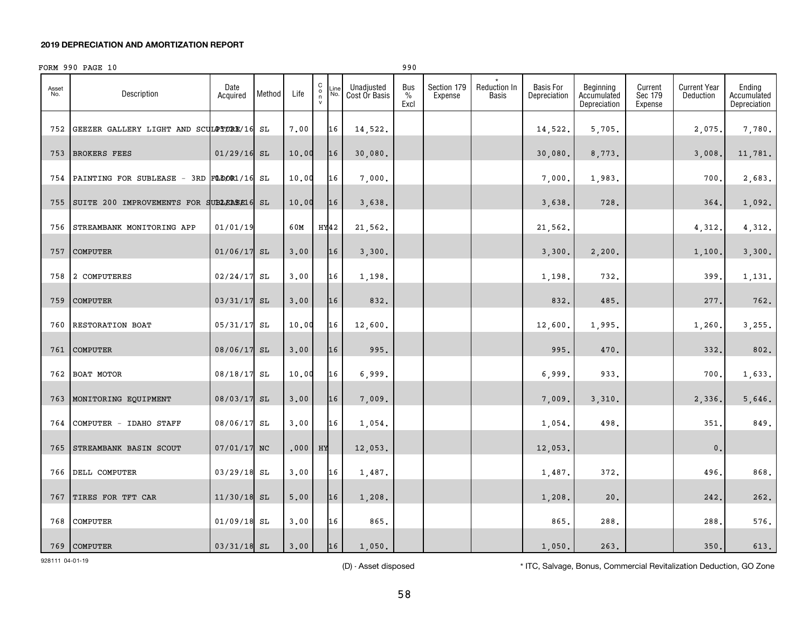## FORM 990 PAGE 10 990

| Asset<br>No. | Description                                  | Date<br>Acquired | Method | Life  | $\begin{matrix} 0 \\ 0 \\ 1 \\ 0 \end{matrix}$ | Line<br>No. | Unadjusted<br>Cost Or Basis | Bus<br>$\%$<br>Excl | Section 179<br>Expense | Reduction In<br>Basis | Basis For<br>Depreciation | Beginning<br>Accumulated<br>Depreciation | Current<br>Sec 179<br>Expense | <b>Current Year</b><br>Deduction | Ending<br>Accumulated<br>Depreciation |
|--------------|----------------------------------------------|------------------|--------|-------|------------------------------------------------|-------------|-----------------------------|---------------------|------------------------|-----------------------|---------------------------|------------------------------------------|-------------------------------|----------------------------------|---------------------------------------|
|              | 752 GEEZER GALLERY LIGHT AND SCULPTURE/16 SL |                  |        | 7.00  |                                                | 16          | 14,522.                     |                     |                        |                       | 14,522.                   | 5,705.                                   |                               | 2,075.                           | 7,780.                                |
| 753          | <b>BROKERS FEES</b>                          | $01/29/16$ SL    |        | 10.00 |                                                | 16          | 30,080.                     |                     |                        |                       | 30,080.                   | 8,773.                                   |                               | 3,008.                           | 11,781.                               |
| 754          | PAINTING FOR SUBLEASE - 3RD FLOOR1/16 SL     |                  |        | 10.00 |                                                | 16          | 7,000.                      |                     |                        |                       | 7,000.                    | 1,983.                                   |                               | 700.                             | 2,683.                                |
| 755          | SUITE 200 IMPROVEMENTS FOR SUBLEASE16 SL     |                  |        | 10.00 |                                                | 16          | 3,638.                      |                     |                        |                       | 3,638.                    | 728.                                     |                               | 364.                             | 1,092.                                |
| 756          | STREAMBANK MONITORING APP                    | 01/01/19         |        | 60M   | HY42                                           |             | 21,562.                     |                     |                        |                       | 21,562.                   |                                          |                               | 4,312.                           | 4,312.                                |
| 757          | COMPUTER                                     | $01/06/17$ SL    |        | 3.00  |                                                | 16          | 3,300.                      |                     |                        |                       | 3,300.                    | 2,200.                                   |                               | 1,100.                           | 3,300.                                |
| 758          | 2 COMPUTERES                                 | 02/24/17 SL      |        | 3.00  |                                                | 16          | 1,198.                      |                     |                        |                       | 1,198.                    | 732.                                     |                               | 399.                             | 1,131.                                |
| 759          | <b>COMPUTER</b>                              | 03/31/17 SL      |        | 3,00  |                                                | 16          | 832.                        |                     |                        |                       | 832.                      | 485.                                     |                               | 277.                             | 762.                                  |
| 760          | RESTORATION BOAT                             | 05/31/17 SL      |        | 10.00 |                                                | 16          | 12,600.                     |                     |                        |                       | 12,600.                   | 1,995.                                   |                               | 1,260.                           | 3,255.                                |
|              | 761 COMPUTER                                 | 08/06/17 SL      |        | 3.00  |                                                | 16          | 995.                        |                     |                        |                       | 995.                      | 470.                                     |                               | 332.                             | 802.                                  |
| 762          | BOAT MOTOR                                   | 08/18/17 SL      |        | 10.00 |                                                | 16          | 6,999.                      |                     |                        |                       | 6,999.                    | 933.                                     |                               | 700.                             | 1,633.                                |
|              | 763 MONITORING EQUIPMENT                     | 08/03/17 SL      |        | 3,00  |                                                | 16          | 7,009.                      |                     |                        |                       | 7,009.                    | 3,310.                                   |                               | 2,336.                           | 5,646.                                |
| 764          | COMPUTER - IDAHO STAFF                       | 08/06/17 SL      |        | 3.00  |                                                | 16          | 1,054.                      |                     |                        |                       | 1,054.                    | 498.                                     |                               | 351.                             | 849.                                  |
| 765          | STREAMBANK BASIN SCOUT                       | 07/01/17 NC      |        | .000  | HY                                             |             | 12,053.                     |                     |                        |                       | 12,053.                   |                                          |                               | $\mathfrak o$ .                  |                                       |
| 766          | DELL COMPUTER                                | $03/29/18$ SL    |        | 3.00  |                                                | 16          | 1,487.                      |                     |                        |                       | 1,487.                    | 372.                                     |                               | 496.                             | 868.                                  |
| 767          | TIRES FOR TFT CAR                            | 11/30/18 SL      |        | 5.00  |                                                | 16          | 1,208.                      |                     |                        |                       | 1,208.                    | 20.                                      |                               | 242.                             | 262.                                  |
| 768          | COMPUTER                                     | $01/09/18$ SL    |        | 3,00  |                                                | 16          | 865.                        |                     |                        |                       | 865.                      | 288.                                     |                               | 288,                             | $576$ .                               |
|              | 769 COMPUTER                                 | $03/31/18$ SL    |        | 3,00  |                                                | 16          | 1,050.                      |                     |                        |                       | 1,050.                    | 263.                                     |                               | 350.                             | 613.                                  |

928111 04-01-19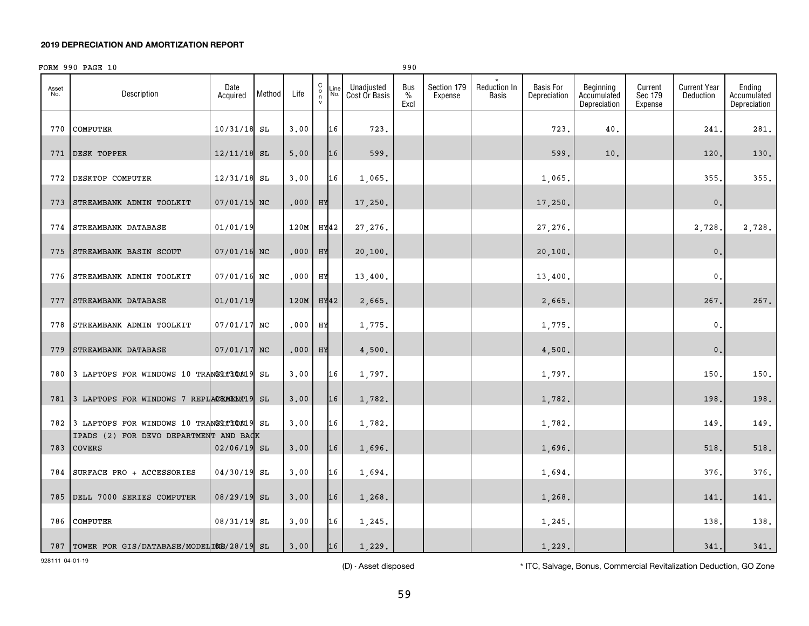|              | FORM 990 PAGE 10                                        |                  |        |           |                                           |                    |                             | 990                          |                        |                              |                                  |                                          |                               |                                  |                                       |
|--------------|---------------------------------------------------------|------------------|--------|-----------|-------------------------------------------|--------------------|-----------------------------|------------------------------|------------------------|------------------------------|----------------------------------|------------------------------------------|-------------------------------|----------------------------------|---------------------------------------|
| Asset<br>No. | Description                                             | Date<br>Acquired | Method | Life      | $\begin{matrix} 0 \\ 0 \\ n \end{matrix}$ | $\frac{Line}{No.}$ | Unadjusted<br>Cost Or Basis | Bus<br>$\frac{0}{0}$<br>Excl | Section 179<br>Expense | Reduction In<br><b>Basis</b> | <b>Basis For</b><br>Depreciation | Beginning<br>Accumulated<br>Depreciation | Current<br>Sec 179<br>Expense | <b>Current Year</b><br>Deduction | Ending<br>Accumulated<br>Depreciation |
| 770          | COMPUTER                                                | $10/31/18$ SL    |        | 3.00      |                                           | 16                 | 723.                        |                              |                        |                              | 723.                             | 40.                                      |                               | 241                              | 281.                                  |
| 771          | DESK TOPPER                                             | $12/11/18$ SL    |        | 5.00      |                                           | 16                 | 599.                        |                              |                        |                              | 599.                             | 10.                                      |                               | 120                              | 130.                                  |
| 772          | DESKTOP COMPUTER                                        | $12/31/18$ SL    |        | 3.00      |                                           | 16                 | 1,065.                      |                              |                        |                              | 1,065.                           |                                          |                               | 355                              | 355.                                  |
| 773          | STREAMBANK ADMIN TOOLKIT                                | 07/01/15 NC      |        | .000      | HY                                        |                    | 17,250.                     |                              |                        |                              | 17,250.                          |                                          |                               | $\mathbf{0}$ .                   |                                       |
| 774          | STREAMBANK DATABASE                                     | 01/01/19         |        | 120M      |                                           | HY42               | 27,276.                     |                              |                        |                              | 27,276.                          |                                          |                               | 2,728.                           | 2,728.                                |
| 775          | STREAMBANK BASIN SCOUT                                  | 07/01/16 NC      |        | .000      | HY                                        |                    | 20, 100.                    |                              |                        |                              | 20, 100.                         |                                          |                               | $\mathbf 0$ .                    |                                       |
| 776          | STREAMBANK ADMIN TOOLKIT                                | 07/01/16 NC      |        | .000      | HУ                                        |                    | 13,400.                     |                              |                        |                              | 13,400.                          |                                          |                               | $\mathbf{0}$                     |                                       |
| 777          | STREAMBANK DATABASE                                     | 01/01/19         |        | 120M HY42 |                                           |                    | 2,665.                      |                              |                        |                              | 2,665.                           |                                          |                               | 267                              | 267.                                  |
| 778          | STREAMBANK ADMIN TOOLKIT                                | 07/01/17 NC      |        | .000      | HУ                                        |                    | 1,775.                      |                              |                        |                              | 1,775.                           |                                          |                               | $\mathbf{0}$                     |                                       |
| 779          | STREAMBANK DATABASE                                     | 07/01/17 NC      |        | .000      | HX                                        |                    | 4,500.                      |                              |                        |                              | 4,500.                           |                                          |                               | $\mathbf{0}$ .                   |                                       |
| 780          | 3 LAPTOPS FOR WINDOWS 10 TRANGTTION19                   |                  | SL     | 3,00      |                                           | 16                 | 1,797.                      |                              |                        |                              | 1,797.                           |                                          |                               | 150                              | 150.                                  |
| 781          | 3 LAPTOPS FOR WINDOWS 7 REPLACEMENT19 SL                |                  |        | 3,00      |                                           | 16                 | 1,782.                      |                              |                        |                              | 1,782.                           |                                          |                               | 198                              | 198.                                  |
|              | 782 3 LAPTOPS FOR WINDOWS 10 TRANSTTION19 SL            |                  |        | 3.00      |                                           | 16                 | 1,782.                      |                              |                        |                              | 1,782.                           |                                          |                               | 149                              | 149.                                  |
| 783          | IPADS (2) FOR DEVO DEPARTMENT AND BACK<br><b>COVERS</b> | 02/06/19 SL      |        | 3.00      |                                           | 16                 | 1,696.                      |                              |                        |                              | 1,696.                           |                                          |                               | 518                              | 518.                                  |
| 784          | SURFACE PRO + ACCESSORIES                               | 04/30/19 SL      |        | 3.00      |                                           | 16                 | 1,694.                      |                              |                        |                              | 1,694.                           |                                          |                               | 376.                             | 376.                                  |
| 785          | DELL 7000 SERIES COMPUTER                               | 08/29/19 SL      |        | 3.00      |                                           | 16                 | 1,268.                      |                              |                        |                              | 1,268.                           |                                          |                               | 141                              | 141.                                  |
| 786          | <b>COMPUTER</b>                                         | 08/31/19 SL      |        | 3.00      |                                           | 16                 | 1,245.                      |                              |                        |                              | 1,245.                           |                                          |                               | 138.                             | 138.                                  |
|              |                                                         |                  |        |           |                                           |                    |                             |                              |                        |                              |                                  |                                          |                               |                                  |                                       |

928111 04-01-19

(D) - Asset disposed \* ITC, Salvage, Bonus, Commercial Revitalization Deduction, GO Zone

787 |TOWER FOR GIS/DATABASE/MODEL|IMS2/28/19 SL | 3.00 | 16 | 1,229. | | | 1,229. | | | 341. | 341. | 341.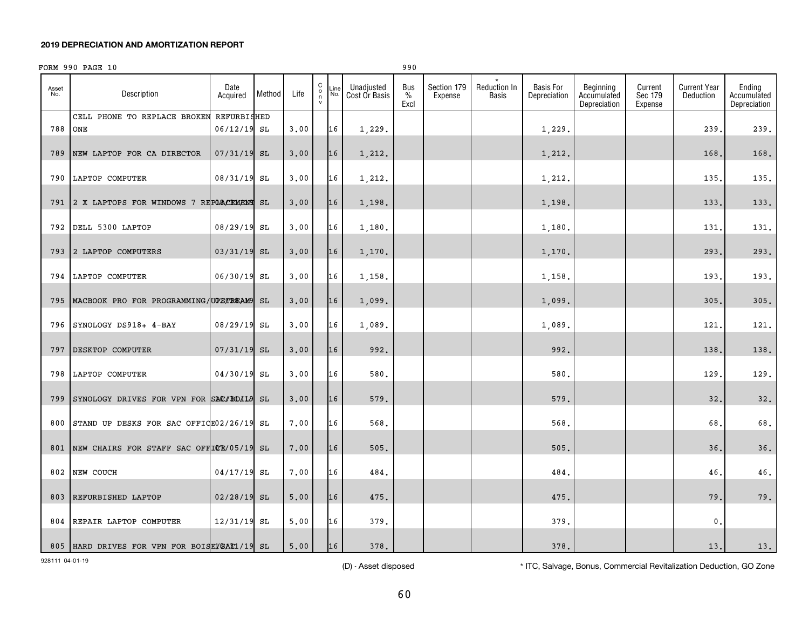## FORM 990 PAGE 10

| ×<br>۰.<br>۰.<br>I<br>v. |
|--------------------------|
|--------------------------|

| Asset<br>No. | Description                                    | Date<br>Acquired           | Method | Life | $_{\rm o}^{\rm C}$<br>n<br>$\mathsf{v}$ | $\mathsf{\mathsf{\scriptstyle\_ine}}$<br>No. | Unadjusted<br>Cost Or Basis | Bus<br>$\%$<br>Excl | Section 179<br>Expense | <b>Reduction In</b><br>Basis | <b>Basis For</b><br>Depreciation | Beginning<br>Accumulated<br>Depreciation | Current<br>Sec 179<br>Expense | <b>Current Year</b><br>Deduction | Ending<br>Accumulated<br>Depreciation |
|--------------|------------------------------------------------|----------------------------|--------|------|-----------------------------------------|----------------------------------------------|-----------------------------|---------------------|------------------------|------------------------------|----------------------------------|------------------------------------------|-------------------------------|----------------------------------|---------------------------------------|
| 788          | CELL PHONE TO REPLACE BROKEN<br>ONE            | REFURBISHED<br>06/12/19 SL |        | 3.00 |                                         | 16                                           | 1,229.                      |                     |                        |                              | 1,229.                           |                                          |                               | 239.                             | 239.                                  |
| 789          | NEW LAPTOP FOR CA DIRECTOR                     | $07/31/19$ SL              |        | 3,00 |                                         | 16                                           | 1,212.                      |                     |                        |                              | 1,212.                           |                                          |                               | 168.                             | 168.                                  |
| 790          | LAPTOP COMPUTER                                | 08/31/19 SL                |        | 3.00 |                                         | 16                                           | 1,212.                      |                     |                        |                              | 1,212.                           |                                          |                               | 135.                             | 135.                                  |
|              | 791 2 X LAPTOPS FOR WINDOWS 7 REPORCEMENT SL   |                            |        | 3.00 |                                         | 16                                           | 1,198.                      |                     |                        |                              | 1,198.                           |                                          |                               | 133.                             | 133.                                  |
|              | 792 DELL 5300 LAPTOP                           | 08/29/19 SL                |        | 3.00 |                                         | 16                                           | 1,180.                      |                     |                        |                              | 1,180.                           |                                          |                               | 131                              | 131.                                  |
|              | 793 2 LAPTOP COMPUTERS                         | 03/31/19 SL                |        | 3.00 |                                         | 16                                           | 1,170.                      |                     |                        |                              | 1,170.                           |                                          |                               | 293                              | 293.                                  |
|              | 794 LAPTOP COMPUTER                            | 06/30/19 SL                |        | 3,00 |                                         | 16                                           | 1,158.                      |                     |                        |                              | 1,158.                           |                                          |                               | 193.                             | 193.                                  |
|              | 795   MACBOOK PRO FOR PROGRAMMING UPSTREAM9 SL |                            |        | 3.00 |                                         | 16                                           | 1,099.                      |                     |                        |                              | 1,099.                           |                                          |                               | 305                              | 305.                                  |
|              | 796 SYNOLOGY DS918+ 4-BAY                      | 08/29/19 SL                |        | 3.00 |                                         | 16                                           | 1,089.                      |                     |                        |                              | 1,089                            |                                          |                               | 121                              | 121.                                  |
| 797          | DESKTOP COMPUTER                               | $07/31/19$ SL              |        | 3,00 |                                         | 16                                           | 992.                        |                     |                        |                              | 992.                             |                                          |                               | 138.                             | 138.                                  |
|              | 798 LAPTOP COMPUTER                            | 04/30/19 SL                |        | 3.00 |                                         | 16                                           | 580.                        |                     |                        |                              | 580.                             |                                          |                               | 129.                             | 129.                                  |
|              | 799 SYNOLOGY DRIVES FOR VPN FOR SAC/BDIL9 SL   |                            |        | 3.00 |                                         | 16                                           | 579.                        |                     |                        |                              | 579.                             |                                          |                               | 32.                              | 32.                                   |
| 800          | STAND UP DESKS FOR SAC OFFICE02/26/19 SL       |                            |        | 7.00 |                                         | 16                                           | 568.                        |                     |                        |                              | 568.                             |                                          |                               | 68.                              | 68.                                   |
|              | 801 NEW CHAIRS FOR STAFF SAC OFFICE/05/19 SL   |                            |        | 7.00 |                                         | 16                                           | 505.                        |                     |                        |                              | 505.                             |                                          |                               | 36.                              | 36.                                   |
|              | 802 NEW COUCH                                  | 04/17/19 SL                |        | 7.00 |                                         | 16                                           | 484.                        |                     |                        |                              | 484.                             |                                          |                               | 46.                              | 46.                                   |
| 803          | REFURBISHED LAPTOP                             | $02/28/19$ SL              |        | 5.00 |                                         | 16                                           | 475.                        |                     |                        |                              | 475.                             |                                          |                               | 79.                              | 79.                                   |
|              | 804 REPAIR LAPTOP COMPUTER                     | $12/31/19$ SL              |        | 5,00 |                                         | 16                                           | 379.                        |                     |                        |                              | 379.                             |                                          |                               | $\mathbf{0}$ .                   |                                       |
|              | 805 HARD DRIVES FOR VPN FOR BOISEV SAC1/19 SL  |                            |        | 5.00 |                                         | 16                                           | 378.                        |                     |                        |                              | 378.                             |                                          |                               | 13.                              | 13.                                   |

928111 04-01-19